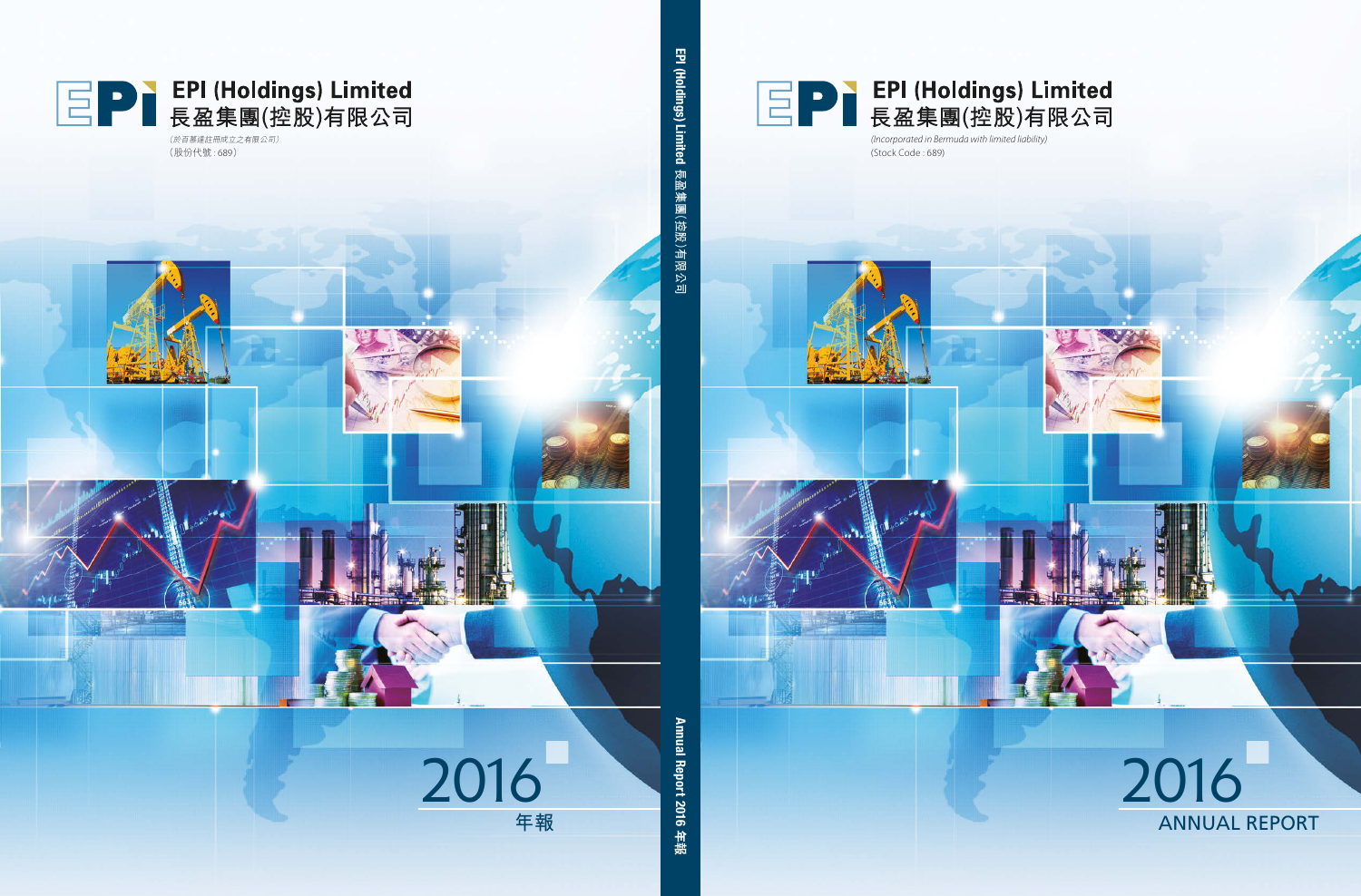

(Stock Code : 689) *(Incorporated in Bermuda with limited liability)*



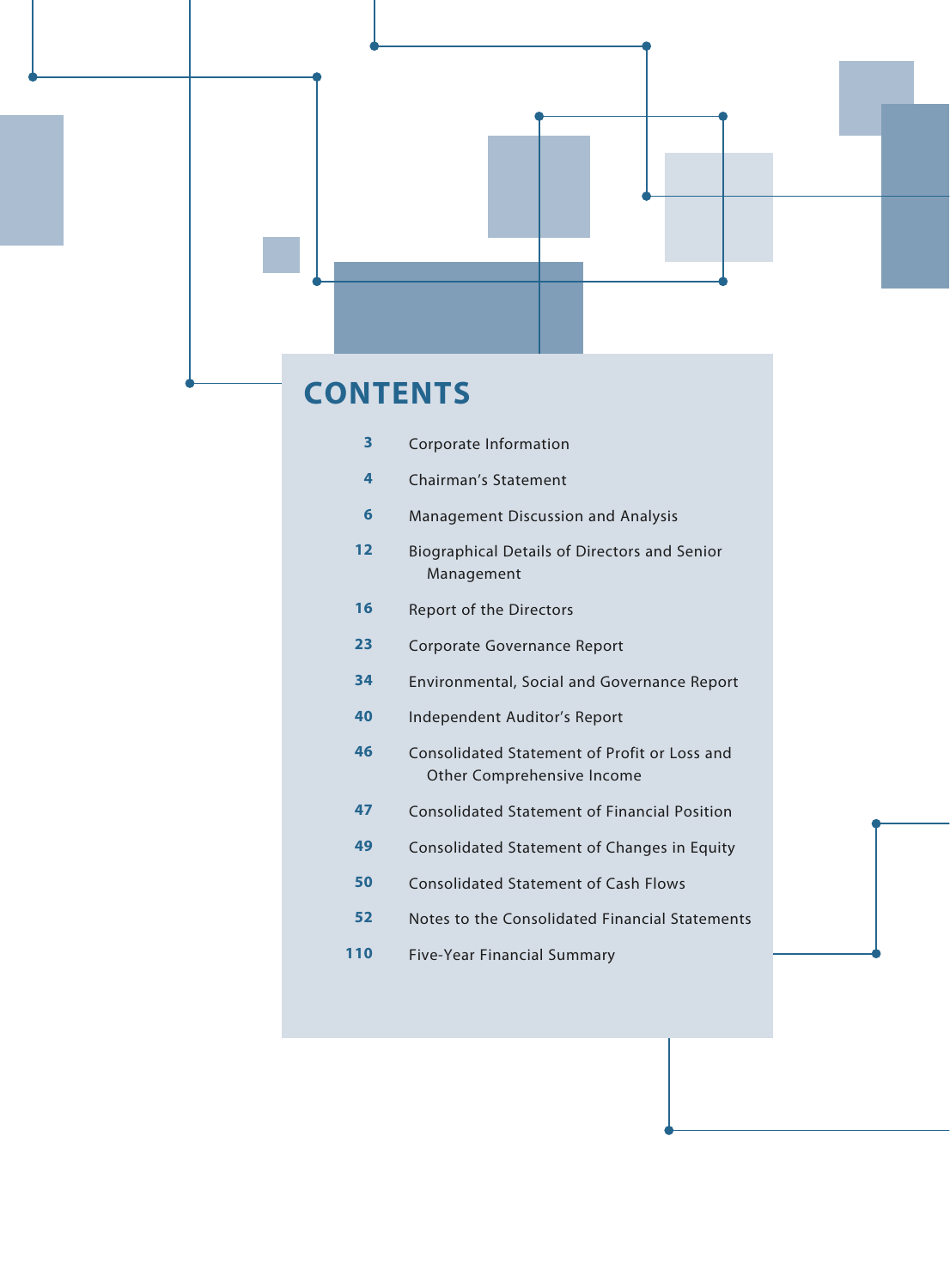

- Notes to the Consolidated Financial Statements
- Five-Year Financial Summary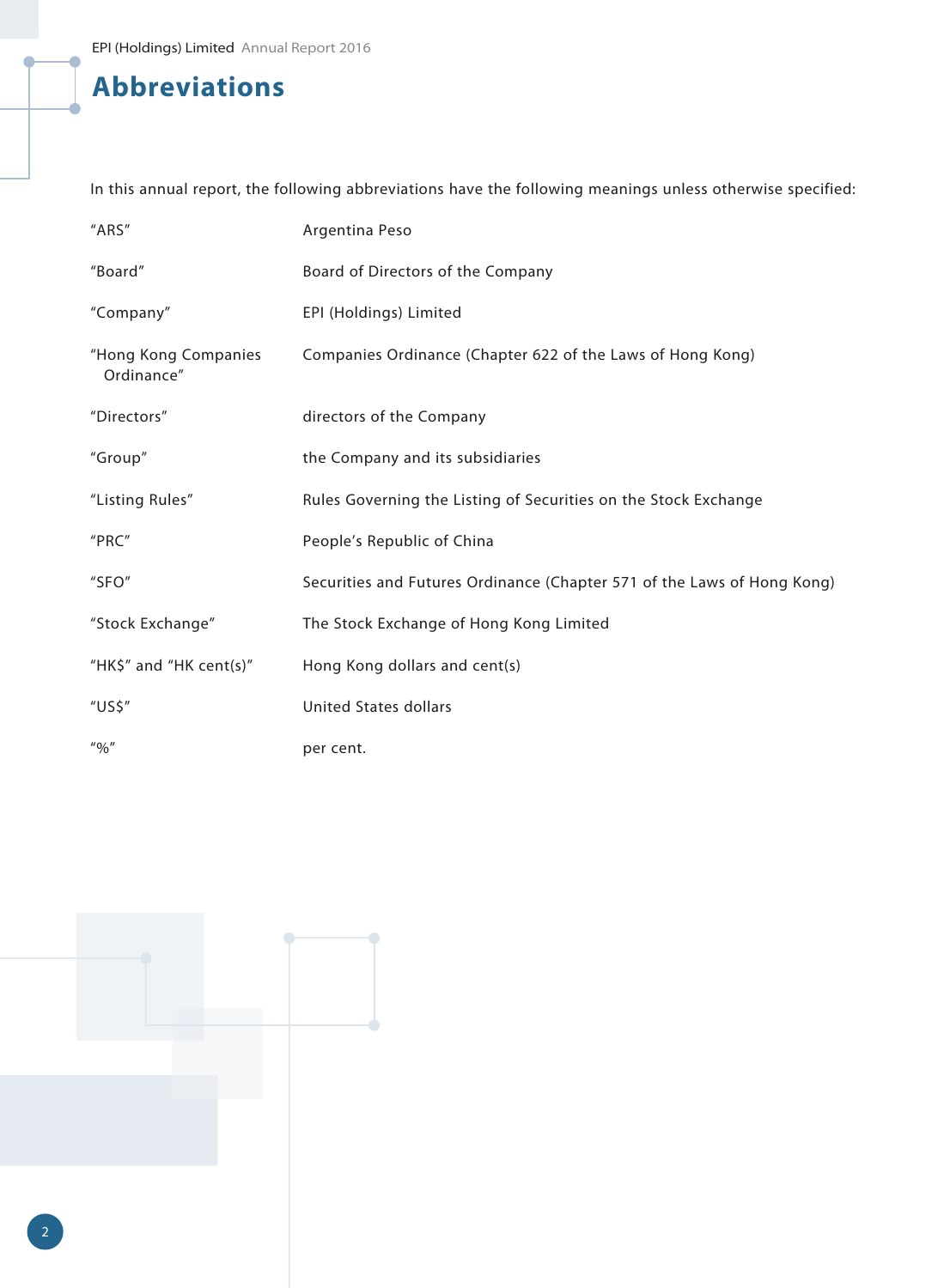# **Abbreviations**

In this annual report, the following abbreviations have the following meanings unless otherwise specified:

| "ARS"                                                                  | Argentina Peso                                                          |
|------------------------------------------------------------------------|-------------------------------------------------------------------------|
| "Board"                                                                | Board of Directors of the Company                                       |
| "Company"                                                              | EPI (Holdings) Limited                                                  |
| "Hong Kong Companies<br>Ordinance"                                     | Companies Ordinance (Chapter 622 of the Laws of Hong Kong)              |
| "Directors"                                                            | directors of the Company                                                |
| "Group"                                                                | the Company and its subsidiaries                                        |
| "Listing Rules"                                                        | Rules Governing the Listing of Securities on the Stock Exchange         |
| "PRC"                                                                  | People's Republic of China                                              |
| "SFO"                                                                  | Securities and Futures Ordinance (Chapter 571 of the Laws of Hong Kong) |
| "Stock Exchange"                                                       | The Stock Exchange of Hong Kong Limited                                 |
| "HK\$" and "HK cent(s)"                                                | Hong Kong dollars and cent(s)                                           |
| "US\$"                                                                 | <b>United States dollars</b>                                            |
| $^{\prime\prime}$ <sup>0</sup> /0 <sup><math>\prime\prime</math></sup> | per cent.                                                               |

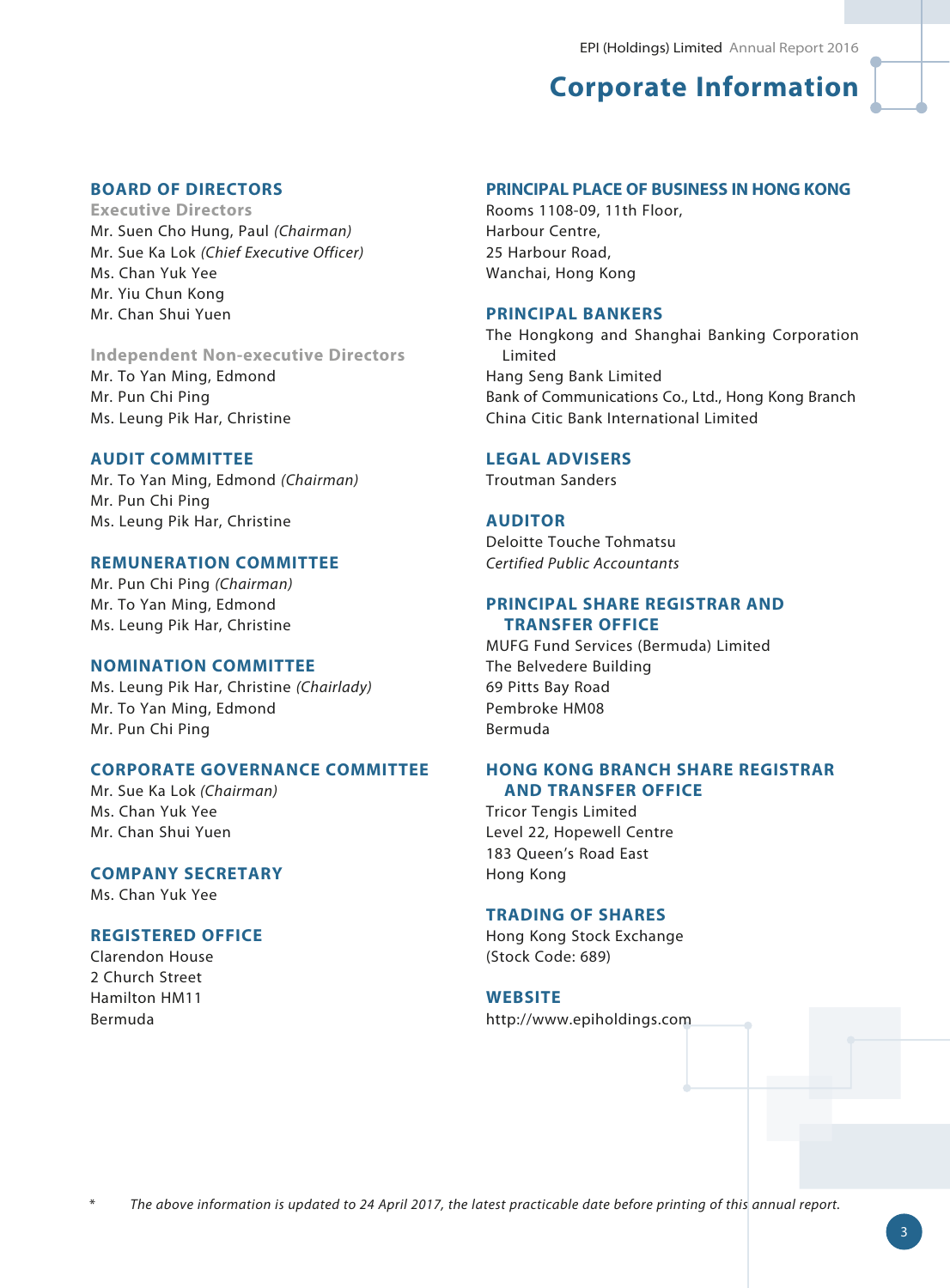# **Corporate Information**

## **BOARD OF DIRECTORS**

**Executive Directors** Mr. Suen Cho Hung, Paul *(Chairman)* Mr. Sue Ka Lok *(Chief Executive Officer)* Ms. Chan Yuk Yee Mr. Yiu Chun Kong Mr. Chan Shui Yuen

## **Independent Non-executive Directors** Mr. To Yan Ming, Edmond Mr. Pun Chi Ping

Ms. Leung Pik Har, Christine

## **AUDIT COMMITTEE**

Mr. To Yan Ming, Edmond *(Chairman)* Mr. Pun Chi Ping Ms. Leung Pik Har, Christine

### **REMUNERATION COMMITTEE**

Mr. Pun Chi Ping *(Chairman)* Mr. To Yan Ming, Edmond Ms. Leung Pik Har, Christine

#### **NOMINATION COMMITTEE**

Ms. Leung Pik Har, Christine *(Chairlady)* Mr. To Yan Ming, Edmond Mr. Pun Chi Ping

## **CORPORATE GOVERNANCE COMMITTEE**

Mr. Sue Ka Lok *(Chairman)* Ms. Chan Yuk Yee Mr. Chan Shui Yuen

## **COMPANY SECRETARY**

Ms. Chan Yuk Yee

### **REGISTERED OFFICE**

Clarendon House 2 Church Street Hamilton HM11 Bermuda

#### **PRINCIPAL PLACE OF BUSINESS IN HONG KONG**

Rooms 1108-09, 11th Floor, Harbour Centre, 25 Harbour Road, Wanchai, Hong Kong

## **PRINCIPAL BANKERS**

The Hongkong and Shanghai Banking Corporation Limited Hang Seng Bank Limited Bank of Communications Co., Ltd., Hong Kong Branch China Citic Bank International Limited

#### **LEGAL ADVISERS**

Troutman Sanders

### **AUDITOR**

Deloitte Touche Tohmatsu *Certified Public Accountants*

## **PRINCIPAL SHARE REGISTRAR AND TRANSFER OFFICE**

MUFG Fund Services (Bermuda) Limited The Belvedere Building 69 Pitts Bay Road Pembroke HM08 Bermuda

## **HONG KONG BRANCH SHARE REGISTRAR AND TRANSFER OFFICE**

Tricor Tengis Limited Level 22, Hopewell Centre 183 Queen's Road East Hong Kong

## **TRADING OF SHARES**

Hong Kong Stock Exchange (Stock Code: 689)

#### **WEBSITE**

http://www.epiholdings.com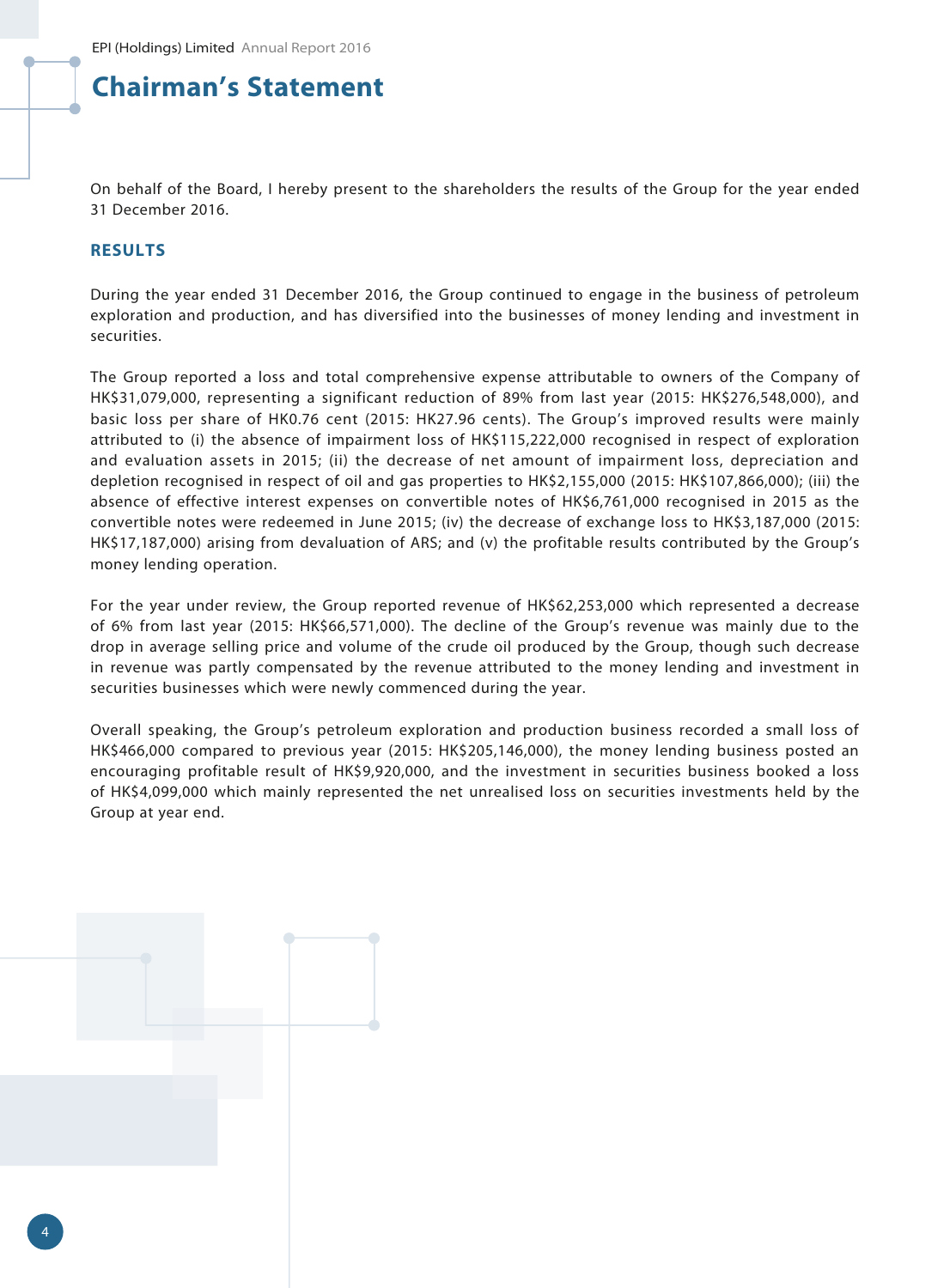## **Chairman's Statement**

On behalf of the Board, I hereby present to the shareholders the results of the Group for the year ended 31 December 2016.

### **RESULTS**

During the year ended 31 December 2016, the Group continued to engage in the business of petroleum exploration and production, and has diversified into the businesses of money lending and investment in securities.

The Group reported a loss and total comprehensive expense attributable to owners of the Company of HK\$31,079,000, representing a significant reduction of 89% from last year (2015: HK\$276,548,000), and basic loss per share of HK0.76 cent (2015: HK27.96 cents). The Group's improved results were mainly attributed to (i) the absence of impairment loss of HK\$115,222,000 recognised in respect of exploration and evaluation assets in 2015; (ii) the decrease of net amount of impairment loss, depreciation and depletion recognised in respect of oil and gas properties to HK\$2,155,000 (2015: HK\$107,866,000); (iii) the absence of effective interest expenses on convertible notes of HK\$6,761,000 recognised in 2015 as the convertible notes were redeemed in June 2015; (iv) the decrease of exchange loss to HK\$3,187,000 (2015: HK\$17,187,000) arising from devaluation of ARS; and (v) the profitable results contributed by the Group's money lending operation.

For the year under review, the Group reported revenue of HK\$62,253,000 which represented a decrease of 6% from last year (2015: HK\$66,571,000). The decline of the Group's revenue was mainly due to the drop in average selling price and volume of the crude oil produced by the Group, though such decrease in revenue was partly compensated by the revenue attributed to the money lending and investment in securities businesses which were newly commenced during the year.

Overall speaking, the Group's petroleum exploration and production business recorded a small loss of HK\$466,000 compared to previous year (2015: HK\$205,146,000), the money lending business posted an encouraging profitable result of HK\$9,920,000, and the investment in securities business booked a loss of HK\$4,099,000 which mainly represented the net unrealised loss on securities investments held by the Group at year end.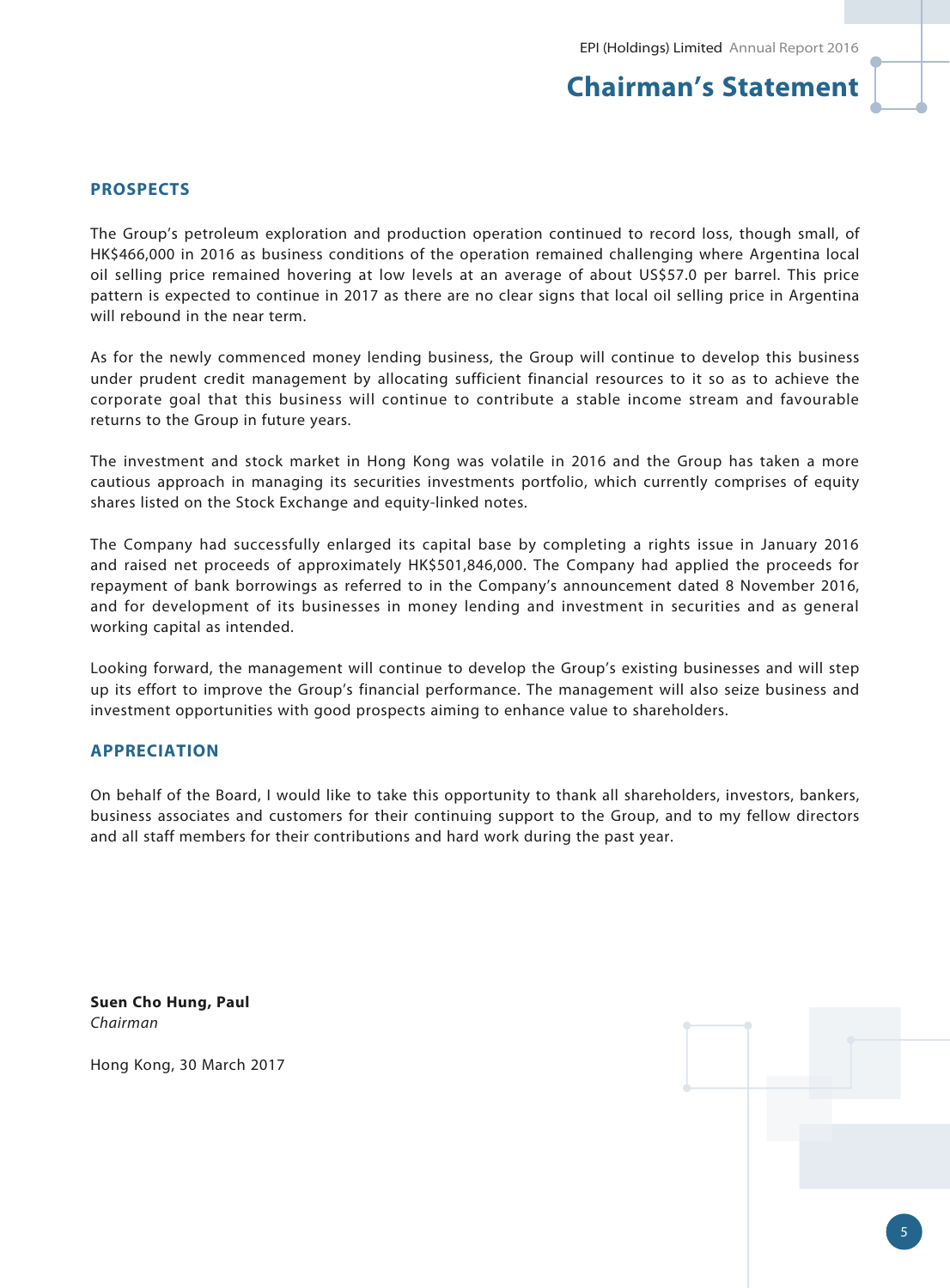## **Chairman's Statement**

## **PROSPECTS**

The Group's petroleum exploration and production operation continued to record loss, though small, of HK\$466,000 in 2016 as business conditions of the operation remained challenging where Argentina local oil selling price remained hovering at low levels at an average of about US\$57.0 per barrel. This price pattern is expected to continue in 2017 as there are no clear signs that local oil selling price in Argentina will rebound in the near term.

As for the newly commenced money lending business, the Group will continue to develop this business under prudent credit management by allocating sufficient financial resources to it so as to achieve the corporate goal that this business will continue to contribute a stable income stream and favourable returns to the Group in future years.

The investment and stock market in Hong Kong was volatile in 2016 and the Group has taken a more cautious approach in managing its securities investments portfolio, which currently comprises of equity shares listed on the Stock Exchange and equity-linked notes.

The Company had successfully enlarged its capital base by completing a rights issue in January 2016 and raised net proceeds of approximately HK\$501,846,000. The Company had applied the proceeds for repayment of bank borrowings as referred to in the Company's announcement dated 8 November 2016, and for development of its businesses in money lending and investment in securities and as general working capital as intended.

Looking forward, the management will continue to develop the Group's existing businesses and will step up its effort to improve the Group's financial performance. The management will also seize business and investment opportunities with good prospects aiming to enhance value to shareholders.

### **APPRECIATION**

On behalf of the Board, I would like to take this opportunity to thank all shareholders, investors, bankers, business associates and customers for their continuing support to the Group, and to my fellow directors and all staff members for their contributions and hard work during the past year.

**Suen Cho Hung, Paul** *Chairman*

Hong Kong, 30 March 2017

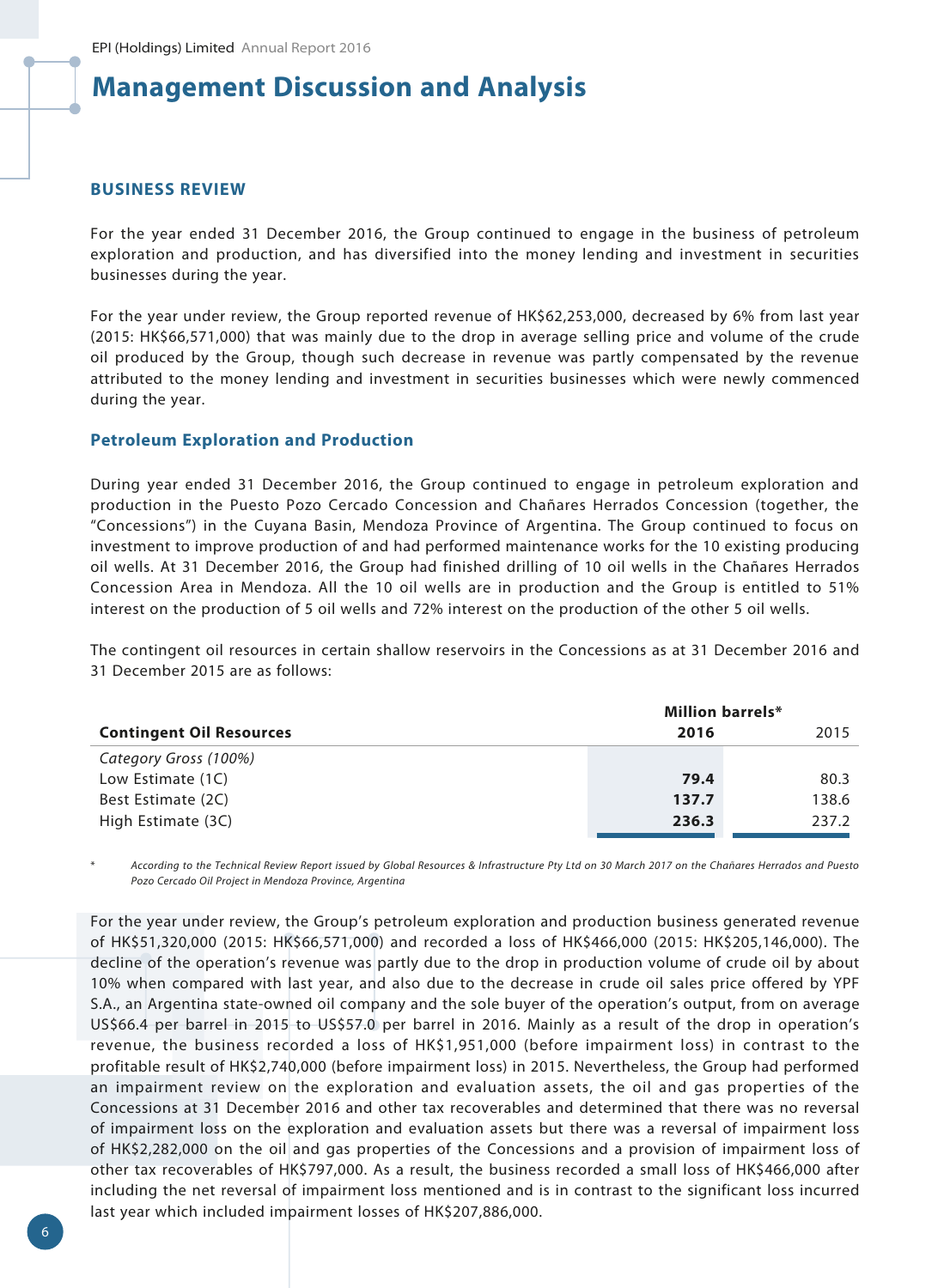#### **BUSINESS REVIEW**

For the year ended 31 December 2016, the Group continued to engage in the business of petroleum exploration and production, and has diversified into the money lending and investment in securities businesses during the year.

For the year under review, the Group reported revenue of HK\$62,253,000, decreased by 6% from last year (2015: HK\$66,571,000) that was mainly due to the drop in average selling price and volume of the crude oil produced by the Group, though such decrease in revenue was partly compensated by the revenue attributed to the money lending and investment in securities businesses which were newly commenced during the year.

#### **Petroleum Exploration and Production**

During year ended 31 December 2016, the Group continued to engage in petroleum exploration and production in the Puesto Pozo Cercado Concession and Chañares Herrados Concession (together, the "Concessions") in the Cuyana Basin, Mendoza Province of Argentina. The Group continued to focus on investment to improve production of and had performed maintenance works for the 10 existing producing oil wells. At 31 December 2016, the Group had finished drilling of 10 oil wells in the Chañares Herrados Concession Area in Mendoza. All the 10 oil wells are in production and the Group is entitled to 51% interest on the production of 5 oil wells and 72% interest on the production of the other 5 oil wells.

The contingent oil resources in certain shallow reservoirs in the Concessions as at 31 December 2016 and 31 December 2015 are as follows:

|                                 | <b>Million barrels*</b> |       |
|---------------------------------|-------------------------|-------|
| <b>Contingent Oil Resources</b> | 2016                    | 2015  |
| Category Gross (100%)           |                         |       |
| Low Estimate (1C)               | 79.4                    | 80.3  |
| Best Estimate (2C)              | 137.7                   | 138.6 |
| High Estimate (3C)              | 236.3                   | 237.2 |

\* *According to the Technical Review Report issued by Global Resources & Infrastructure Pty Ltd on 30 March 2017 on the Chañares Herrados and Puesto Pozo Cercado Oil Project in Mendoza Province, Argentina*

For the year under review, the Group's petroleum exploration and production business generated revenue of HK\$51,320,000 (2015: HK\$66,571,000) and recorded a loss of HK\$466,000 (2015: HK\$205,146,000). The decline of the operation's revenue was partly due to the drop in production volume of crude oil by about 10% when compared with last year, and also due to the decrease in crude oil sales price offered by YPF S.A., an Argentina state-owned oil company and the sole buyer of the operation's output, from on average US\$66.4 per barrel in 2015 to US\$57.0 per barrel in 2016. Mainly as a result of the drop in operation's revenue, the business recorded a loss of HK\$1,951,000 (before impairment loss) in contrast to the profitable result of HK\$2,740,000 (before impairment loss) in 2015. Nevertheless, the Group had performed an impairment review on the exploration and evaluation assets, the oil and gas properties of the Concessions at 31 December 2016 and other tax recoverables and determined that there was no reversal of impairment loss on the exploration and evaluation assets but there was a reversal of impairment loss of HK\$2,282,000 on the oil and gas properties of the Concessions and a provision of impairment loss of other tax recoverables of HK\$797,000. As a result, the business recorded a small loss of HK\$466,000 after including the net reversal of impairment loss mentioned and is in contrast to the significant loss incurred last year which included impairment losses of HK\$207,886,000.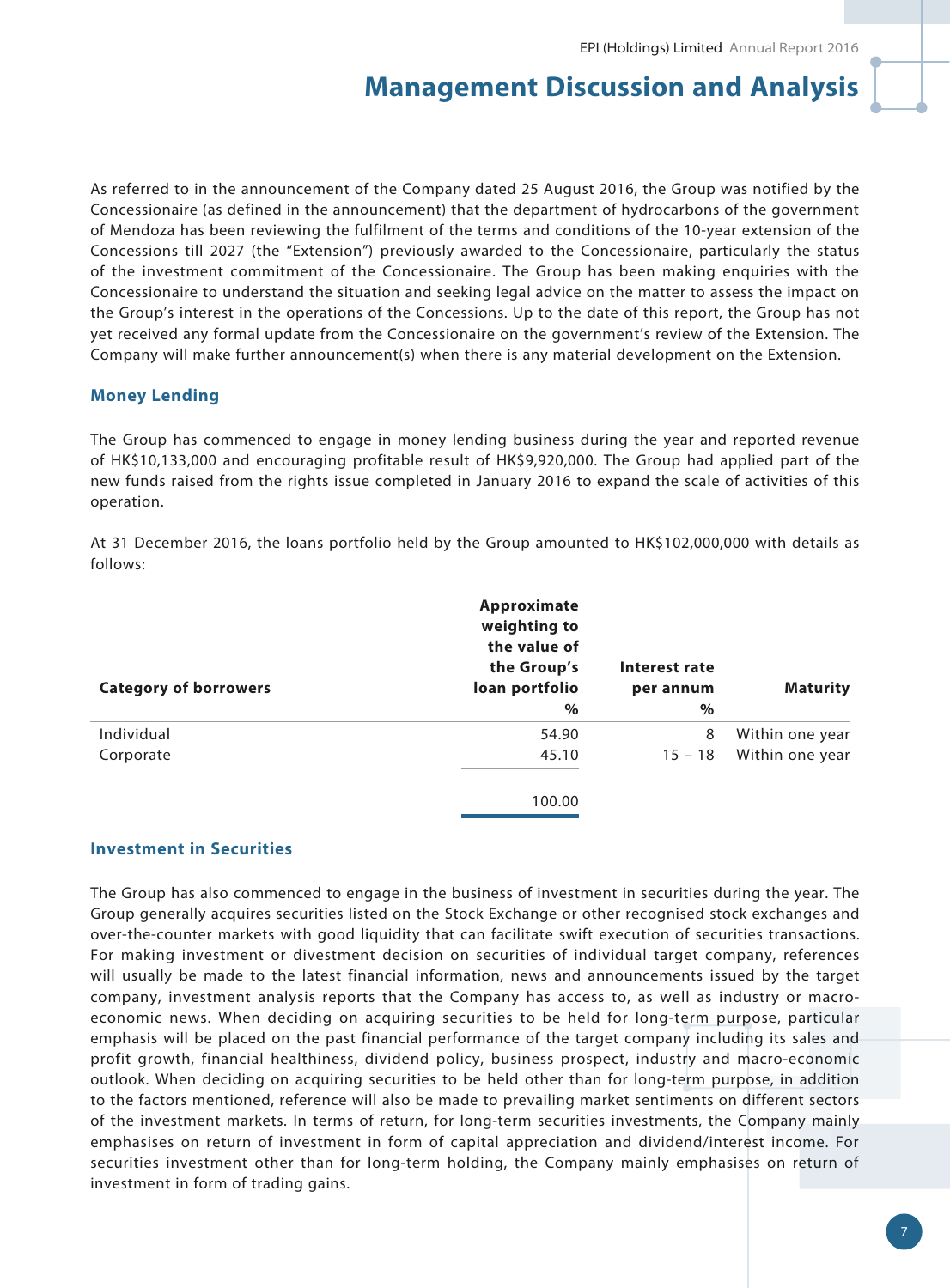As referred to in the announcement of the Company dated 25 August 2016, the Group was notified by the Concessionaire (as defined in the announcement) that the department of hydrocarbons of the government of Mendoza has been reviewing the fulfilment of the terms and conditions of the 10-year extension of the Concessions till 2027 (the "Extension") previously awarded to the Concessionaire, particularly the status of the investment commitment of the Concessionaire. The Group has been making enquiries with the Concessionaire to understand the situation and seeking legal advice on the matter to assess the impact on the Group's interest in the operations of the Concessions. Up to the date of this report, the Group has not yet received any formal update from the Concessionaire on the government's review of the Extension. The Company will make further announcement(s) when there is any material development on the Extension.

## **Money Lending**

The Group has commenced to engage in money lending business during the year and reported revenue of HK\$10,133,000 and encouraging profitable result of HK\$9,920,000. The Group had applied part of the new funds raised from the rights issue completed in January 2016 to expand the scale of activities of this operation.

At 31 December 2016, the loans portfolio held by the Group amounted to HK\$102,000,000 with details as follows:

| Approximate<br>weighting to<br>the value of<br>the Group's<br>loan portfolio | Interest rate<br>per annum | <b>Maturity</b> |
|------------------------------------------------------------------------------|----------------------------|-----------------|
| $\%$                                                                         | $\%$                       |                 |
| 54.90                                                                        | 8                          | Within one year |
| 45.10                                                                        | $15 - 18$                  | Within one year |
| 100.00                                                                       |                            |                 |
|                                                                              |                            |                 |

### **Investment in Securities**

The Group has also commenced to engage in the business of investment in securities during the year. The Group generally acquires securities listed on the Stock Exchange or other recognised stock exchanges and over-the-counter markets with good liquidity that can facilitate swift execution of securities transactions. For making investment or divestment decision on securities of individual target company, references will usually be made to the latest financial information, news and announcements issued by the target company, investment analysis reports that the Company has access to, as well as industry or macroeconomic news. When deciding on acquiring securities to be held for long-term purpose, particular emphasis will be placed on the past financial performance of the target company including its sales and profit growth, financial healthiness, dividend policy, business prospect, industry and macro-economic outlook. When deciding on acquiring securities to be held other than for long-term purpose, in addition to the factors mentioned, reference will also be made to prevailing market sentiments on different sectors of the investment markets. In terms of return, for long-term securities investments, the Company mainly emphasises on return of investment in form of capital appreciation and dividend/interest income. For securities investment other than for long-term holding, the Company mainly emphasises on return of investment in form of trading gains.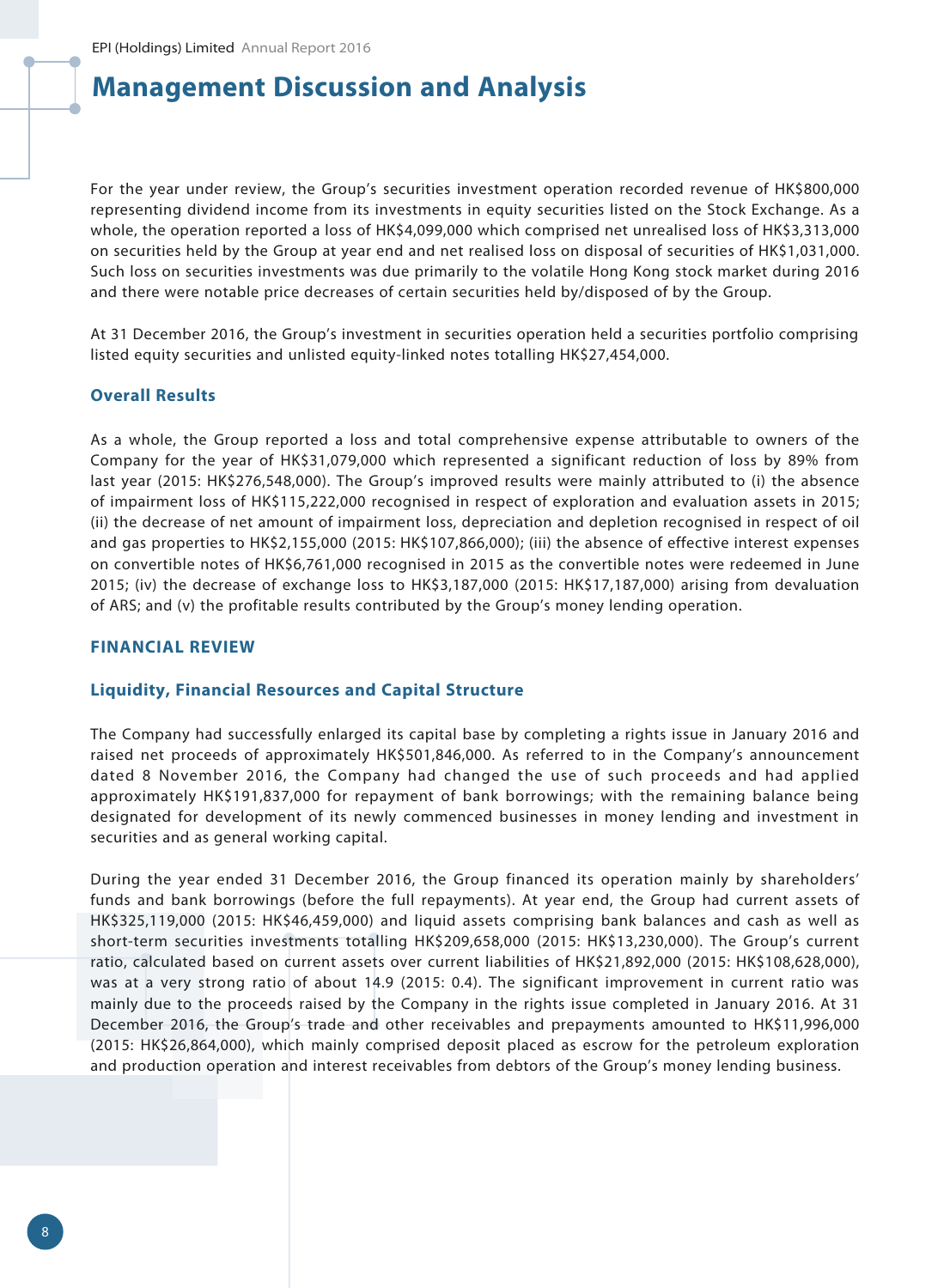For the year under review, the Group's securities investment operation recorded revenue of HK\$800,000 representing dividend income from its investments in equity securities listed on the Stock Exchange. As a whole, the operation reported a loss of HK\$4,099,000 which comprised net unrealised loss of HK\$3,313,000 on securities held by the Group at year end and net realised loss on disposal of securities of HK\$1,031,000. Such loss on securities investments was due primarily to the volatile Hong Kong stock market during 2016 and there were notable price decreases of certain securities held by/disposed of by the Group.

At 31 December 2016, the Group's investment in securities operation held a securities portfolio comprising listed equity securities and unlisted equity-linked notes totalling HK\$27,454,000.

#### **Overall Results**

As a whole, the Group reported a loss and total comprehensive expense attributable to owners of the Company for the year of HK\$31,079,000 which represented a significant reduction of loss by 89% from last year (2015: HK\$276,548,000). The Group's improved results were mainly attributed to (i) the absence of impairment loss of HK\$115,222,000 recognised in respect of exploration and evaluation assets in 2015; (ii) the decrease of net amount of impairment loss, depreciation and depletion recognised in respect of oil and gas properties to HK\$2,155,000 (2015: HK\$107,866,000); (iii) the absence of effective interest expenses on convertible notes of HK\$6,761,000 recognised in 2015 as the convertible notes were redeemed in June 2015; (iv) the decrease of exchange loss to HK\$3,187,000 (2015: HK\$17,187,000) arising from devaluation of ARS; and (v) the profitable results contributed by the Group's money lending operation.

### **FINANCIAL REVIEW**

### **Liquidity, Financial Resources and Capital Structure**

The Company had successfully enlarged its capital base by completing a rights issue in January 2016 and raised net proceeds of approximately HK\$501,846,000. As referred to in the Company's announcement dated 8 November 2016, the Company had changed the use of such proceeds and had applied approximately HK\$191,837,000 for repayment of bank borrowings; with the remaining balance being designated for development of its newly commenced businesses in money lending and investment in securities and as general working capital.

During the year ended 31 December 2016, the Group financed its operation mainly by shareholders' funds and bank borrowings (before the full repayments). At year end, the Group had current assets of HK\$325,119,000 (2015: HK\$46,459,000) and liquid assets comprising bank balances and cash as well as short-term securities investments totalling HK\$209,658,000 (2015: HK\$13,230,000). The Group's current ratio, calculated based on current assets over current liabilities of HK\$21,892,000 (2015: HK\$108,628,000), was at a very strong ratio of about 14.9 (2015: 0.4). The significant improvement in current ratio was mainly due to the proceeds raised by the Company in the rights issue completed in January 2016. At 31 December 2016, the Group's trade and other receivables and prepayments amounted to HK\$11,996,000 (2015: HK\$26,864,000), which mainly comprised deposit placed as escrow for the petroleum exploration and production operation and interest receivables from debtors of the Group's money lending business.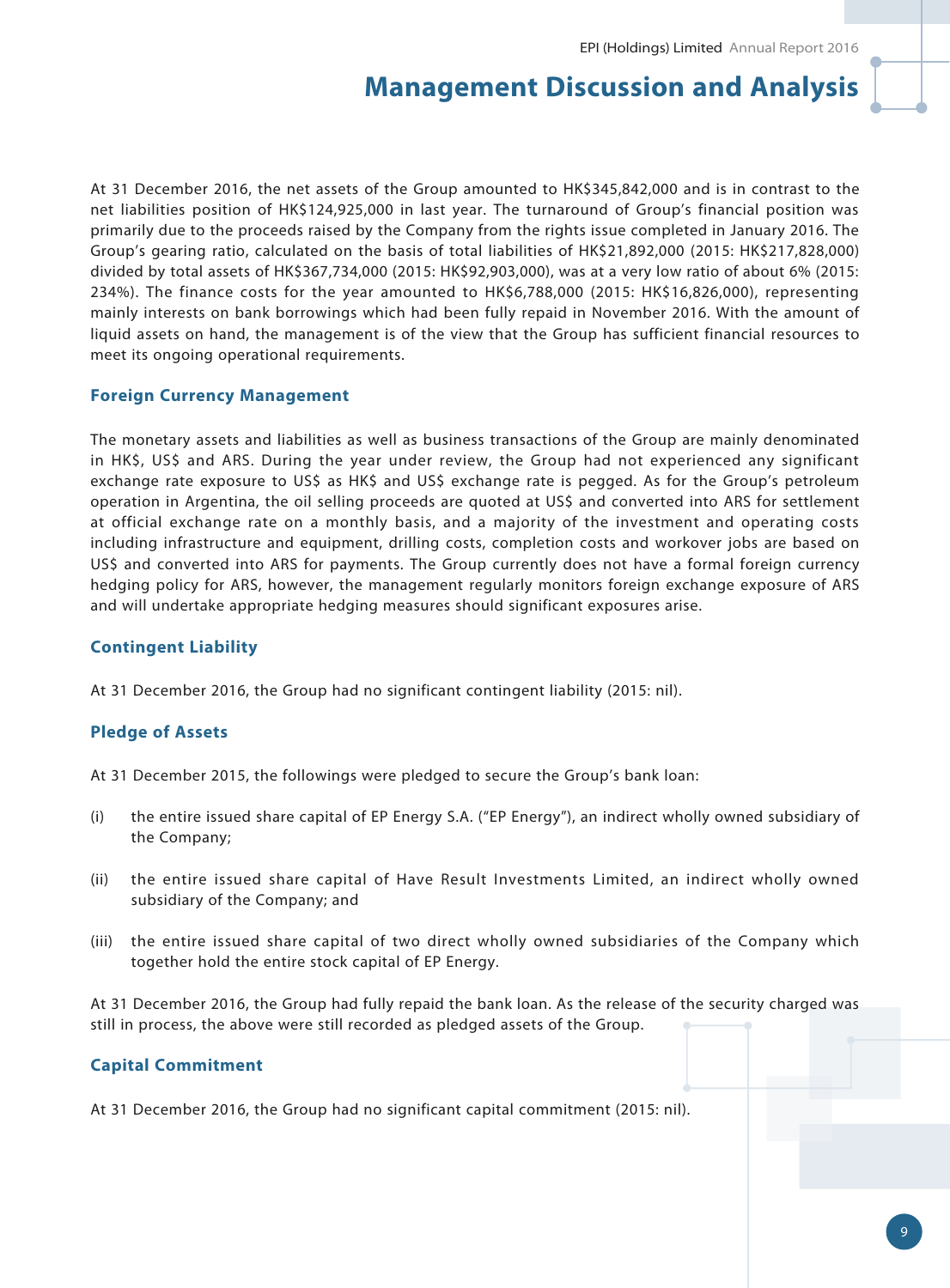At 31 December 2016, the net assets of the Group amounted to HK\$345,842,000 and is in contrast to the net liabilities position of HK\$124,925,000 in last year. The turnaround of Group's financial position was primarily due to the proceeds raised by the Company from the rights issue completed in January 2016. The Group's gearing ratio, calculated on the basis of total liabilities of HK\$21,892,000 (2015: HK\$217,828,000) divided by total assets of HK\$367,734,000 (2015: HK\$92,903,000), was at a very low ratio of about 6% (2015: 234%). The finance costs for the year amounted to HK\$6,788,000 (2015: HK\$16,826,000), representing mainly interests on bank borrowings which had been fully repaid in November 2016. With the amount of liquid assets on hand, the management is of the view that the Group has sufficient financial resources to meet its ongoing operational requirements.

### **Foreign Currency Management**

The monetary assets and liabilities as well as business transactions of the Group are mainly denominated in HK\$, US\$ and ARS. During the year under review, the Group had not experienced any significant exchange rate exposure to US\$ as HK\$ and US\$ exchange rate is pegged. As for the Group's petroleum operation in Argentina, the oil selling proceeds are quoted at US\$ and converted into ARS for settlement at official exchange rate on a monthly basis, and a majority of the investment and operating costs including infrastructure and equipment, drilling costs, completion costs and workover jobs are based on US\$ and converted into ARS for payments. The Group currently does not have a formal foreign currency hedging policy for ARS, however, the management regularly monitors foreign exchange exposure of ARS and will undertake appropriate hedging measures should significant exposures arise.

## **Contingent Liability**

At 31 December 2016, the Group had no significant contingent liability (2015: nil).

## **Pledge of Assets**

At 31 December 2015, the followings were pledged to secure the Group's bank loan:

- (i) the entire issued share capital of EP Energy S.A. ("EP Energy"), an indirect wholly owned subsidiary of the Company;
- (ii) the entire issued share capital of Have Result Investments Limited, an indirect wholly owned subsidiary of the Company; and
- (iii) the entire issued share capital of two direct wholly owned subsidiaries of the Company which together hold the entire stock capital of EP Energy.

At 31 December 2016, the Group had fully repaid the bank loan. As the release of the security charged was still in process, the above were still recorded as pledged assets of the Group.

### **Capital Commitment**

At 31 December 2016, the Group had no significant capital commitment (2015: nil).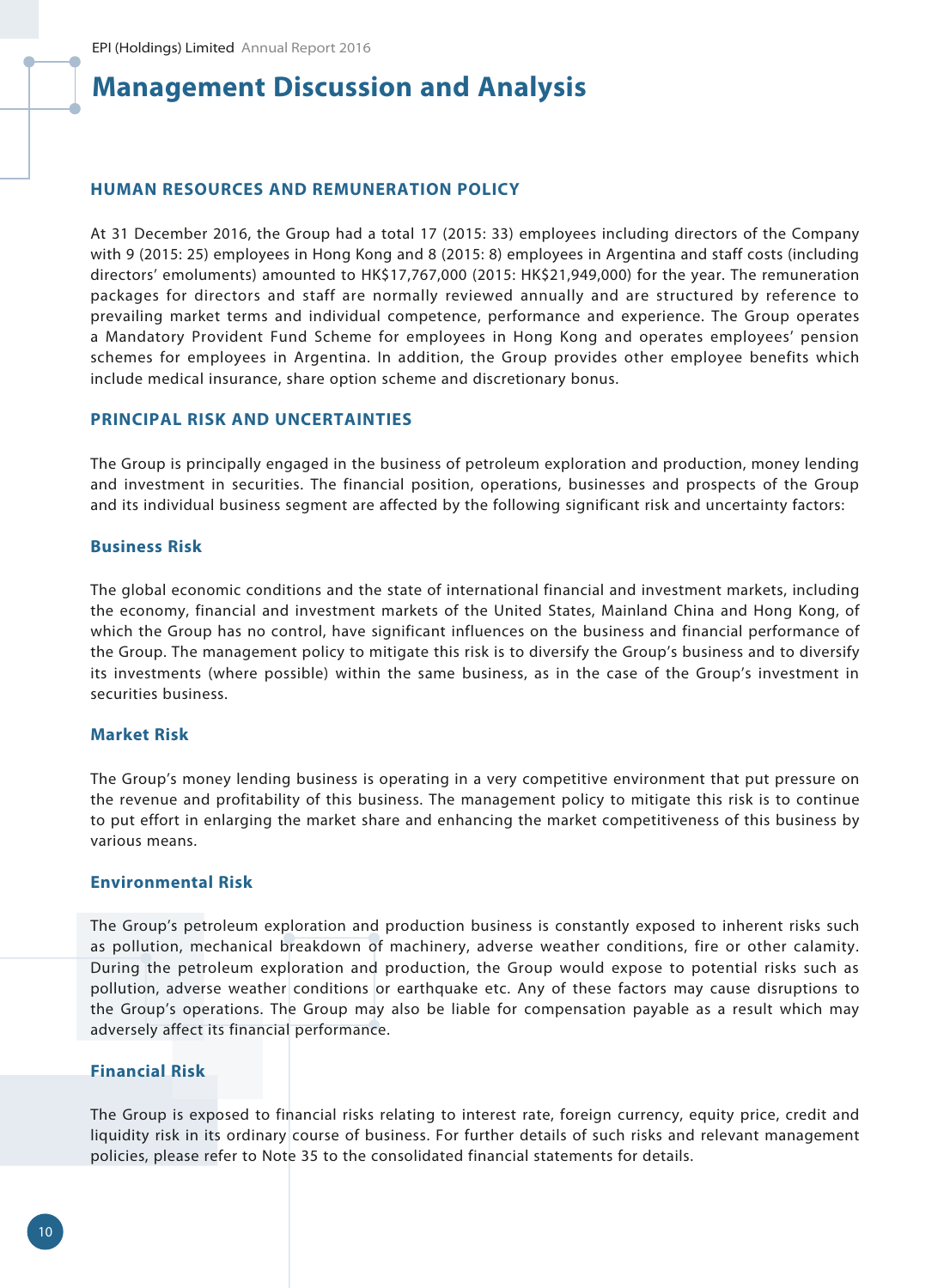#### **HUMAN RESOURCES AND REMUNERATION POLICY**

At 31 December 2016, the Group had a total 17 (2015: 33) employees including directors of the Company with 9 (2015: 25) employees in Hong Kong and 8 (2015: 8) employees in Argentina and staff costs (including directors' emoluments) amounted to HK\$17,767,000 (2015: HK\$21,949,000) for the year. The remuneration packages for directors and staff are normally reviewed annually and are structured by reference to prevailing market terms and individual competence, performance and experience. The Group operates a Mandatory Provident Fund Scheme for employees in Hong Kong and operates employees' pension schemes for employees in Argentina. In addition, the Group provides other employee benefits which include medical insurance, share option scheme and discretionary bonus.

### **PRINCIPAL RISK AND UNCERTAINTIES**

The Group is principally engaged in the business of petroleum exploration and production, money lending and investment in securities. The financial position, operations, businesses and prospects of the Group and its individual business segment are affected by the following significant risk and uncertainty factors:

### **Business Risk**

The global economic conditions and the state of international financial and investment markets, including the economy, financial and investment markets of the United States, Mainland China and Hong Kong, of which the Group has no control, have significant influences on the business and financial performance of the Group. The management policy to mitigate this risk is to diversify the Group's business and to diversify its investments (where possible) within the same business, as in the case of the Group's investment in securities business.

#### **Market Risk**

The Group's money lending business is operating in a very competitive environment that put pressure on the revenue and profitability of this business. The management policy to mitigate this risk is to continue to put effort in enlarging the market share and enhancing the market competitiveness of this business by various means.

#### **Environmental Risk**

The Group's petroleum exploration and production business is constantly exposed to inherent risks such as pollution, mechanical breakdown of machinery, adverse weather conditions, fire or other calamity. During the petroleum exploration and production, the Group would expose to potential risks such as pollution, adverse weather conditions or earthquake etc. Any of these factors may cause disruptions to the Group's operations. The Group may also be liable for compensation payable as a result which may adversely affect its financial performance.

### **Financial Risk**

The Group is exposed to financial risks relating to interest rate, foreign currency, equity price, credit and liquidity risk in its ordinary course of business. For further details of such risks and relevant management policies, please refer to Note 35 to the consolidated financial statements for details.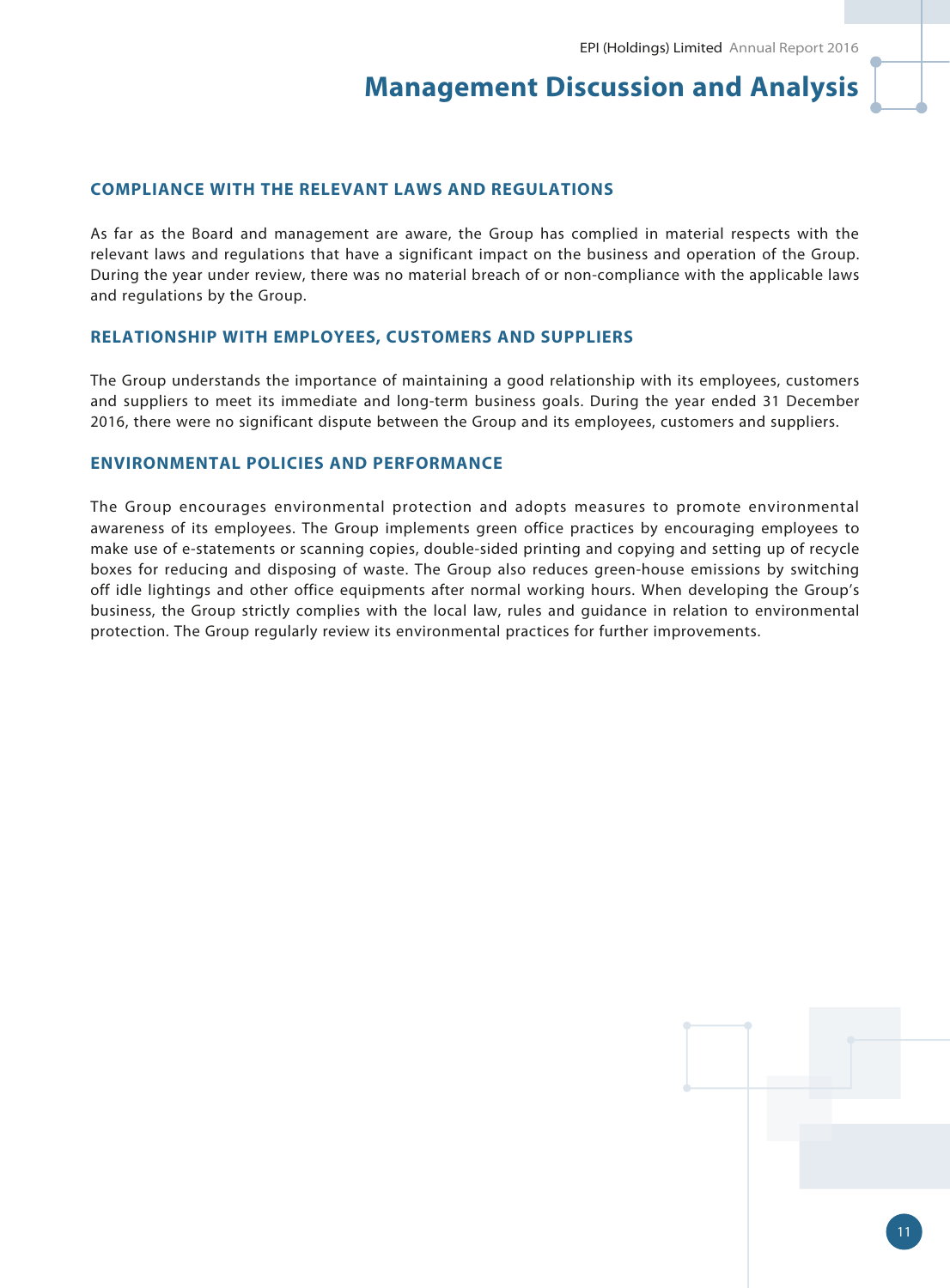### **COMPLIANCE WITH THE RELEVANT LAWS AND REGULATIONS**

As far as the Board and management are aware, the Group has complied in material respects with the relevant laws and regulations that have a significant impact on the business and operation of the Group. During the year under review, there was no material breach of or non-compliance with the applicable laws and regulations by the Group.

### **RELATIONSHIP WITH EMPLOYEES, CUSTOMERS AND SUPPLIERS**

The Group understands the importance of maintaining a good relationship with its employees, customers and suppliers to meet its immediate and long-term business goals. During the year ended 31 December 2016, there were no significant dispute between the Group and its employees, customers and suppliers.

### **ENVIRONMENTAL POLICIES AND PERFORMANCE**

The Group encourages environmental protection and adopts measures to promote environmental awareness of its employees. The Group implements green office practices by encouraging employees to make use of e-statements or scanning copies, double-sided printing and copying and setting up of recycle boxes for reducing and disposing of waste. The Group also reduces green-house emissions by switching off idle lightings and other office equipments after normal working hours. When developing the Group's business, the Group strictly complies with the local law, rules and guidance in relation to environmental protection. The Group regularly review its environmental practices for further improvements.

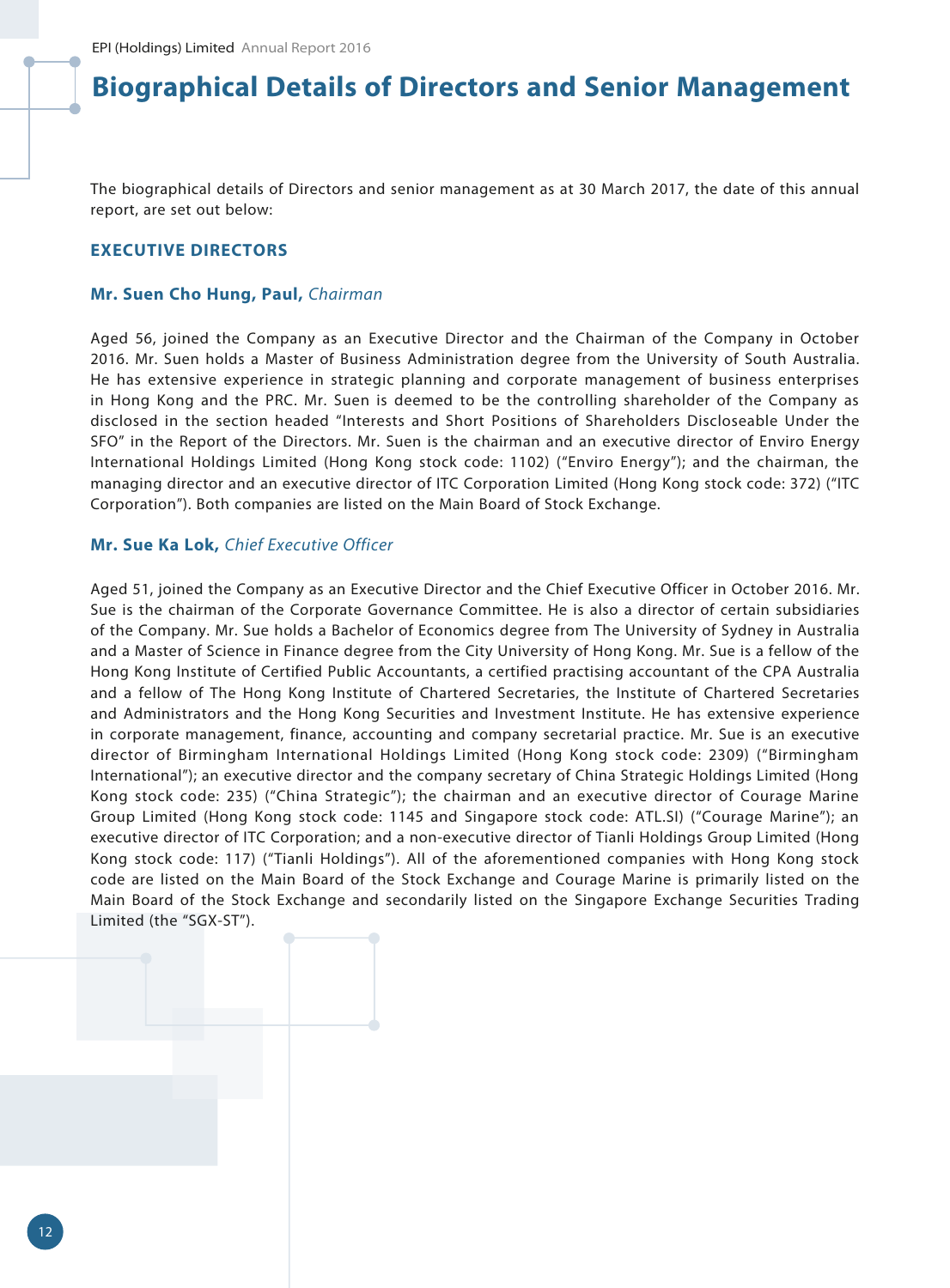The biographical details of Directors and senior management as at 30 March 2017, the date of this annual report, are set out below:

### **EXECUTIVE DIRECTORS**

#### **Mr. Suen Cho Hung, Paul,** *Chairman*

Aged 56, joined the Company as an Executive Director and the Chairman of the Company in October 2016. Mr. Suen holds a Master of Business Administration degree from the University of South Australia. He has extensive experience in strategic planning and corporate management of business enterprises in Hong Kong and the PRC. Mr. Suen is deemed to be the controlling shareholder of the Company as disclosed in the section headed "Interests and Short Positions of Shareholders Discloseable Under the SFO" in the Report of the Directors. Mr. Suen is the chairman and an executive director of Enviro Energy International Holdings Limited (Hong Kong stock code: 1102) ("Enviro Energy"); and the chairman, the managing director and an executive director of ITC Corporation Limited (Hong Kong stock code: 372) ("ITC Corporation"). Both companies are listed on the Main Board of Stock Exchange.

#### **Mr. Sue Ka Lok,** *Chief Executive Officer*

Aged 51, joined the Company as an Executive Director and the Chief Executive Officer in October 2016. Mr. Sue is the chairman of the Corporate Governance Committee. He is also a director of certain subsidiaries of the Company. Mr. Sue holds a Bachelor of Economics degree from The University of Sydney in Australia and a Master of Science in Finance degree from the City University of Hong Kong. Mr. Sue is a fellow of the Hong Kong Institute of Certified Public Accountants, a certified practising accountant of the CPA Australia and a fellow of The Hong Kong Institute of Chartered Secretaries, the Institute of Chartered Secretaries and Administrators and the Hong Kong Securities and Investment Institute. He has extensive experience in corporate management, finance, accounting and company secretarial practice. Mr. Sue is an executive director of Birmingham International Holdings Limited (Hong Kong stock code: 2309) ("Birmingham International"); an executive director and the company secretary of China Strategic Holdings Limited (Hong Kong stock code: 235) ("China Strategic"); the chairman and an executive director of Courage Marine Group Limited (Hong Kong stock code: 1145 and Singapore stock code: ATL.SI) ("Courage Marine"); an executive director of ITC Corporation; and a non-executive director of Tianli Holdings Group Limited (Hong Kong stock code: 117) ("Tianli Holdings"). All of the aforementioned companies with Hong Kong stock code are listed on the Main Board of the Stock Exchange and Courage Marine is primarily listed on the Main Board of the Stock Exchange and secondarily listed on the Singapore Exchange Securities Trading Limited (the "SGX-ST").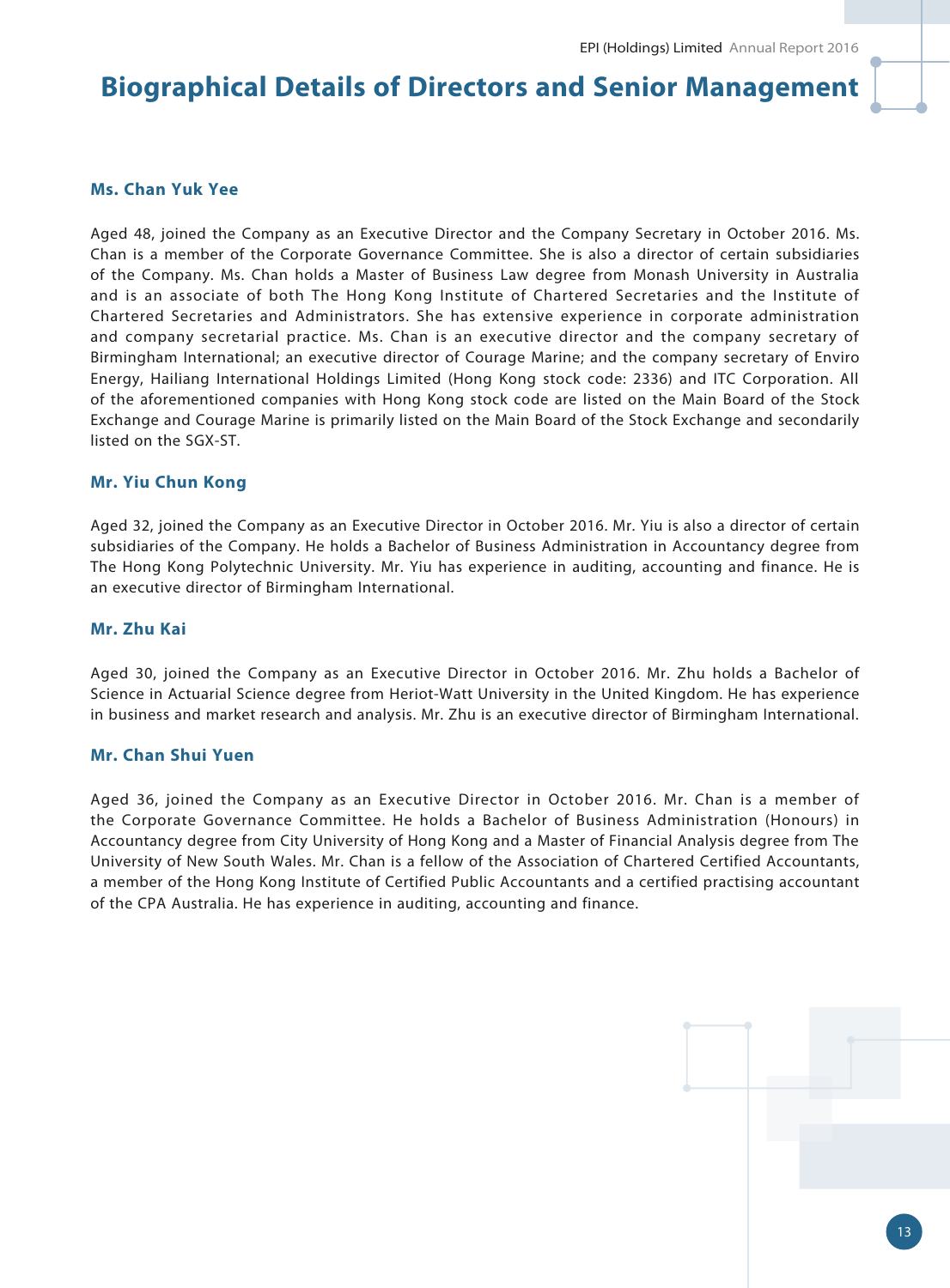## **Ms. Chan Yuk Yee**

Aged 48, joined the Company as an Executive Director and the Company Secretary in October 2016. Ms. Chan is a member of the Corporate Governance Committee. She is also a director of certain subsidiaries of the Company. Ms. Chan holds a Master of Business Law degree from Monash University in Australia and is an associate of both The Hong Kong Institute of Chartered Secretaries and the Institute of Chartered Secretaries and Administrators. She has extensive experience in corporate administration and company secretarial practice. Ms. Chan is an executive director and the company secretary of Birmingham International; an executive director of Courage Marine; and the company secretary of Enviro Energy, Hailiang International Holdings Limited (Hong Kong stock code: 2336) and ITC Corporation. All of the aforementioned companies with Hong Kong stock code are listed on the Main Board of the Stock Exchange and Courage Marine is primarily listed on the Main Board of the Stock Exchange and secondarily listed on the SGX-ST.

#### **Mr. Yiu Chun Kong**

Aged 32, joined the Company as an Executive Director in October 2016. Mr. Yiu is also a director of certain subsidiaries of the Company. He holds a Bachelor of Business Administration in Accountancy degree from The Hong Kong Polytechnic University. Mr. Yiu has experience in auditing, accounting and finance. He is an executive director of Birmingham International.

#### **Mr. Zhu Kai**

Aged 30, joined the Company as an Executive Director in October 2016. Mr. Zhu holds a Bachelor of Science in Actuarial Science degree from Heriot-Watt University in the United Kingdom. He has experience in business and market research and analysis. Mr. Zhu is an executive director of Birmingham International.

#### **Mr. Chan Shui Yuen**

Aged 36, joined the Company as an Executive Director in October 2016. Mr. Chan is a member of the Corporate Governance Committee. He holds a Bachelor of Business Administration (Honours) in Accountancy degree from City University of Hong Kong and a Master of Financial Analysis degree from The University of New South Wales. Mr. Chan is a fellow of the Association of Chartered Certified Accountants, a member of the Hong Kong Institute of Certified Public Accountants and a certified practising accountant of the CPA Australia. He has experience in auditing, accounting and finance.

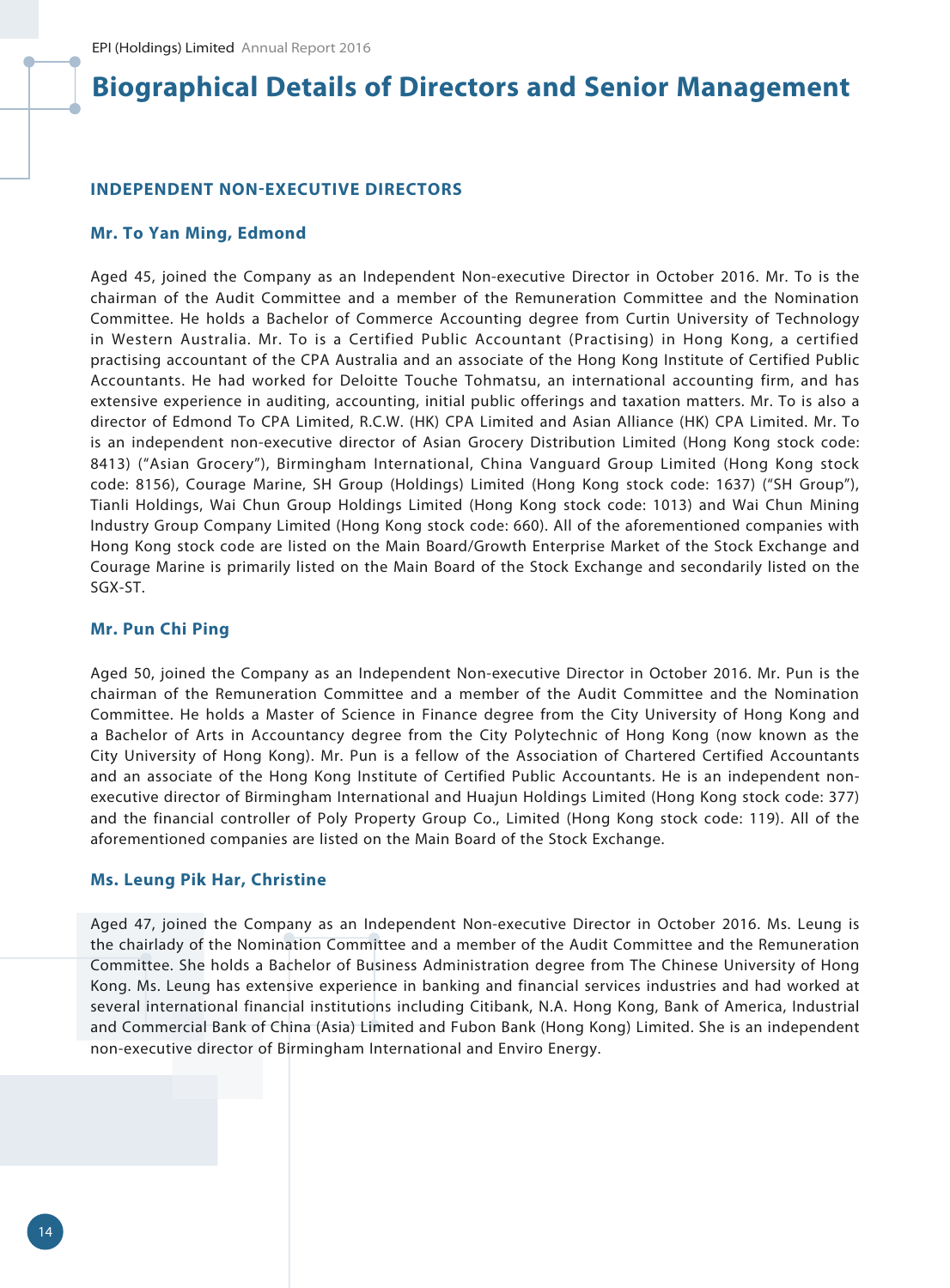#### **INDEPENDENT NON-EXECUTIVE DIRECTORS**

#### **Mr. To Yan Ming, Edmond**

Aged 45, joined the Company as an Independent Non-executive Director in October 2016. Mr. To is the chairman of the Audit Committee and a member of the Remuneration Committee and the Nomination Committee. He holds a Bachelor of Commerce Accounting degree from Curtin University of Technology in Western Australia. Mr. To is a Certified Public Accountant (Practising) in Hong Kong, a certified practising accountant of the CPA Australia and an associate of the Hong Kong Institute of Certified Public Accountants. He had worked for Deloitte Touche Tohmatsu, an international accounting firm, and has extensive experience in auditing, accounting, initial public offerings and taxation matters. Mr. To is also a director of Edmond To CPA Limited, R.C.W. (HK) CPA Limited and Asian Alliance (HK) CPA Limited. Mr. To is an independent non-executive director of Asian Grocery Distribution Limited (Hong Kong stock code: 8413) ("Asian Grocery"), Birmingham International, China Vanguard Group Limited (Hong Kong stock code: 8156), Courage Marine, SH Group (Holdings) Limited (Hong Kong stock code: 1637) ("SH Group"), Tianli Holdings, Wai Chun Group Holdings Limited (Hong Kong stock code: 1013) and Wai Chun Mining Industry Group Company Limited (Hong Kong stock code: 660). All of the aforementioned companies with Hong Kong stock code are listed on the Main Board/Growth Enterprise Market of the Stock Exchange and Courage Marine is primarily listed on the Main Board of the Stock Exchange and secondarily listed on the SGX-ST.

#### **Mr. Pun Chi Ping**

Aged 50, joined the Company as an Independent Non-executive Director in October 2016. Mr. Pun is the chairman of the Remuneration Committee and a member of the Audit Committee and the Nomination Committee. He holds a Master of Science in Finance degree from the City University of Hong Kong and a Bachelor of Arts in Accountancy degree from the City Polytechnic of Hong Kong (now known as the City University of Hong Kong). Mr. Pun is a fellow of the Association of Chartered Certified Accountants and an associate of the Hong Kong Institute of Certified Public Accountants. He is an independent nonexecutive director of Birmingham International and Huajun Holdings Limited (Hong Kong stock code: 377) and the financial controller of Poly Property Group Co., Limited (Hong Kong stock code: 119). All of the aforementioned companies are listed on the Main Board of the Stock Exchange.

#### **Ms. Leung Pik Har, Christine**

Aged 47, joined the Company as an Independent Non-executive Director in October 2016. Ms. Leung is the chairlady of the Nomination Committee and a member of the Audit Committee and the Remuneration Committee. She holds a Bachelor of Business Administration degree from The Chinese University of Hong Kong. Ms. Leung has extensive experience in banking and financial services industries and had worked at several international financial institutions including Citibank, N.A. Hong Kong, Bank of America, Industrial and Commercial Bank of China (Asia) Limited and Fubon Bank (Hong Kong) Limited. She is an independent non-executive director of Birmingham International and Enviro Energy.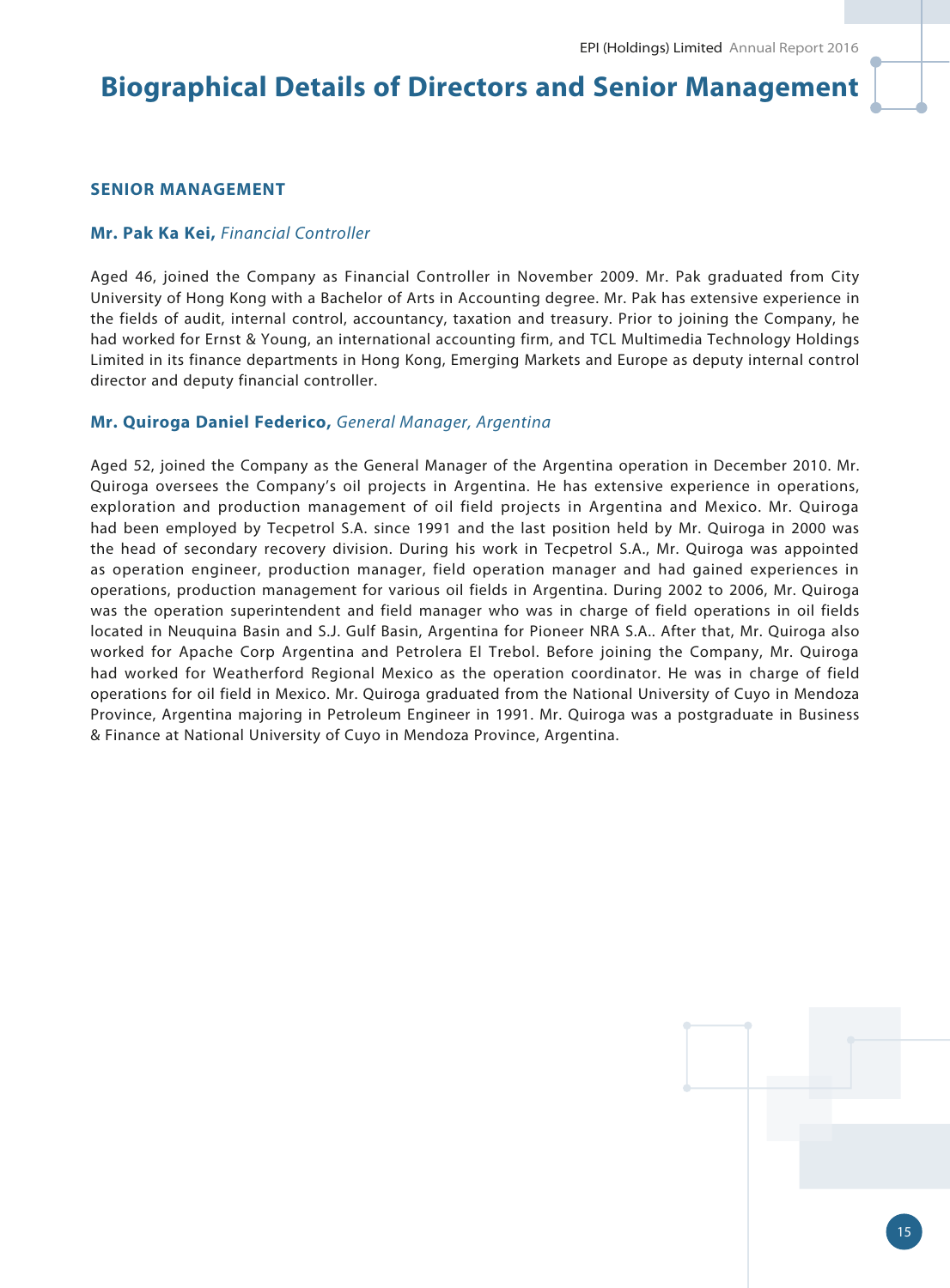### **SENIOR MANAGEMENT**

#### **Mr. Pak Ka Kei,** *Financial Controller*

Aged 46, joined the Company as Financial Controller in November 2009. Mr. Pak graduated from City University of Hong Kong with a Bachelor of Arts in Accounting degree. Mr. Pak has extensive experience in the fields of audit, internal control, accountancy, taxation and treasury. Prior to joining the Company, he had worked for Ernst & Young, an international accounting firm, and TCL Multimedia Technology Holdings Limited in its finance departments in Hong Kong, Emerging Markets and Europe as deputy internal control director and deputy financial controller.

#### **Mr. Quiroga Daniel Federico,** *General Manager, Argentina*

Aged 52, joined the Company as the General Manager of the Argentina operation in December 2010. Mr. Quiroga oversees the Company's oil projects in Argentina. He has extensive experience in operations, exploration and production management of oil field projects in Argentina and Mexico. Mr. Quiroga had been employed by Tecpetrol S.A. since 1991 and the last position held by Mr. Quiroga in 2000 was the head of secondary recovery division. During his work in Tecpetrol S.A., Mr. Quiroga was appointed as operation engineer, production manager, field operation manager and had gained experiences in operations, production management for various oil fields in Argentina. During 2002 to 2006, Mr. Quiroga was the operation superintendent and field manager who was in charge of field operations in oil fields located in Neuquina Basin and S.J. Gulf Basin, Argentina for Pioneer NRA S.A.. After that, Mr. Quiroga also worked for Apache Corp Argentina and Petrolera El Trebol. Before joining the Company, Mr. Quiroga had worked for Weatherford Regional Mexico as the operation coordinator. He was in charge of field operations for oil field in Mexico. Mr. Quiroga graduated from the National University of Cuyo in Mendoza Province, Argentina majoring in Petroleum Engineer in 1991. Mr. Quiroga was a postgraduate in Business & Finance at National University of Cuyo in Mendoza Province, Argentina.

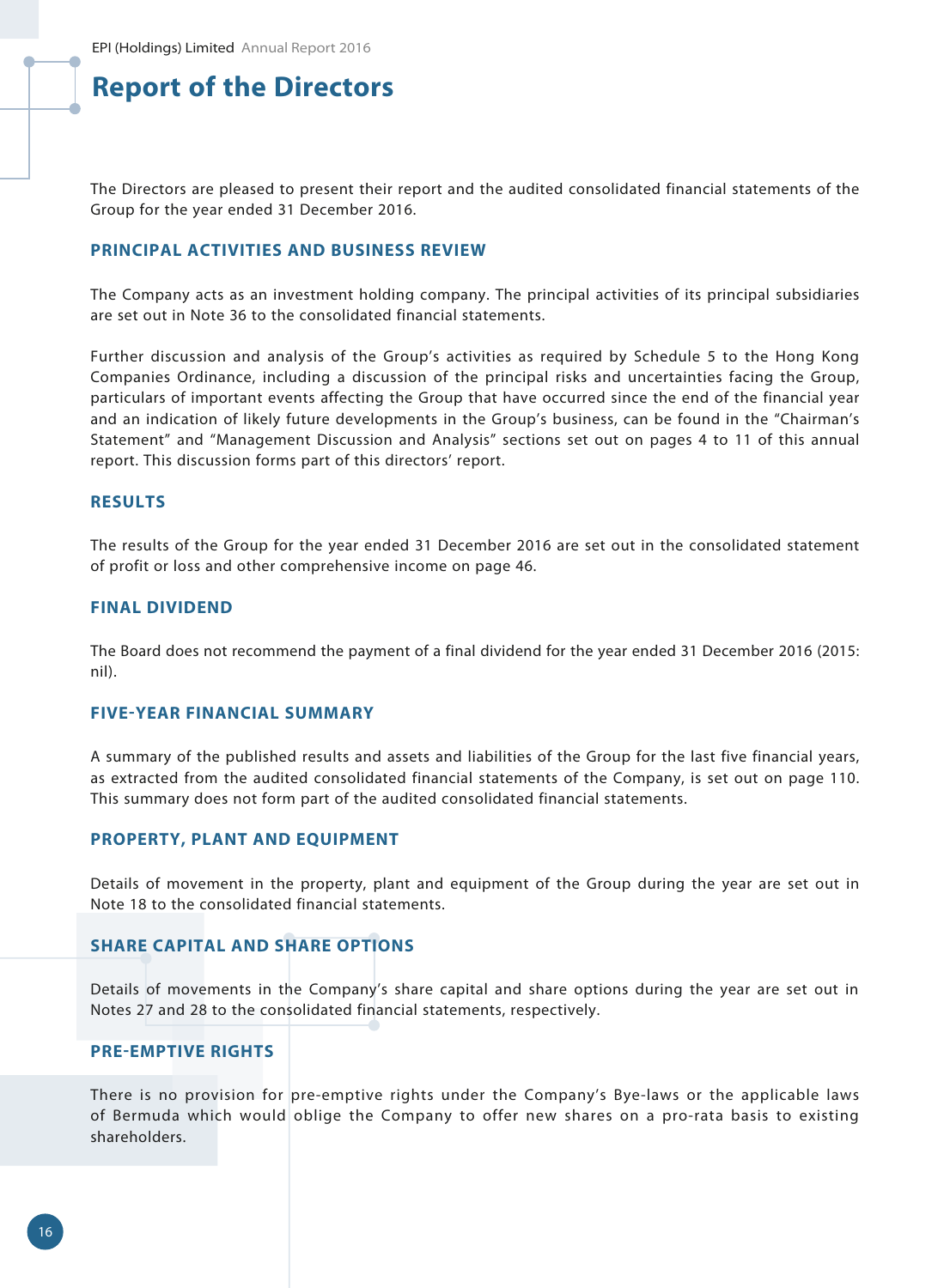The Directors are pleased to present their report and the audited consolidated financial statements of the Group for the year ended 31 December 2016.

#### **PRINCIPAL ACTIVITIES AND BUSINESS REVIEW**

The Company acts as an investment holding company. The principal activities of its principal subsidiaries are set out in Note 36 to the consolidated financial statements.

Further discussion and analysis of the Group's activities as required by Schedule 5 to the Hong Kong Companies Ordinance, including a discussion of the principal risks and uncertainties facing the Group, particulars of important events affecting the Group that have occurred since the end of the financial year and an indication of likely future developments in the Group's business, can be found in the "Chairman's Statement" and "Management Discussion and Analysis" sections set out on pages 4 to 11 of this annual report. This discussion forms part of this directors' report.

#### **RESULTS**

The results of the Group for the year ended 31 December 2016 are set out in the consolidated statement of profit or loss and other comprehensive income on page 46.

#### **FINAL DIVIDEND**

The Board does not recommend the payment of a final dividend for the year ended 31 December 2016 (2015: nil).

#### **FIVE-YEAR FINANCIAL SUMMARY**

A summary of the published results and assets and liabilities of the Group for the last five financial years, as extracted from the audited consolidated financial statements of the Company, is set out on page 110. This summary does not form part of the audited consolidated financial statements.

#### **PROPERTY, PLANT AND EQUIPMENT**

Details of movement in the property, plant and equipment of the Group during the year are set out in Note 18 to the consolidated financial statements.

#### **SHARE CAPITAL AND SHARE OPTIONS**

Details of movements in the Company's share capital and share options during the year are set out in Notes 27 and 28 to the consolidated financial statements, respectively.

#### **PRE-EMPTIVE RIGHTS**

There is no provision for pre-emptive rights under the Company's Bye-laws or the applicable laws of Bermuda which would oblige the Company to offer new shares on a pro-rata basis to existing shareholders.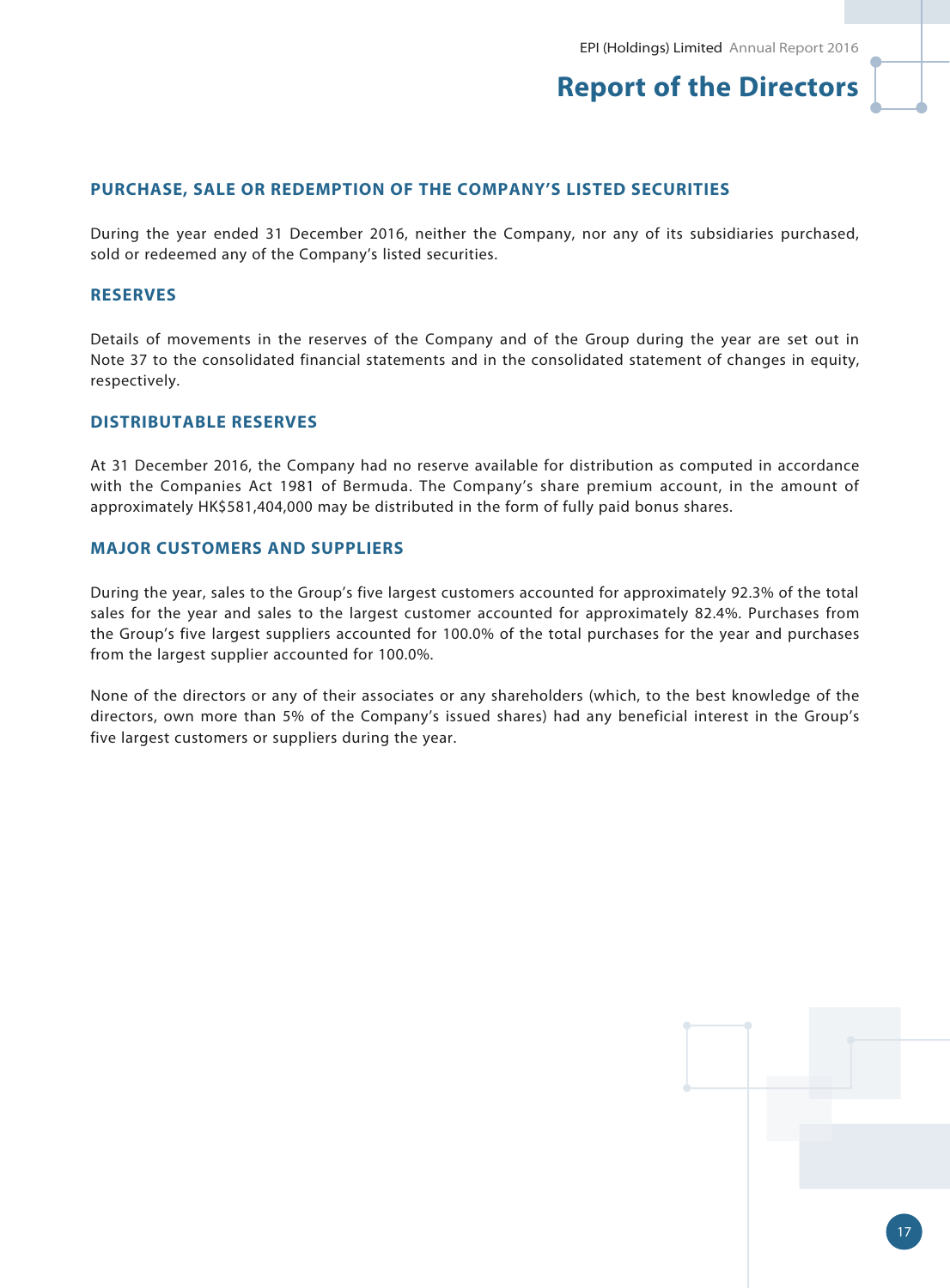### **PURCHASE, SALE OR REDEMPTION OF THE COMPANY'S LISTED SECURITIES**

During the year ended 31 December 2016, neither the Company, nor any of its subsidiaries purchased, sold or redeemed any of the Company's listed securities.

## **RESERVES**

Details of movements in the reserves of the Company and of the Group during the year are set out in Note 37 to the consolidated financial statements and in the consolidated statement of changes in equity, respectively.

### **DISTRIBUTABLE RESERVES**

At 31 December 2016, the Company had no reserve available for distribution as computed in accordance with the Companies Act 1981 of Bermuda. The Company's share premium account, in the amount of approximately HK\$581,404,000 may be distributed in the form of fully paid bonus shares.

#### **MAJOR CUSTOMERS AND SUPPLIERS**

During the year, sales to the Group's five largest customers accounted for approximately 92.3% of the total sales for the year and sales to the largest customer accounted for approximately 82.4%. Purchases from the Group's five largest suppliers accounted for 100.0% of the total purchases for the year and purchases from the largest supplier accounted for 100.0%.

None of the directors or any of their associates or any shareholders (which, to the best knowledge of the directors, own more than 5% of the Company's issued shares) had any beneficial interest in the Group's five largest customers or suppliers during the year.



17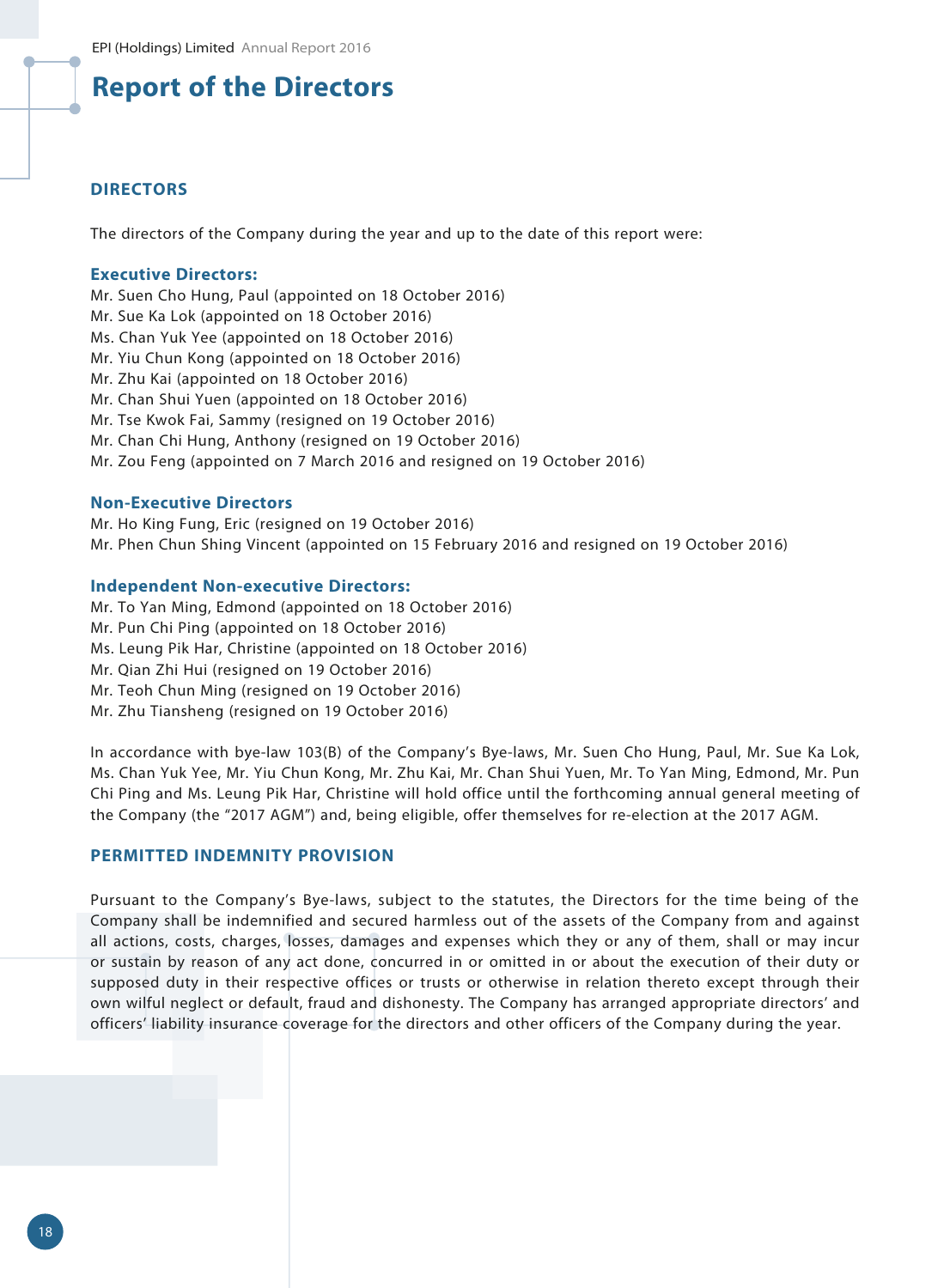#### **DIRECTORS**

The directors of the Company during the year and up to the date of this report were:

#### **Executive Directors:**

Mr. Suen Cho Hung, Paul (appointed on 18 October 2016) Mr. Sue Ka Lok (appointed on 18 October 2016) Ms. Chan Yuk Yee (appointed on 18 October 2016) Mr. Yiu Chun Kong (appointed on 18 October 2016) Mr. Zhu Kai (appointed on 18 October 2016) Mr. Chan Shui Yuen (appointed on 18 October 2016) Mr. Tse Kwok Fai, Sammy (resigned on 19 October 2016) Mr. Chan Chi Hung, Anthony (resigned on 19 October 2016) Mr. Zou Feng (appointed on 7 March 2016 and resigned on 19 October 2016)

#### **Non-Executive Directors**

Mr. Ho King Fung, Eric (resigned on 19 October 2016) Mr. Phen Chun Shing Vincent (appointed on 15 February 2016 and resigned on 19 October 2016)

#### **Independent Non-executive Directors:**

Mr. To Yan Ming, Edmond (appointed on 18 October 2016) Mr. Pun Chi Ping (appointed on 18 October 2016) Ms. Leung Pik Har, Christine (appointed on 18 October 2016) Mr. Qian Zhi Hui (resigned on 19 October 2016) Mr. Teoh Chun Ming (resigned on 19 October 2016) Mr. Zhu Tiansheng (resigned on 19 October 2016)

In accordance with bye-law 103(B) of the Company's Bye-laws, Mr. Suen Cho Hung, Paul, Mr. Sue Ka Lok, Ms. Chan Yuk Yee, Mr. Yiu Chun Kong, Mr. Zhu Kai, Mr. Chan Shui Yuen, Mr. To Yan Ming, Edmond, Mr. Pun Chi Ping and Ms. Leung Pik Har, Christine will hold office until the forthcoming annual general meeting of the Company (the "2017 AGM") and, being eligible, offer themselves for re-election at the 2017 AGM.

## **PERMITTED INDEMNITY PROVISION**

Pursuant to the Company's Bye-laws, subject to the statutes, the Directors for the time being of the Company shall be indemnified and secured harmless out of the assets of the Company from and against all actions, costs, charges, losses, damages and expenses which they or any of them, shall or may incur or sustain by reason of any act done, concurred in or omitted in or about the execution of their duty or supposed duty in their respective offices or trusts or otherwise in relation thereto except through their own wilful neglect or default, fraud and dishonesty. The Company has arranged appropriate directors' and officers' liability insurance coverage for the directors and other officers of the Company during the year.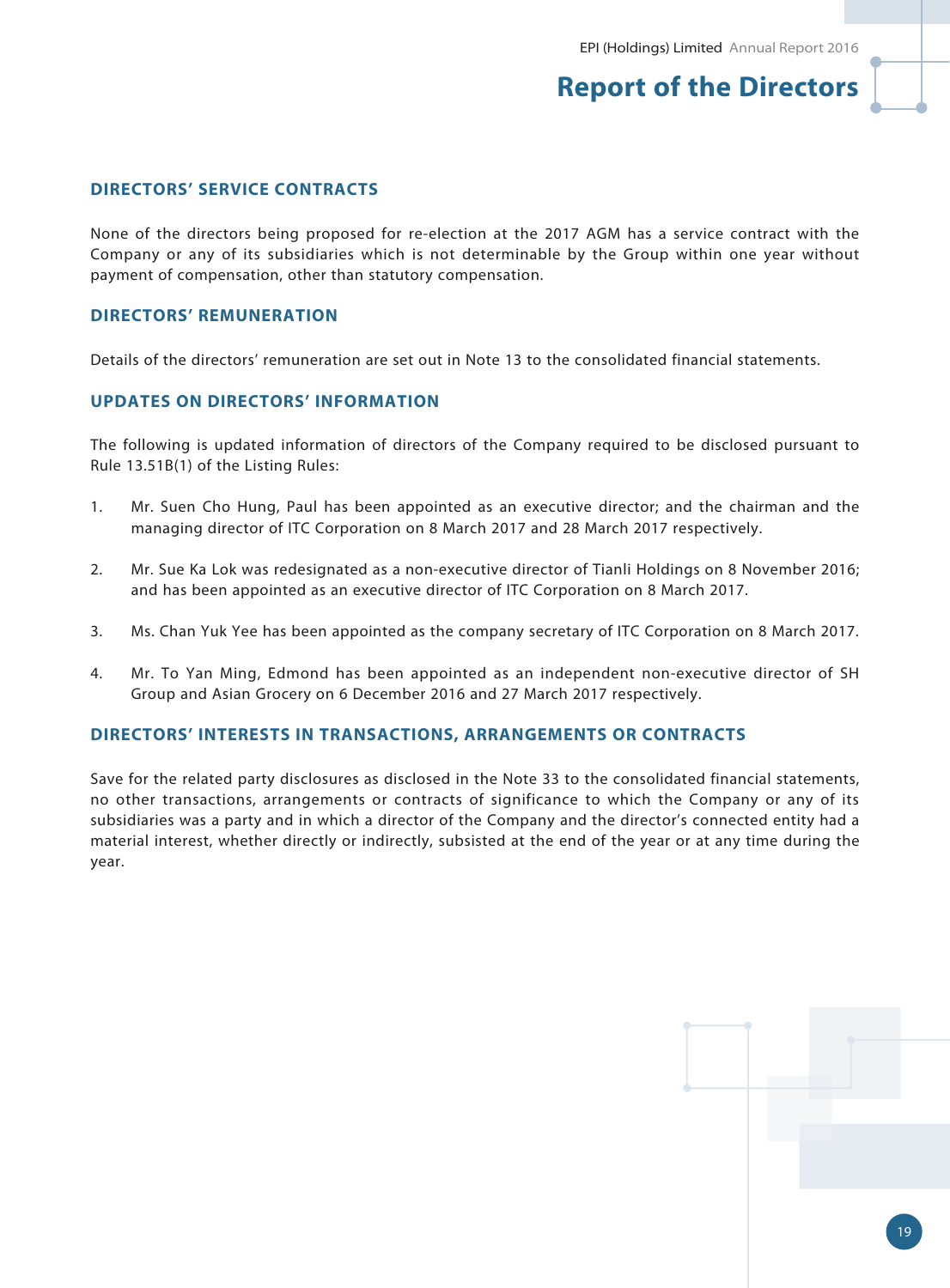## **DIRECTORS' SERVICE CONTRACTS**

None of the directors being proposed for re-election at the 2017 AGM has a service contract with the Company or any of its subsidiaries which is not determinable by the Group within one year without payment of compensation, other than statutory compensation.

### **DIRECTORS' REMUNERATION**

Details of the directors' remuneration are set out in Note 13 to the consolidated financial statements.

### **UPDATES ON DIRECTORS' INFORMATION**

The following is updated information of directors of the Company required to be disclosed pursuant to Rule 13.51B(1) of the Listing Rules:

- 1. Mr. Suen Cho Hung, Paul has been appointed as an executive director; and the chairman and the managing director of ITC Corporation on 8 March 2017 and 28 March 2017 respectively.
- 2. Mr. Sue Ka Lok was redesignated as a non-executive director of Tianli Holdings on 8 November 2016; and has been appointed as an executive director of ITC Corporation on 8 March 2017.
- 3. Ms. Chan Yuk Yee has been appointed as the company secretary of ITC Corporation on 8 March 2017.
- 4. Mr. To Yan Ming, Edmond has been appointed as an independent non-executive director of SH Group and Asian Grocery on 6 December 2016 and 27 March 2017 respectively.

#### **DIRECTORS' INTERESTS IN TRANSACTIONS, ARRANGEMENTS OR CONTRACTS**

Save for the related party disclosures as disclosed in the Note 33 to the consolidated financial statements, no other transactions, arrangements or contracts of significance to which the Company or any of its subsidiaries was a party and in which a director of the Company and the director's connected entity had a material interest, whether directly or indirectly, subsisted at the end of the year or at any time during the year.

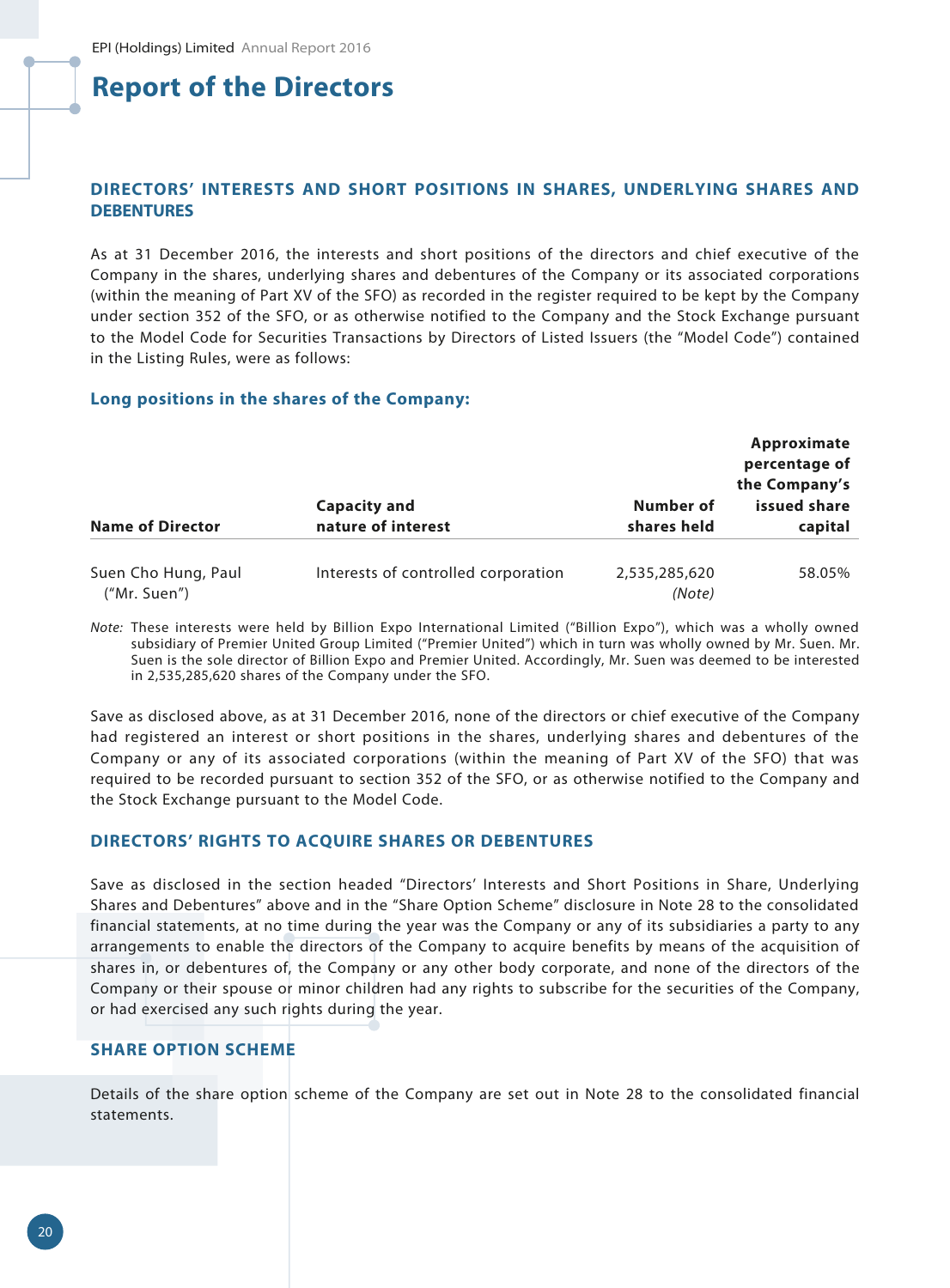## **DIRECTORS' INTERESTS AND SHORT POSITIONS IN SHARES, UNDERLYING SHARES AND DEBENTURES**

As at 31 December 2016, the interests and short positions of the directors and chief executive of the Company in the shares, underlying shares and debentures of the Company or its associated corporations (within the meaning of Part XV of the SFO) as recorded in the register required to be kept by the Company under section 352 of the SFO, or as otherwise notified to the Company and the Stock Exchange pursuant to the Model Code for Securities Transactions by Directors of Listed Issuers (the "Model Code") contained in the Listing Rules, were as follows:

#### **Long positions in the shares of the Company:**

| <b>Name of Director</b>             | <b>Capacity and</b><br>nature of interest | Number of<br>shares held | Approximate<br>percentage of<br>the Company's<br>issued share<br>capital |
|-------------------------------------|-------------------------------------------|--------------------------|--------------------------------------------------------------------------|
| Suen Cho Hung, Paul<br>("Mr. Suen") | Interests of controlled corporation       | 2,535,285,620<br>(Note)  | 58.05%                                                                   |

*Note:* These interests were held by Billion Expo International Limited ("Billion Expo"), which was a wholly owned subsidiary of Premier United Group Limited ("Premier United") which in turn was wholly owned by Mr. Suen. Mr. Suen is the sole director of Billion Expo and Premier United. Accordingly, Mr. Suen was deemed to be interested in 2,535,285,620 shares of the Company under the SFO.

Save as disclosed above, as at 31 December 2016, none of the directors or chief executive of the Company had registered an interest or short positions in the shares, underlying shares and debentures of the Company or any of its associated corporations (within the meaning of Part XV of the SFO) that was required to be recorded pursuant to section 352 of the SFO, or as otherwise notified to the Company and the Stock Exchange pursuant to the Model Code.

#### **DIRECTORS' RIGHTS TO ACQUIRE SHARES OR DEBENTURES**

Save as disclosed in the section headed "Directors' Interests and Short Positions in Share, Underlying Shares and Debentures" above and in the "Share Option Scheme" disclosure in Note 28 to the consolidated financial statements, at no time during the year was the Company or any of its subsidiaries a party to any arrangements to enable the directors of the Company to acquire benefits by means of the acquisition of shares in, or debentures of, the Company or any other body corporate, and none of the directors of the Company or their spouse or minor children had any rights to subscribe for the securities of the Company, or had exercised any such rights during the year.

#### **SHARE OPTION SCHEME**

Details of the share option scheme of the Company are set out in Note 28 to the consolidated financial statements.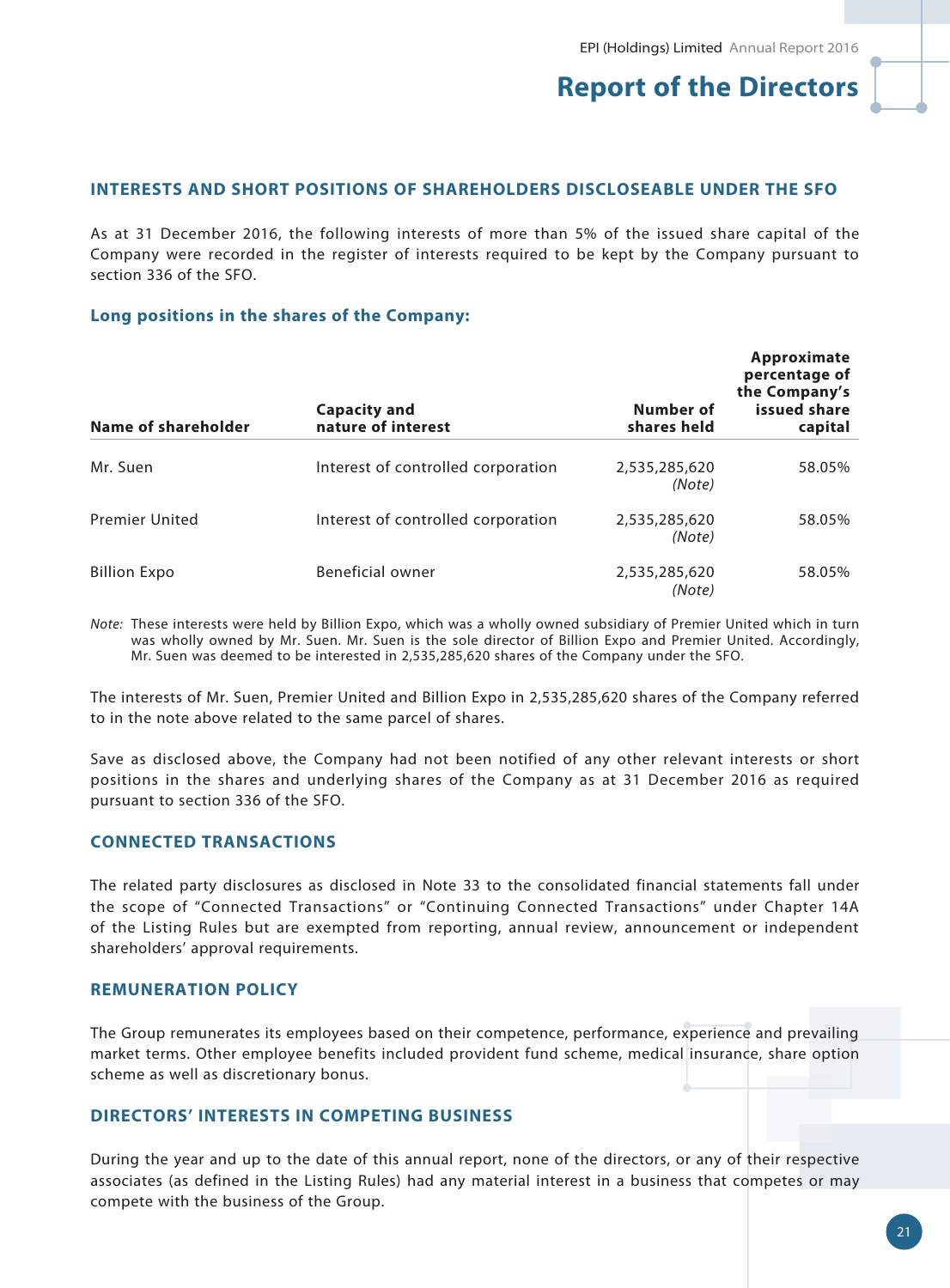## **INTERESTS AND SHORT POSITIONS OF SHAREHOLDERS DISCLOSEABLE UNDER THE SFO**

As at 31 December 2016, the following interests of more than 5% of the issued share capital of the Company were recorded in the register of interests required to be kept by the Company pursuant to section 336 of the SFO.

#### **Long positions in the shares of the Company:**

| <b>Name of shareholder</b> | <b>Capacity and</b><br>nature of interest | Number of<br>shares held | Approximate<br>percentage of<br>the Company's<br>issued share<br>capital |
|----------------------------|-------------------------------------------|--------------------------|--------------------------------------------------------------------------|
| Mr. Suen                   | Interest of controlled corporation        | 2,535,285,620<br>(Note)  | 58.05%                                                                   |
| <b>Premier United</b>      | Interest of controlled corporation        | 2,535,285,620<br>(Note)  | 58.05%                                                                   |
| <b>Billion Expo</b>        | Beneficial owner                          | 2,535,285,620<br>(Note)  | 58.05%                                                                   |

*Note:* These interests were held by Billion Expo, which was a wholly owned subsidiary of Premier United which in turn was wholly owned by Mr. Suen. Mr. Suen is the sole director of Billion Expo and Premier United. Accordingly, Mr. Suen was deemed to be interested in 2,535,285,620 shares of the Company under the SFO.

The interests of Mr. Suen, Premier United and Billion Expo in 2,535,285,620 shares of the Company referred to in the note above related to the same parcel of shares.

Save as disclosed above, the Company had not been notified of any other relevant interests or short positions in the shares and underlying shares of the Company as at 31 December 2016 as required pursuant to section 336 of the SFO.

## **CONNECTED TRANSACTIONS**

The related party disclosures as disclosed in Note 33 to the consolidated financial statements fall under the scope of "Connected Transactions" or "Continuing Connected Transactions" under Chapter 14A of the Listing Rules but are exempted from reporting, annual review, announcement or independent shareholders' approval requirements.

#### **REMUNERATION POLICY**

The Group remunerates its employees based on their competence, performance, experience and prevailing market terms. Other employee benefits included provident fund scheme, medical insurance, share option scheme as well as discretionary bonus.

## **DIRECTORS' INTERESTS IN COMPETING BUSINESS**

During the year and up to the date of this annual report, none of the directors, or any of their respective associates (as defined in the Listing Rules) had any material interest in a business that competes or may compete with the business of the Group.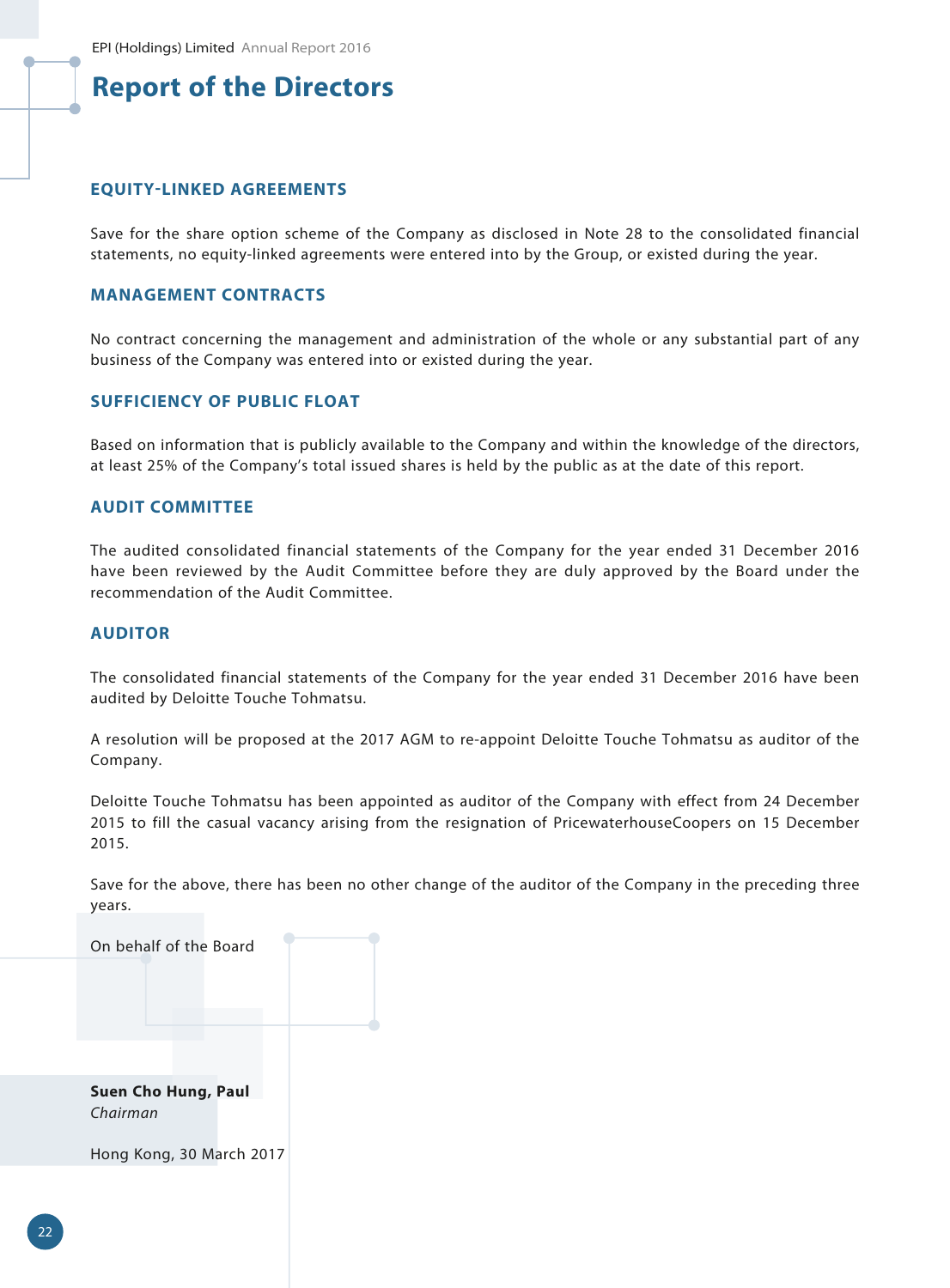### **EQUITY-LINKED AGREEMENTS**

Save for the share option scheme of the Company as disclosed in Note 28 to the consolidated financial statements, no equity-linked agreements were entered into by the Group, or existed during the year.

#### **MANAGEMENT CONTRACTS**

No contract concerning the management and administration of the whole or any substantial part of any business of the Company was entered into or existed during the year.

## **SUFFICIENCY OF PUBLIC FLOAT**

Based on information that is publicly available to the Company and within the knowledge of the directors, at least 25% of the Company's total issued shares is held by the public as at the date of this report.

### **AUDIT COMMITTEE**

The audited consolidated financial statements of the Company for the year ended 31 December 2016 have been reviewed by the Audit Committee before they are duly approved by the Board under the recommendation of the Audit Committee.

#### **AUDITOR**

The consolidated financial statements of the Company for the year ended 31 December 2016 have been audited by Deloitte Touche Tohmatsu.

A resolution will be proposed at the 2017 AGM to re-appoint Deloitte Touche Tohmatsu as auditor of the Company.

Deloitte Touche Tohmatsu has been appointed as auditor of the Company with effect from 24 December 2015 to fill the casual vacancy arising from the resignation of PricewaterhouseCoopers on 15 December 2015.

Save for the above, there has been no other change of the auditor of the Company in the preceding three years.



Hong Kong, 30 March 2017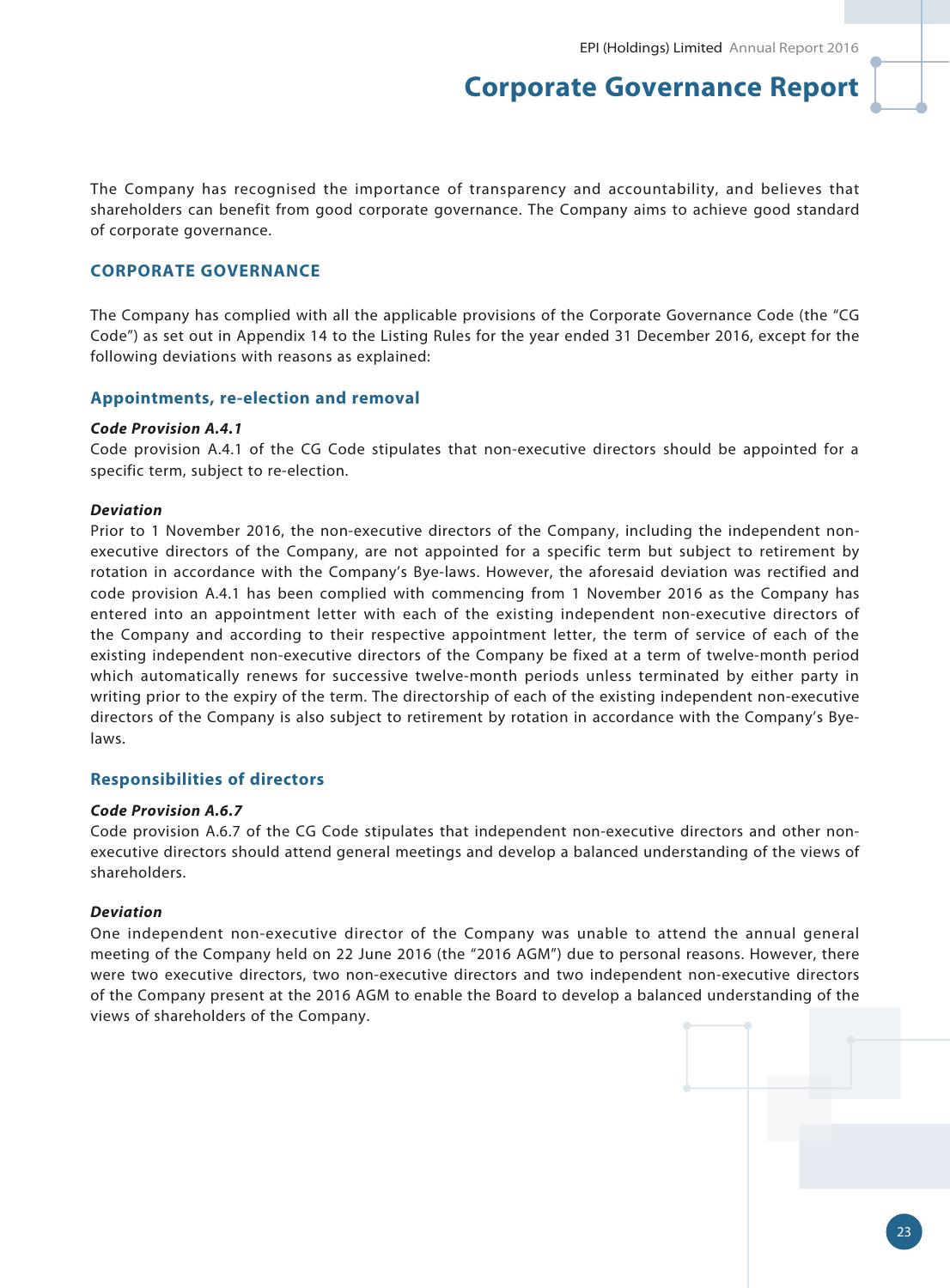The Company has recognised the importance of transparency and accountability, and believes that shareholders can benefit from good corporate governance. The Company aims to achieve good standard of corporate governance.

#### **CORPORATE GOVERNANCE**

The Company has complied with all the applicable provisions of the Corporate Governance Code (the "CG Code") as set out in Appendix 14 to the Listing Rules for the year ended 31 December 2016, except for the following deviations with reasons as explained:

#### **Appointments, re-election and removal**

#### *Code Provision A.4.1*

Code provision A.4.1 of the CG Code stipulates that non-executive directors should be appointed for a specific term, subject to re-election.

#### *Deviation*

Prior to 1 November 2016, the non-executive directors of the Company, including the independent nonexecutive directors of the Company, are not appointed for a specific term but subject to retirement by rotation in accordance with the Company's Bye-laws. However, the aforesaid deviation was rectified and code provision A.4.1 has been complied with commencing from 1 November 2016 as the Company has entered into an appointment letter with each of the existing independent non-executive directors of the Company and according to their respective appointment letter, the term of service of each of the existing independent non-executive directors of the Company be fixed at a term of twelve-month period which automatically renews for successive twelve-month periods unless terminated by either party in writing prior to the expiry of the term. The directorship of each of the existing independent non-executive directors of the Company is also subject to retirement by rotation in accordance with the Company's Byelaws.

#### **Responsibilities of directors**

#### *Code Provision A.6.7*

Code provision A.6.7 of the CG Code stipulates that independent non-executive directors and other nonexecutive directors should attend general meetings and develop a balanced understanding of the views of shareholders.

#### *Deviation*

One independent non-executive director of the Company was unable to attend the annual general meeting of the Company held on 22 June 2016 (the "2016 AGM") due to personal reasons. However, there were two executive directors, two non-executive directors and two independent non-executive directors of the Company present at the 2016 AGM to enable the Board to develop a balanced understanding of the views of shareholders of the Company.

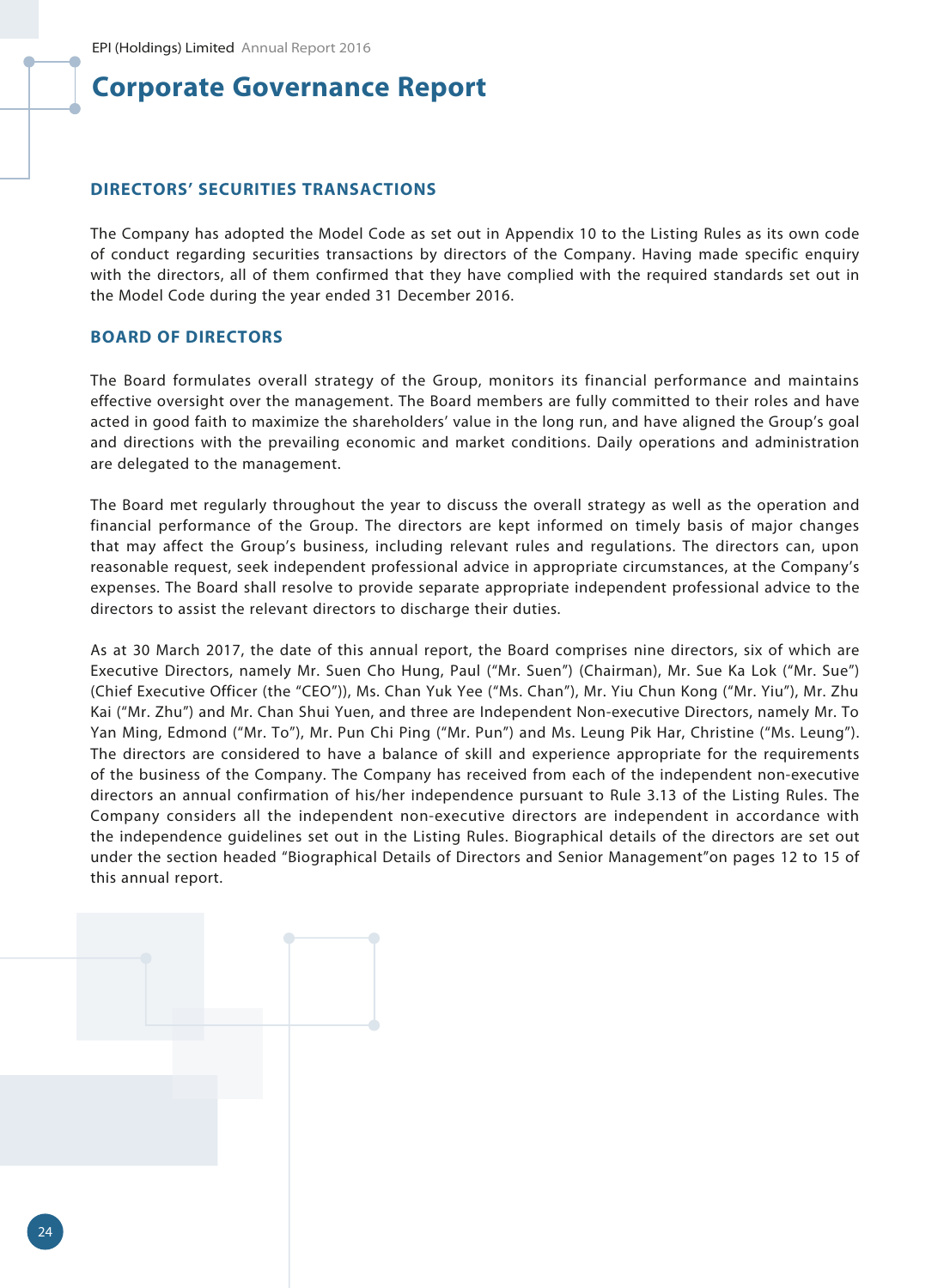### **DIRECTORS' SECURITIES TRANSACTIONS**

The Company has adopted the Model Code as set out in Appendix 10 to the Listing Rules as its own code of conduct regarding securities transactions by directors of the Company. Having made specific enquiry with the directors, all of them confirmed that they have complied with the required standards set out in the Model Code during the year ended 31 December 2016.

## **BOARD OF DIRECTORS**

The Board formulates overall strategy of the Group, monitors its financial performance and maintains effective oversight over the management. The Board members are fully committed to their roles and have acted in good faith to maximize the shareholders' value in the long run, and have aligned the Group's goal and directions with the prevailing economic and market conditions. Daily operations and administration are delegated to the management.

The Board met regularly throughout the year to discuss the overall strategy as well as the operation and financial performance of the Group. The directors are kept informed on timely basis of major changes that may affect the Group's business, including relevant rules and regulations. The directors can, upon reasonable request, seek independent professional advice in appropriate circumstances, at the Company's expenses. The Board shall resolve to provide separate appropriate independent professional advice to the directors to assist the relevant directors to discharge their duties.

As at 30 March 2017, the date of this annual report, the Board comprises nine directors, six of which are Executive Directors, namely Mr. Suen Cho Hung, Paul ("Mr. Suen") (Chairman), Mr. Sue Ka Lok ("Mr. Sue") (Chief Executive Officer (the "CEO")), Ms. Chan Yuk Yee ("Ms. Chan"), Mr. Yiu Chun Kong ("Mr. Yiu"), Mr. Zhu Kai ("Mr. Zhu") and Mr. Chan Shui Yuen, and three are Independent Non-executive Directors, namely Mr. To Yan Ming, Edmond ("Mr. To"), Mr. Pun Chi Ping ("Mr. Pun") and Ms. Leung Pik Har, Christine ("Ms. Leung"). The directors are considered to have a balance of skill and experience appropriate for the requirements of the business of the Company. The Company has received from each of the independent non-executive directors an annual confirmation of his/her independence pursuant to Rule 3.13 of the Listing Rules. The Company considers all the independent non-executive directors are independent in accordance with the independence guidelines set out in the Listing Rules. Biographical details of the directors are set out under the section headed "Biographical Details of Directors and Senior Management"on pages 12 to 15 of this annual report.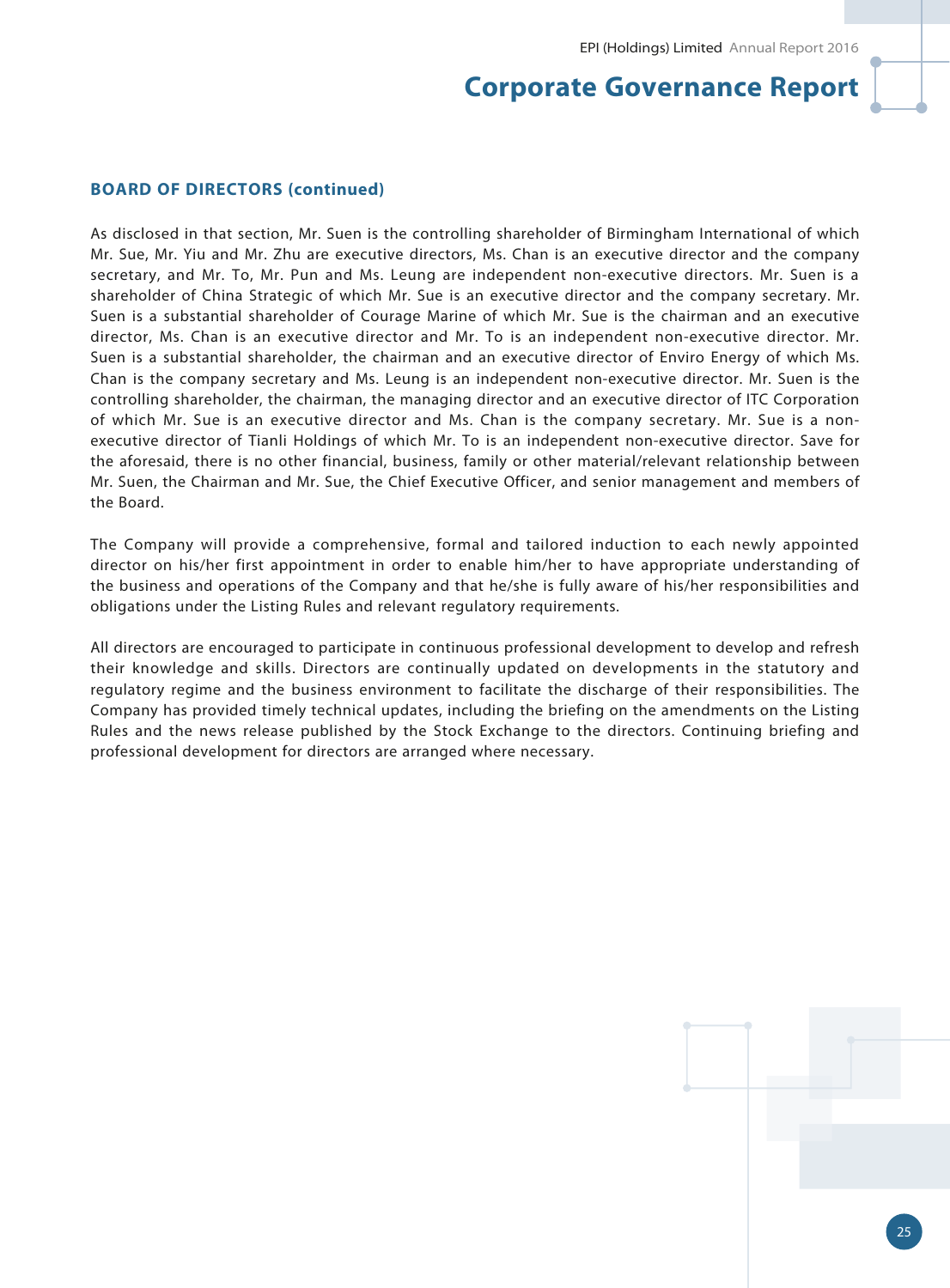### **BOARD OF DIRECTORS (continued)**

As disclosed in that section, Mr. Suen is the controlling shareholder of Birmingham International of which Mr. Sue, Mr. Yiu and Mr. Zhu are executive directors, Ms. Chan is an executive director and the company secretary, and Mr. To, Mr. Pun and Ms. Leung are independent non-executive directors. Mr. Suen is a shareholder of China Strategic of which Mr. Sue is an executive director and the company secretary. Mr. Suen is a substantial shareholder of Courage Marine of which Mr. Sue is the chairman and an executive director, Ms. Chan is an executive director and Mr. To is an independent non-executive director. Mr. Suen is a substantial shareholder, the chairman and an executive director of Enviro Energy of which Ms. Chan is the company secretary and Ms. Leung is an independent non-executive director. Mr. Suen is the controlling shareholder, the chairman, the managing director and an executive director of ITC Corporation of which Mr. Sue is an executive director and Ms. Chan is the company secretary. Mr. Sue is a nonexecutive director of Tianli Holdings of which Mr. To is an independent non-executive director. Save for the aforesaid, there is no other financial, business, family or other material/relevant relationship between Mr. Suen, the Chairman and Mr. Sue, the Chief Executive Officer, and senior management and members of the Board.

The Company will provide a comprehensive, formal and tailored induction to each newly appointed director on his/her first appointment in order to enable him/her to have appropriate understanding of the business and operations of the Company and that he/she is fully aware of his/her responsibilities and obligations under the Listing Rules and relevant regulatory requirements.

All directors are encouraged to participate in continuous professional development to develop and refresh their knowledge and skills. Directors are continually updated on developments in the statutory and regulatory regime and the business environment to facilitate the discharge of their responsibilities. The Company has provided timely technical updates, including the briefing on the amendments on the Listing Rules and the news release published by the Stock Exchange to the directors. Continuing briefing and professional development for directors are arranged where necessary.

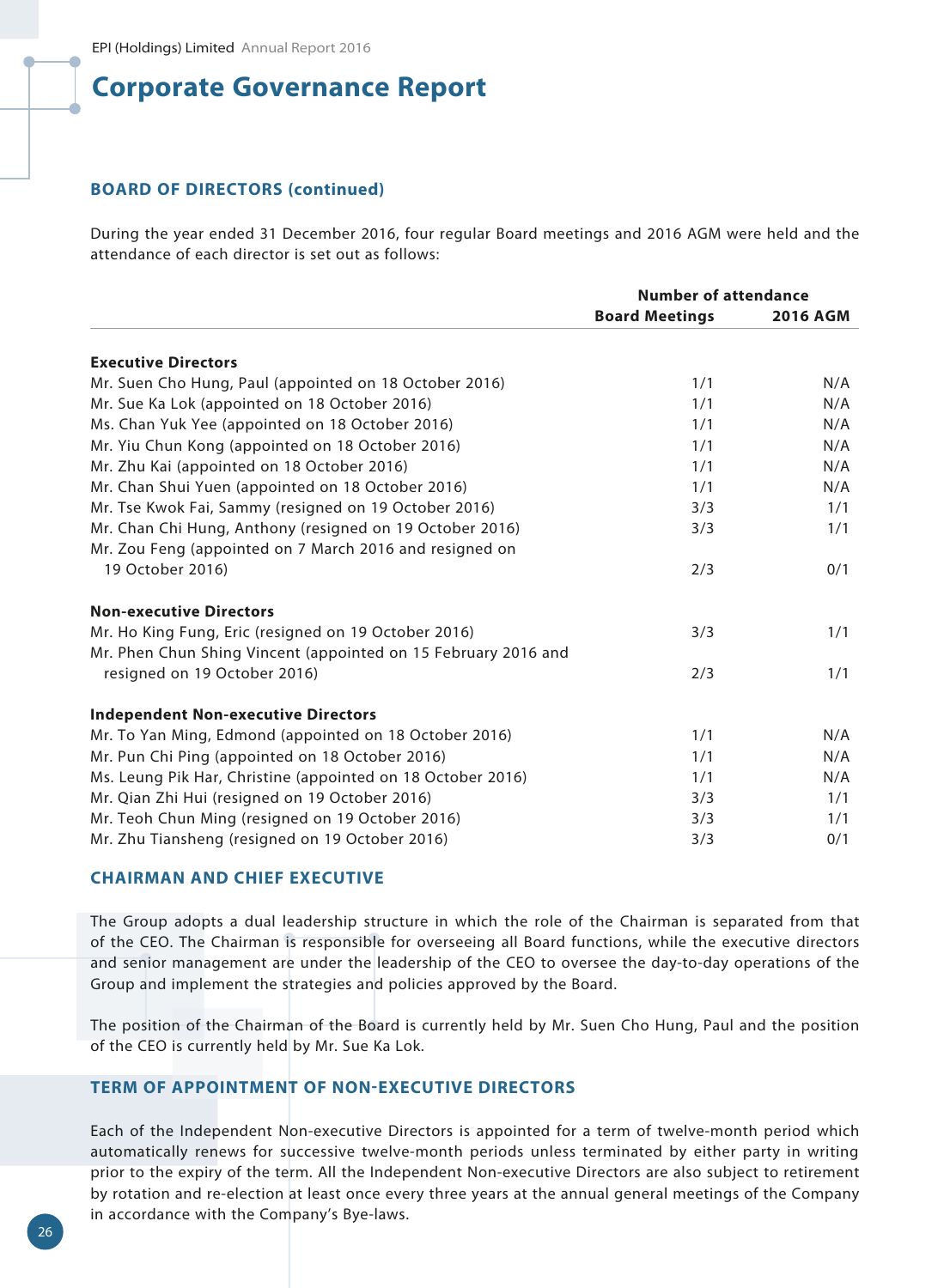## **BOARD OF DIRECTORS (continued)**

During the year ended 31 December 2016, four regular Board meetings and 2016 AGM were held and the attendance of each director is set out as follows:

|                                                                | <b>Number of attendance</b> |                 |
|----------------------------------------------------------------|-----------------------------|-----------------|
|                                                                | <b>Board Meetings</b>       | <b>2016 AGM</b> |
| <b>Executive Directors</b>                                     |                             |                 |
| Mr. Suen Cho Hung, Paul (appointed on 18 October 2016)         | 1/1                         | N/A             |
| Mr. Sue Ka Lok (appointed on 18 October 2016)                  | 1/1                         | N/A             |
| Ms. Chan Yuk Yee (appointed on 18 October 2016)                | 1/1                         | N/A             |
| Mr. Yiu Chun Kong (appointed on 18 October 2016)               | 1/1                         | N/A             |
| Mr. Zhu Kai (appointed on 18 October 2016)                     | 1/1                         | N/A             |
| Mr. Chan Shui Yuen (appointed on 18 October 2016)              | 1/1                         | N/A             |
| Mr. Tse Kwok Fai, Sammy (resigned on 19 October 2016)          | 3/3                         | 1/1             |
| Mr. Chan Chi Hung, Anthony (resigned on 19 October 2016)       | 3/3                         | 1/1             |
| Mr. Zou Feng (appointed on 7 March 2016 and resigned on        |                             |                 |
| 19 October 2016)                                               | 2/3                         | 0/1             |
| <b>Non-executive Directors</b>                                 |                             |                 |
| Mr. Ho King Fung, Eric (resigned on 19 October 2016)           | 3/3                         | 1/1             |
| Mr. Phen Chun Shing Vincent (appointed on 15 February 2016 and |                             |                 |
| resigned on 19 October 2016)                                   | 2/3                         | 1/1             |
| <b>Independent Non-executive Directors</b>                     |                             |                 |
| Mr. To Yan Ming, Edmond (appointed on 18 October 2016)         | 1/1                         | N/A             |
| Mr. Pun Chi Ping (appointed on 18 October 2016)                | 1/1                         | N/A             |
| Ms. Leung Pik Har, Christine (appointed on 18 October 2016)    | 1/1                         | N/A             |
| Mr. Qian Zhi Hui (resigned on 19 October 2016)                 | 3/3                         | 1/1             |
| Mr. Teoh Chun Ming (resigned on 19 October 2016)               | 3/3                         | 1/1             |
| Mr. Zhu Tiansheng (resigned on 19 October 2016)                | 3/3                         | 0/1             |

### **CHAIRMAN AND CHIEF EXECUTIVE**

The Group adopts a dual leadership structure in which the role of the Chairman is separated from that of the CEO. The Chairman is responsible for overseeing all Board functions, while the executive directors and senior management are under the leadership of the CEO to oversee the day-to-day operations of the Group and implement the strategies and policies approved by the Board.

The position of the Chairman of the Board is currently held by Mr. Suen Cho Hung, Paul and the position of the CEO is currently held by Mr. Sue Ka Lok.

## **TERM OF APPOINTMENT OF NON-EXECUTIVE DIRECTORS**

Each of the Independent Non-executive Directors is appointed for a term of twelve-month period which automatically renews for successive twelve-month periods unless terminated by either party in writing prior to the expiry of the term. All the Independent Non-executive Directors are also subject to retirement by rotation and re-election at least once every three years at the annual general meetings of the Company in accordance with the Company's Bye-laws.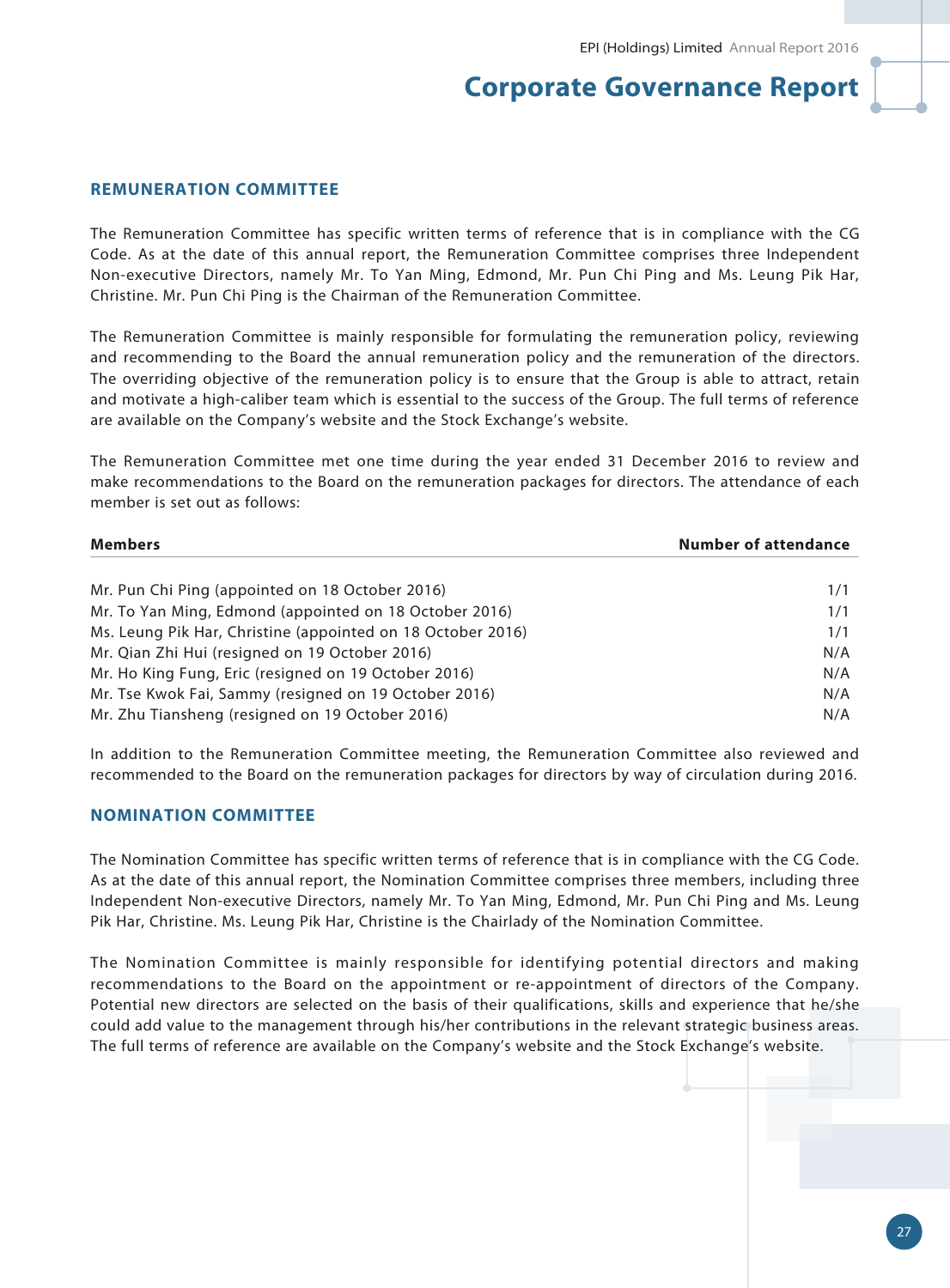### **REMUNERATION COMMITTEE**

The Remuneration Committee has specific written terms of reference that is in compliance with the CG Code. As at the date of this annual report, the Remuneration Committee comprises three Independent Non-executive Directors, namely Mr. To Yan Ming, Edmond, Mr. Pun Chi Ping and Ms. Leung Pik Har, Christine. Mr. Pun Chi Ping is the Chairman of the Remuneration Committee.

The Remuneration Committee is mainly responsible for formulating the remuneration policy, reviewing and recommending to the Board the annual remuneration policy and the remuneration of the directors. The overriding objective of the remuneration policy is to ensure that the Group is able to attract, retain and motivate a high-caliber team which is essential to the success of the Group. The full terms of reference are available on the Company's website and the Stock Exchange's website.

The Remuneration Committee met one time during the year ended 31 December 2016 to review and make recommendations to the Board on the remuneration packages for directors. The attendance of each member is set out as follows:

| <b>Members</b>                                              | <b>Number of attendance</b> |  |
|-------------------------------------------------------------|-----------------------------|--|
| Mr. Pun Chi Ping (appointed on 18 October 2016)             | 1/1                         |  |
| Mr. To Yan Ming, Edmond (appointed on 18 October 2016)      | 1/1                         |  |
| Ms. Leung Pik Har, Christine (appointed on 18 October 2016) | 1/1                         |  |
| Mr. Qian Zhi Hui (resigned on 19 October 2016)              | N/A                         |  |
| Mr. Ho King Fung, Eric (resigned on 19 October 2016)        | N/A                         |  |
| Mr. Tse Kwok Fai, Sammy (resigned on 19 October 2016)       | N/A                         |  |
| Mr. Zhu Tiansheng (resigned on 19 October 2016)             | N/A                         |  |

In addition to the Remuneration Committee meeting, the Remuneration Committee also reviewed and recommended to the Board on the remuneration packages for directors by way of circulation during 2016.

#### **NOMINATION COMMITTEE**

The Nomination Committee has specific written terms of reference that is in compliance with the CG Code. As at the date of this annual report, the Nomination Committee comprises three members, including three Independent Non-executive Directors, namely Mr. To Yan Ming, Edmond, Mr. Pun Chi Ping and Ms. Leung Pik Har, Christine. Ms. Leung Pik Har, Christine is the Chairlady of the Nomination Committee.

The Nomination Committee is mainly responsible for identifying potential directors and making recommendations to the Board on the appointment or re-appointment of directors of the Company. Potential new directors are selected on the basis of their qualifications, skills and experience that he/she could add value to the management through his/her contributions in the relevant strategic business areas. The full terms of reference are available on the Company's website and the Stock Exchange's website.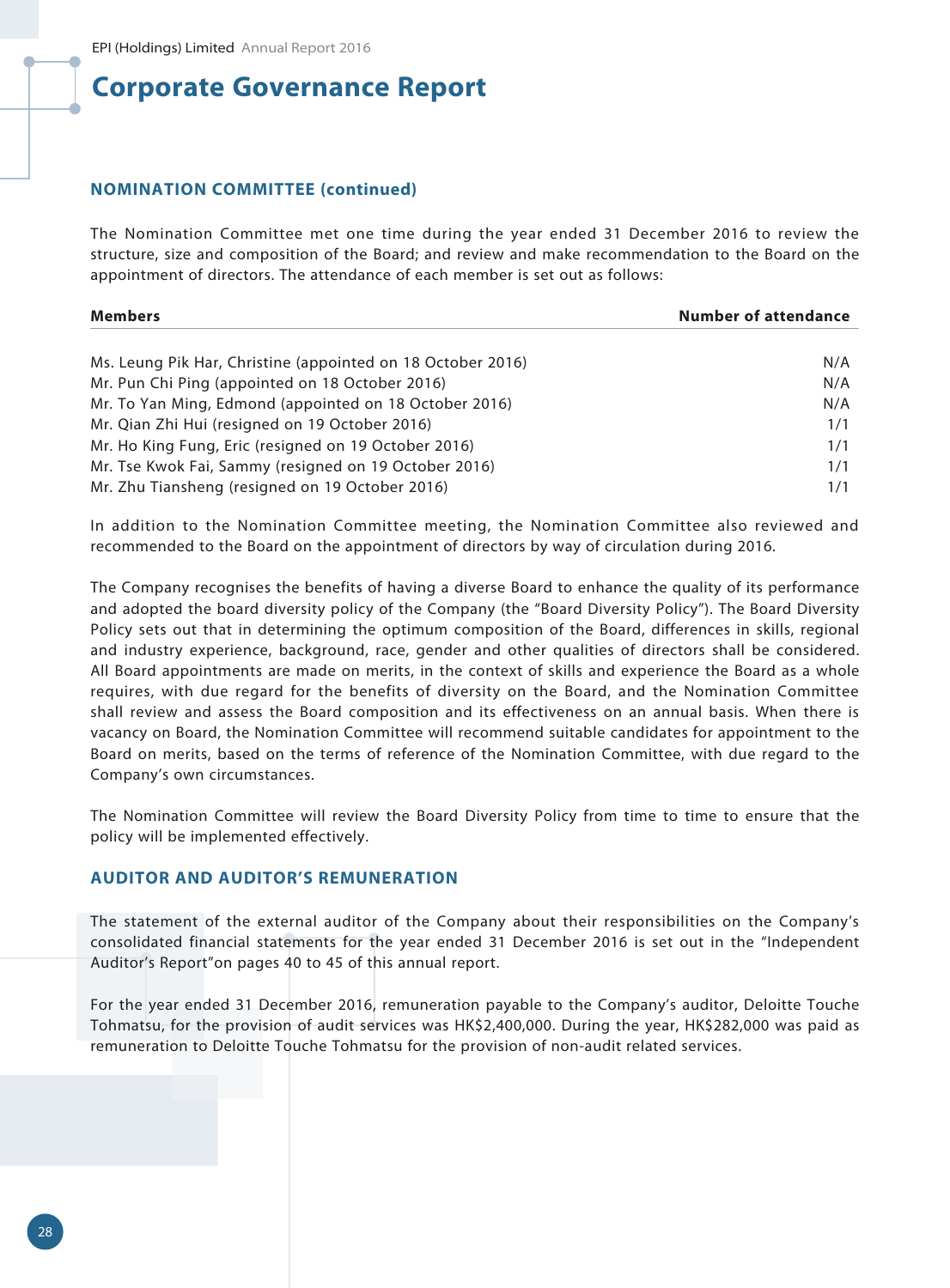### **NOMINATION COMMITTEE (continued)**

The Nomination Committee met one time during the year ended 31 December 2016 to review the structure, size and composition of the Board; and review and make recommendation to the Board on the appointment of directors. The attendance of each member is set out as follows:

| <b>Members</b>                                              | <b>Number of attendance</b> |
|-------------------------------------------------------------|-----------------------------|
|                                                             |                             |
| Ms. Leung Pik Har, Christine (appointed on 18 October 2016) | N/A                         |
| Mr. Pun Chi Ping (appointed on 18 October 2016)             | N/A                         |
| Mr. To Yan Ming, Edmond (appointed on 18 October 2016)      | N/A                         |
| Mr. Qian Zhi Hui (resigned on 19 October 2016)              | 1/1                         |
| Mr. Ho King Fung, Eric (resigned on 19 October 2016)        | 1/1                         |
| Mr. Tse Kwok Fai, Sammy (resigned on 19 October 2016)       | 1/1                         |
| Mr. Zhu Tiansheng (resigned on 19 October 2016)             | 1/1                         |

In addition to the Nomination Committee meeting, the Nomination Committee also reviewed and recommended to the Board on the appointment of directors by way of circulation during 2016.

The Company recognises the benefits of having a diverse Board to enhance the quality of its performance and adopted the board diversity policy of the Company (the "Board Diversity Policy"). The Board Diversity Policy sets out that in determining the optimum composition of the Board, differences in skills, regional and industry experience, background, race, gender and other qualities of directors shall be considered. All Board appointments are made on merits, in the context of skills and experience the Board as a whole requires, with due regard for the benefits of diversity on the Board, and the Nomination Committee shall review and assess the Board composition and its effectiveness on an annual basis. When there is vacancy on Board, the Nomination Committee will recommend suitable candidates for appointment to the Board on merits, based on the terms of reference of the Nomination Committee, with due regard to the Company's own circumstances.

The Nomination Committee will review the Board Diversity Policy from time to time to ensure that the policy will be implemented effectively.

## **AUDITOR AND AUDITOR'S REMUNERATION**

The statement of the external auditor of the Company about their responsibilities on the Company's consolidated financial statements for the year ended 31 December 2016 is set out in the "Independent Auditor's Report"on pages 40 to 45 of this annual report.

For the year ended 31 December 2016, remuneration payable to the Company's auditor, Deloitte Touche Tohmatsu, for the provision of audit services was HK\$2,400,000. During the year, HK\$282,000 was paid as remuneration to Deloitte Touche Tohmatsu for the provision of non-audit related services.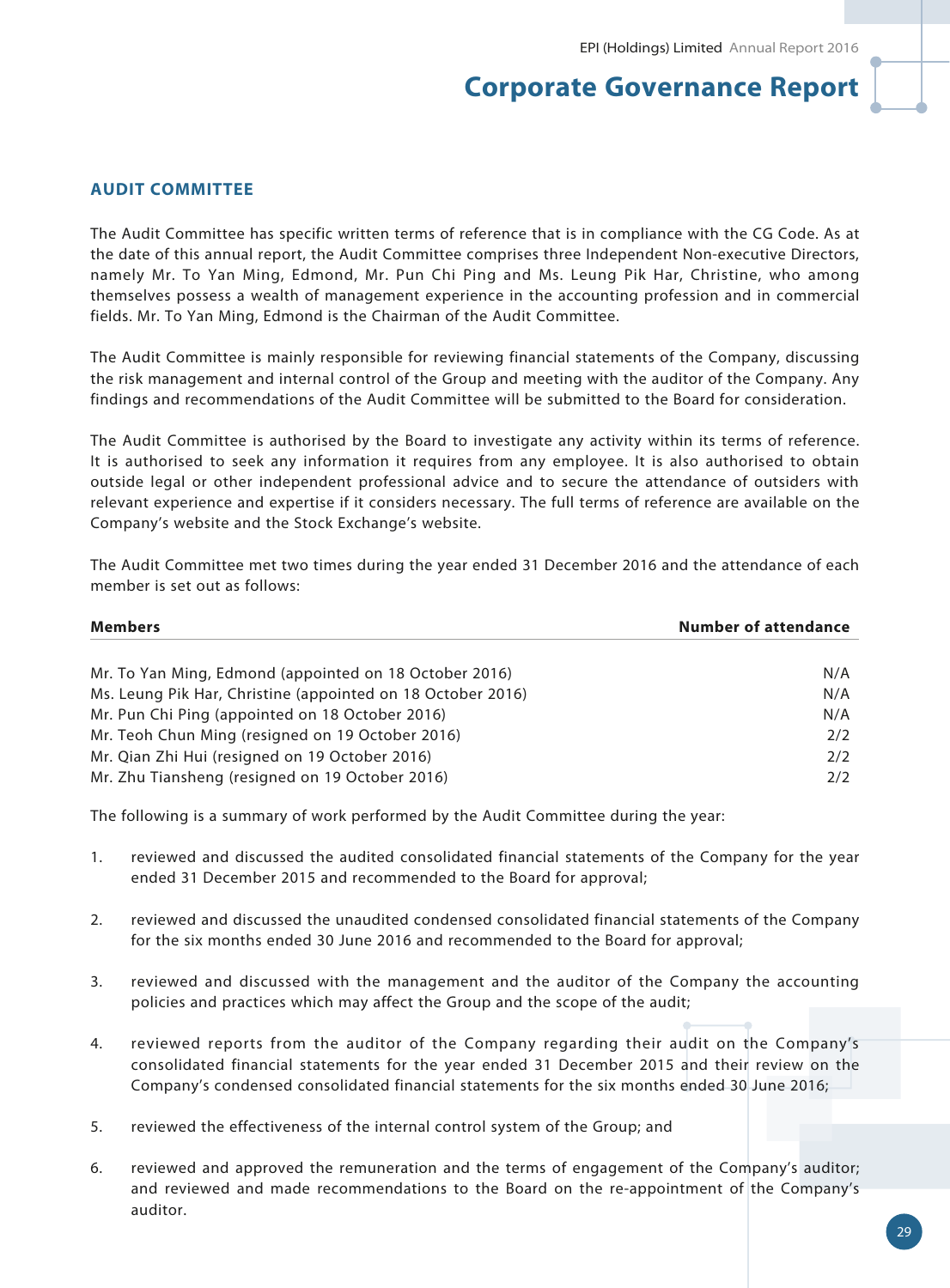## **AUDIT COMMITTEE**

The Audit Committee has specific written terms of reference that is in compliance with the CG Code. As at the date of this annual report, the Audit Committee comprises three Independent Non-executive Directors, namely Mr. To Yan Ming, Edmond, Mr. Pun Chi Ping and Ms. Leung Pik Har, Christine, who among themselves possess a wealth of management experience in the accounting profession and in commercial fields. Mr. To Yan Ming, Edmond is the Chairman of the Audit Committee.

The Audit Committee is mainly responsible for reviewing financial statements of the Company, discussing the risk management and internal control of the Group and meeting with the auditor of the Company. Any findings and recommendations of the Audit Committee will be submitted to the Board for consideration.

The Audit Committee is authorised by the Board to investigate any activity within its terms of reference. It is authorised to seek any information it requires from any employee. It is also authorised to obtain outside legal or other independent professional advice and to secure the attendance of outsiders with relevant experience and expertise if it considers necessary. The full terms of reference are available on the Company's website and the Stock Exchange's website.

The Audit Committee met two times during the year ended 31 December 2016 and the attendance of each member is set out as follows:

| <b>Members</b>                                              | <b>Number of attendance</b> |  |
|-------------------------------------------------------------|-----------------------------|--|
|                                                             |                             |  |
| Mr. To Yan Ming, Edmond (appointed on 18 October 2016)      | N/A                         |  |
| Ms. Leung Pik Har, Christine (appointed on 18 October 2016) | N/A                         |  |
| Mr. Pun Chi Ping (appointed on 18 October 2016)             | N/A                         |  |
| Mr. Teoh Chun Ming (resigned on 19 October 2016)            | 2/2                         |  |
| Mr. Qian Zhi Hui (resigned on 19 October 2016)              | 2/2                         |  |
| Mr. Zhu Tiansheng (resigned on 19 October 2016)             | 2/2                         |  |

The following is a summary of work performed by the Audit Committee during the year:

- 1. reviewed and discussed the audited consolidated financial statements of the Company for the year ended 31 December 2015 and recommended to the Board for approval;
- 2. reviewed and discussed the unaudited condensed consolidated financial statements of the Company for the six months ended 30 June 2016 and recommended to the Board for approval;
- 3. reviewed and discussed with the management and the auditor of the Company the accounting policies and practices which may affect the Group and the scope of the audit;
- 4. reviewed reports from the auditor of the Company regarding their audit on the Company's consolidated financial statements for the year ended 31 December 2015 and their review on the Company's condensed consolidated financial statements for the six months ended 30 June 2016;
- 5. reviewed the effectiveness of the internal control system of the Group; and
- 6. reviewed and approved the remuneration and the terms of engagement of the Company's auditor; and reviewed and made recommendations to the Board on the re-appointment of the Company's auditor.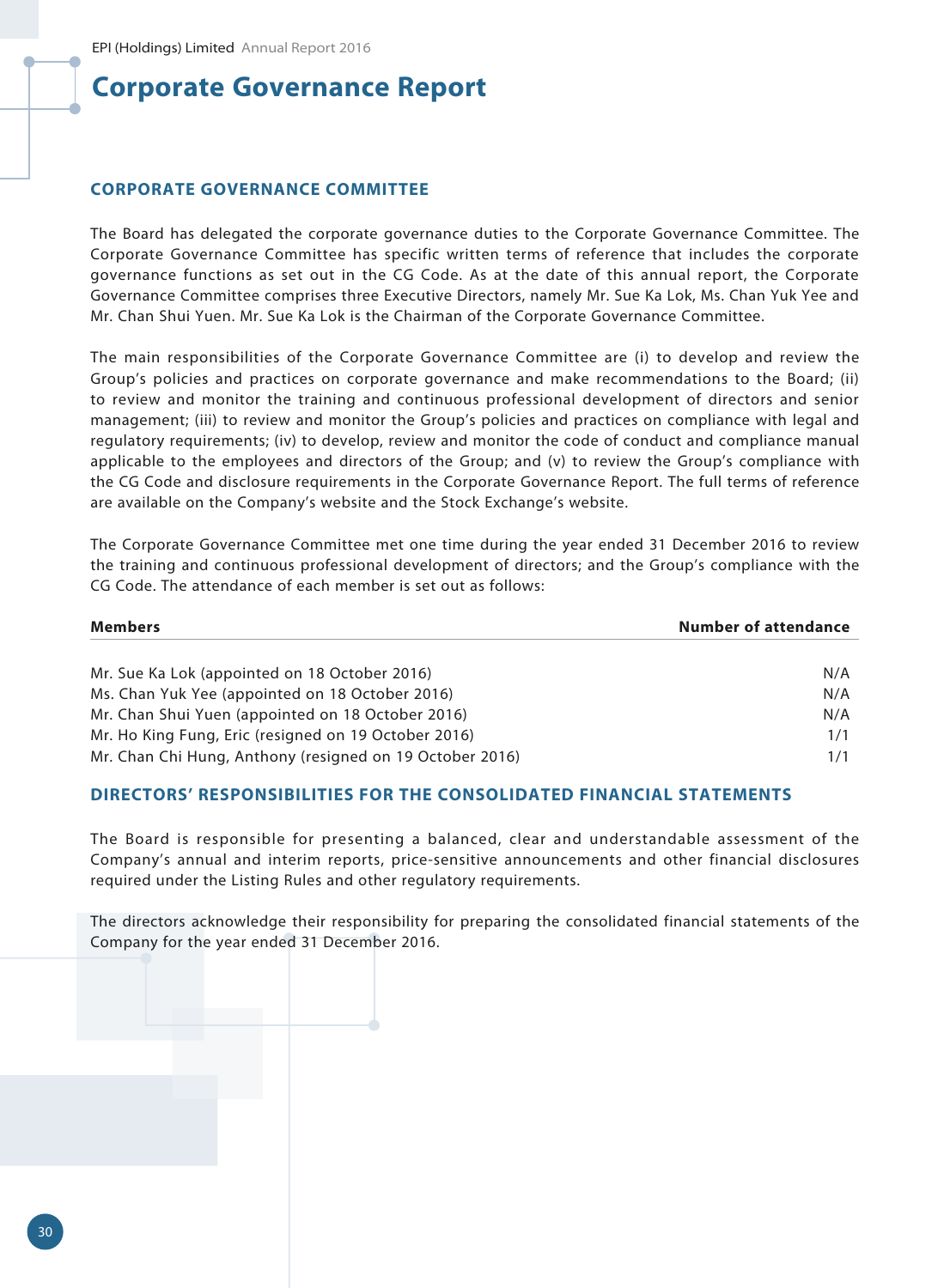## **CORPORATE GOVERNANCE COMMITTEE**

The Board has delegated the corporate governance duties to the Corporate Governance Committee. The Corporate Governance Committee has specific written terms of reference that includes the corporate governance functions as set out in the CG Code. As at the date of this annual report, the Corporate Governance Committee comprises three Executive Directors, namely Mr. Sue Ka Lok, Ms. Chan Yuk Yee and Mr. Chan Shui Yuen. Mr. Sue Ka Lok is the Chairman of the Corporate Governance Committee.

The main responsibilities of the Corporate Governance Committee are (i) to develop and review the Group's policies and practices on corporate governance and make recommendations to the Board; (ii) to review and monitor the training and continuous professional development of directors and senior management; (iii) to review and monitor the Group's policies and practices on compliance with legal and regulatory requirements; (iv) to develop, review and monitor the code of conduct and compliance manual applicable to the employees and directors of the Group; and (v) to review the Group's compliance with the CG Code and disclosure requirements in the Corporate Governance Report. The full terms of reference are available on the Company's website and the Stock Exchange's website.

The Corporate Governance Committee met one time during the year ended 31 December 2016 to review the training and continuous professional development of directors; and the Group's compliance with the CG Code. The attendance of each member is set out as follows:

| <b>Members</b>                                           | <b>Number of attendance</b> |
|----------------------------------------------------------|-----------------------------|
|                                                          |                             |
| Mr. Sue Ka Lok (appointed on 18 October 2016)            | N/A                         |
| Ms. Chan Yuk Yee (appointed on 18 October 2016)          | N/A                         |
| Mr. Chan Shui Yuen (appointed on 18 October 2016)        | N/A                         |
| Mr. Ho King Fung, Eric (resigned on 19 October 2016)     | 1/1                         |
| Mr. Chan Chi Hung, Anthony (resigned on 19 October 2016) | 1/1                         |

#### **DIRECTORS' RESPONSIBILITIES FOR THE CONSOLIDATED FINANCIAL STATEMENTS**

The Board is responsible for presenting a balanced, clear and understandable assessment of the Company's annual and interim reports, price-sensitive announcements and other financial disclosures required under the Listing Rules and other regulatory requirements.

The directors acknowledge their responsibility for preparing the consolidated financial statements of the Company for the year ended 31 December 2016.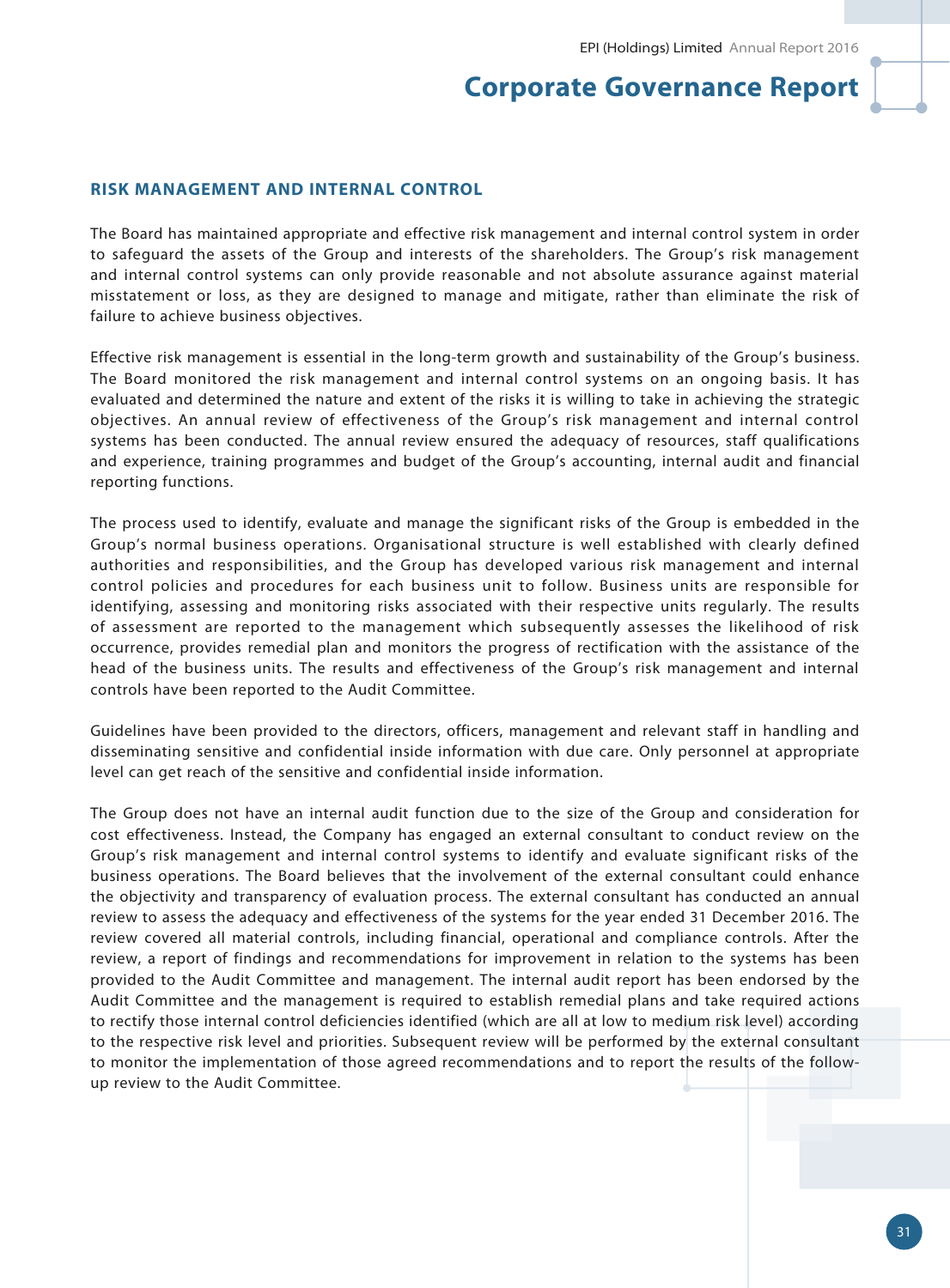#### **RISK MANAGEMENT AND INTERNAL CONTROL**

The Board has maintained appropriate and effective risk management and internal control system in order to safeguard the assets of the Group and interests of the shareholders. The Group's risk management and internal control systems can only provide reasonable and not absolute assurance against material misstatement or loss, as they are designed to manage and mitigate, rather than eliminate the risk of failure to achieve business objectives.

Effective risk management is essential in the long-term growth and sustainability of the Group's business. The Board monitored the risk management and internal control systems on an ongoing basis. It has evaluated and determined the nature and extent of the risks it is willing to take in achieving the strategic objectives. An annual review of effectiveness of the Group's risk management and internal control systems has been conducted. The annual review ensured the adequacy of resources, staff qualifications and experience, training programmes and budget of the Group's accounting, internal audit and financial reporting functions.

The process used to identify, evaluate and manage the significant risks of the Group is embedded in the Group's normal business operations. Organisational structure is well established with clearly defined authorities and responsibilities, and the Group has developed various risk management and internal control policies and procedures for each business unit to follow. Business units are responsible for identifying, assessing and monitoring risks associated with their respective units regularly. The results of assessment are reported to the management which subsequently assesses the likelihood of risk occurrence, provides remedial plan and monitors the progress of rectification with the assistance of the head of the business units. The results and effectiveness of the Group's risk management and internal controls have been reported to the Audit Committee.

Guidelines have been provided to the directors, officers, management and relevant staff in handling and disseminating sensitive and confidential inside information with due care. Only personnel at appropriate level can get reach of the sensitive and confidential inside information.

The Group does not have an internal audit function due to the size of the Group and consideration for cost effectiveness. Instead, the Company has engaged an external consultant to conduct review on the Group's risk management and internal control systems to identify and evaluate significant risks of the business operations. The Board believes that the involvement of the external consultant could enhance the objectivity and transparency of evaluation process. The external consultant has conducted an annual review to assess the adequacy and effectiveness of the systems for the year ended 31 December 2016. The review covered all material controls, including financial, operational and compliance controls. After the review, a report of findings and recommendations for improvement in relation to the systems has been provided to the Audit Committee and management. The internal audit report has been endorsed by the Audit Committee and the management is required to establish remedial plans and take required actions to rectify those internal control deficiencies identified (which are all at low to medium risk level) according to the respective risk level and priorities. Subsequent review will be performed by the external consultant to monitor the implementation of those agreed recommendations and to report the results of the followup review to the Audit Committee.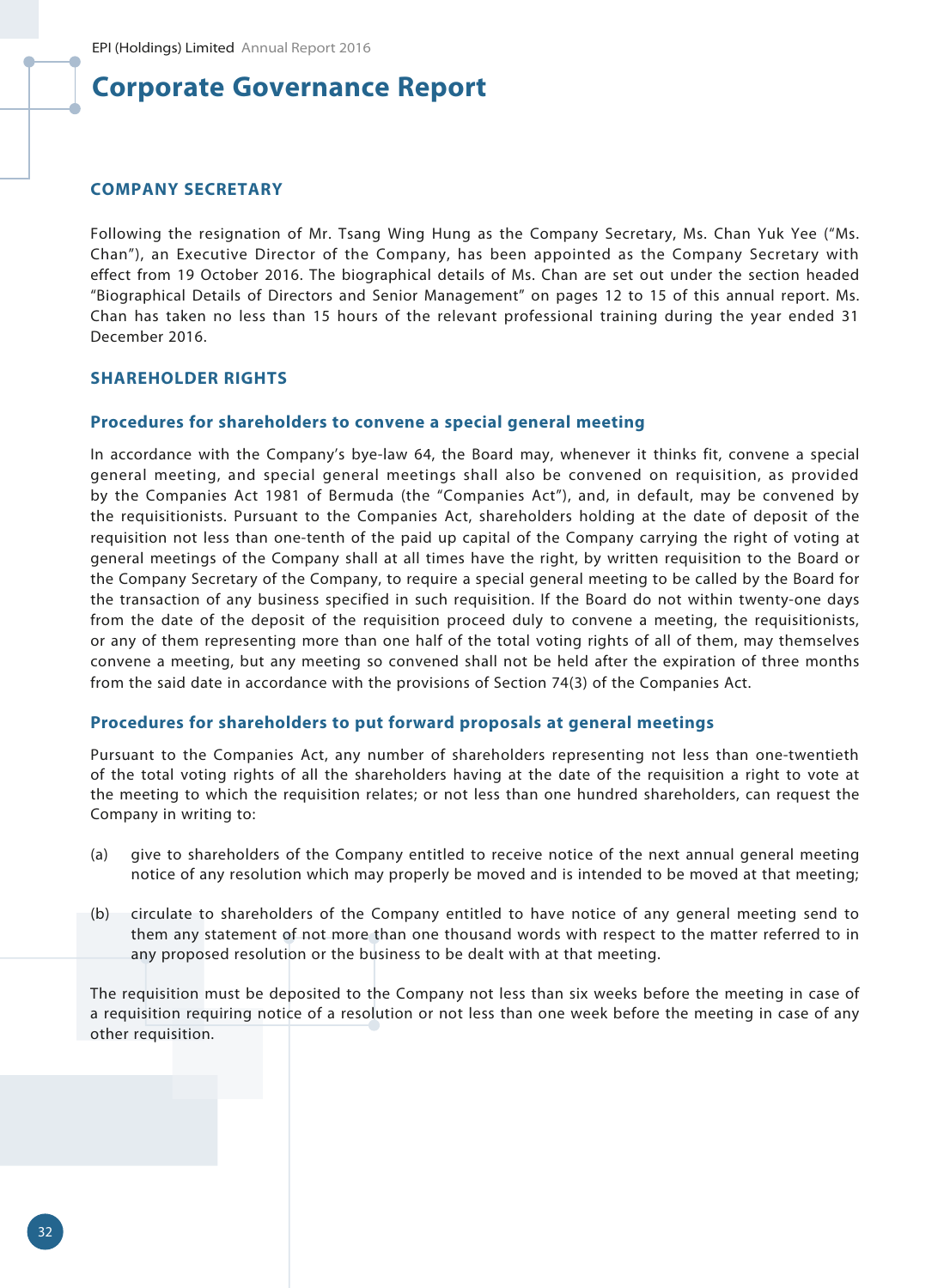#### **COMPANY SECRETARY**

Following the resignation of Mr. Tsang Wing Hung as the Company Secretary, Ms. Chan Yuk Yee ("Ms. Chan"), an Executive Director of the Company, has been appointed as the Company Secretary with effect from 19 October 2016. The biographical details of Ms. Chan are set out under the section headed "Biographical Details of Directors and Senior Management" on pages 12 to 15 of this annual report. Ms. Chan has taken no less than 15 hours of the relevant professional training during the year ended 31 December 2016.

## **SHAREHOLDER RIGHTS**

#### **Procedures for shareholders to convene a special general meeting**

In accordance with the Company's bye-law 64, the Board may, whenever it thinks fit, convene a special general meeting, and special general meetings shall also be convened on requisition, as provided by the Companies Act 1981 of Bermuda (the "Companies Act"), and, in default, may be convened by the requisitionists. Pursuant to the Companies Act, shareholders holding at the date of deposit of the requisition not less than one-tenth of the paid up capital of the Company carrying the right of voting at general meetings of the Company shall at all times have the right, by written requisition to the Board or the Company Secretary of the Company, to require a special general meeting to be called by the Board for the transaction of any business specified in such requisition. If the Board do not within twenty-one days from the date of the deposit of the requisition proceed duly to convene a meeting, the requisitionists, or any of them representing more than one half of the total voting rights of all of them, may themselves convene a meeting, but any meeting so convened shall not be held after the expiration of three months from the said date in accordance with the provisions of Section 74(3) of the Companies Act.

### **Procedures for shareholders to put forward proposals at general meetings**

Pursuant to the Companies Act, any number of shareholders representing not less than one-twentieth of the total voting rights of all the shareholders having at the date of the requisition a right to vote at the meeting to which the requisition relates; or not less than one hundred shareholders, can request the Company in writing to:

- (a) give to shareholders of the Company entitled to receive notice of the next annual general meeting notice of any resolution which may properly be moved and is intended to be moved at that meeting;
- (b) circulate to shareholders of the Company entitled to have notice of any general meeting send to them any statement of not more than one thousand words with respect to the matter referred to in any proposed resolution or the business to be dealt with at that meeting.

The requisition must be deposited to the Company not less than six weeks before the meeting in case of a requisition requiring notice of a resolution or not less than one week before the meeting in case of any other requisition.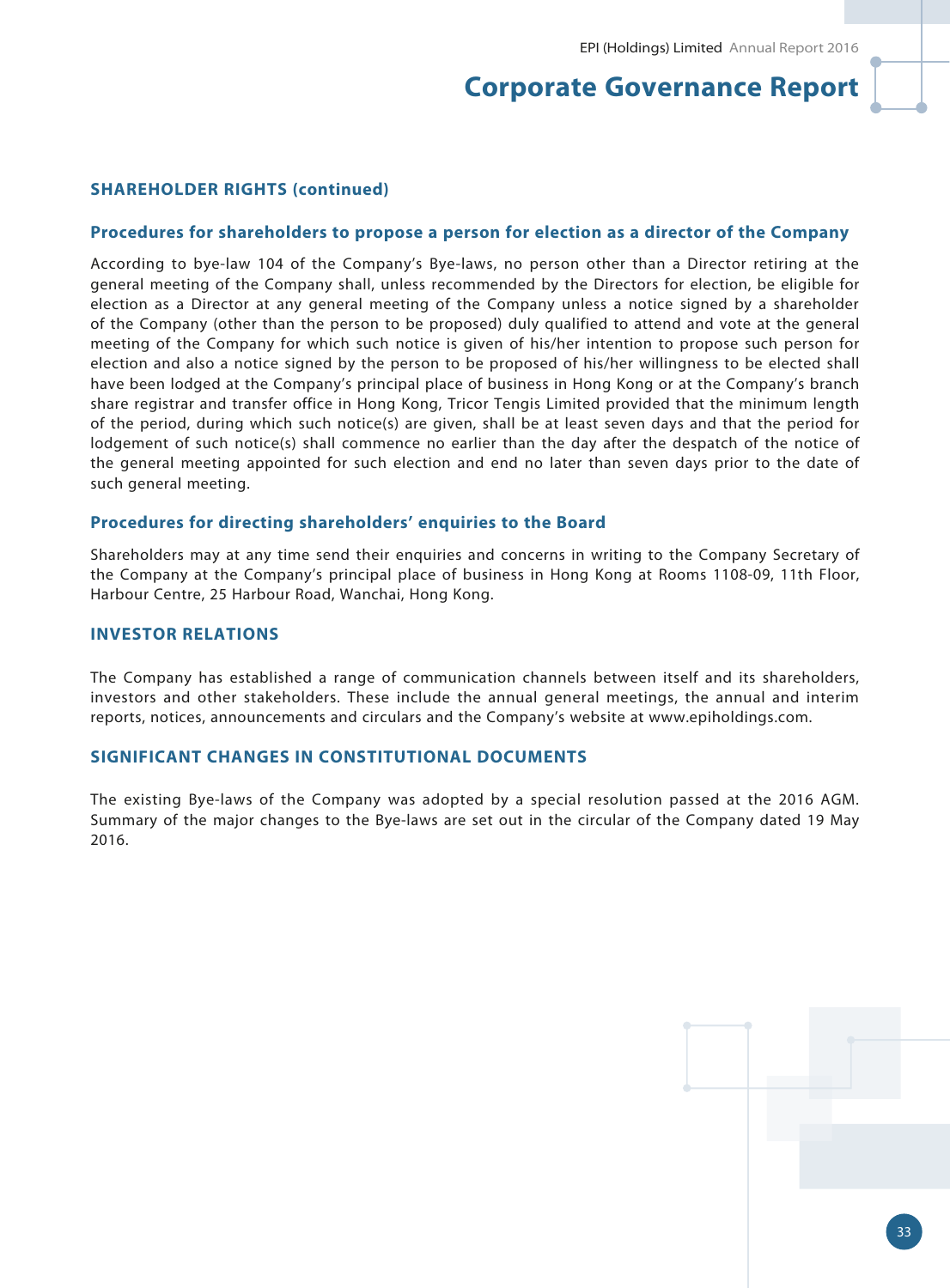#### **SHAREHOLDER RIGHTS (continued)**

#### **Procedures for shareholders to propose a person for election as a director of the Company**

According to bye-law 104 of the Company's Bye-laws, no person other than a Director retiring at the general meeting of the Company shall, unless recommended by the Directors for election, be eligible for election as a Director at any general meeting of the Company unless a notice signed by a shareholder of the Company (other than the person to be proposed) duly qualified to attend and vote at the general meeting of the Company for which such notice is given of his/her intention to propose such person for election and also a notice signed by the person to be proposed of his/her willingness to be elected shall have been lodged at the Company's principal place of business in Hong Kong or at the Company's branch share registrar and transfer office in Hong Kong, Tricor Tengis Limited provided that the minimum length of the period, during which such notice(s) are given, shall be at least seven days and that the period for lodgement of such notice(s) shall commence no earlier than the day after the despatch of the notice of the general meeting appointed for such election and end no later than seven days prior to the date of such general meeting.

#### **Procedures for directing shareholders' enquiries to the Board**

Shareholders may at any time send their enquiries and concerns in writing to the Company Secretary of the Company at the Company's principal place of business in Hong Kong at Rooms 1108-09, 11th Floor, Harbour Centre, 25 Harbour Road, Wanchai, Hong Kong.

## **INVESTOR RELATIONS**

The Company has established a range of communication channels between itself and its shareholders, investors and other stakeholders. These include the annual general meetings, the annual and interim reports, notices, announcements and circulars and the Company's website at www.epiholdings.com.

#### **SIGNIFICANT CHANGES IN CONSTITUTIONAL DOCUMENTS**

The existing Bye-laws of the Company was adopted by a special resolution passed at the 2016 AGM. Summary of the major changes to the Bye-laws are set out in the circular of the Company dated 19 May 2016.

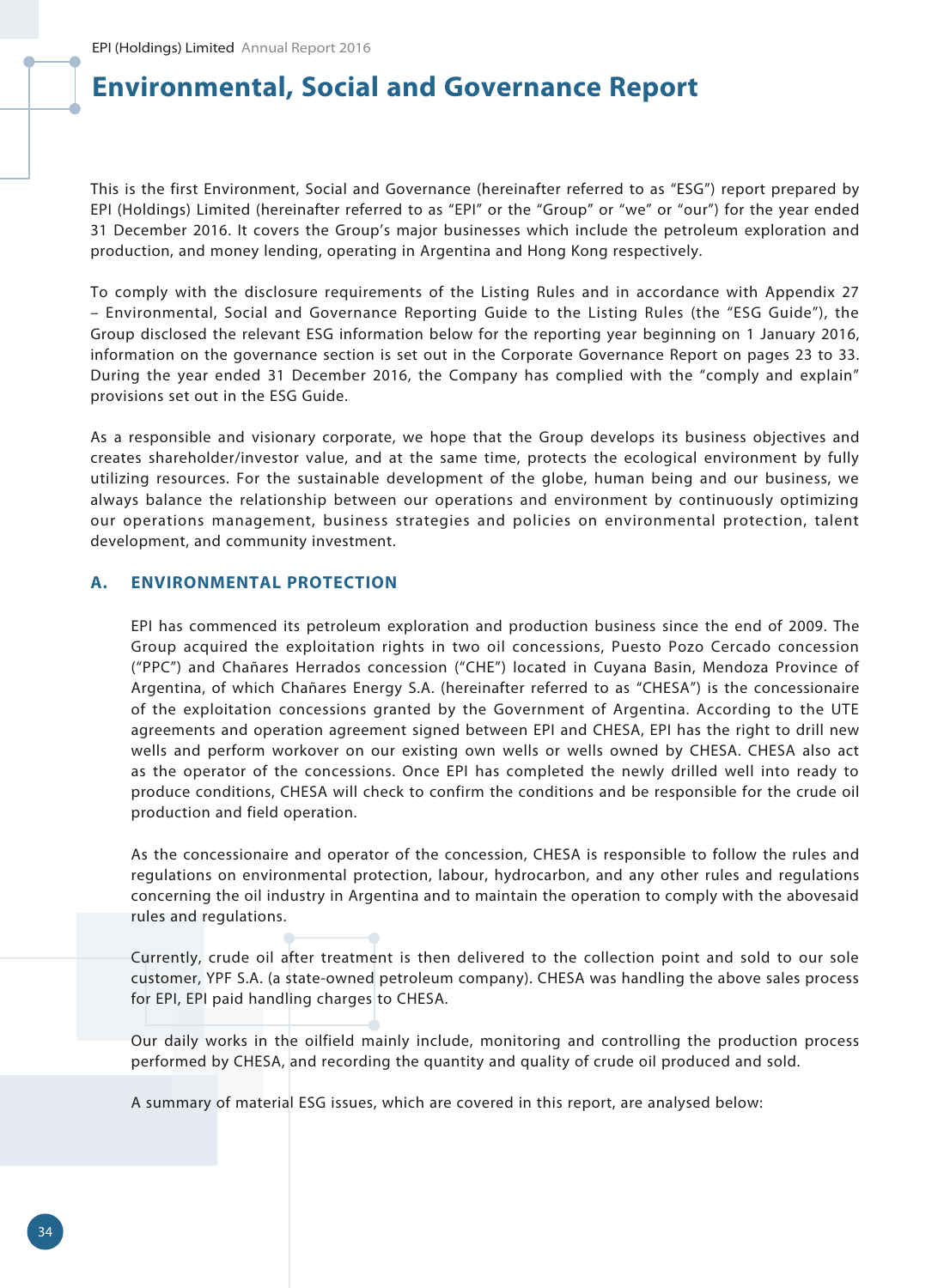## **Environmental, Social and Governance Report**

This is the first Environment, Social and Governance (hereinafter referred to as "ESG") report prepared by EPI (Holdings) Limited (hereinafter referred to as "EPI" or the "Group" or "we" or "our") for the year ended 31 December 2016. It covers the Group's major businesses which include the petroleum exploration and production, and money lending, operating in Argentina and Hong Kong respectively.

To comply with the disclosure requirements of the Listing Rules and in accordance with Appendix 27 – Environmental, Social and Governance Reporting Guide to the Listing Rules (the "ESG Guide"), the Group disclosed the relevant ESG information below for the reporting year beginning on 1 January 2016, information on the governance section is set out in the Corporate Governance Report on pages 23 to 33. During the year ended 31 December 2016, the Company has complied with the "comply and explain" provisions set out in the ESG Guide.

As a responsible and visionary corporate, we hope that the Group develops its business objectives and creates shareholder/investor value, and at the same time, protects the ecological environment by fully utilizing resources. For the sustainable development of the globe, human being and our business, we always balance the relationship between our operations and environment by continuously optimizing our operations management, business strategies and policies on environmental protection, talent development, and community investment.

## **A. ENVIRONMENTAL PROTECTION**

EPI has commenced its petroleum exploration and production business since the end of 2009. The Group acquired the exploitation rights in two oil concessions, Puesto Pozo Cercado concession ("PPC") and Chañares Herrados concession ("CHE") located in Cuyana Basin, Mendoza Province of Argentina, of which Chañares Energy S.A. (hereinafter referred to as "CHESA") is the concessionaire of the exploitation concessions granted by the Government of Argentina. According to the UTE agreements and operation agreement signed between EPI and CHESA, EPI has the right to drill new wells and perform workover on our existing own wells or wells owned by CHESA. CHESA also act as the operator of the concessions. Once EPI has completed the newly drilled well into ready to produce conditions, CHESA will check to confirm the conditions and be responsible for the crude oil production and field operation.

As the concessionaire and operator of the concession, CHESA is responsible to follow the rules and regulations on environmental protection, labour, hydrocarbon, and any other rules and regulations concerning the oil industry in Argentina and to maintain the operation to comply with the abovesaid rules and regulations.

Currently, crude oil after treatment is then delivered to the collection point and sold to our sole customer, YPF S.A. (a state-owned petroleum company). CHESA was handling the above sales process for EPI, EPI paid handling charges to CHESA.

Our daily works in the oilfield mainly include, monitoring and controlling the production process performed by CHESA, and recording the quantity and quality of crude oil produced and sold.

A summary of material ESG issues, which are covered in this report, are analysed below: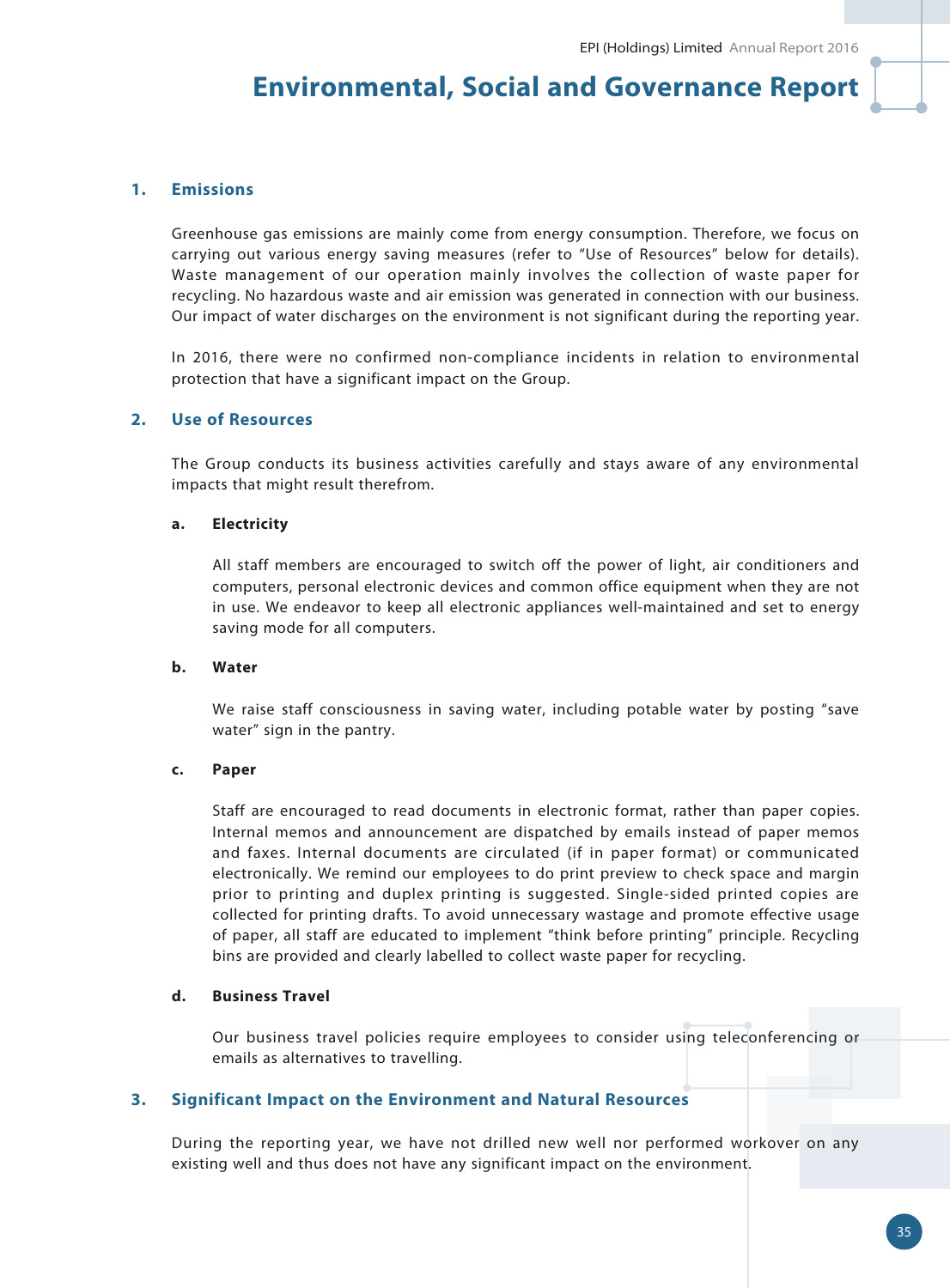## **Environmental, Social and Governance Report**

## **1. Emissions**

Greenhouse gas emissions are mainly come from energy consumption. Therefore, we focus on carrying out various energy saving measures (refer to "Use of Resources" below for details). Waste management of our operation mainly involves the collection of waste paper for recycling. No hazardous waste and air emission was generated in connection with our business. Our impact of water discharges on the environment is not significant during the reporting year.

In 2016, there were no confirmed non-compliance incidents in relation to environmental protection that have a significant impact on the Group.

## **2. Use of Resources**

The Group conducts its business activities carefully and stays aware of any environmental impacts that might result therefrom.

#### **a. Electricity**

All staff members are encouraged to switch off the power of light, air conditioners and computers, personal electronic devices and common office equipment when they are not in use. We endeavor to keep all electronic appliances well-maintained and set to energy saving mode for all computers.

#### **b. Water**

We raise staff consciousness in saving water, including potable water by posting "save water" sign in the pantry.

#### **c. Paper**

Staff are encouraged to read documents in electronic format, rather than paper copies. Internal memos and announcement are dispatched by emails instead of paper memos and faxes. Internal documents are circulated (if in paper format) or communicated electronically. We remind our employees to do print preview to check space and margin prior to printing and duplex printing is suggested. Single-sided printed copies are collected for printing drafts. To avoid unnecessary wastage and promote effective usage of paper, all staff are educated to implement "think before printing" principle. Recycling bins are provided and clearly labelled to collect waste paper for recycling.

#### **d. Business Travel**

Our business travel policies require employees to consider using teleconferencing or emails as alternatives to travelling.

#### **3. Significant Impact on the Environment and Natural Resources**

During the reporting year, we have not drilled new well nor performed workover on any existing well and thus does not have any significant impact on the environment.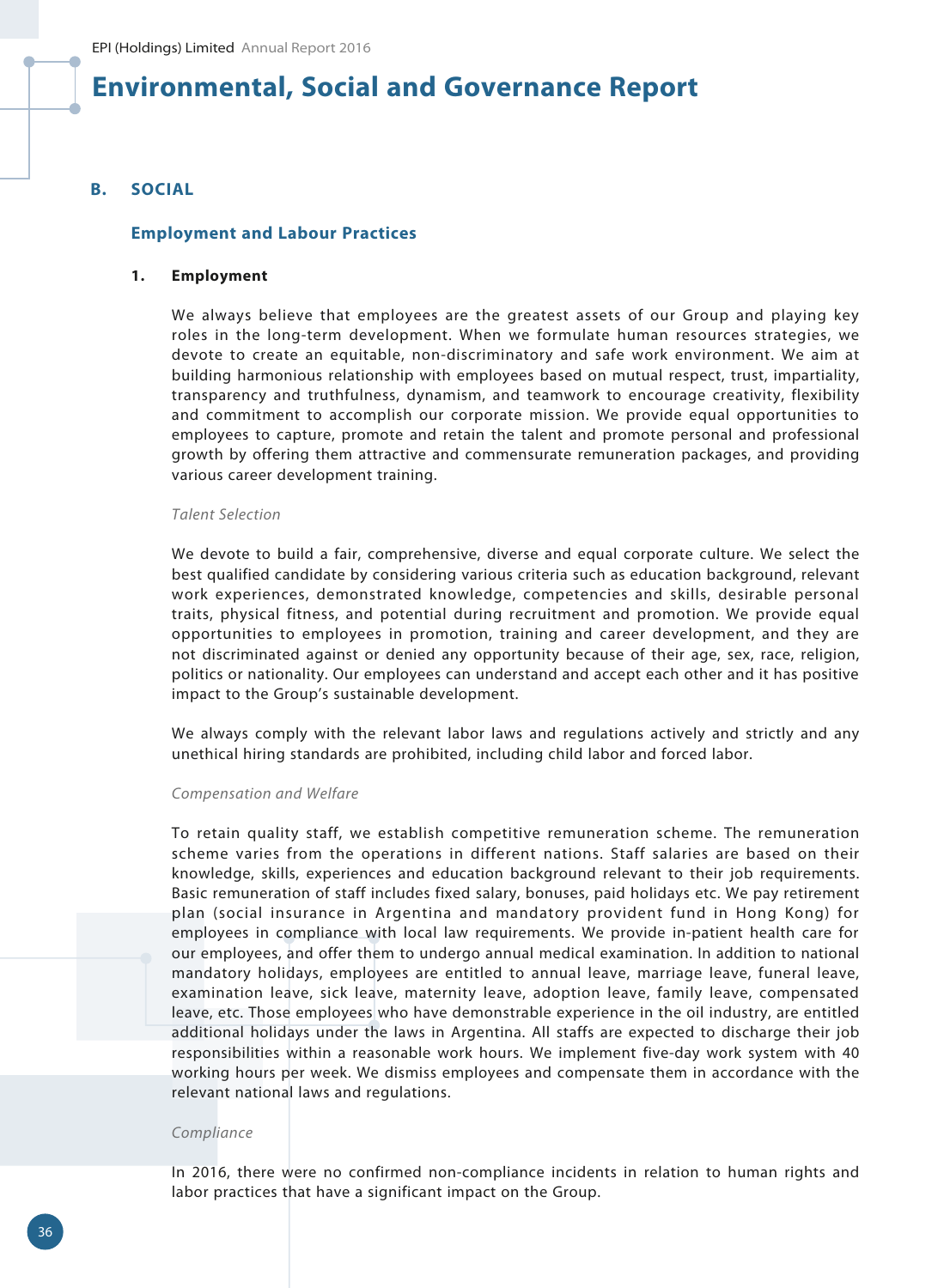### **B. SOCIAL**

#### **Employment and Labour Practices**

#### **1. Employment**

We always believe that employees are the greatest assets of our Group and playing key roles in the long-term development. When we formulate human resources strategies, we devote to create an equitable, non-discriminatory and safe work environment. We aim at building harmonious relationship with employees based on mutual respect, trust, impartiality, transparency and truthfulness, dynamism, and teamwork to encourage creativity, flexibility and commitment to accomplish our corporate mission. We provide equal opportunities to employees to capture, promote and retain the talent and promote personal and professional growth by offering them attractive and commensurate remuneration packages, and providing various career development training.

#### *Talent Selection*

We devote to build a fair, comprehensive, diverse and equal corporate culture. We select the best qualified candidate by considering various criteria such as education background, relevant work experiences, demonstrated knowledge, competencies and skills, desirable personal traits, physical fitness, and potential during recruitment and promotion. We provide equal opportunities to employees in promotion, training and career development, and they are not discriminated against or denied any opportunity because of their age, sex, race, religion, politics or nationality. Our employees can understand and accept each other and it has positive impact to the Group's sustainable development.

We always comply with the relevant labor laws and regulations actively and strictly and any unethical hiring standards are prohibited, including child labor and forced labor.

#### *Compensation and Welfare*

To retain quality staff, we establish competitive remuneration scheme. The remuneration scheme varies from the operations in different nations. Staff salaries are based on their knowledge, skills, experiences and education background relevant to their job requirements. Basic remuneration of staff includes fixed salary, bonuses, paid holidays etc. We pay retirement plan (social insurance in Argentina and mandatory provident fund in Hong Kong) for employees in compliance with local law requirements. We provide in-patient health care for our employees, and offer them to undergo annual medical examination. In addition to national mandatory holidays, employees are entitled to annual leave, marriage leave, funeral leave, examination leave, sick leave, maternity leave, adoption leave, family leave, compensated leave, etc. Those employees who have demonstrable experience in the oil industry, are entitled additional holidays under the laws in Argentina. All staffs are expected to discharge their job responsibilities within a reasonable work hours. We implement five-day work system with 40 working hours per week. We dismiss employees and compensate them in accordance with the relevant national laws and regulations.

#### *Compliance*

In 2016, there were no confirmed non-compliance incidents in relation to human rights and labor practices that have a significant impact on the Group.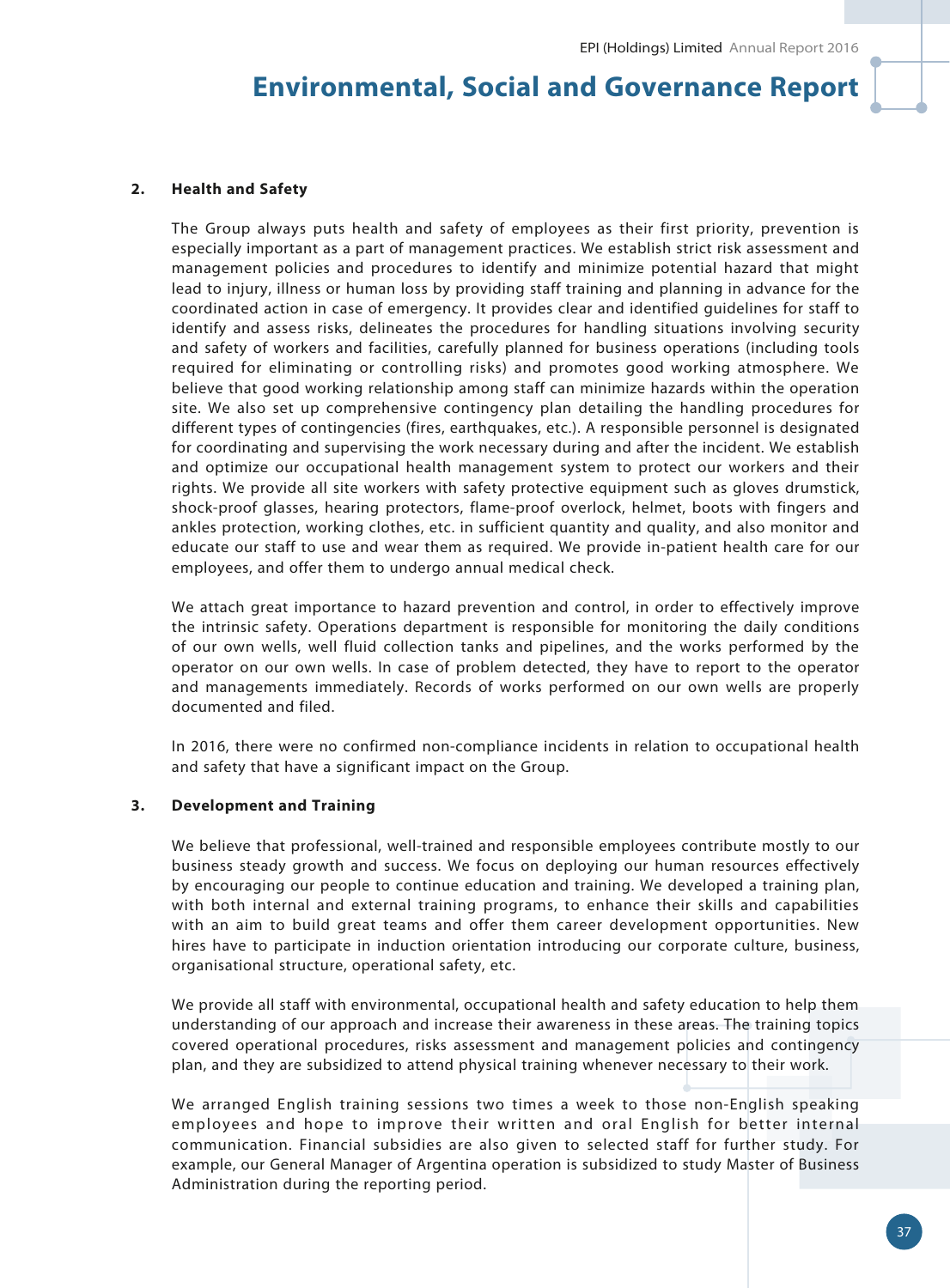### **2. Health and Safety**

The Group always puts health and safety of employees as their first priority, prevention is especially important as a part of management practices. We establish strict risk assessment and management policies and procedures to identify and minimize potential hazard that might lead to injury, illness or human loss by providing staff training and planning in advance for the coordinated action in case of emergency. It provides clear and identified guidelines for staff to identify and assess risks, delineates the procedures for handling situations involving security and safety of workers and facilities, carefully planned for business operations (including tools required for eliminating or controlling risks) and promotes good working atmosphere. We believe that good working relationship among staff can minimize hazards within the operation site. We also set up comprehensive contingency plan detailing the handling procedures for different types of contingencies (fires, earthquakes, etc.). A responsible personnel is designated for coordinating and supervising the work necessary during and after the incident. We establish and optimize our occupational health management system to protect our workers and their rights. We provide all site workers with safety protective equipment such as gloves drumstick, shock-proof glasses, hearing protectors, flame-proof overlock, helmet, boots with fingers and ankles protection, working clothes, etc. in sufficient quantity and quality, and also monitor and educate our staff to use and wear them as required. We provide in-patient health care for our employees, and offer them to undergo annual medical check.

We attach great importance to hazard prevention and control, in order to effectively improve the intrinsic safety. Operations department is responsible for monitoring the daily conditions of our own wells, well fluid collection tanks and pipelines, and the works performed by the operator on our own wells. In case of problem detected, they have to report to the operator and managements immediately. Records of works performed on our own wells are properly documented and filed.

In 2016, there were no confirmed non-compliance incidents in relation to occupational health and safety that have a significant impact on the Group.

#### **3. Development and Training**

We believe that professional, well-trained and responsible employees contribute mostly to our business steady growth and success. We focus on deploying our human resources effectively by encouraging our people to continue education and training. We developed a training plan, with both internal and external training programs, to enhance their skills and capabilities with an aim to build great teams and offer them career development opportunities. New hires have to participate in induction orientation introducing our corporate culture, business, organisational structure, operational safety, etc.

We provide all staff with environmental, occupational health and safety education to help them understanding of our approach and increase their awareness in these areas. The training topics covered operational procedures, risks assessment and management policies and contingency plan, and they are subsidized to attend physical training whenever necessary to their work.

We arranged English training sessions two times a week to those non-English speaking employees and hope to improve their written and oral English for better internal communication. Financial subsidies are also given to selected staff for further study. For example, our General Manager of Argentina operation is subsidized to study Master of Business Administration during the reporting period.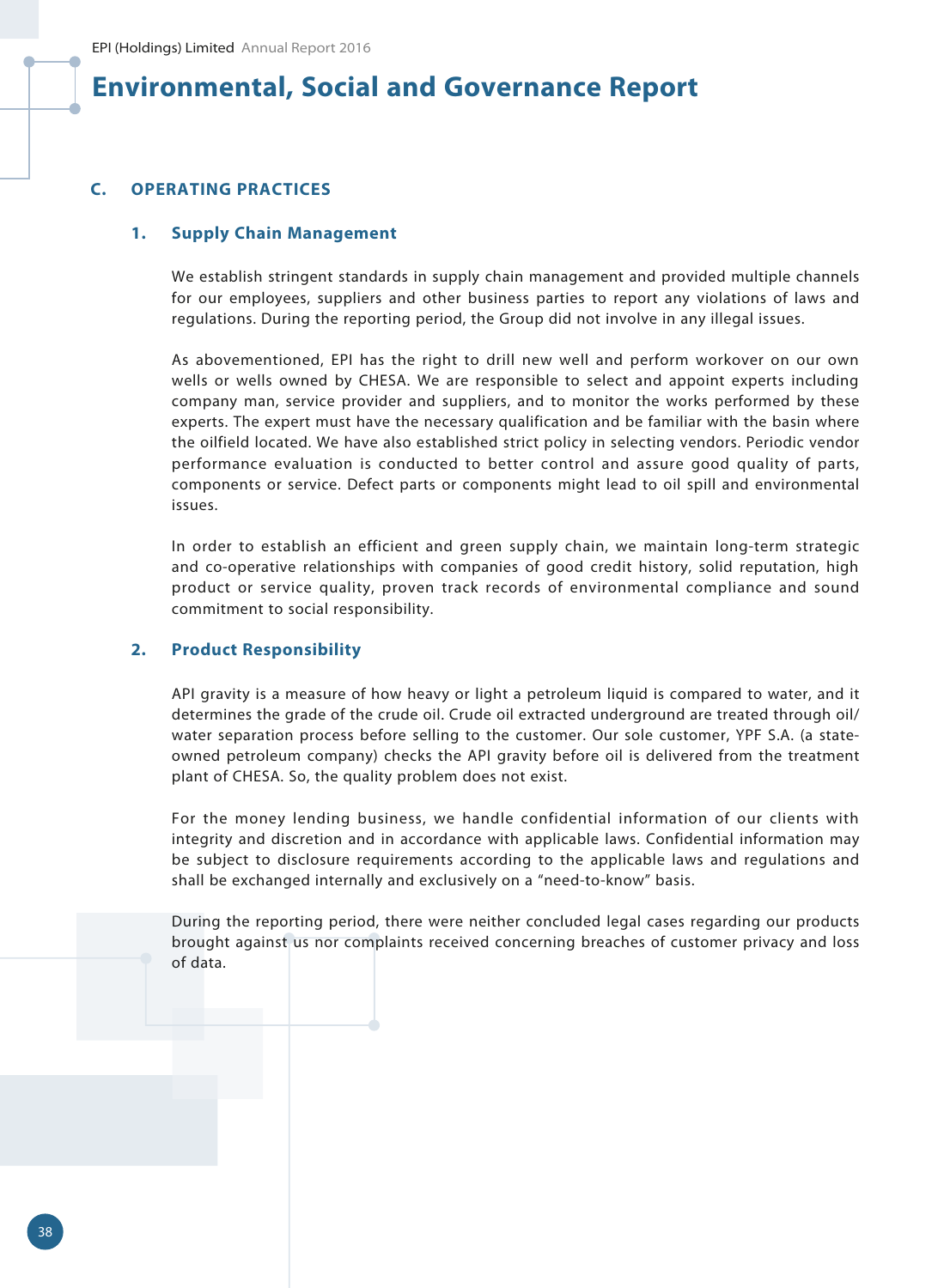### **C. OPERATING PRACTICES**

### **1. Supply Chain Management**

We establish stringent standards in supply chain management and provided multiple channels for our employees, suppliers and other business parties to report any violations of laws and regulations. During the reporting period, the Group did not involve in any illegal issues.

As abovementioned, EPI has the right to drill new well and perform workover on our own wells or wells owned by CHESA. We are responsible to select and appoint experts including company man, service provider and suppliers, and to monitor the works performed by these experts. The expert must have the necessary qualification and be familiar with the basin where the oilfield located. We have also established strict policy in selecting vendors. Periodic vendor performance evaluation is conducted to better control and assure good quality of parts, components or service. Defect parts or components might lead to oil spill and environmental issues.

In order to establish an efficient and green supply chain, we maintain long-term strategic and co-operative relationships with companies of good credit history, solid reputation, high product or service quality, proven track records of environmental compliance and sound commitment to social responsibility.

### **2. Product Responsibility**

API gravity is a measure of how heavy or light a petroleum liquid is compared to water, and it determines the grade of the crude oil. Crude oil extracted underground are treated through oil/ water separation process before selling to the customer. Our sole customer, YPF S.A. (a stateowned petroleum company) checks the API gravity before oil is delivered from the treatment plant of CHESA. So, the quality problem does not exist.

For the money lending business, we handle confidential information of our clients with integrity and discretion and in accordance with applicable laws. Confidential information may be subject to disclosure requirements according to the applicable laws and regulations and shall be exchanged internally and exclusively on a "need-to-know" basis.

During the reporting period, there were neither concluded legal cases regarding our products brought against us nor complaints received concerning breaches of customer privacy and loss of data.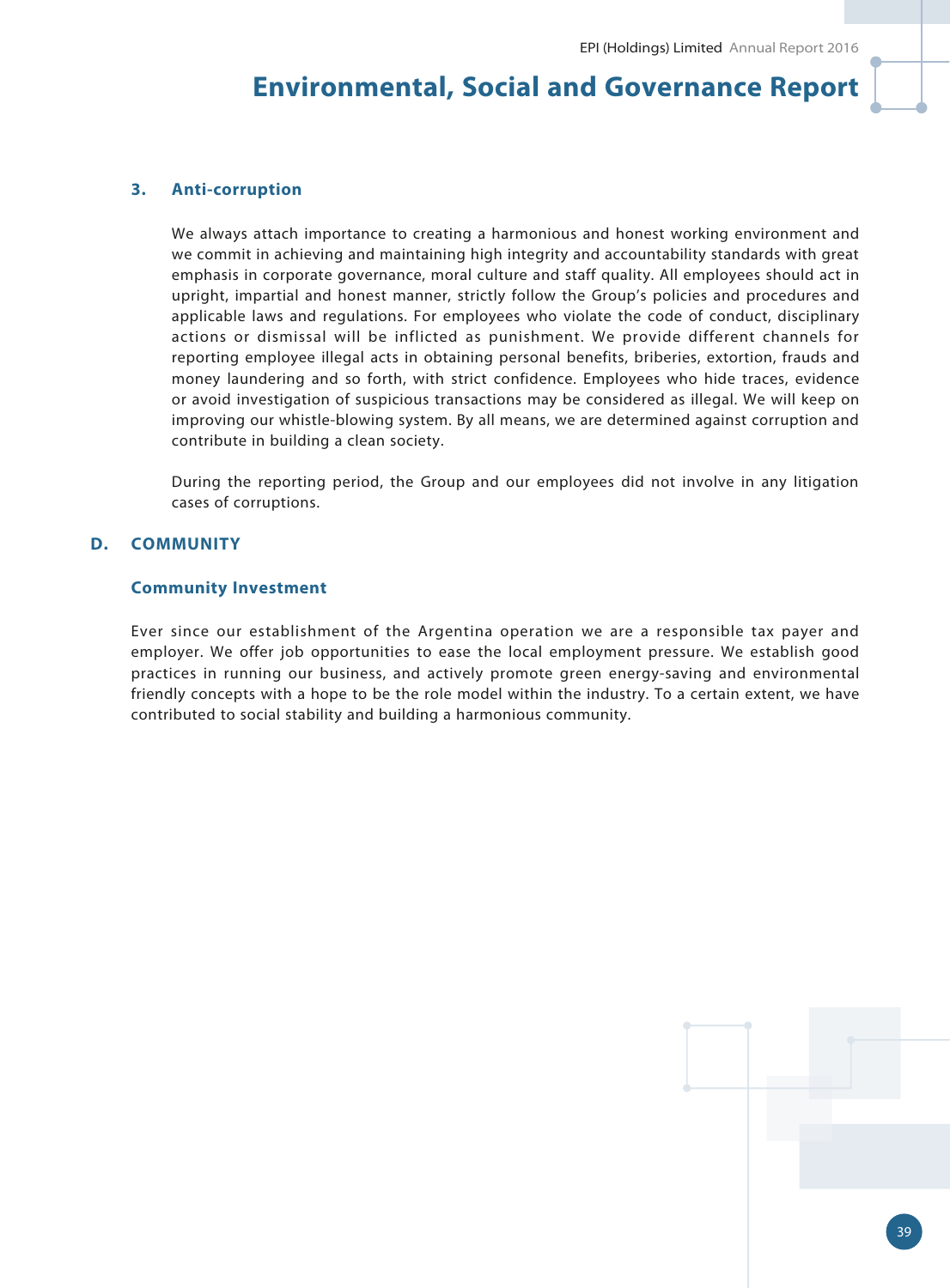#### **3. Anti-corruption**

We always attach importance to creating a harmonious and honest working environment and we commit in achieving and maintaining high integrity and accountability standards with great emphasis in corporate governance, moral culture and staff quality. All employees should act in upright, impartial and honest manner, strictly follow the Group's policies and procedures and applicable laws and regulations. For employees who violate the code of conduct, disciplinary actions or dismissal will be inflicted as punishment. We provide different channels for reporting employee illegal acts in obtaining personal benefits, briberies, extortion, frauds and money laundering and so forth, with strict confidence. Employees who hide traces, evidence or avoid investigation of suspicious transactions may be considered as illegal. We will keep on improving our whistle-blowing system. By all means, we are determined against corruption and contribute in building a clean society.

During the reporting period, the Group and our employees did not involve in any litigation cases of corruptions.

### **D. COMMUNITY**

#### **Community Investment**

Ever since our establishment of the Argentina operation we are a responsible tax payer and employer. We offer job opportunities to ease the local employment pressure. We establish good practices in running our business, and actively promote green energy-saving and environmental friendly concepts with a hope to be the role model within the industry. To a certain extent, we have contributed to social stability and building a harmonious community.



39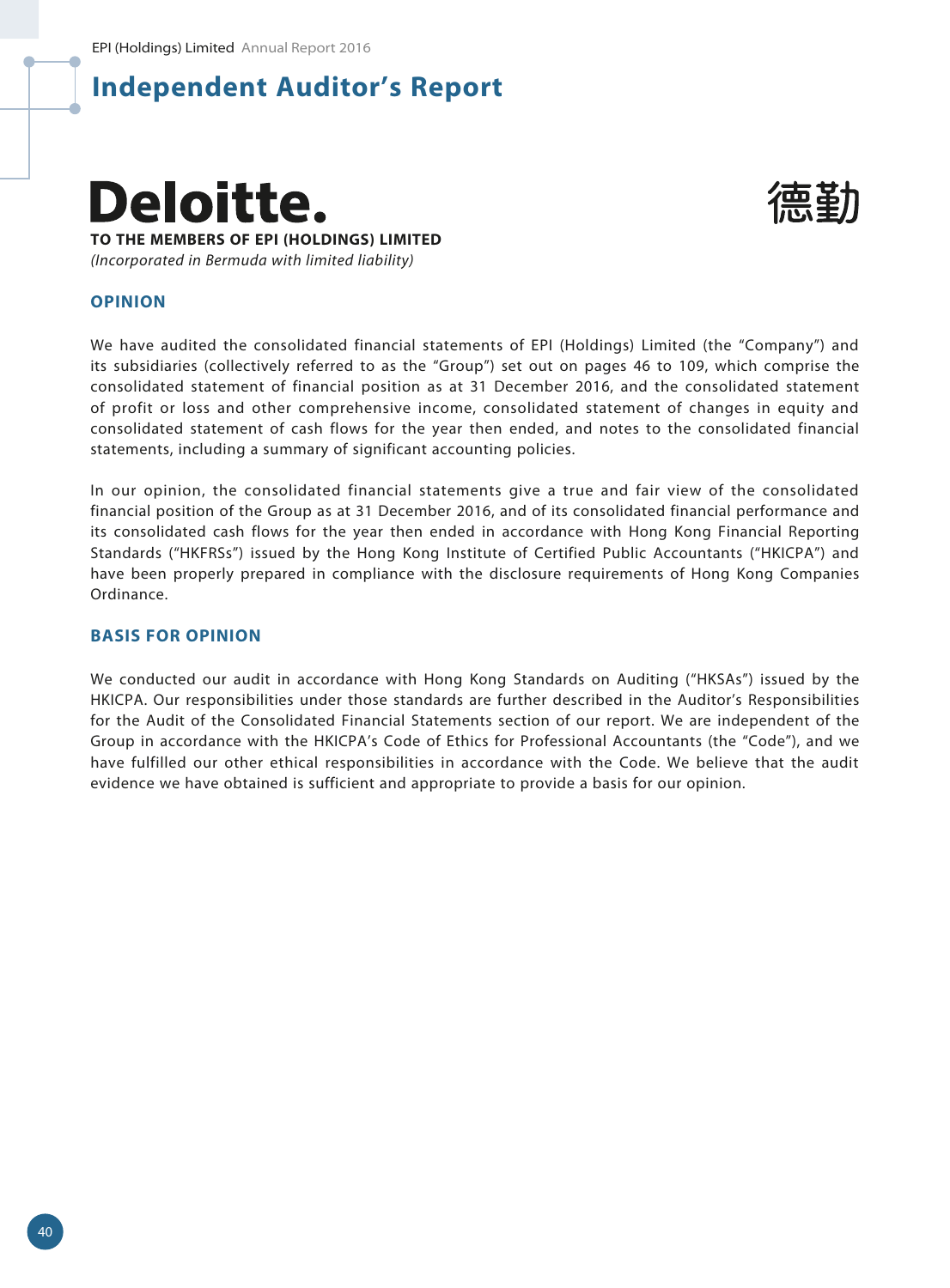



#### **OPINION**

We have audited the consolidated financial statements of EPI (Holdings) Limited (the "Company") and its subsidiaries (collectively referred to as the "Group") set out on pages 46 to 109, which comprise the consolidated statement of financial position as at 31 December 2016, and the consolidated statement of profit or loss and other comprehensive income, consolidated statement of changes in equity and consolidated statement of cash flows for the year then ended, and notes to the consolidated financial statements, including a summary of significant accounting policies.

In our opinion, the consolidated financial statements give a true and fair view of the consolidated financial position of the Group as at 31 December 2016, and of its consolidated financial performance and its consolidated cash flows for the year then ended in accordance with Hong Kong Financial Reporting Standards ("HKFRSs") issued by the Hong Kong Institute of Certified Public Accountants ("HKICPA") and have been properly prepared in compliance with the disclosure requirements of Hong Kong Companies Ordinance.

#### **BASIS FOR OPINION**

We conducted our audit in accordance with Hong Kong Standards on Auditing ("HKSAs") issued by the HKICPA. Our responsibilities under those standards are further described in the Auditor's Responsibilities for the Audit of the Consolidated Financial Statements section of our report. We are independent of the Group in accordance with the HKICPA's Code of Ethics for Professional Accountants (the "Code"), and we have fulfilled our other ethical responsibilities in accordance with the Code. We believe that the audit evidence we have obtained is sufficient and appropriate to provide a basis for our opinion.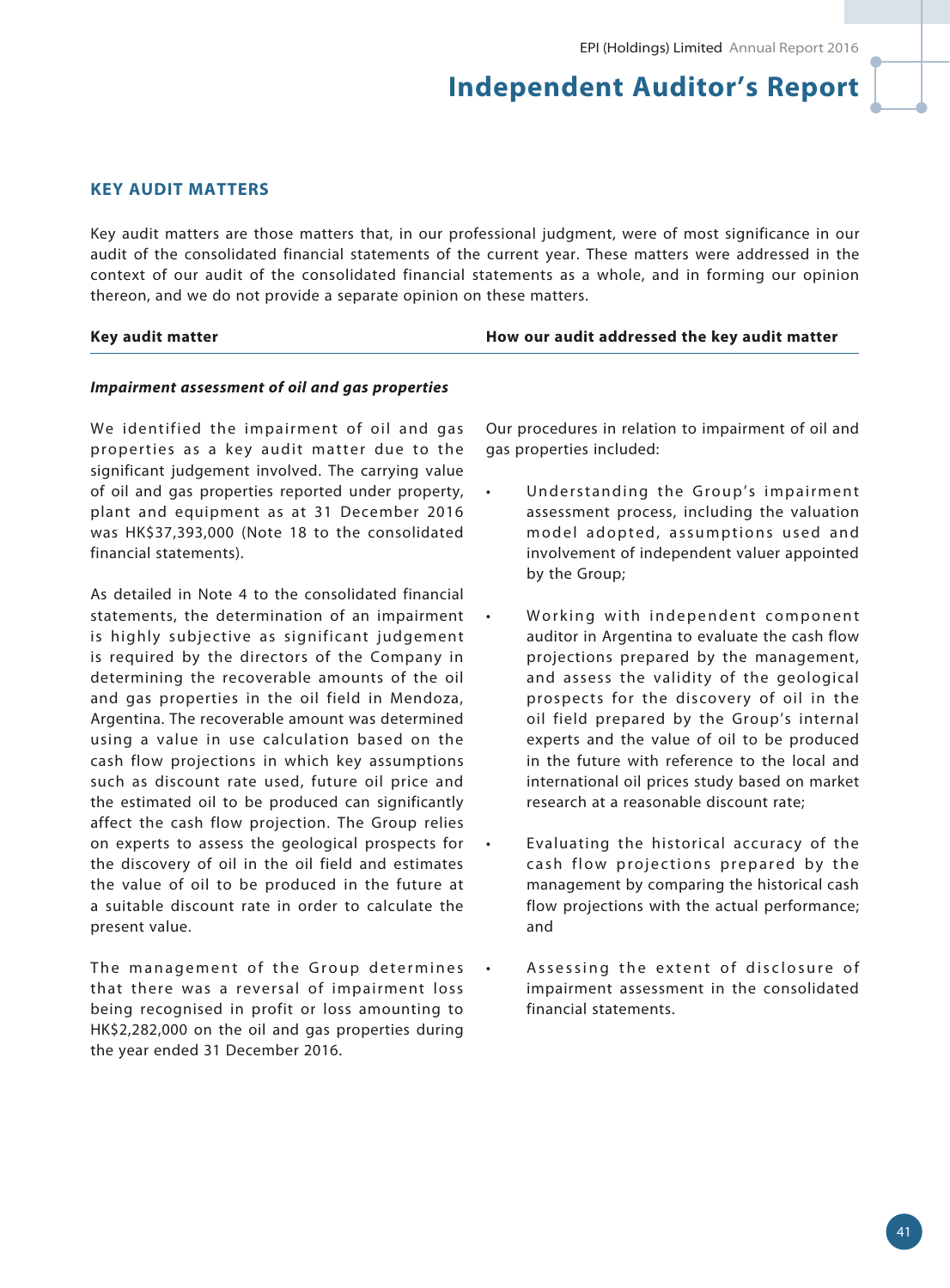### **KEY AUDIT MATTERS**

Key audit matters are those matters that, in our professional judgment, were of most significance in our audit of the consolidated financial statements of the current year. These matters were addressed in the context of our audit of the consolidated financial statements as a whole, and in forming our opinion thereon, and we do not provide a separate opinion on these matters.

#### **Key audit matter How our audit addressed the key audit matter**

#### *Impairment assessment of oil and gas properties*

We identified the impairment of oil and gas properties as a key audit matter due to the significant judgement involved. The carrying value of oil and gas properties reported under property, plant and equipment as at 31 December 2016 was HK\$37,393,000 (Note 18 to the consolidated financial statements).

As detailed in Note 4 to the consolidated financial statements, the determination of an impairment is highly subjective as significant judgement is required by the directors of the Company in determining the recoverable amounts of the oil and gas properties in the oil field in Mendoza, Argentina. The recoverable amount was determined using a value in use calculation based on the cash flow projections in which key assumptions such as discount rate used, future oil price and the estimated oil to be produced can significantly affect the cash flow projection. The Group relies on experts to assess the geological prospects for the discovery of oil in the oil field and estimates the value of oil to be produced in the future at a suitable discount rate in order to calculate the present value.

The management of the Group determines that there was a reversal of impairment loss being recognised in profit or loss amounting to HK\$2,282,000 on the oil and gas properties during the year ended 31 December 2016.

Our procedures in relation to impairment of oil and gas properties included:

- Understanding the Group's impairment assessment process, including the valuation model adopted, assumptions used and involvement of independent valuer appointed by the Group;
- Working with independent component auditor in Argentina to evaluate the cash flow projections prepared by the management, and assess the validity of the geological prospects for the discovery of oil in the oil field prepared by the Group's internal experts and the value of oil to be produced in the future with reference to the local and international oil prices study based on market research at a reasonable discount rate;
- Evaluating the historical accuracy of the cash flow projections prepared by the management by comparing the historical cash flow projections with the actual performance; and
- Assessing the extent of disclosure of impairment assessment in the consolidated financial statements.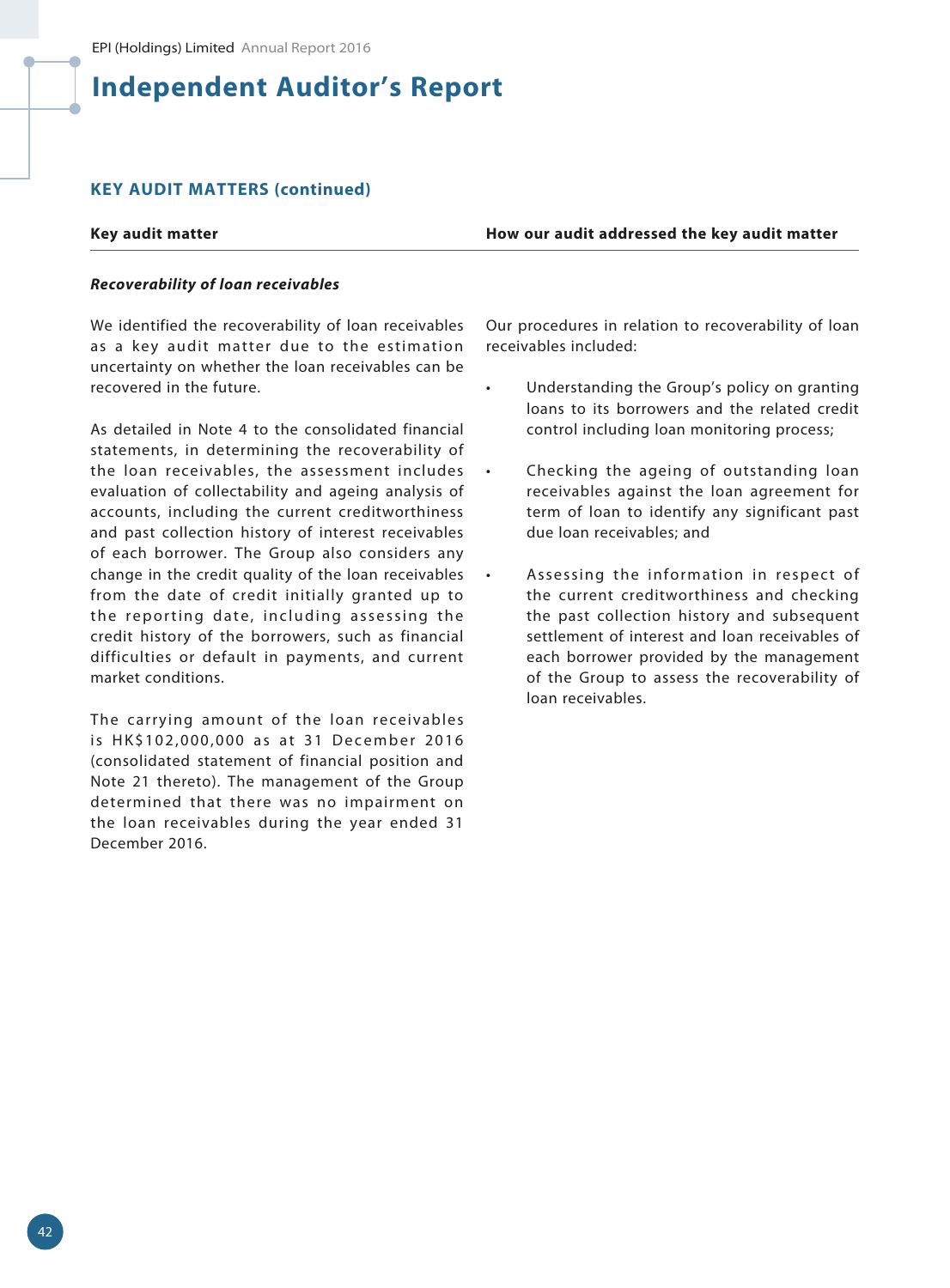### **KEY AUDIT MATTERS (continued)**

**Key audit matter How our audit addressed the key audit matter**

#### *Recoverability of loan receivables*

We identified the recoverability of loan receivables as a key audit matter due to the estimation uncertainty on whether the loan receivables can be recovered in the future.

As detailed in Note 4 to the consolidated financial statements, in determining the recoverability of the loan receivables, the assessment includes evaluation of collectability and ageing analysis of accounts, including the current creditworthiness and past collection history of interest receivables of each borrower. The Group also considers any change in the credit quality of the loan receivables from the date of credit initially granted up to the reporting date, including assessing the credit history of the borrowers, such as financial difficulties or default in payments, and current market conditions.

The carrying amount of the loan receivables is HK\$102,000,000 as at 31 December 2016 (consolidated statement of financial position and Note 21 thereto). The management of the Group determined that there was no impairment on the loan receivables during the year ended 31 December 2016.

Our procedures in relation to recoverability of loan receivables included:

- Understanding the Group's policy on granting loans to its borrowers and the related credit control including loan monitoring process;
- Checking the ageing of outstanding loan receivables against the loan agreement for term of loan to identify any significant past due loan receivables; and
- Assessing the information in respect of the current creditworthiness and checking the past collection history and subsequent settlement of interest and loan receivables of each borrower provided by the management of the Group to assess the recoverability of loan receivables.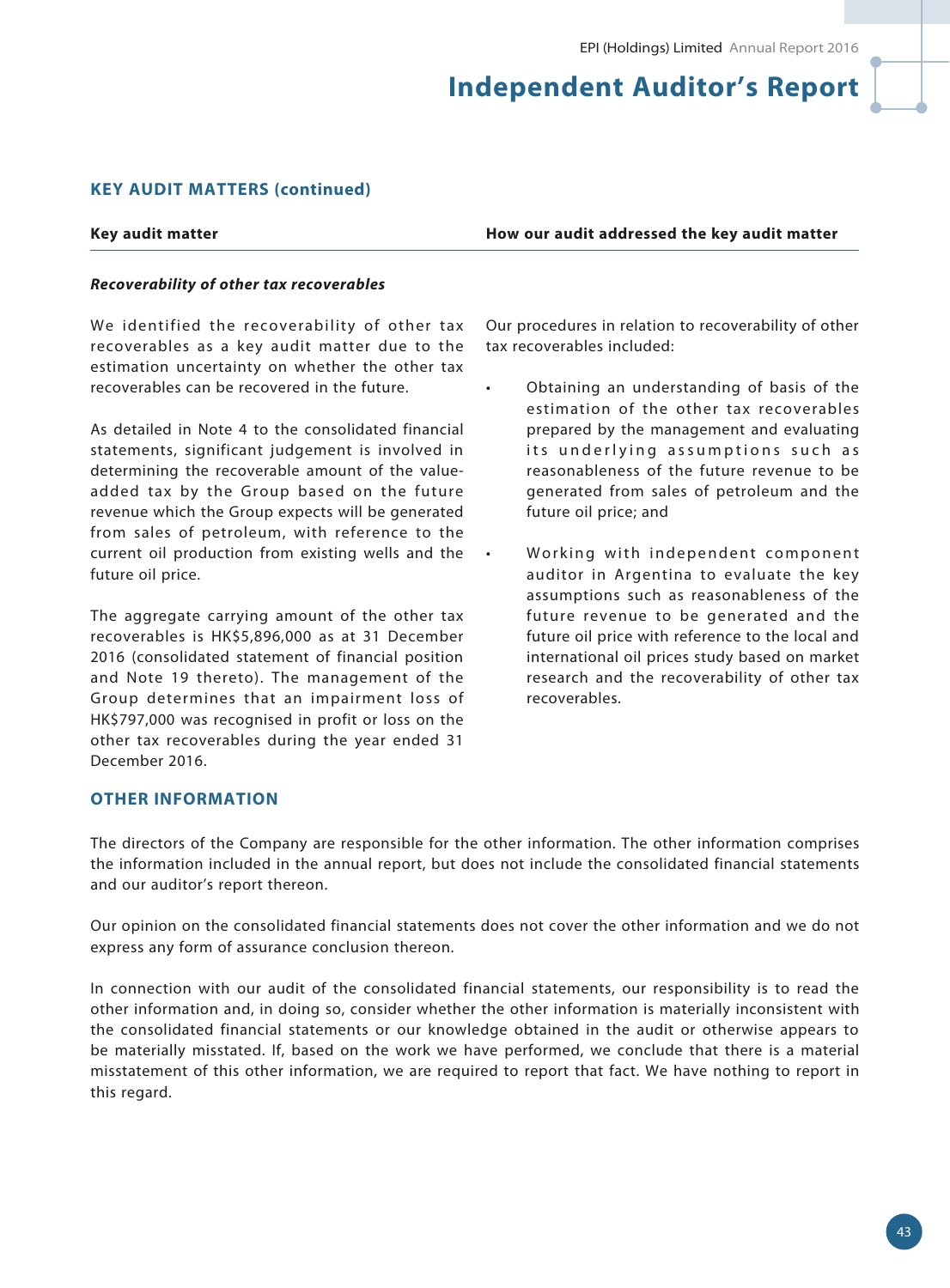### **KEY AUDIT MATTERS (continued)**

**Key audit matter How our audit addressed the key audit matter**

#### *Recoverability of other tax recoverables*

We identified the recoverability of other tax recoverables as a key audit matter due to the estimation uncertainty on whether the other tax recoverables can be recovered in the future.

As detailed in Note 4 to the consolidated financial statements, significant judgement is involved in determining the recoverable amount of the valueadded tax by the Group based on the future revenue which the Group expects will be generated from sales of petroleum, with reference to the current oil production from existing wells and the future oil price.

The aggregate carrying amount of the other tax recoverables is HK\$5,896,000 as at 31 December 2016 (consolidated statement of financial position and Note 19 thereto). The management of the Group determines that an impairment loss of HK\$797,000 was recognised in profit or loss on the other tax recoverables during the year ended 31 December 2016.

Our procedures in relation to recoverability of other tax recoverables included:

- Obtaining an understanding of basis of the estimation of the other tax recoverables prepared by the management and evaluating its underlying assumptions such as reasonableness of the future revenue to be generated from sales of petroleum and the future oil price; and
- Working with independent component auditor in Argentina to evaluate the key assumptions such as reasonableness of the future revenue to be generated and the future oil price with reference to the local and international oil prices study based on market research and the recoverability of other tax recoverables.

#### **OTHER INFORMATION**

The directors of the Company are responsible for the other information. The other information comprises the information included in the annual report, but does not include the consolidated financial statements and our auditor's report thereon.

Our opinion on the consolidated financial statements does not cover the other information and we do not express any form of assurance conclusion thereon.

In connection with our audit of the consolidated financial statements, our responsibility is to read the other information and, in doing so, consider whether the other information is materially inconsistent with the consolidated financial statements or our knowledge obtained in the audit or otherwise appears to be materially misstated. If, based on the work we have performed, we conclude that there is a material misstatement of this other information, we are required to report that fact. We have nothing to report in this regard.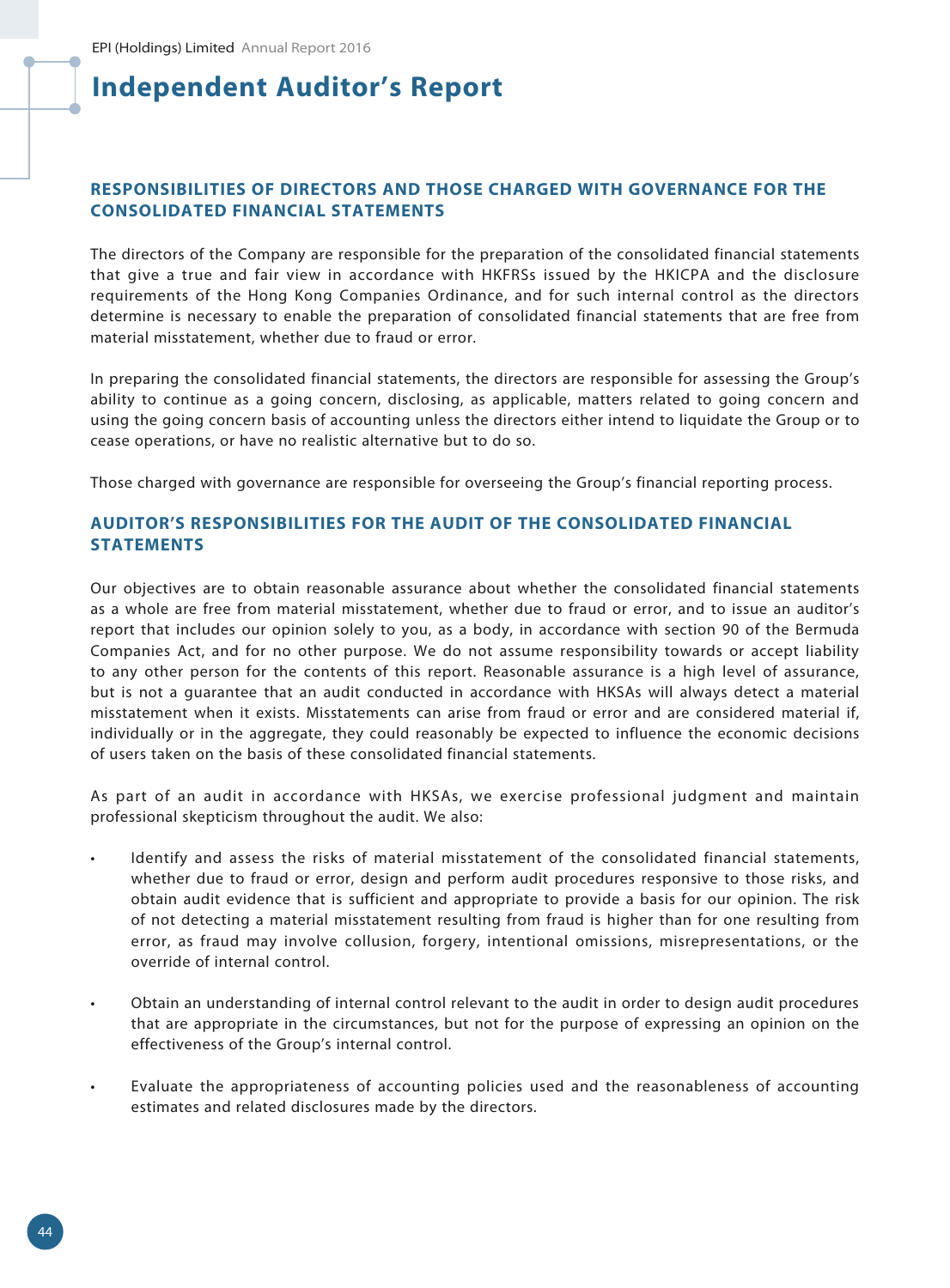# **RESPONSIBILITIES OF DIRECTORS AND THOSE CHARGED WITH GOVERNANCE FOR THE CONSOLIDATED FINANCIAL STATEMENTS**

The directors of the Company are responsible for the preparation of the consolidated financial statements that give a true and fair view in accordance with HKFRSs issued by the HKICPA and the disclosure requirements of the Hong Kong Companies Ordinance, and for such internal control as the directors determine is necessary to enable the preparation of consolidated financial statements that are free from material misstatement, whether due to fraud or error.

In preparing the consolidated financial statements, the directors are responsible for assessing the Group's ability to continue as a going concern, disclosing, as applicable, matters related to going concern and using the going concern basis of accounting unless the directors either intend to liquidate the Group or to cease operations, or have no realistic alternative but to do so.

Those charged with governance are responsible for overseeing the Group's financial reporting process.

# **AUDITOR'S RESPONSIBILITIES FOR THE AUDIT OF THE CONSOLIDATED FINANCIAL STATEMENTS**

Our objectives are to obtain reasonable assurance about whether the consolidated financial statements as a whole are free from material misstatement, whether due to fraud or error, and to issue an auditor's report that includes our opinion solely to you, as a body, in accordance with section 90 of the Bermuda Companies Act, and for no other purpose. We do not assume responsibility towards or accept liability to any other person for the contents of this report. Reasonable assurance is a high level of assurance, but is not a guarantee that an audit conducted in accordance with HKSAs will always detect a material misstatement when it exists. Misstatements can arise from fraud or error and are considered material if, individually or in the aggregate, they could reasonably be expected to influence the economic decisions of users taken on the basis of these consolidated financial statements.

As part of an audit in accordance with HKSAs, we exercise professional judgment and maintain professional skepticism throughout the audit. We also:

- Identify and assess the risks of material misstatement of the consolidated financial statements, whether due to fraud or error, design and perform audit procedures responsive to those risks, and obtain audit evidence that is sufficient and appropriate to provide a basis for our opinion. The risk of not detecting a material misstatement resulting from fraud is higher than for one resulting from error, as fraud may involve collusion, forgery, intentional omissions, misrepresentations, or the override of internal control.
- Obtain an understanding of internal control relevant to the audit in order to design audit procedures that are appropriate in the circumstances, but not for the purpose of expressing an opinion on the effectiveness of the Group's internal control.
- Evaluate the appropriateness of accounting policies used and the reasonableness of accounting estimates and related disclosures made by the directors.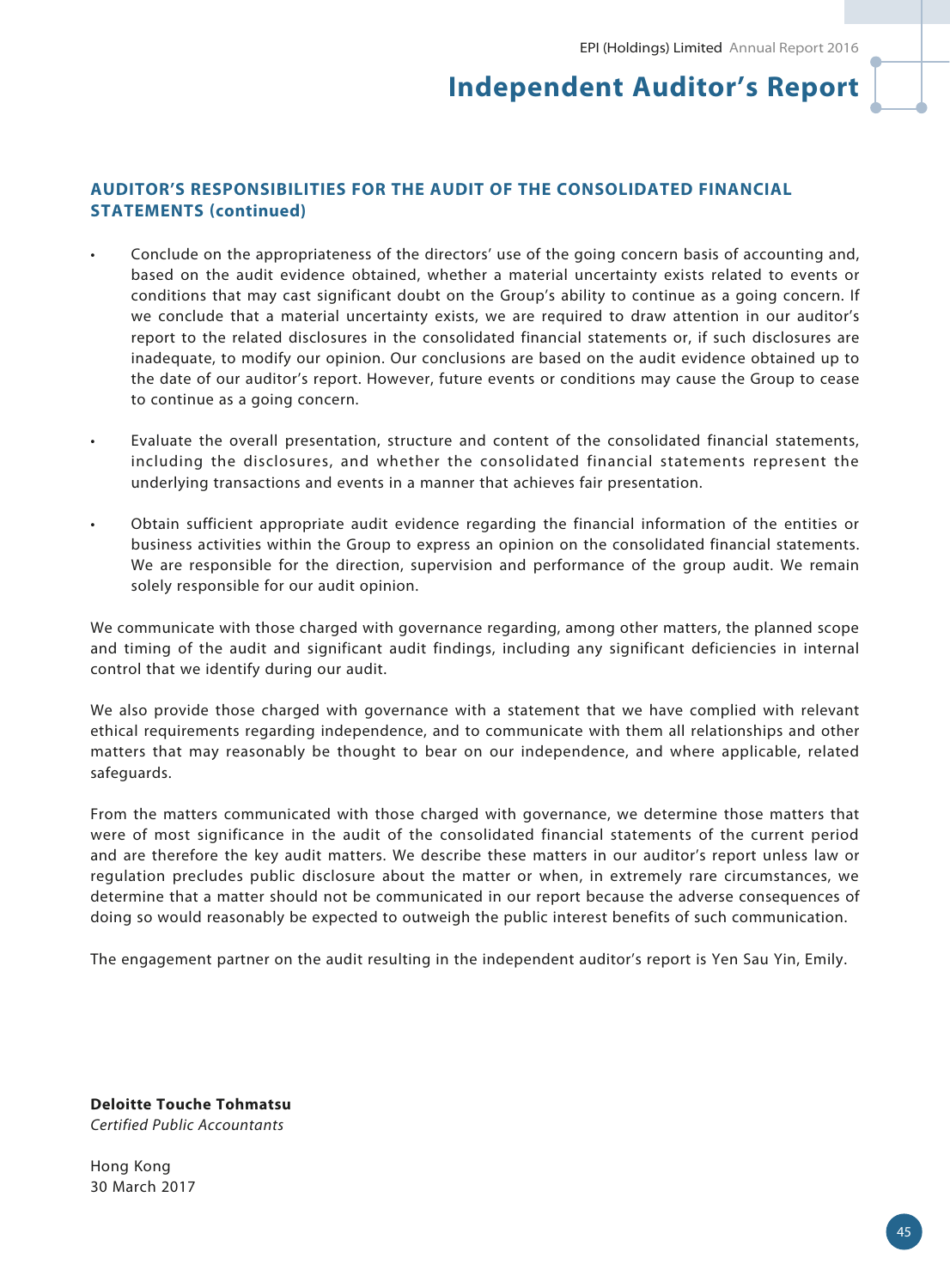# **AUDITOR'S RESPONSIBILITIES FOR THE AUDIT OF THE CONSOLIDATED FINANCIAL STATEMENTS (continued)**

- Conclude on the appropriateness of the directors' use of the going concern basis of accounting and, based on the audit evidence obtained, whether a material uncertainty exists related to events or conditions that may cast significant doubt on the Group's ability to continue as a going concern. If we conclude that a material uncertainty exists, we are required to draw attention in our auditor's report to the related disclosures in the consolidated financial statements or, if such disclosures are inadequate, to modify our opinion. Our conclusions are based on the audit evidence obtained up to the date of our auditor's report. However, future events or conditions may cause the Group to cease to continue as a going concern.
- Evaluate the overall presentation, structure and content of the consolidated financial statements, including the disclosures, and whether the consolidated financial statements represent the underlying transactions and events in a manner that achieves fair presentation.
- Obtain sufficient appropriate audit evidence regarding the financial information of the entities or business activities within the Group to express an opinion on the consolidated financial statements. We are responsible for the direction, supervision and performance of the group audit. We remain solely responsible for our audit opinion.

We communicate with those charged with governance regarding, among other matters, the planned scope and timing of the audit and significant audit findings, including any significant deficiencies in internal control that we identify during our audit.

We also provide those charged with governance with a statement that we have complied with relevant ethical requirements regarding independence, and to communicate with them all relationships and other matters that may reasonably be thought to bear on our independence, and where applicable, related safeguards.

From the matters communicated with those charged with governance, we determine those matters that were of most significance in the audit of the consolidated financial statements of the current period and are therefore the key audit matters. We describe these matters in our auditor's report unless law or regulation precludes public disclosure about the matter or when, in extremely rare circumstances, we determine that a matter should not be communicated in our report because the adverse consequences of doing so would reasonably be expected to outweigh the public interest benefits of such communication.

The engagement partner on the audit resulting in the independent auditor's report is Yen Sau Yin, Emily.

**Deloitte Touche Tohmatsu** *Certified Public Accountants*

Hong Kong 30 March 2017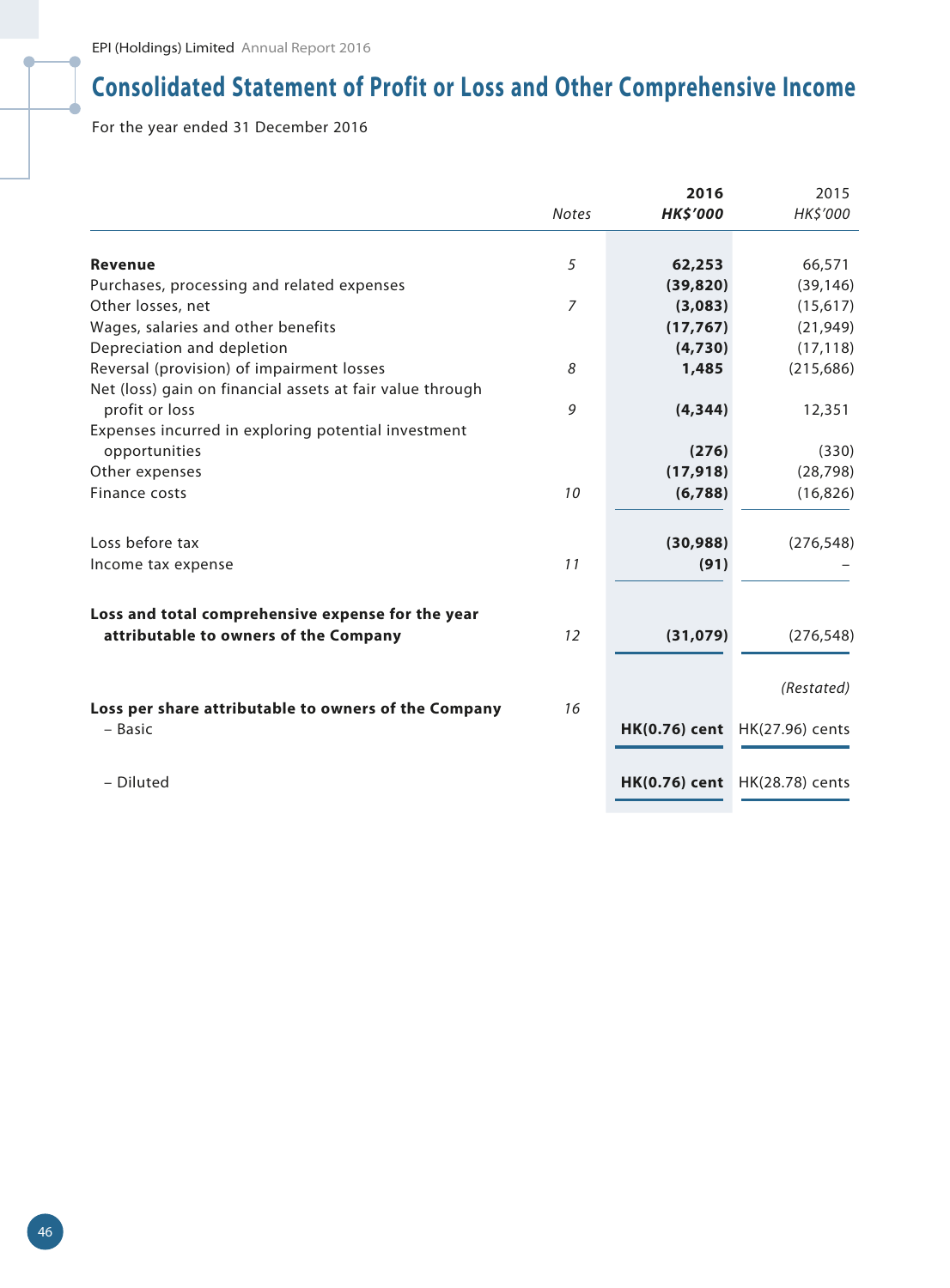# **Consolidated Statement of Profit or Loss and Other Comprehensive Income**

For the year ended 31 December 2016

|                                                           |              | 2016                 | 2015            |
|-----------------------------------------------------------|--------------|----------------------|-----------------|
|                                                           | <b>Notes</b> | <b>HK\$'000</b>      | HK\$'000        |
|                                                           |              |                      |                 |
| <b>Revenue</b>                                            | 5            | 62,253               | 66,571          |
| Purchases, processing and related expenses                |              | (39, 820)            | (39, 146)       |
| Other losses, net                                         | 7            | (3,083)              | (15,617)        |
| Wages, salaries and other benefits                        |              | (17, 767)            | (21, 949)       |
| Depreciation and depletion                                |              | (4,730)              | (17, 118)       |
| Reversal (provision) of impairment losses                 | 8            | 1,485                | (215, 686)      |
| Net (loss) gain on financial assets at fair value through |              |                      |                 |
| profit or loss                                            | 9            | (4, 344)             | 12,351          |
| Expenses incurred in exploring potential investment       |              |                      |                 |
| opportunities                                             |              | (276)                | (330)           |
| Other expenses                                            |              | (17, 918)            | (28, 798)       |
| Finance costs                                             | 10           | (6,788)              | (16, 826)       |
|                                                           |              |                      |                 |
| Loss before tax                                           |              | (30, 988)            | (276, 548)      |
| Income tax expense                                        | 11           | (91)                 |                 |
|                                                           |              |                      |                 |
| Loss and total comprehensive expense for the year         |              |                      |                 |
| attributable to owners of the Company                     | 12           | (31, 079)            | (276, 548)      |
|                                                           |              |                      |                 |
|                                                           |              |                      | (Restated)      |
| Loss per share attributable to owners of the Company      | 16           |                      |                 |
| - Basic                                                   |              | <b>HK(0.76) cent</b> | HK(27.96) cents |
|                                                           |              |                      |                 |
| - Diluted                                                 |              | <b>HK(0.76)</b> cent | HK(28.78) cents |
|                                                           |              |                      |                 |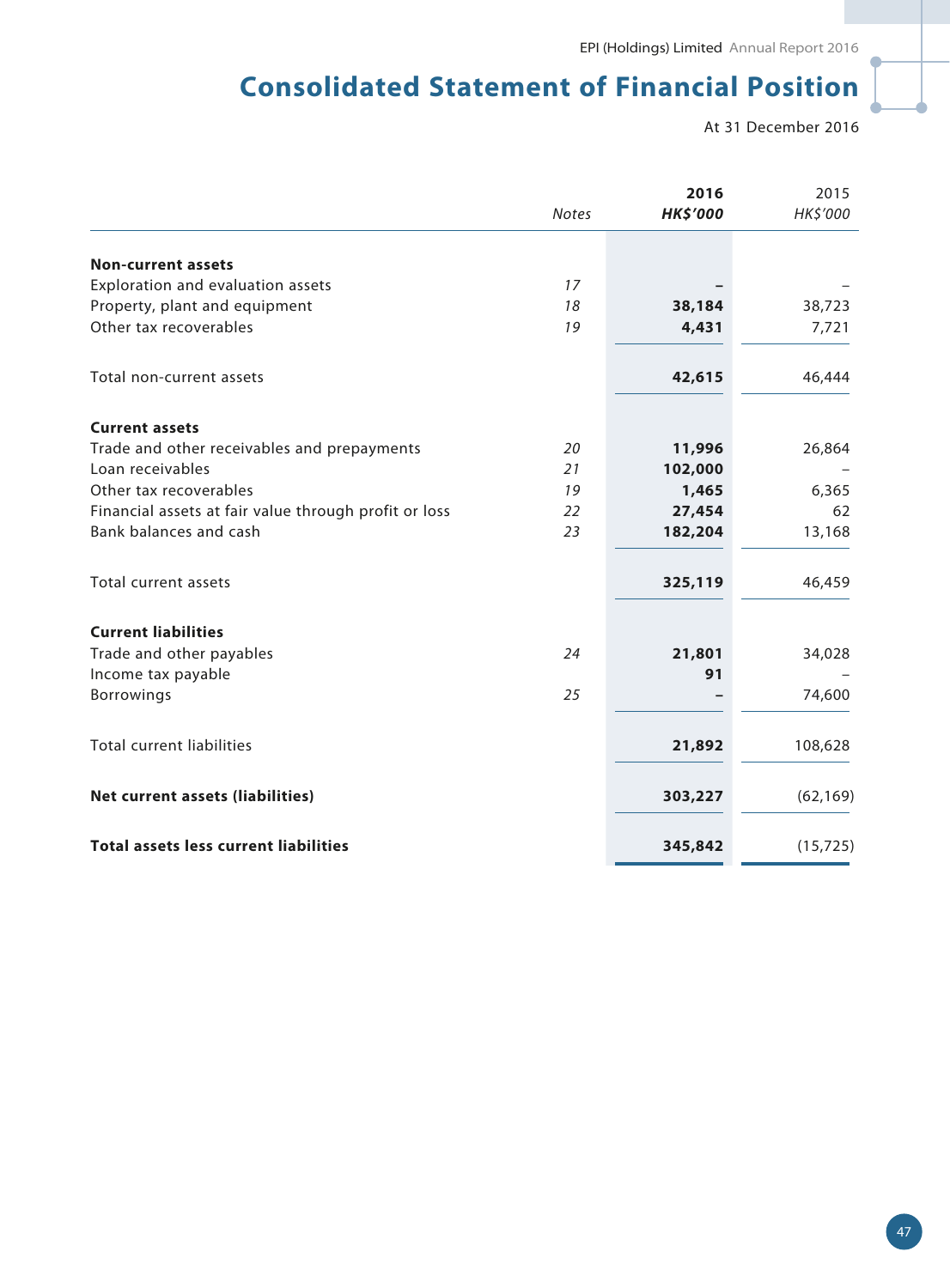# **Consolidated Statement of Financial Position**

At 31 December 2016

|                                                       |              | 2016            | 2015      |
|-------------------------------------------------------|--------------|-----------------|-----------|
|                                                       | <b>Notes</b> | <b>HK\$'000</b> | HK\$'000  |
| <b>Non-current assets</b>                             |              |                 |           |
| Exploration and evaluation assets                     | 17           |                 |           |
| Property, plant and equipment                         | 18           | 38,184          | 38,723    |
| Other tax recoverables                                | 19           | 4,431           | 7,721     |
|                                                       |              |                 |           |
| Total non-current assets                              |              | 42,615          | 46,444    |
| <b>Current assets</b>                                 |              |                 |           |
| Trade and other receivables and prepayments           | 20           | 11,996          | 26,864    |
| Loan receivables                                      | 21           | 102,000         |           |
| Other tax recoverables                                | 19           | 1,465           | 6,365     |
| Financial assets at fair value through profit or loss | 22           | 27,454          | 62        |
| Bank balances and cash                                | 23           | 182,204         | 13,168    |
| Total current assets                                  |              |                 | 46,459    |
|                                                       |              | 325,119         |           |
| <b>Current liabilities</b>                            |              |                 |           |
| Trade and other payables                              | 24           | 21,801          | 34,028    |
| Income tax payable                                    |              | 91              |           |
| <b>Borrowings</b>                                     | 25           |                 | 74,600    |
| <b>Total current liabilities</b>                      |              | 21,892          |           |
|                                                       |              |                 | 108,628   |
| <b>Net current assets (liabilities)</b>               |              | 303,227         | (62, 169) |
|                                                       |              |                 |           |
| <b>Total assets less current liabilities</b>          |              | 345,842         | (15, 725) |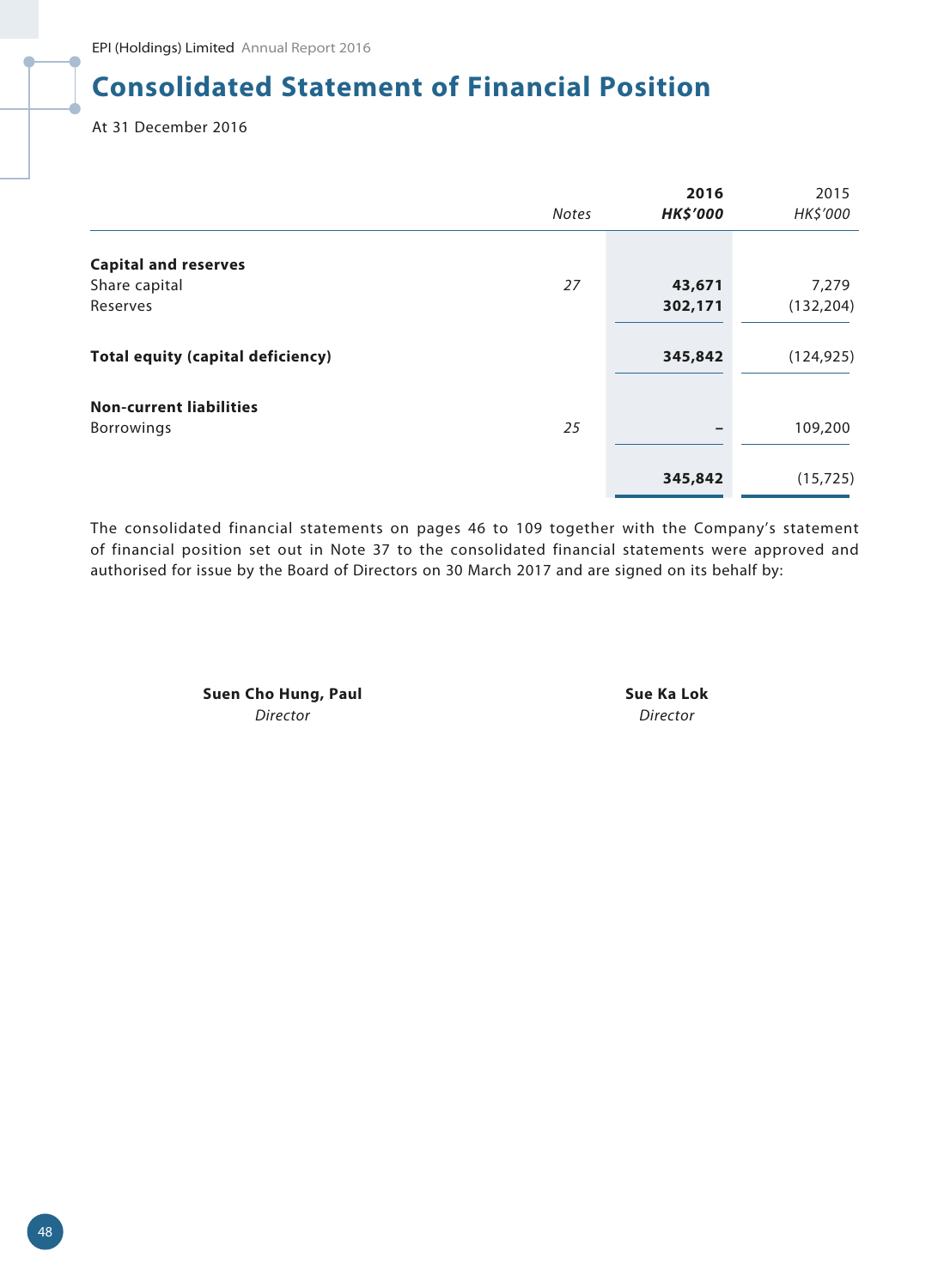# **Consolidated Statement of Financial Position**

At 31 December 2016

|                                                     | <b>Notes</b> | 2016<br><b>HK\$'000</b> | 2015<br>HK\$'000 |
|-----------------------------------------------------|--------------|-------------------------|------------------|
| <b>Capital and reserves</b>                         |              |                         |                  |
| Share capital                                       | 27           | 43,671                  | 7,279            |
| Reserves                                            |              | 302,171                 | (132, 204)       |
| <b>Total equity (capital deficiency)</b>            |              | 345,842                 | (124, 925)       |
| <b>Non-current liabilities</b><br><b>Borrowings</b> | 25           | -                       | 109,200          |
|                                                     |              | 345,842                 | (15, 725)        |

The consolidated financial statements on pages 46 to 109 together with the Company's statement of financial position set out in Note 37 to the consolidated financial statements were approved and authorised for issue by the Board of Directors on 30 March 2017 and are signed on its behalf by:

> **Suen Cho Hung, Paul Sue Ka Lok** *Director Director*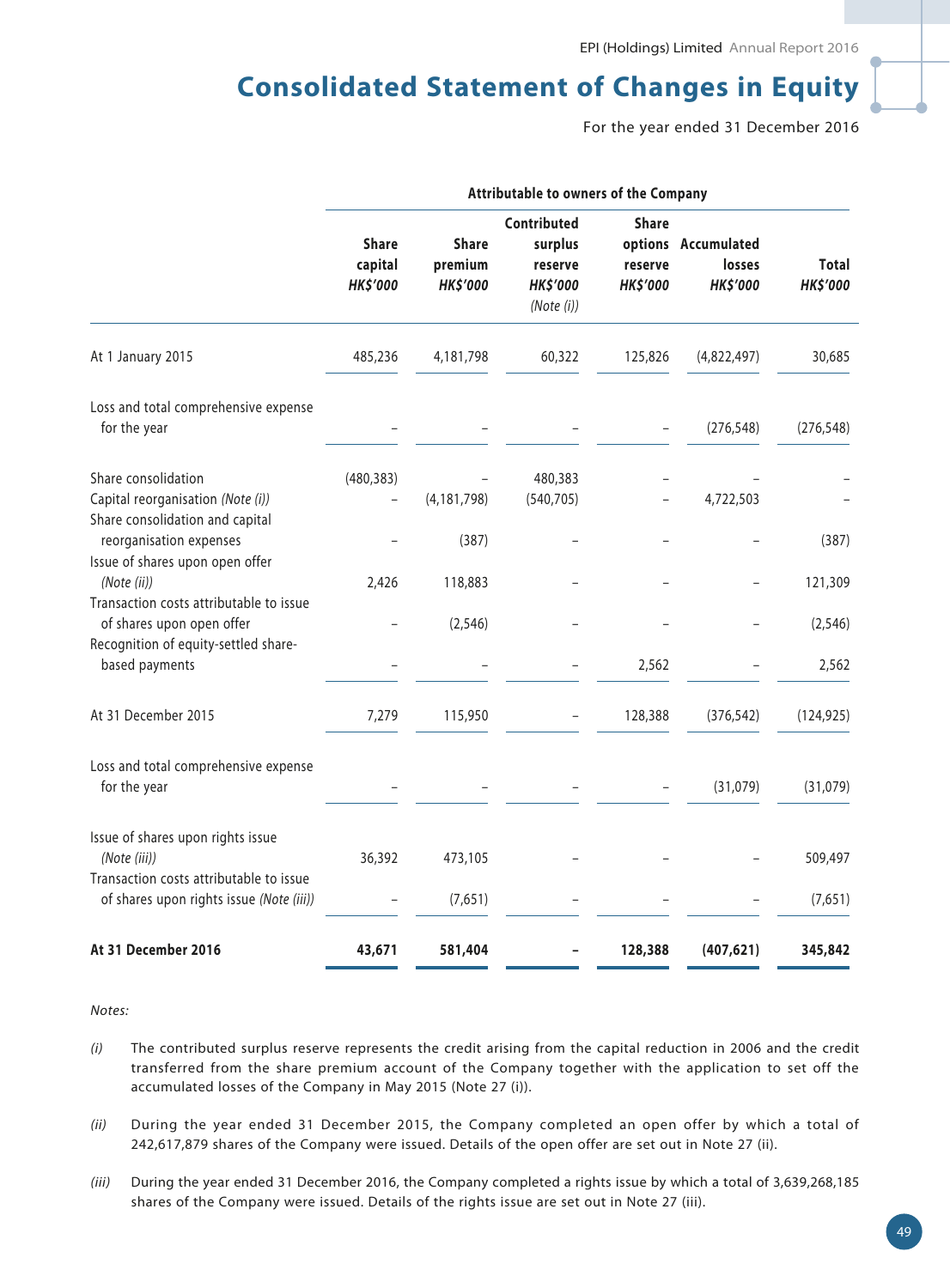# **Consolidated Statement of Changes in Equity**

For the year ended 31 December 2016

|                                                                                               | Attributable to owners of the Company      |                                            |                                                                    |                                            |                                                  |                                 |
|-----------------------------------------------------------------------------------------------|--------------------------------------------|--------------------------------------------|--------------------------------------------------------------------|--------------------------------------------|--------------------------------------------------|---------------------------------|
|                                                                                               | <b>Share</b><br>capital<br><b>HK\$'000</b> | <b>Share</b><br>premium<br><b>HK\$'000</b> | Contributed<br>surplus<br>reserve<br><b>HK\$'000</b><br>(Note (i)) | <b>Share</b><br>reserve<br><b>HK\$'000</b> | options Accumulated<br>losses<br><b>HK\$'000</b> | <b>Total</b><br><b>HK\$'000</b> |
| At 1 January 2015                                                                             | 485,236                                    | 4,181,798                                  | 60,322                                                             | 125,826                                    | (4,822,497)                                      | 30,685                          |
| Loss and total comprehensive expense<br>for the year                                          |                                            |                                            |                                                                    |                                            | (276, 548)                                       | (276, 548)                      |
| Share consolidation<br>Capital reorganisation (Note (i))                                      | (480, 383)                                 | (4, 181, 798)                              | 480,383<br>(540, 705)                                              |                                            | 4,722,503                                        |                                 |
| Share consolidation and capital<br>reorganisation expenses<br>Issue of shares upon open offer |                                            | (387)                                      |                                                                    |                                            |                                                  | (387)                           |
| (Note (ii))<br>Transaction costs attributable to issue                                        | 2,426                                      | 118,883                                    |                                                                    |                                            |                                                  | 121,309                         |
| of shares upon open offer<br>Recognition of equity-settled share-                             |                                            | (2, 546)                                   |                                                                    |                                            |                                                  | (2, 546)                        |
| based payments                                                                                |                                            |                                            |                                                                    | 2,562                                      |                                                  | 2,562                           |
| At 31 December 2015                                                                           | 7,279                                      | 115,950                                    | $\overline{\phantom{0}}$                                           | 128,388                                    | (376, 542)                                       | (124, 925)                      |
| Loss and total comprehensive expense<br>for the year                                          |                                            |                                            |                                                                    |                                            | (31,079)                                         | (31,079)                        |
| Issue of shares upon rights issue<br>(Note (iii))                                             | 36,392                                     | 473,105                                    |                                                                    |                                            |                                                  | 509,497                         |
| Transaction costs attributable to issue<br>of shares upon rights issue (Note (iii))           |                                            | (7,651)                                    |                                                                    |                                            |                                                  | (7,651)                         |
| At 31 December 2016                                                                           | 43,671                                     | 581,404                                    |                                                                    | 128,388                                    | (407, 621)                                       | 345,842                         |

*Notes:*

- *(i)* The contributed surplus reserve represents the credit arising from the capital reduction in 2006 and the credit transferred from the share premium account of the Company together with the application to set off the accumulated losses of the Company in May 2015 (Note 27 (i)).
- *(ii)* During the year ended 31 December 2015, the Company completed an open offer by which a total of 242,617,879 shares of the Company were issued. Details of the open offer are set out in Note 27 (ii).
- *(iii)* During the year ended 31 December 2016, the Company completed a rights issue by which a total of 3,639,268,185 shares of the Company were issued. Details of the rights issue are set out in Note 27 (iii).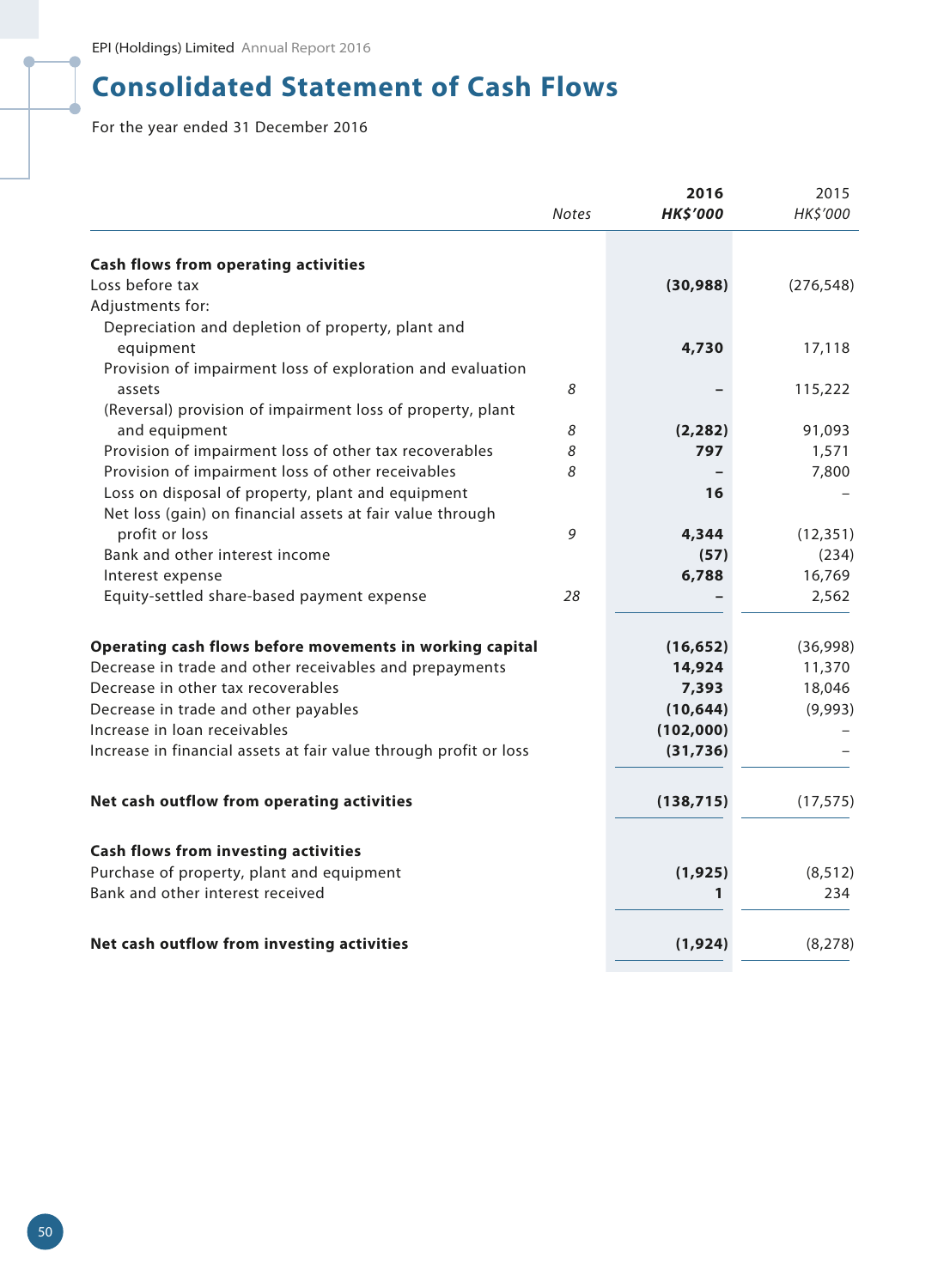# **Consolidated Statement of Cash Flows**

For the year ended 31 December 2016

|                                                                   | <b>Notes</b> | 2016<br><b>HK\$'000</b> | 2015<br>HK\$'000 |
|-------------------------------------------------------------------|--------------|-------------------------|------------------|
| <b>Cash flows from operating activities</b>                       |              |                         |                  |
| Loss before tax                                                   |              | (30, 988)               | (276, 548)       |
| Adjustments for:                                                  |              |                         |                  |
| Depreciation and depletion of property, plant and                 |              |                         |                  |
| equipment                                                         |              | 4,730                   | 17,118           |
| Provision of impairment loss of exploration and evaluation        |              |                         |                  |
| assets                                                            | 8            |                         | 115,222          |
| (Reversal) provision of impairment loss of property, plant        |              |                         |                  |
| and equipment                                                     | 8            | (2, 282)                | 91,093           |
| Provision of impairment loss of other tax recoverables            | 8            | 797                     | 1,571            |
| Provision of impairment loss of other receivables                 | 8            |                         | 7,800            |
| Loss on disposal of property, plant and equipment                 |              | 16                      |                  |
| Net loss (gain) on financial assets at fair value through         |              |                         |                  |
| profit or loss                                                    | 9            | 4,344                   | (12, 351)        |
| Bank and other interest income                                    |              | (57)                    | (234)            |
| Interest expense                                                  |              | 6,788                   | 16,769           |
| Equity-settled share-based payment expense                        | 28           |                         | 2,562            |
|                                                                   |              |                         |                  |
| Operating cash flows before movements in working capital          |              | (16, 652)               | (36,998)         |
| Decrease in trade and other receivables and prepayments           |              | 14,924                  | 11,370           |
| Decrease in other tax recoverables                                |              | 7,393                   | 18,046           |
| Decrease in trade and other payables                              |              | (10, 644)               | (9,993)          |
| Increase in loan receivables                                      |              | (102,000)               |                  |
| Increase in financial assets at fair value through profit or loss |              | (31, 736)               |                  |
|                                                                   |              |                         |                  |
| Net cash outflow from operating activities                        |              | (138, 715)              | (17, 575)        |
|                                                                   |              |                         |                  |
| <b>Cash flows from investing activities</b>                       |              |                         |                  |
| Purchase of property, plant and equipment                         |              | (1, 925)                | (8, 512)         |
| Bank and other interest received                                  |              | 1                       | 234              |
| Net cash outflow from investing activities                        |              | (1,924)                 | (8, 278)         |
|                                                                   |              |                         |                  |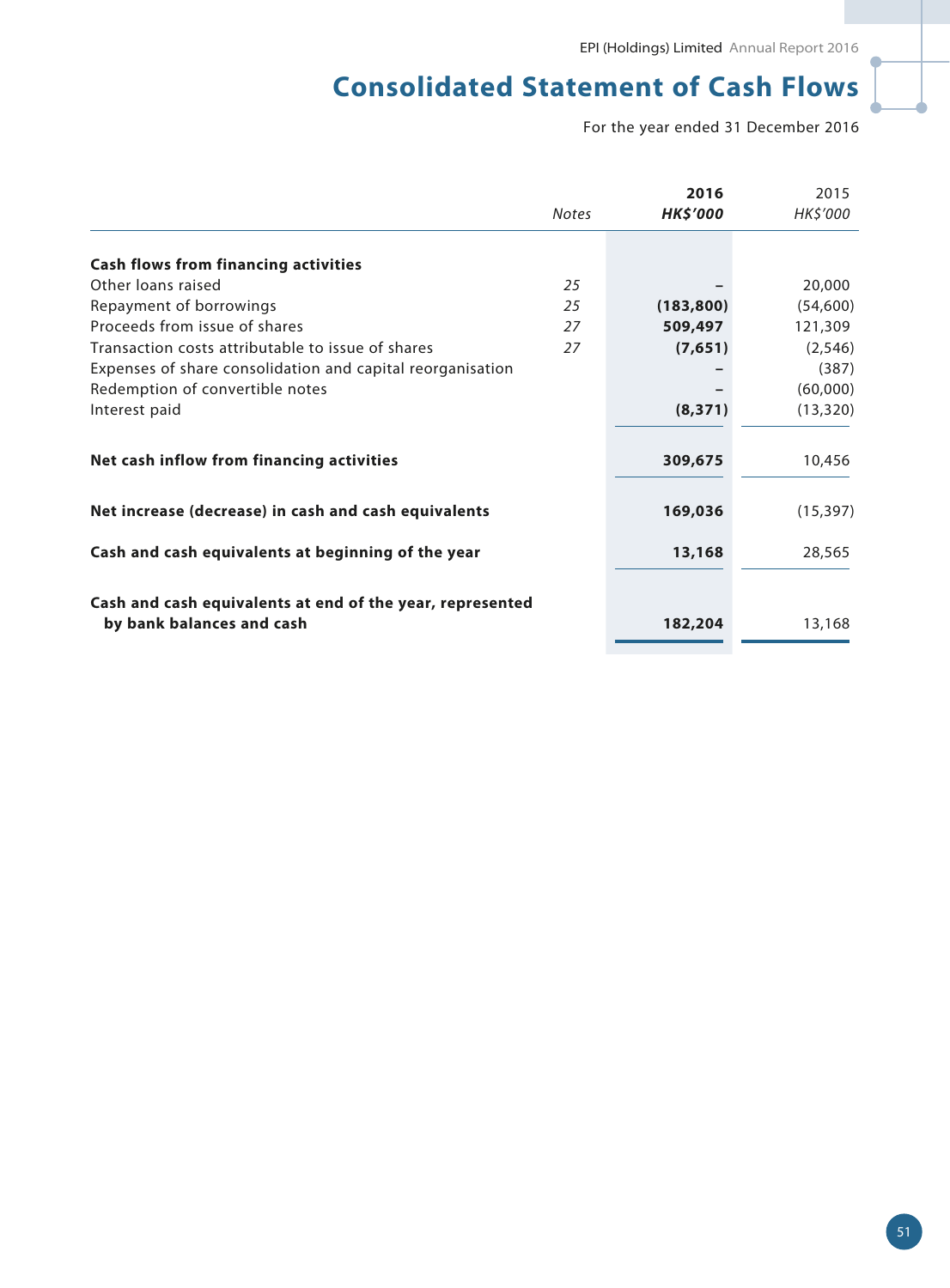# **Consolidated Statement of Cash Flows**

For the year ended 31 December 2016

|                                                                                        |              | 2016            | 2015      |
|----------------------------------------------------------------------------------------|--------------|-----------------|-----------|
|                                                                                        | <b>Notes</b> | <b>HK\$'000</b> | HK\$'000  |
|                                                                                        |              |                 |           |
| <b>Cash flows from financing activities</b>                                            |              |                 |           |
| Other loans raised                                                                     | 25           |                 | 20,000    |
| Repayment of borrowings                                                                | 25           | (183, 800)      | (54,600)  |
| Proceeds from issue of shares                                                          | 27           | 509,497         | 121,309   |
| Transaction costs attributable to issue of shares                                      | 27           | (7,651)         | (2, 546)  |
| Expenses of share consolidation and capital reorganisation                             |              |                 | (387)     |
| Redemption of convertible notes                                                        |              |                 | (60,000)  |
| Interest paid                                                                          |              | (8, 371)        | (13, 320) |
| Net cash inflow from financing activities                                              |              | 309,675         | 10,456    |
| Net increase (decrease) in cash and cash equivalents                                   |              | 169,036         | (15, 397) |
| Cash and cash equivalents at beginning of the year                                     |              | 13,168          | 28,565    |
| Cash and cash equivalents at end of the year, represented<br>by bank balances and cash |              | 182,204         | 13,168    |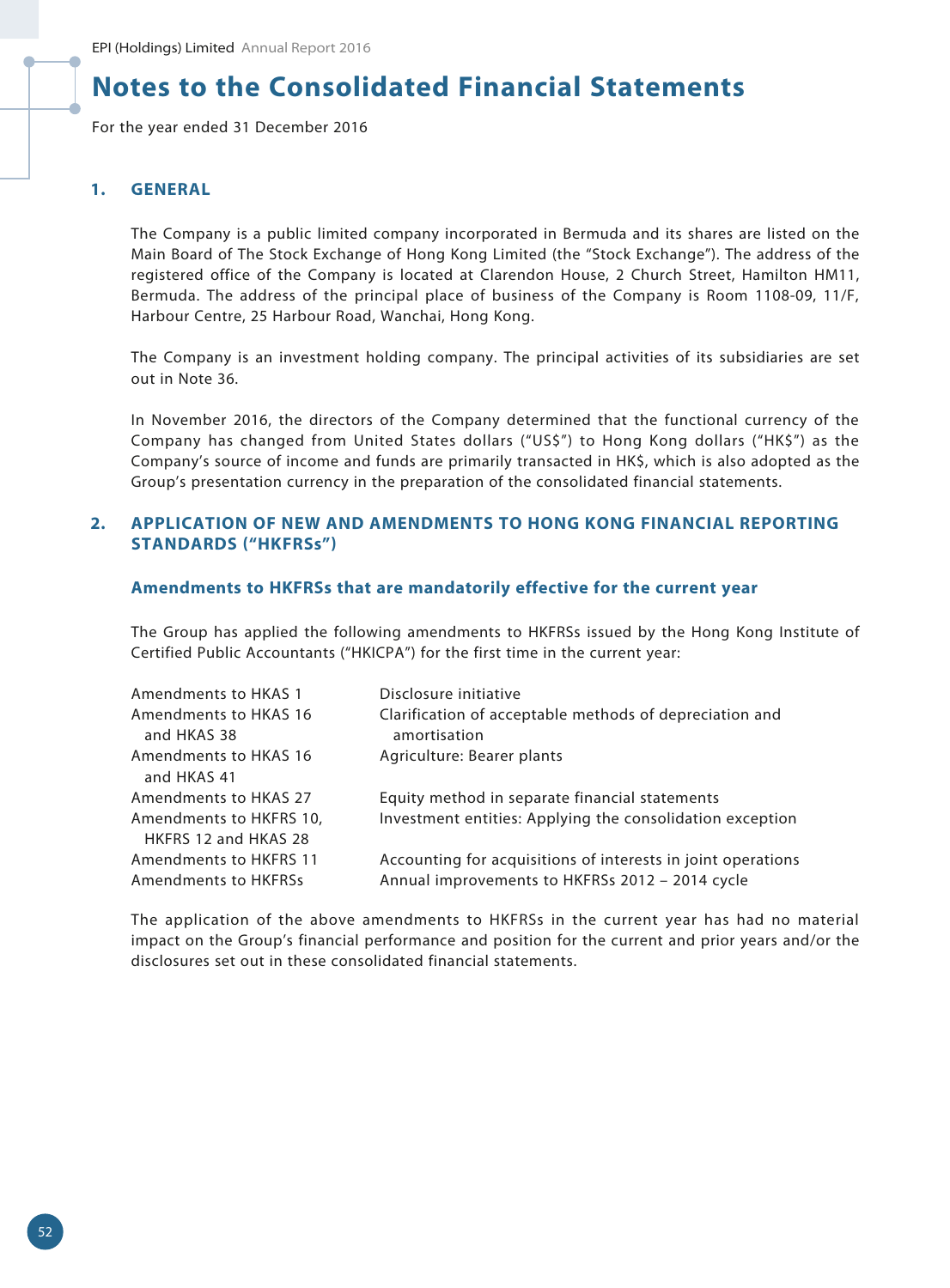For the year ended 31 December 2016

### **1. GENERAL**

The Company is a public limited company incorporated in Bermuda and its shares are listed on the Main Board of The Stock Exchange of Hong Kong Limited (the "Stock Exchange"). The address of the registered office of the Company is located at Clarendon House, 2 Church Street, Hamilton HM11, Bermuda. The address of the principal place of business of the Company is Room 1108-09, 11/F, Harbour Centre, 25 Harbour Road, Wanchai, Hong Kong.

The Company is an investment holding company. The principal activities of its subsidiaries are set out in Note 36.

In November 2016, the directors of the Company determined that the functional currency of the Company has changed from United States dollars ("US\$") to Hong Kong dollars ("HK\$") as the Company's source of income and funds are primarily transacted in HK\$, which is also adopted as the Group's presentation currency in the preparation of the consolidated financial statements.

### **2. APPLICATION OF NEW AND AMENDMENTS TO HONG KONG FINANCIAL REPORTING STANDARDS ("HKFRSs")**

#### **Amendments to HKFRSs that are mandatorily effective for the current year**

The Group has applied the following amendments to HKFRSs issued by the Hong Kong Institute of Certified Public Accountants ("HKICPA") for the first time in the current year:

| Amendments to HKAS 1    | Disclosure initiative                                        |
|-------------------------|--------------------------------------------------------------|
| Amendments to HKAS 16   | Clarification of acceptable methods of depreciation and      |
| and HKAS 38             | amortisation                                                 |
| Amendments to HKAS 16   | Agriculture: Bearer plants                                   |
| and HKAS 41             |                                                              |
| Amendments to HKAS 27   | Equity method in separate financial statements               |
| Amendments to HKFRS 10, | Investment entities: Applying the consolidation exception    |
| HKFRS 12 and HKAS 28    |                                                              |
| Amendments to HKFRS 11  | Accounting for acquisitions of interests in joint operations |
| Amendments to HKFRSs    | Annual improvements to HKFRSs 2012 - 2014 cycle              |

The application of the above amendments to HKFRSs in the current year has had no material impact on the Group's financial performance and position for the current and prior years and/or the disclosures set out in these consolidated financial statements.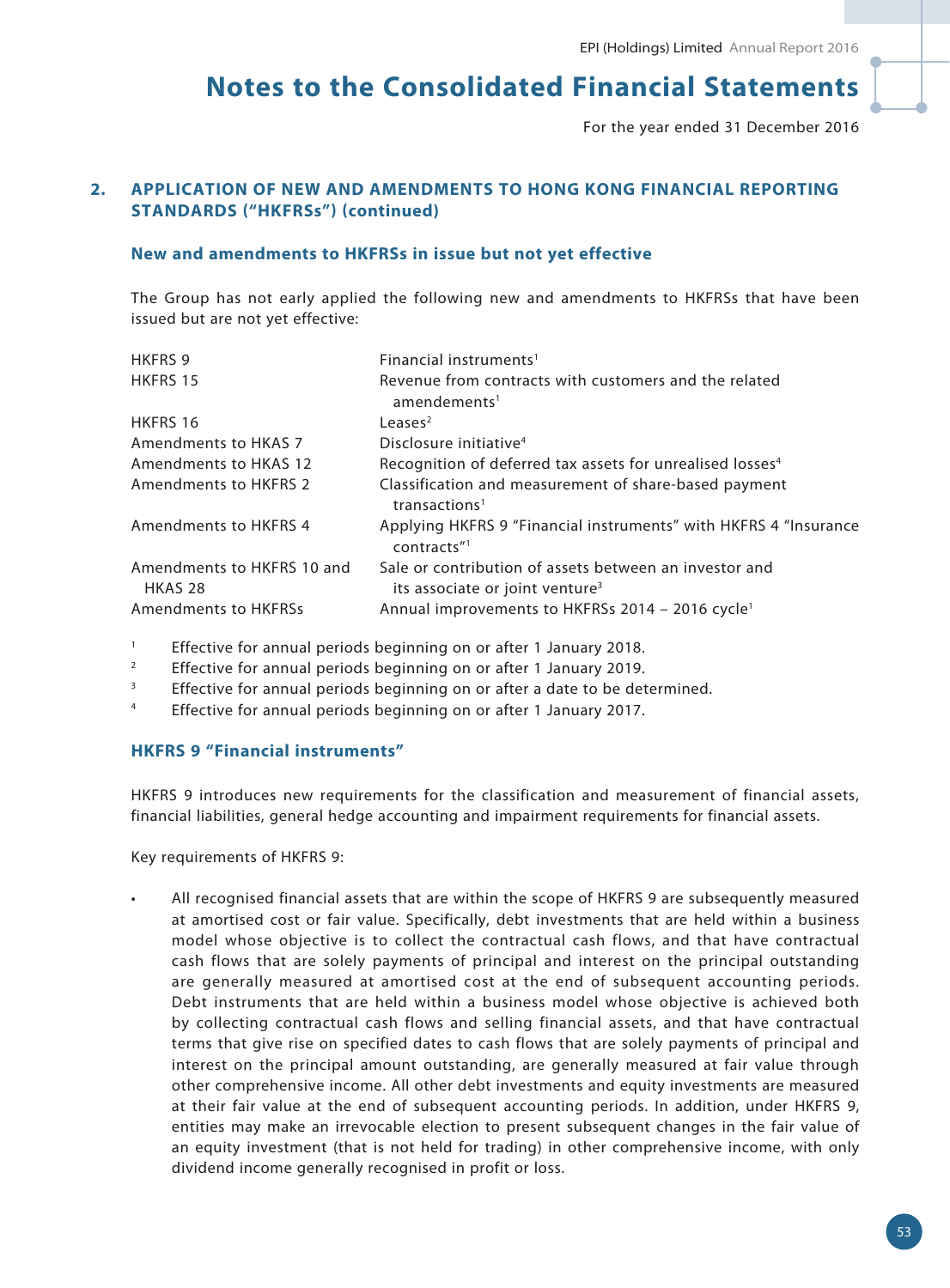For the year ended 31 December 2016

# **2. APPLICATION OF NEW AND AMENDMENTS TO HONG KONG FINANCIAL REPORTING STANDARDS ("HKFRSs") (continued)**

#### **New and amendments to HKFRSs in issue but not yet effective**

The Group has not early applied the following new and amendments to HKFRSs that have been issued but are not yet effective:

| <b>HKFRS 9</b>                        | Financial instruments <sup>1</sup>                                                                    |
|---------------------------------------|-------------------------------------------------------------------------------------------------------|
| HKFRS 15                              | Revenue from contracts with customers and the related<br>amendements <sup>1</sup>                     |
|                                       |                                                                                                       |
| HKFRS 16                              | Leases $2$                                                                                            |
| Amendments to HKAS 7                  | Disclosure initiative <sup>4</sup>                                                                    |
| Amendments to HKAS 12                 | Recognition of deferred tax assets for unrealised losses <sup>4</sup>                                 |
| <b>Amendments to HKFRS 2</b>          | Classification and measurement of share-based payment<br>transactions <sup>1</sup>                    |
| Amendments to HKFRS 4                 | Applying HKFRS 9 "Financial instruments" with HKFRS 4 "Insurance<br>contracts"                        |
| Amendments to HKFRS 10 and<br>HKAS 28 | Sale or contribution of assets between an investor and<br>its associate or joint venture <sup>3</sup> |
| <b>Amendments to HKFRSs</b>           | Annual improvements to HKFRSs 2014 - 2016 cycle <sup>1</sup>                                          |

- <sup>1</sup> Effective for annual periods beginning on or after 1 January 2018.
- <sup>2</sup> Effective for annual periods beginning on or after 1 January 2019.
- <sup>3</sup> Effective for annual periods beginning on or after a date to be determined.
- <sup>4</sup> Effective for annual periods beginning on or after 1 January 2017.

### **HKFRS 9 "Financial instruments"**

HKFRS 9 introduces new requirements for the classification and measurement of financial assets, financial liabilities, general hedge accounting and impairment requirements for financial assets.

Key requirements of HKFRS 9:

• All recognised financial assets that are within the scope of HKFRS 9 are subsequently measured at amortised cost or fair value. Specifically, debt investments that are held within a business model whose objective is to collect the contractual cash flows, and that have contractual cash flows that are solely payments of principal and interest on the principal outstanding are generally measured at amortised cost at the end of subsequent accounting periods. Debt instruments that are held within a business model whose objective is achieved both by collecting contractual cash flows and selling financial assets, and that have contractual terms that give rise on specified dates to cash flows that are solely payments of principal and interest on the principal amount outstanding, are generally measured at fair value through other comprehensive income. All other debt investments and equity investments are measured at their fair value at the end of subsequent accounting periods. In addition, under HKFRS 9, entities may make an irrevocable election to present subsequent changes in the fair value of an equity investment (that is not held for trading) in other comprehensive income, with only dividend income generally recognised in profit or loss.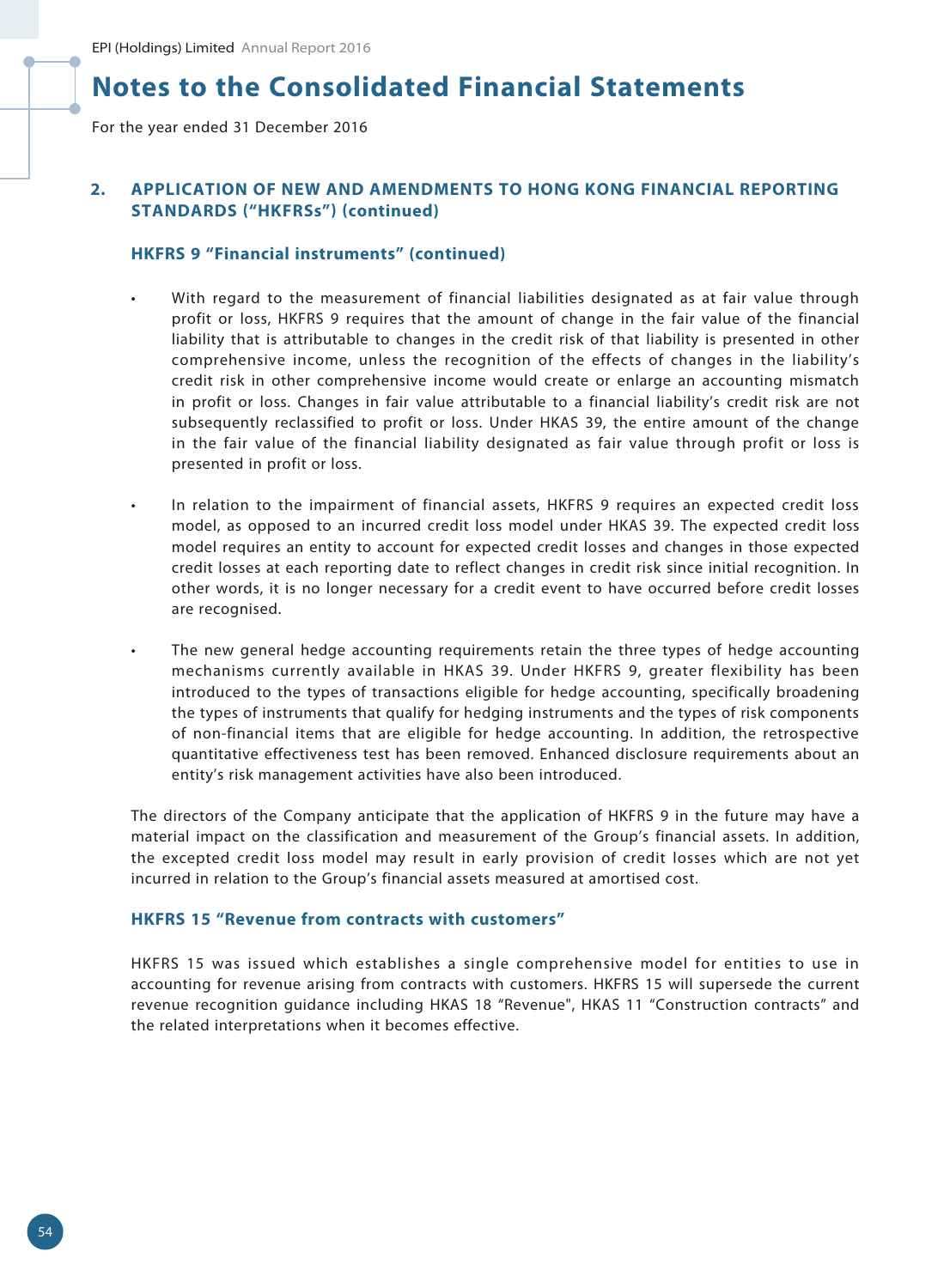For the year ended 31 December 2016

# **2. APPLICATION OF NEW AND AMENDMENTS TO HONG KONG FINANCIAL REPORTING STANDARDS ("HKFRSs") (continued)**

### **HKFRS 9 "Financial instruments" (continued)**

- With regard to the measurement of financial liabilities designated as at fair value through profit or loss, HKFRS 9 requires that the amount of change in the fair value of the financial liability that is attributable to changes in the credit risk of that liability is presented in other comprehensive income, unless the recognition of the effects of changes in the liability's credit risk in other comprehensive income would create or enlarge an accounting mismatch in profit or loss. Changes in fair value attributable to a financial liability's credit risk are not subsequently reclassified to profit or loss. Under HKAS 39, the entire amount of the change in the fair value of the financial liability designated as fair value through profit or loss is presented in profit or loss.
- In relation to the impairment of financial assets, HKFRS 9 requires an expected credit loss model, as opposed to an incurred credit loss model under HKAS 39. The expected credit loss model requires an entity to account for expected credit losses and changes in those expected credit losses at each reporting date to reflect changes in credit risk since initial recognition. In other words, it is no longer necessary for a credit event to have occurred before credit losses are recognised.
- The new general hedge accounting requirements retain the three types of hedge accounting mechanisms currently available in HKAS 39. Under HKFRS 9, greater flexibility has been introduced to the types of transactions eligible for hedge accounting, specifically broadening the types of instruments that qualify for hedging instruments and the types of risk components of non-financial items that are eligible for hedge accounting. In addition, the retrospective quantitative effectiveness test has been removed. Enhanced disclosure requirements about an entity's risk management activities have also been introduced.

The directors of the Company anticipate that the application of HKFRS 9 in the future may have a material impact on the classification and measurement of the Group's financial assets. In addition, the excepted credit loss model may result in early provision of credit losses which are not yet incurred in relation to the Group's financial assets measured at amortised cost.

#### **HKFRS 15 "Revenue from contracts with customers"**

HKFRS 15 was issued which establishes a single comprehensive model for entities to use in accounting for revenue arising from contracts with customers. HKFRS 15 will supersede the current revenue recognition guidance including HKAS 18 "Revenue", HKAS 11 "Construction contracts" and the related interpretations when it becomes effective.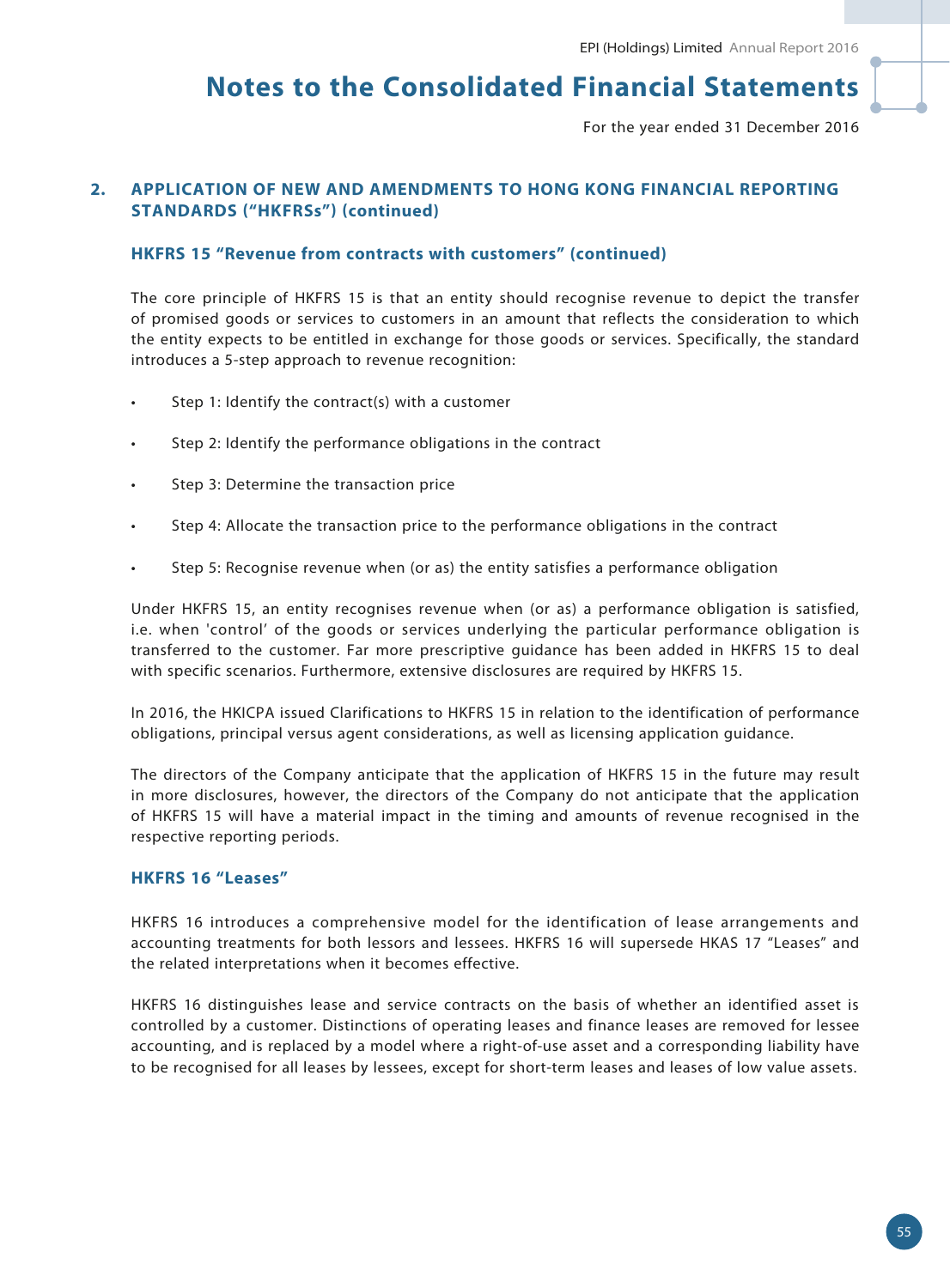For the year ended 31 December 2016

# **2. APPLICATION OF NEW AND AMENDMENTS TO HONG KONG FINANCIAL REPORTING STANDARDS ("HKFRSs") (continued)**

### **HKFRS 15 "Revenue from contracts with customers" (continued)**

The core principle of HKFRS 15 is that an entity should recognise revenue to depict the transfer of promised goods or services to customers in an amount that reflects the consideration to which the entity expects to be entitled in exchange for those goods or services. Specifically, the standard introduces a 5-step approach to revenue recognition:

- Step 1: Identify the contract(s) with a customer
- Step 2: Identify the performance obligations in the contract
- Step 3: Determine the transaction price
- Step 4: Allocate the transaction price to the performance obligations in the contract
- Step 5: Recognise revenue when (or as) the entity satisfies a performance obligation

Under HKFRS 15, an entity recognises revenue when (or as) a performance obligation is satisfied, i.e. when 'control' of the goods or services underlying the particular performance obligation is transferred to the customer. Far more prescriptive guidance has been added in HKFRS 15 to deal with specific scenarios. Furthermore, extensive disclosures are required by HKFRS 15.

In 2016, the HKICPA issued Clarifications to HKFRS 15 in relation to the identification of performance obligations, principal versus agent considerations, as well as licensing application guidance.

The directors of the Company anticipate that the application of HKFRS 15 in the future may result in more disclosures, however, the directors of the Company do not anticipate that the application of HKFRS 15 will have a material impact in the timing and amounts of revenue recognised in the respective reporting periods.

### **HKFRS 16 "Leases"**

HKFRS 16 introduces a comprehensive model for the identification of lease arrangements and accounting treatments for both lessors and lessees. HKFRS 16 will supersede HKAS 17 "Leases" and the related interpretations when it becomes effective.

HKFRS 16 distinguishes lease and service contracts on the basis of whether an identified asset is controlled by a customer. Distinctions of operating leases and finance leases are removed for lessee accounting, and is replaced by a model where a right-of-use asset and a corresponding liability have to be recognised for all leases by lessees, except for short-term leases and leases of low value assets.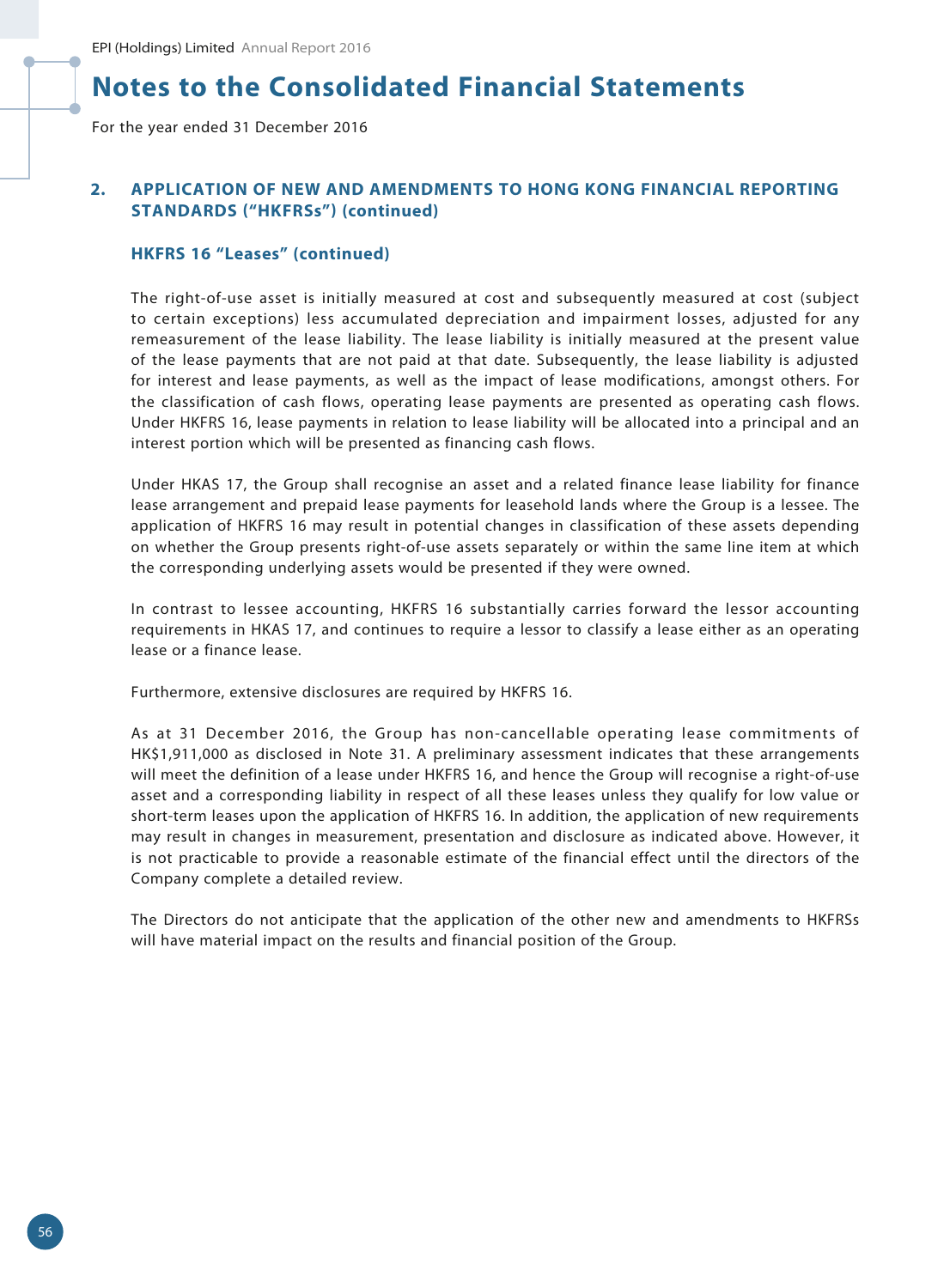For the year ended 31 December 2016

# **2. APPLICATION OF NEW AND AMENDMENTS TO HONG KONG FINANCIAL REPORTING STANDARDS ("HKFRSs") (continued)**

#### **HKFRS 16 "Leases" (continued)**

The right-of-use asset is initially measured at cost and subsequently measured at cost (subject to certain exceptions) less accumulated depreciation and impairment losses, adjusted for any remeasurement of the lease liability. The lease liability is initially measured at the present value of the lease payments that are not paid at that date. Subsequently, the lease liability is adjusted for interest and lease payments, as well as the impact of lease modifications, amongst others. For the classification of cash flows, operating lease payments are presented as operating cash flows. Under HKFRS 16, lease payments in relation to lease liability will be allocated into a principal and an interest portion which will be presented as financing cash flows.

Under HKAS 17, the Group shall recognise an asset and a related finance lease liability for finance lease arrangement and prepaid lease payments for leasehold lands where the Group is a lessee. The application of HKFRS 16 may result in potential changes in classification of these assets depending on whether the Group presents right-of-use assets separately or within the same line item at which the corresponding underlying assets would be presented if they were owned.

In contrast to lessee accounting, HKFRS 16 substantially carries forward the lessor accounting requirements in HKAS 17, and continues to require a lessor to classify a lease either as an operating lease or a finance lease.

Furthermore, extensive disclosures are required by HKFRS 16.

As at 31 December 2016, the Group has non-cancellable operating lease commitments of HK\$1,911,000 as disclosed in Note 31. A preliminary assessment indicates that these arrangements will meet the definition of a lease under HKFRS 16, and hence the Group will recognise a right-of-use asset and a corresponding liability in respect of all these leases unless they qualify for low value or short-term leases upon the application of HKFRS 16. In addition, the application of new requirements may result in changes in measurement, presentation and disclosure as indicated above. However, it is not practicable to provide a reasonable estimate of the financial effect until the directors of the Company complete a detailed review.

The Directors do not anticipate that the application of the other new and amendments to HKFRSs will have material impact on the results and financial position of the Group.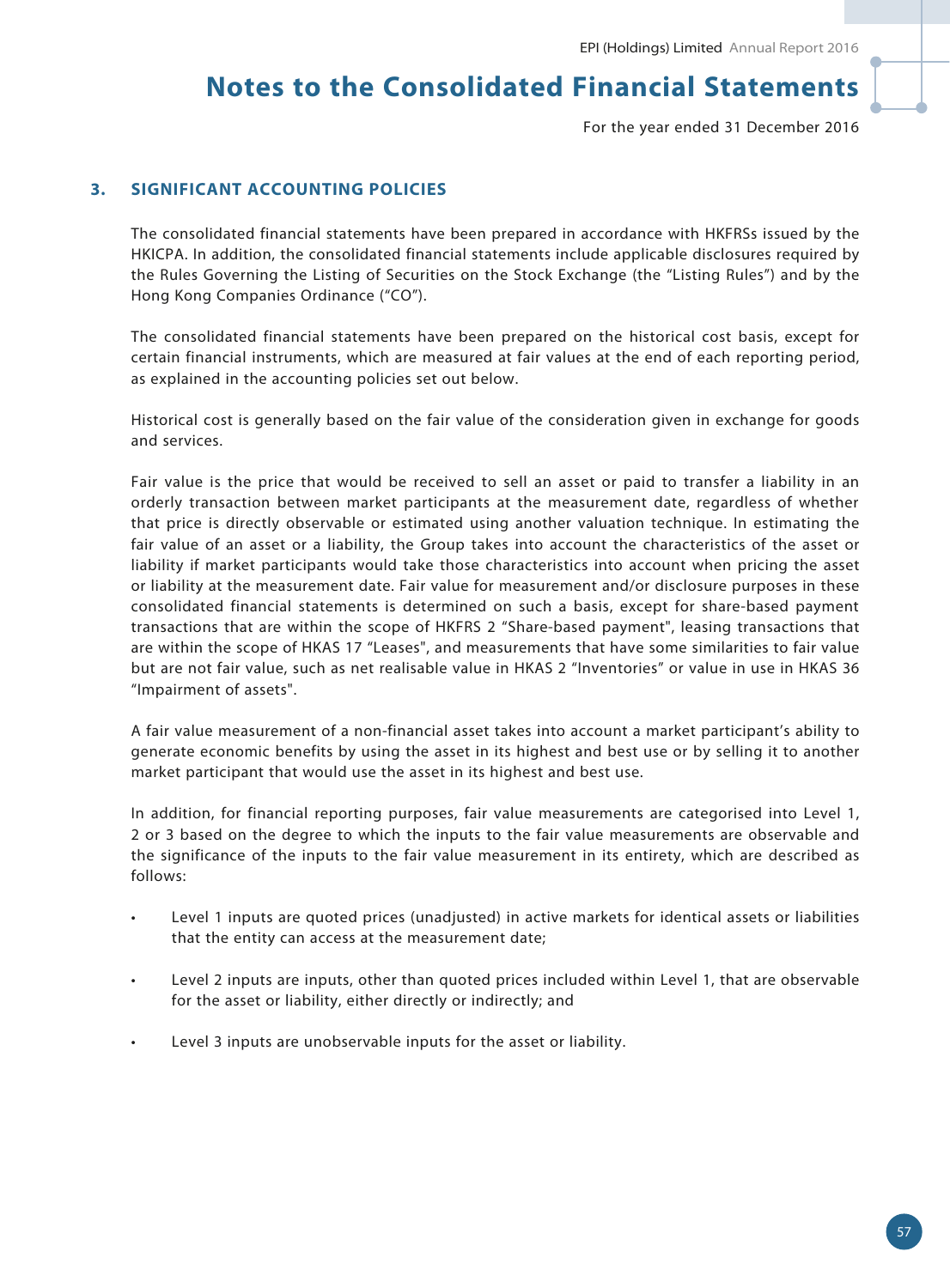For the year ended 31 December 2016

# **3. SIGNIFICANT ACCOUNTING POLICIES**

The consolidated financial statements have been prepared in accordance with HKFRSs issued by the HKICPA. In addition, the consolidated financial statements include applicable disclosures required by the Rules Governing the Listing of Securities on the Stock Exchange (the "Listing Rules") and by the Hong Kong Companies Ordinance ("CO").

The consolidated financial statements have been prepared on the historical cost basis, except for certain financial instruments, which are measured at fair values at the end of each reporting period, as explained in the accounting policies set out below.

Historical cost is generally based on the fair value of the consideration given in exchange for goods and services.

Fair value is the price that would be received to sell an asset or paid to transfer a liability in an orderly transaction between market participants at the measurement date, regardless of whether that price is directly observable or estimated using another valuation technique. In estimating the fair value of an asset or a liability, the Group takes into account the characteristics of the asset or liability if market participants would take those characteristics into account when pricing the asset or liability at the measurement date. Fair value for measurement and/or disclosure purposes in these consolidated financial statements is determined on such a basis, except for share-based payment transactions that are within the scope of HKFRS 2 "Share-based payment", leasing transactions that are within the scope of HKAS 17 "Leases", and measurements that have some similarities to fair value but are not fair value, such as net realisable value in HKAS 2 "Inventories" or value in use in HKAS 36 "Impairment of assets".

A fair value measurement of a non-financial asset takes into account a market participant's ability to generate economic benefits by using the asset in its highest and best use or by selling it to another market participant that would use the asset in its highest and best use.

In addition, for financial reporting purposes, fair value measurements are categorised into Level 1, 2 or 3 based on the degree to which the inputs to the fair value measurements are observable and the significance of the inputs to the fair value measurement in its entirety, which are described as follows:

- Level 1 inputs are quoted prices (unadjusted) in active markets for identical assets or liabilities that the entity can access at the measurement date;
- Level 2 inputs are inputs, other than quoted prices included within Level 1, that are observable for the asset or liability, either directly or indirectly; and
- Level 3 inputs are unobservable inputs for the asset or liability.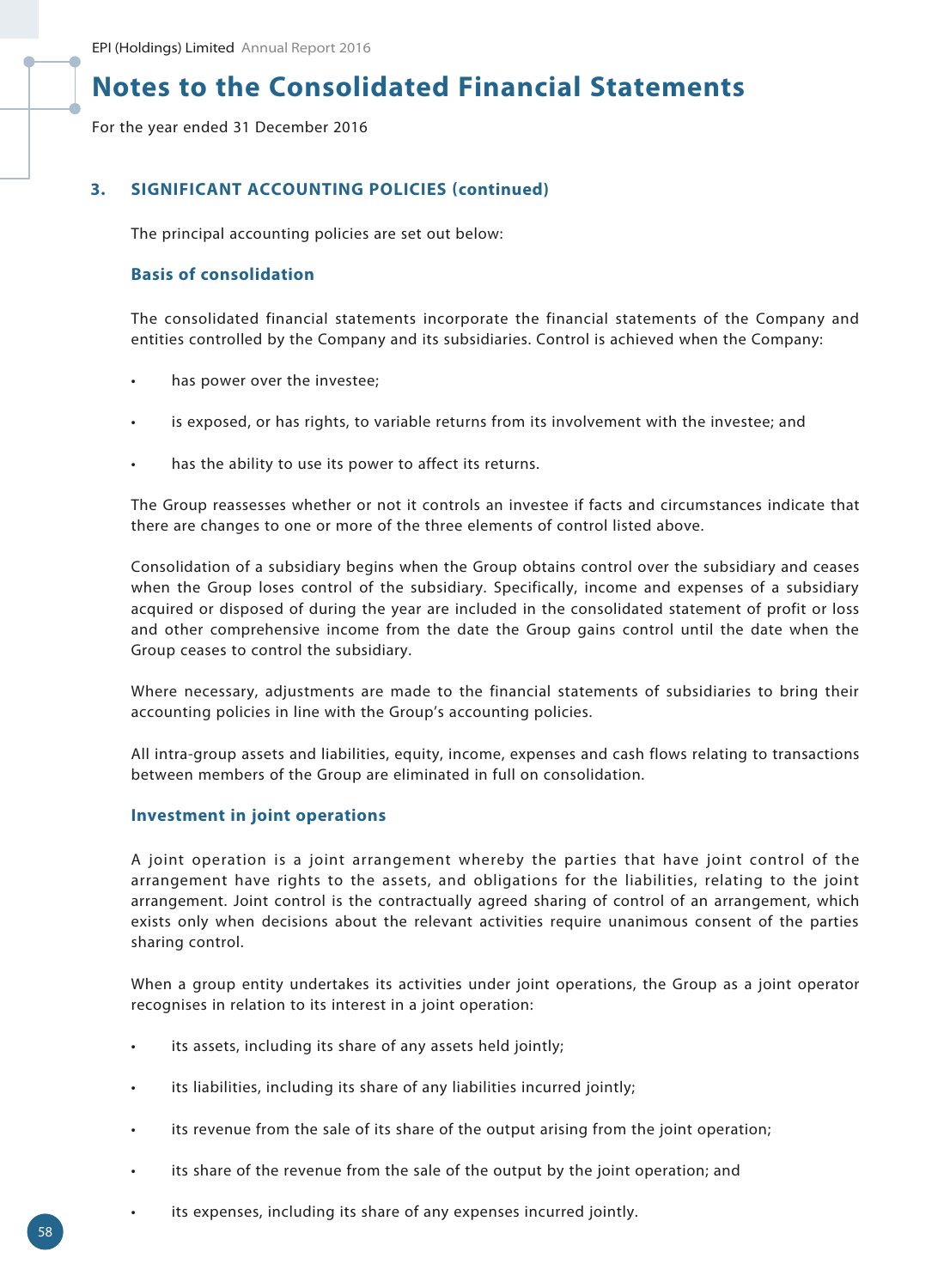For the year ended 31 December 2016

# **3. SIGNIFICANT ACCOUNTING POLICIES (continued)**

The principal accounting policies are set out below:

# **Basis of consolidation**

The consolidated financial statements incorporate the financial statements of the Company and entities controlled by the Company and its subsidiaries. Control is achieved when the Company:

- has power over the investee;
- is exposed, or has rights, to variable returns from its involvement with the investee; and
- has the ability to use its power to affect its returns.

The Group reassesses whether or not it controls an investee if facts and circumstances indicate that there are changes to one or more of the three elements of control listed above.

Consolidation of a subsidiary begins when the Group obtains control over the subsidiary and ceases when the Group loses control of the subsidiary. Specifically, income and expenses of a subsidiary acquired or disposed of during the year are included in the consolidated statement of profit or loss and other comprehensive income from the date the Group gains control until the date when the Group ceases to control the subsidiary.

Where necessary, adjustments are made to the financial statements of subsidiaries to bring their accounting policies in line with the Group's accounting policies.

All intra-group assets and liabilities, equity, income, expenses and cash flows relating to transactions between members of the Group are eliminated in full on consolidation.

# **Investment in joint operations**

A joint operation is a joint arrangement whereby the parties that have joint control of the arrangement have rights to the assets, and obligations for the liabilities, relating to the joint arrangement. Joint control is the contractually agreed sharing of control of an arrangement, which exists only when decisions about the relevant activities require unanimous consent of the parties sharing control.

When a group entity undertakes its activities under joint operations, the Group as a joint operator recognises in relation to its interest in a joint operation:

- its assets, including its share of any assets held jointly;
- its liabilities, including its share of any liabilities incurred jointly;
- its revenue from the sale of its share of the output arising from the joint operation;
- its share of the revenue from the sale of the output by the joint operation; and
- its expenses, including its share of any expenses incurred jointly.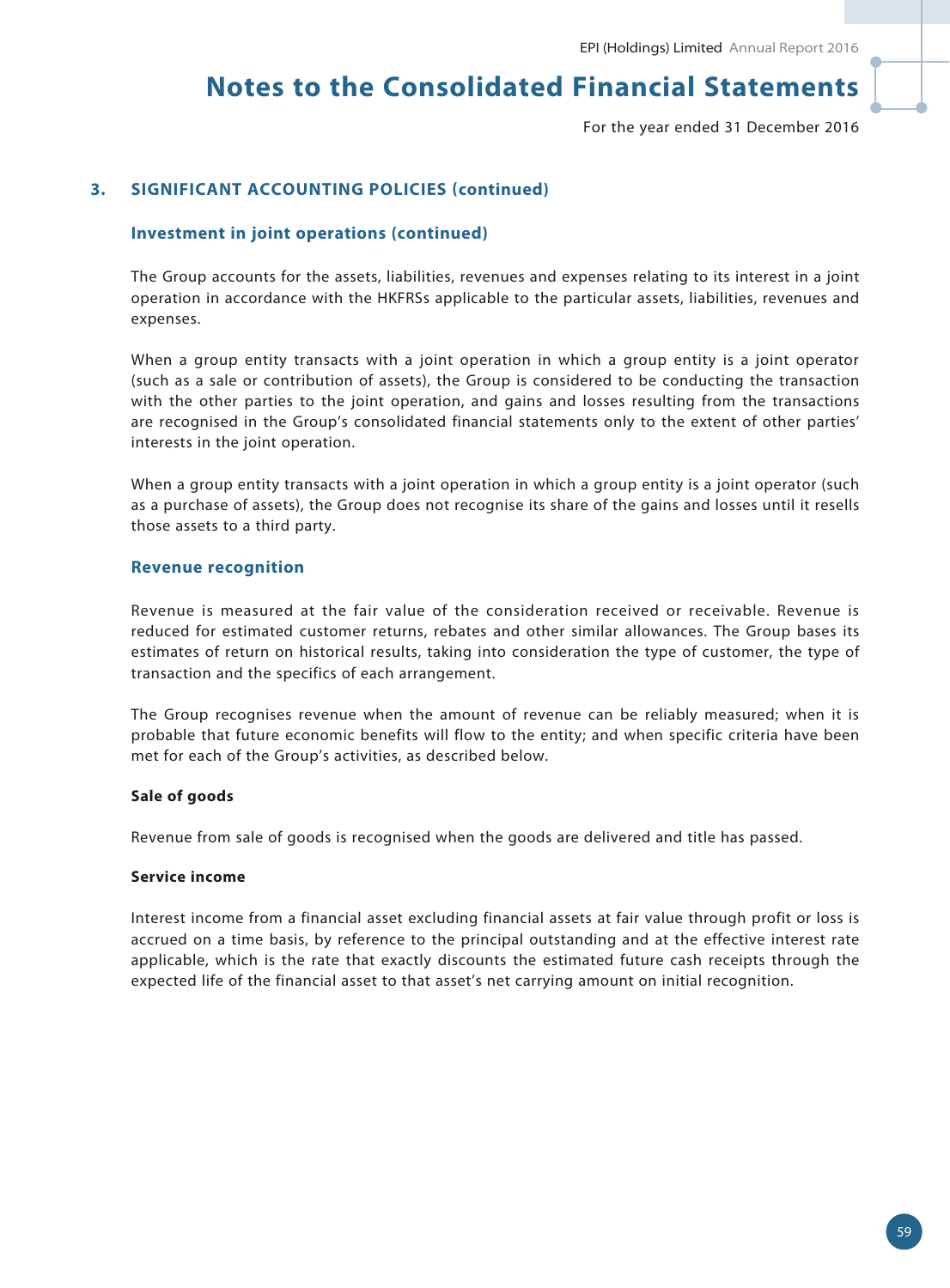For the year ended 31 December 2016

### **3. SIGNIFICANT ACCOUNTING POLICIES (continued)**

#### **Investment in joint operations (continued)**

The Group accounts for the assets, liabilities, revenues and expenses relating to its interest in a joint operation in accordance with the HKFRSs applicable to the particular assets, liabilities, revenues and expenses.

When a group entity transacts with a joint operation in which a group entity is a joint operator (such as a sale or contribution of assets), the Group is considered to be conducting the transaction with the other parties to the joint operation, and gains and losses resulting from the transactions are recognised in the Group's consolidated financial statements only to the extent of other parties' interests in the joint operation.

When a group entity transacts with a joint operation in which a group entity is a joint operator (such as a purchase of assets), the Group does not recognise its share of the gains and losses until it resells those assets to a third party.

#### **Revenue recognition**

Revenue is measured at the fair value of the consideration received or receivable. Revenue is reduced for estimated customer returns, rebates and other similar allowances. The Group bases its estimates of return on historical results, taking into consideration the type of customer, the type of transaction and the specifics of each arrangement.

The Group recognises revenue when the amount of revenue can be reliably measured; when it is probable that future economic benefits will flow to the entity; and when specific criteria have been met for each of the Group's activities, as described below.

#### **Sale of goods**

Revenue from sale of goods is recognised when the goods are delivered and title has passed.

#### **Service income**

Interest income from a financial asset excluding financial assets at fair value through profit or loss is accrued on a time basis, by reference to the principal outstanding and at the effective interest rate applicable, which is the rate that exactly discounts the estimated future cash receipts through the expected life of the financial asset to that asset's net carrying amount on initial recognition.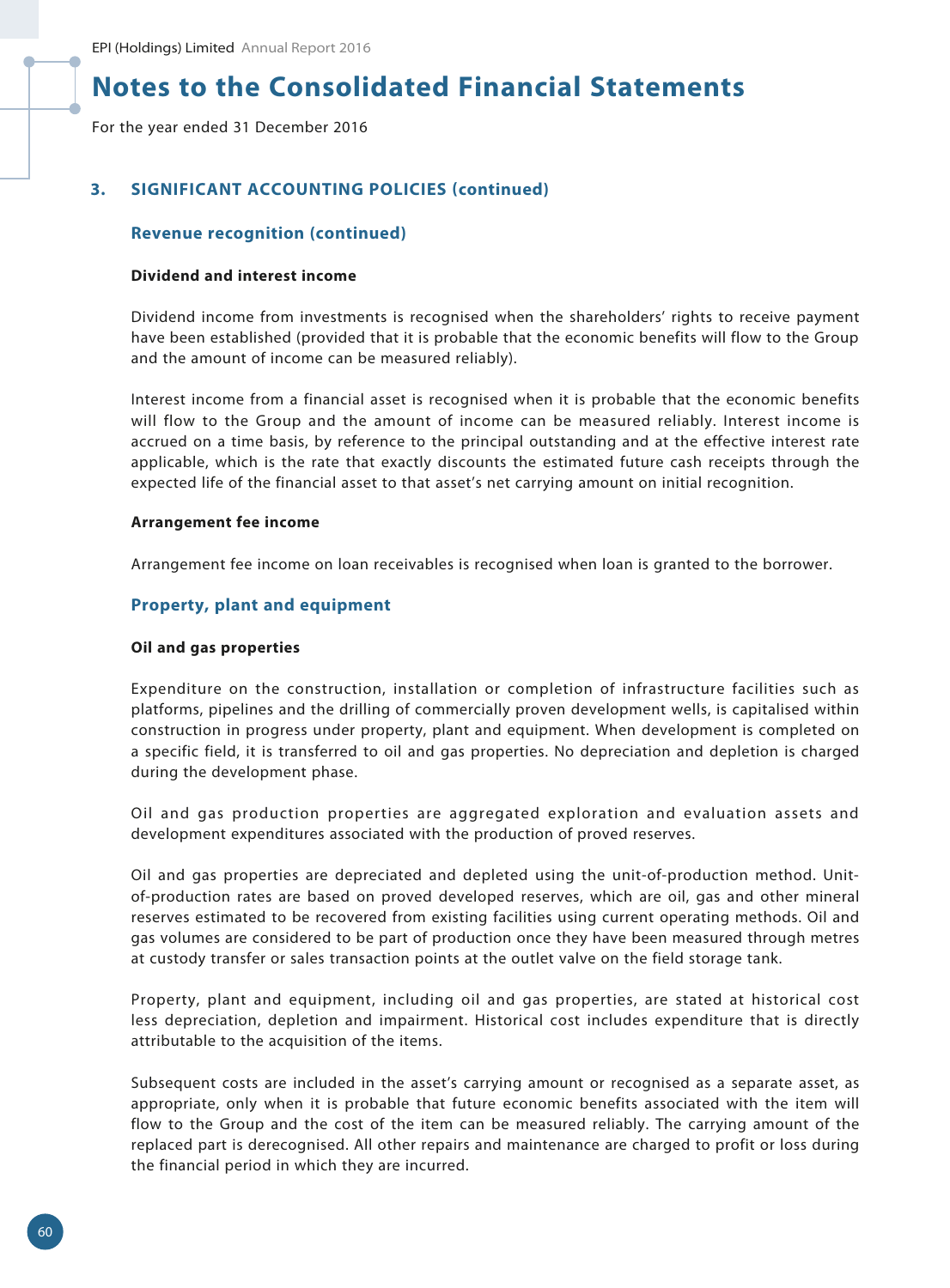For the year ended 31 December 2016

# **3. SIGNIFICANT ACCOUNTING POLICIES (continued)**

#### **Revenue recognition (continued)**

#### **Dividend and interest income**

Dividend income from investments is recognised when the shareholders' rights to receive payment have been established (provided that it is probable that the economic benefits will flow to the Group and the amount of income can be measured reliably).

Interest income from a financial asset is recognised when it is probable that the economic benefits will flow to the Group and the amount of income can be measured reliably. Interest income is accrued on a time basis, by reference to the principal outstanding and at the effective interest rate applicable, which is the rate that exactly discounts the estimated future cash receipts through the expected life of the financial asset to that asset's net carrying amount on initial recognition.

#### **Arrangement fee income**

Arrangement fee income on loan receivables is recognised when loan is granted to the borrower.

#### **Property, plant and equipment**

#### **Oil and gas properties**

Expenditure on the construction, installation or completion of infrastructure facilities such as platforms, pipelines and the drilling of commercially proven development wells, is capitalised within construction in progress under property, plant and equipment. When development is completed on a specific field, it is transferred to oil and gas properties. No depreciation and depletion is charged during the development phase.

Oil and gas production properties are aggregated exploration and evaluation assets and development expenditures associated with the production of proved reserves.

Oil and gas properties are depreciated and depleted using the unit-of-production method. Unitof-production rates are based on proved developed reserves, which are oil, gas and other mineral reserves estimated to be recovered from existing facilities using current operating methods. Oil and gas volumes are considered to be part of production once they have been measured through metres at custody transfer or sales transaction points at the outlet valve on the field storage tank.

Property, plant and equipment, including oil and gas properties, are stated at historical cost less depreciation, depletion and impairment. Historical cost includes expenditure that is directly attributable to the acquisition of the items.

Subsequent costs are included in the asset's carrying amount or recognised as a separate asset, as appropriate, only when it is probable that future economic benefits associated with the item will flow to the Group and the cost of the item can be measured reliably. The carrying amount of the replaced part is derecognised. All other repairs and maintenance are charged to profit or loss during the financial period in which they are incurred.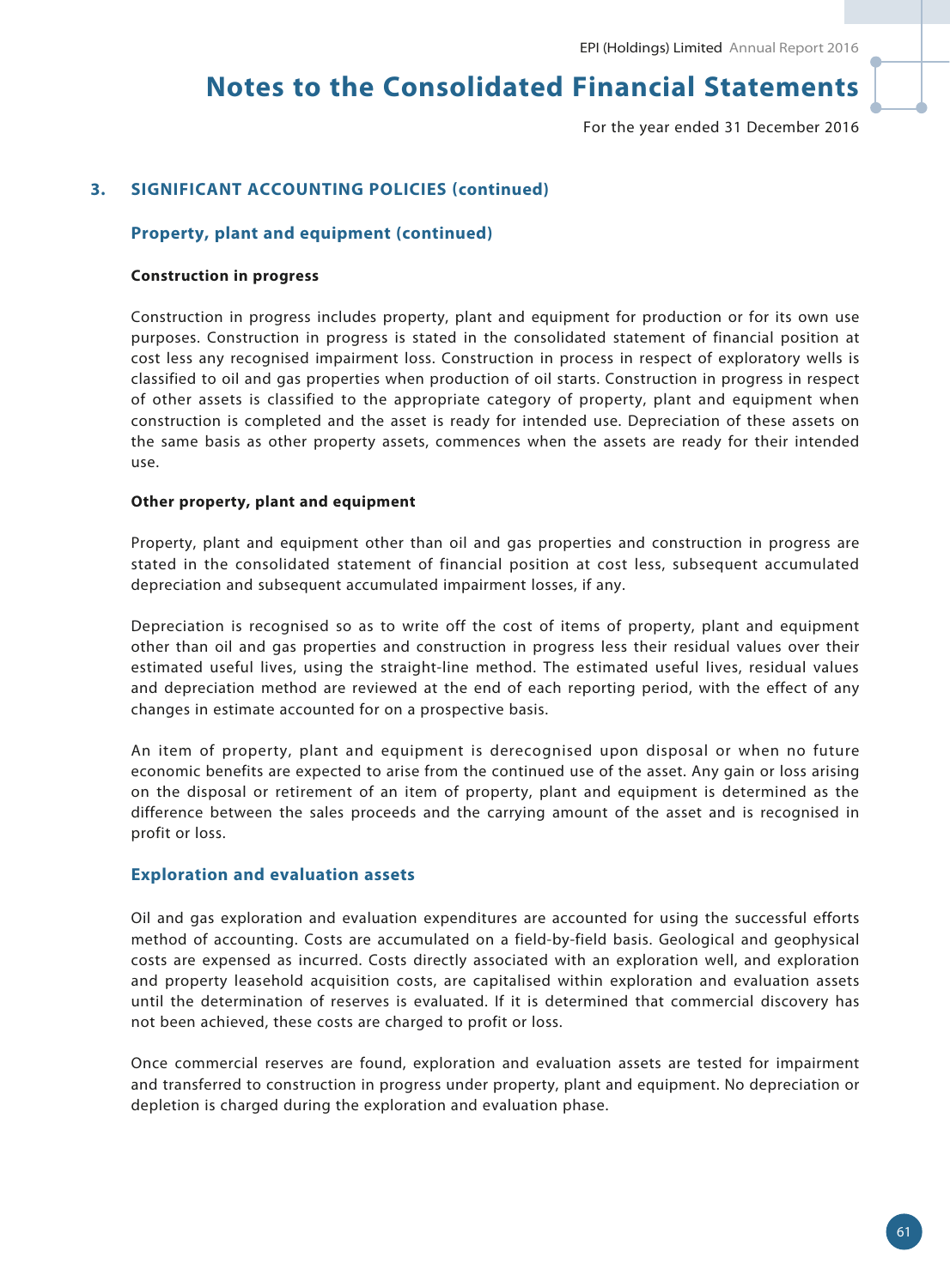For the year ended 31 December 2016

# **3. SIGNIFICANT ACCOUNTING POLICIES (continued)**

#### **Property, plant and equipment (continued)**

#### **Construction in progress**

Construction in progress includes property, plant and equipment for production or for its own use purposes. Construction in progress is stated in the consolidated statement of financial position at cost less any recognised impairment loss. Construction in process in respect of exploratory wells is classified to oil and gas properties when production of oil starts. Construction in progress in respect of other assets is classified to the appropriate category of property, plant and equipment when construction is completed and the asset is ready for intended use. Depreciation of these assets on the same basis as other property assets, commences when the assets are ready for their intended use.

#### **Other property, plant and equipment**

Property, plant and equipment other than oil and gas properties and construction in progress are stated in the consolidated statement of financial position at cost less, subsequent accumulated depreciation and subsequent accumulated impairment losses, if any.

Depreciation is recognised so as to write off the cost of items of property, plant and equipment other than oil and gas properties and construction in progress less their residual values over their estimated useful lives, using the straight-line method. The estimated useful lives, residual values and depreciation method are reviewed at the end of each reporting period, with the effect of any changes in estimate accounted for on a prospective basis.

An item of property, plant and equipment is derecognised upon disposal or when no future economic benefits are expected to arise from the continued use of the asset. Any gain or loss arising on the disposal or retirement of an item of property, plant and equipment is determined as the difference between the sales proceeds and the carrying amount of the asset and is recognised in profit or loss.

#### **Exploration and evaluation assets**

Oil and gas exploration and evaluation expenditures are accounted for using the successful efforts method of accounting. Costs are accumulated on a field-by-field basis. Geological and geophysical costs are expensed as incurred. Costs directly associated with an exploration well, and exploration and property leasehold acquisition costs, are capitalised within exploration and evaluation assets until the determination of reserves is evaluated. If it is determined that commercial discovery has not been achieved, these costs are charged to profit or loss.

Once commercial reserves are found, exploration and evaluation assets are tested for impairment and transferred to construction in progress under property, plant and equipment. No depreciation or depletion is charged during the exploration and evaluation phase.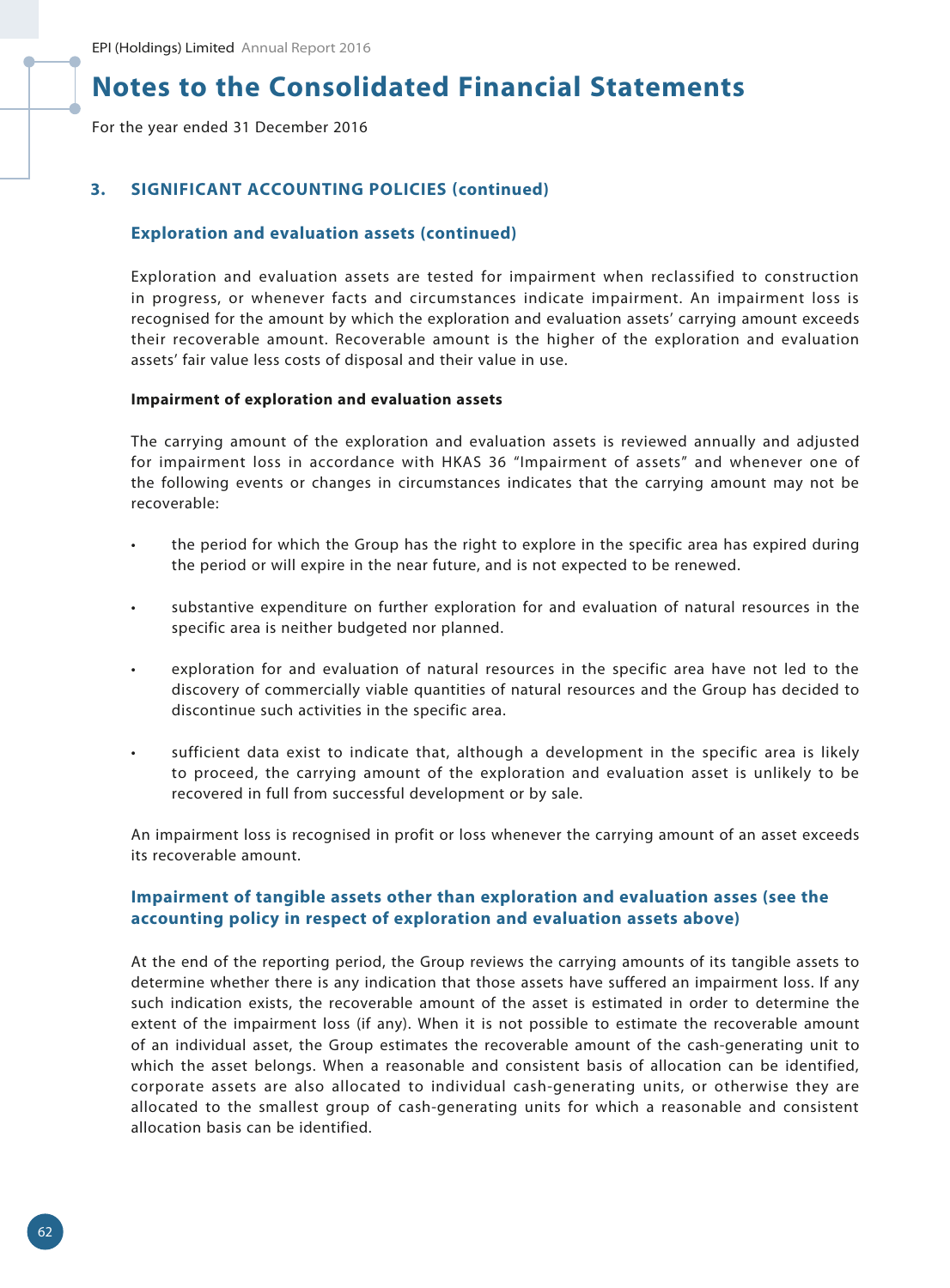For the year ended 31 December 2016

# **3. SIGNIFICANT ACCOUNTING POLICIES (continued)**

### **Exploration and evaluation assets (continued)**

Exploration and evaluation assets are tested for impairment when reclassified to construction in progress, or whenever facts and circumstances indicate impairment. An impairment loss is recognised for the amount by which the exploration and evaluation assets' carrying amount exceeds their recoverable amount. Recoverable amount is the higher of the exploration and evaluation assets' fair value less costs of disposal and their value in use.

#### **Impairment of exploration and evaluation assets**

The carrying amount of the exploration and evaluation assets is reviewed annually and adjusted for impairment loss in accordance with HKAS 36 "Impairment of assets" and whenever one of the following events or changes in circumstances indicates that the carrying amount may not be recoverable:

- the period for which the Group has the right to explore in the specific area has expired during the period or will expire in the near future, and is not expected to be renewed.
- substantive expenditure on further exploration for and evaluation of natural resources in the specific area is neither budgeted nor planned.
- exploration for and evaluation of natural resources in the specific area have not led to the discovery of commercially viable quantities of natural resources and the Group has decided to discontinue such activities in the specific area.
- sufficient data exist to indicate that, although a development in the specific area is likely to proceed, the carrying amount of the exploration and evaluation asset is unlikely to be recovered in full from successful development or by sale.

An impairment loss is recognised in profit or loss whenever the carrying amount of an asset exceeds its recoverable amount.

### **Impairment of tangible assets other than exploration and evaluation asses (see the accounting policy in respect of exploration and evaluation assets above)**

At the end of the reporting period, the Group reviews the carrying amounts of its tangible assets to determine whether there is any indication that those assets have suffered an impairment loss. If any such indication exists, the recoverable amount of the asset is estimated in order to determine the extent of the impairment loss (if any). When it is not possible to estimate the recoverable amount of an individual asset, the Group estimates the recoverable amount of the cash-generating unit to which the asset belongs. When a reasonable and consistent basis of allocation can be identified, corporate assets are also allocated to individual cash-generating units, or otherwise they are allocated to the smallest group of cash-generating units for which a reasonable and consistent allocation basis can be identified.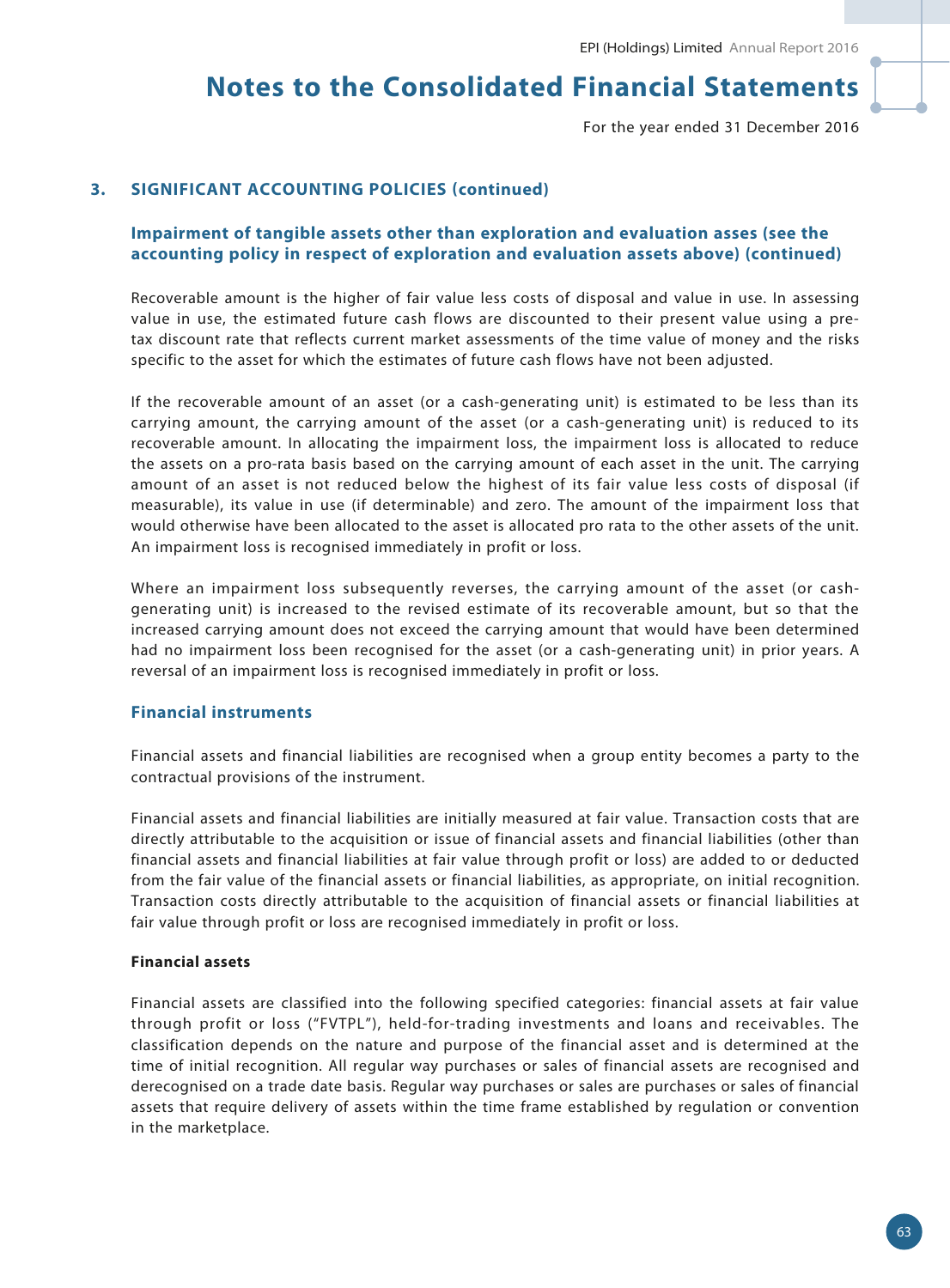For the year ended 31 December 2016

### **3. SIGNIFICANT ACCOUNTING POLICIES (continued)**

### **Impairment of tangible assets other than exploration and evaluation asses (see the accounting policy in respect of exploration and evaluation assets above) (continued)**

Recoverable amount is the higher of fair value less costs of disposal and value in use. In assessing value in use, the estimated future cash flows are discounted to their present value using a pretax discount rate that reflects current market assessments of the time value of money and the risks specific to the asset for which the estimates of future cash flows have not been adjusted.

If the recoverable amount of an asset (or a cash-generating unit) is estimated to be less than its carrying amount, the carrying amount of the asset (or a cash-generating unit) is reduced to its recoverable amount. In allocating the impairment loss, the impairment loss is allocated to reduce the assets on a pro-rata basis based on the carrying amount of each asset in the unit. The carrying amount of an asset is not reduced below the highest of its fair value less costs of disposal (if measurable), its value in use (if determinable) and zero. The amount of the impairment loss that would otherwise have been allocated to the asset is allocated pro rata to the other assets of the unit. An impairment loss is recognised immediately in profit or loss.

Where an impairment loss subsequently reverses, the carrying amount of the asset (or cashgenerating unit) is increased to the revised estimate of its recoverable amount, but so that the increased carrying amount does not exceed the carrying amount that would have been determined had no impairment loss been recognised for the asset (or a cash-generating unit) in prior years. A reversal of an impairment loss is recognised immediately in profit or loss.

#### **Financial instruments**

Financial assets and financial liabilities are recognised when a group entity becomes a party to the contractual provisions of the instrument.

Financial assets and financial liabilities are initially measured at fair value. Transaction costs that are directly attributable to the acquisition or issue of financial assets and financial liabilities (other than financial assets and financial liabilities at fair value through profit or loss) are added to or deducted from the fair value of the financial assets or financial liabilities, as appropriate, on initial recognition. Transaction costs directly attributable to the acquisition of financial assets or financial liabilities at fair value through profit or loss are recognised immediately in profit or loss.

#### **Financial assets**

Financial assets are classified into the following specified categories: financial assets at fair value through profit or loss ("FVTPL"), held-for-trading investments and loans and receivables. The classification depends on the nature and purpose of the financial asset and is determined at the time of initial recognition. All regular way purchases or sales of financial assets are recognised and derecognised on a trade date basis. Regular way purchases or sales are purchases or sales of financial assets that require delivery of assets within the time frame established by regulation or convention in the marketplace.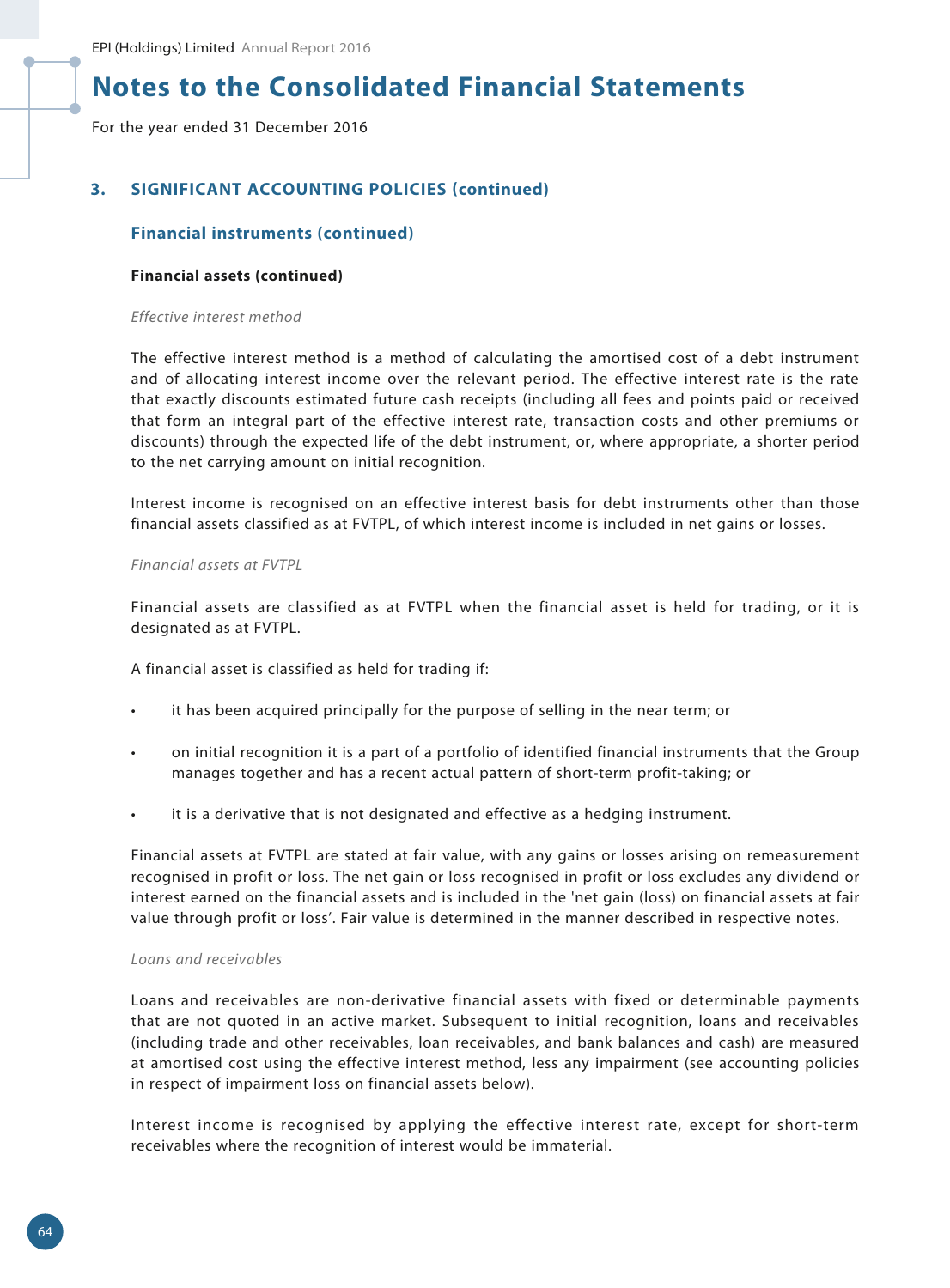For the year ended 31 December 2016

# **3. SIGNIFICANT ACCOUNTING POLICIES (continued)**

# **Financial instruments (continued)**

#### **Financial assets (continued)**

#### *Effective interest method*

The effective interest method is a method of calculating the amortised cost of a debt instrument and of allocating interest income over the relevant period. The effective interest rate is the rate that exactly discounts estimated future cash receipts (including all fees and points paid or received that form an integral part of the effective interest rate, transaction costs and other premiums or discounts) through the expected life of the debt instrument, or, where appropriate, a shorter period to the net carrying amount on initial recognition.

Interest income is recognised on an effective interest basis for debt instruments other than those financial assets classified as at FVTPL, of which interest income is included in net gains or losses.

#### *Financial assets at FVTPL*

Financial assets are classified as at FVTPL when the financial asset is held for trading, or it is designated as at FVTPL.

A financial asset is classified as held for trading if:

- it has been acquired principally for the purpose of selling in the near term; or
- on initial recognition it is a part of a portfolio of identified financial instruments that the Group manages together and has a recent actual pattern of short-term profit-taking; or
- it is a derivative that is not designated and effective as a hedging instrument.

Financial assets at FVTPL are stated at fair value, with any gains or losses arising on remeasurement recognised in profit or loss. The net gain or loss recognised in profit or loss excludes any dividend or interest earned on the financial assets and is included in the 'net gain (loss) on financial assets at fair value through profit or loss'. Fair value is determined in the manner described in respective notes.

#### *Loans and receivables*

Loans and receivables are non-derivative financial assets with fixed or determinable payments that are not quoted in an active market. Subsequent to initial recognition, loans and receivables (including trade and other receivables, loan receivables, and bank balances and cash) are measured at amortised cost using the effective interest method, less any impairment (see accounting policies in respect of impairment loss on financial assets below).

Interest income is recognised by applying the effective interest rate, except for short-term receivables where the recognition of interest would be immaterial.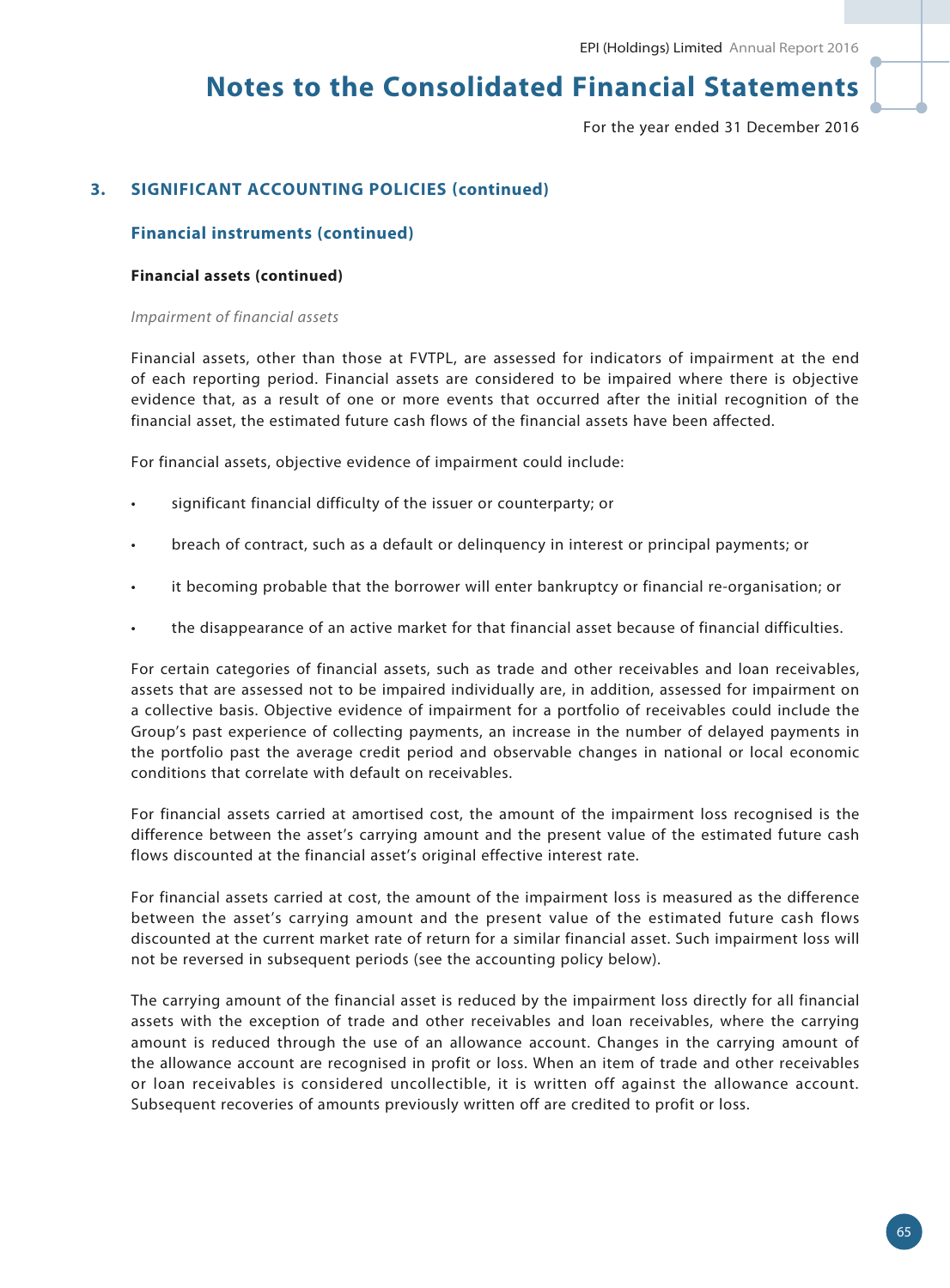For the year ended 31 December 2016

# **3. SIGNIFICANT ACCOUNTING POLICIES (continued)**

# **Financial instruments (continued)**

#### **Financial assets (continued)**

#### *Impairment of financial assets*

Financial assets, other than those at FVTPL, are assessed for indicators of impairment at the end of each reporting period. Financial assets are considered to be impaired where there is objective evidence that, as a result of one or more events that occurred after the initial recognition of the financial asset, the estimated future cash flows of the financial assets have been affected.

For financial assets, objective evidence of impairment could include:

- significant financial difficulty of the issuer or counterparty; or
- breach of contract, such as a default or delinquency in interest or principal payments; or
- it becoming probable that the borrower will enter bankruptcy or financial re-organisation; or
- the disappearance of an active market for that financial asset because of financial difficulties.

For certain categories of financial assets, such as trade and other receivables and loan receivables, assets that are assessed not to be impaired individually are, in addition, assessed for impairment on a collective basis. Objective evidence of impairment for a portfolio of receivables could include the Group's past experience of collecting payments, an increase in the number of delayed payments in the portfolio past the average credit period and observable changes in national or local economic conditions that correlate with default on receivables.

For financial assets carried at amortised cost, the amount of the impairment loss recognised is the difference between the asset's carrying amount and the present value of the estimated future cash flows discounted at the financial asset's original effective interest rate.

For financial assets carried at cost, the amount of the impairment loss is measured as the difference between the asset's carrying amount and the present value of the estimated future cash flows discounted at the current market rate of return for a similar financial asset. Such impairment loss will not be reversed in subsequent periods (see the accounting policy below).

The carrying amount of the financial asset is reduced by the impairment loss directly for all financial assets with the exception of trade and other receivables and loan receivables, where the carrying amount is reduced through the use of an allowance account. Changes in the carrying amount of the allowance account are recognised in profit or loss. When an item of trade and other receivables or loan receivables is considered uncollectible, it is written off against the allowance account. Subsequent recoveries of amounts previously written off are credited to profit or loss.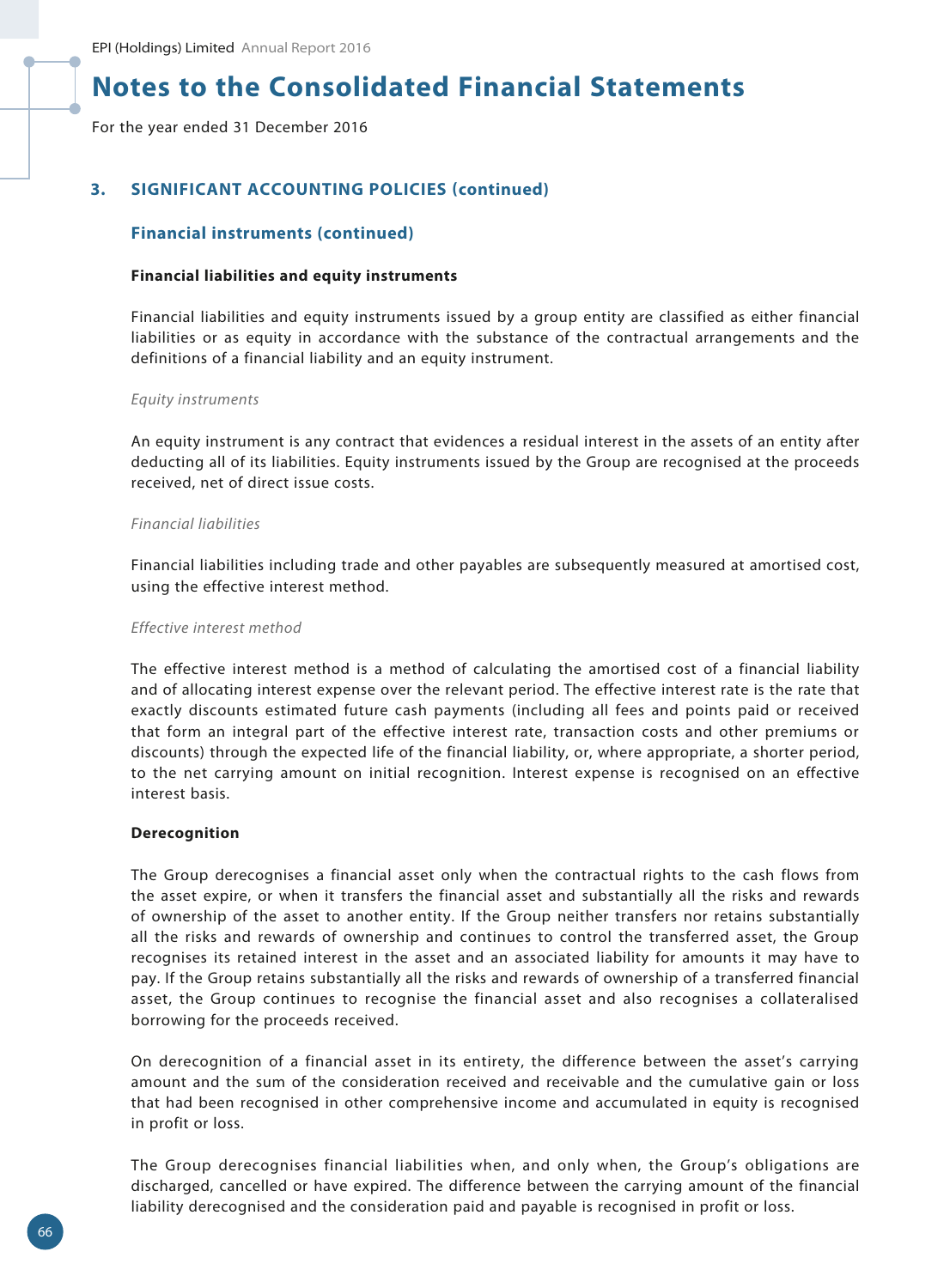For the year ended 31 December 2016

# **3. SIGNIFICANT ACCOUNTING POLICIES (continued)**

### **Financial instruments (continued)**

#### **Financial liabilities and equity instruments**

Financial liabilities and equity instruments issued by a group entity are classified as either financial liabilities or as equity in accordance with the substance of the contractual arrangements and the definitions of a financial liability and an equity instrument.

#### *Equity instruments*

An equity instrument is any contract that evidences a residual interest in the assets of an entity after deducting all of its liabilities. Equity instruments issued by the Group are recognised at the proceeds received, net of direct issue costs.

#### *Financial liabilities*

Financial liabilities including trade and other payables are subsequently measured at amortised cost, using the effective interest method.

#### *Effective interest method*

The effective interest method is a method of calculating the amortised cost of a financial liability and of allocating interest expense over the relevant period. The effective interest rate is the rate that exactly discounts estimated future cash payments (including all fees and points paid or received that form an integral part of the effective interest rate, transaction costs and other premiums or discounts) through the expected life of the financial liability, or, where appropriate, a shorter period, to the net carrying amount on initial recognition. Interest expense is recognised on an effective interest basis.

#### **Derecognition**

The Group derecognises a financial asset only when the contractual rights to the cash flows from the asset expire, or when it transfers the financial asset and substantially all the risks and rewards of ownership of the asset to another entity. If the Group neither transfers nor retains substantially all the risks and rewards of ownership and continues to control the transferred asset, the Group recognises its retained interest in the asset and an associated liability for amounts it may have to pay. If the Group retains substantially all the risks and rewards of ownership of a transferred financial asset, the Group continues to recognise the financial asset and also recognises a collateralised borrowing for the proceeds received.

On derecognition of a financial asset in its entirety, the difference between the asset's carrying amount and the sum of the consideration received and receivable and the cumulative gain or loss that had been recognised in other comprehensive income and accumulated in equity is recognised in profit or loss.

The Group derecognises financial liabilities when, and only when, the Group's obligations are discharged, cancelled or have expired. The difference between the carrying amount of the financial liability derecognised and the consideration paid and payable is recognised in profit or loss.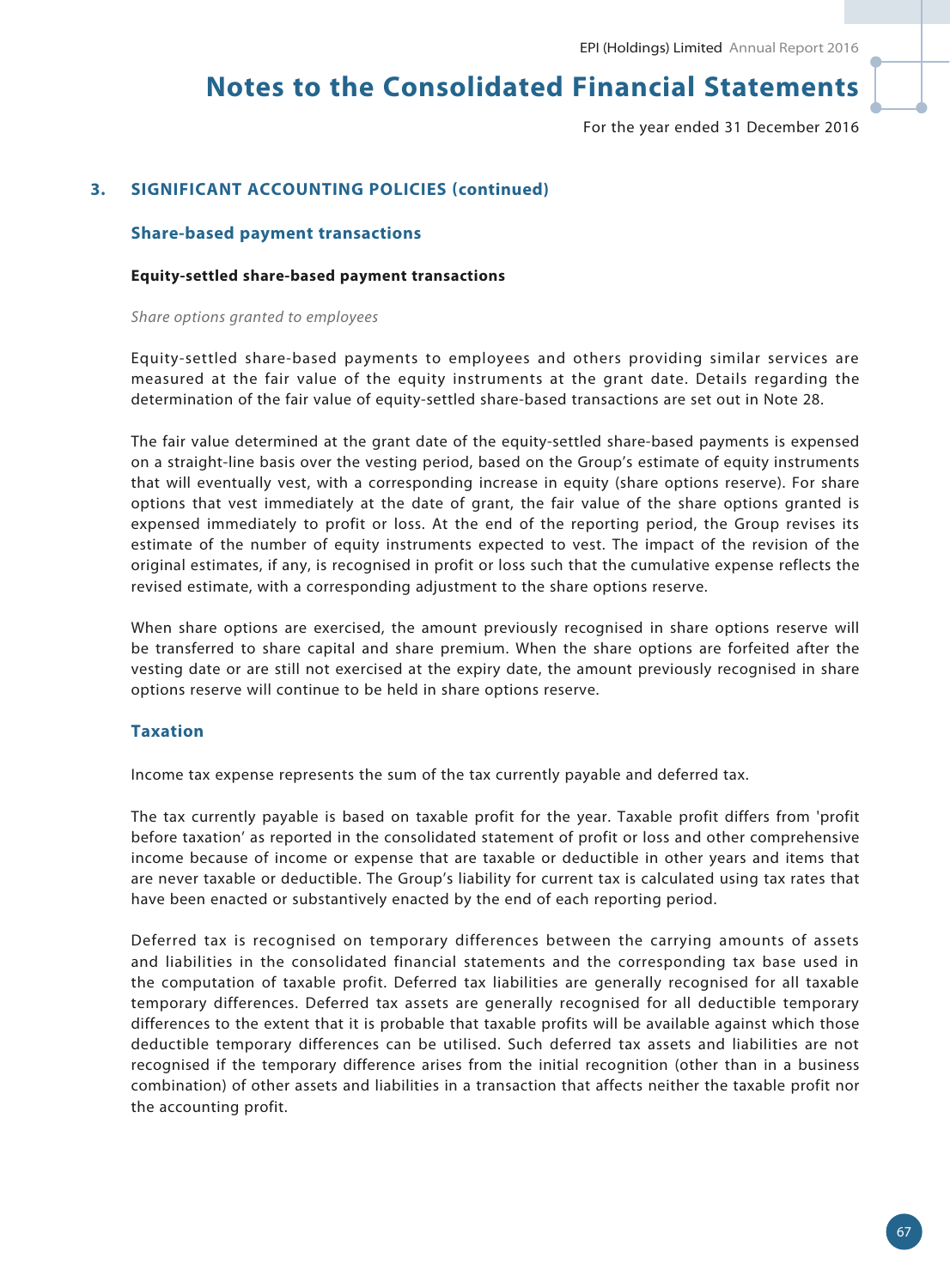For the year ended 31 December 2016

# **3. SIGNIFICANT ACCOUNTING POLICIES (continued)**

#### **Share-based payment transactions**

#### **Equity-settled share-based payment transactions**

*Share options granted to employees*

Equity-settled share-based payments to employees and others providing similar services are measured at the fair value of the equity instruments at the grant date. Details regarding the determination of the fair value of equity-settled share-based transactions are set out in Note 28.

The fair value determined at the grant date of the equity-settled share-based payments is expensed on a straight-line basis over the vesting period, based on the Group's estimate of equity instruments that will eventually vest, with a corresponding increase in equity (share options reserve). For share options that vest immediately at the date of grant, the fair value of the share options granted is expensed immediately to profit or loss. At the end of the reporting period, the Group revises its estimate of the number of equity instruments expected to vest. The impact of the revision of the original estimates, if any, is recognised in profit or loss such that the cumulative expense reflects the revised estimate, with a corresponding adjustment to the share options reserve.

When share options are exercised, the amount previously recognised in share options reserve will be transferred to share capital and share premium. When the share options are forfeited after the vesting date or are still not exercised at the expiry date, the amount previously recognised in share options reserve will continue to be held in share options reserve.

### **Taxation**

Income tax expense represents the sum of the tax currently payable and deferred tax.

The tax currently payable is based on taxable profit for the year. Taxable profit differs from 'profit before taxation' as reported in the consolidated statement of profit or loss and other comprehensive income because of income or expense that are taxable or deductible in other years and items that are never taxable or deductible. The Group's liability for current tax is calculated using tax rates that have been enacted or substantively enacted by the end of each reporting period.

Deferred tax is recognised on temporary differences between the carrying amounts of assets and liabilities in the consolidated financial statements and the corresponding tax base used in the computation of taxable profit. Deferred tax liabilities are generally recognised for all taxable temporary differences. Deferred tax assets are generally recognised for all deductible temporary differences to the extent that it is probable that taxable profits will be available against which those deductible temporary differences can be utilised. Such deferred tax assets and liabilities are not recognised if the temporary difference arises from the initial recognition (other than in a business combination) of other assets and liabilities in a transaction that affects neither the taxable profit nor the accounting profit.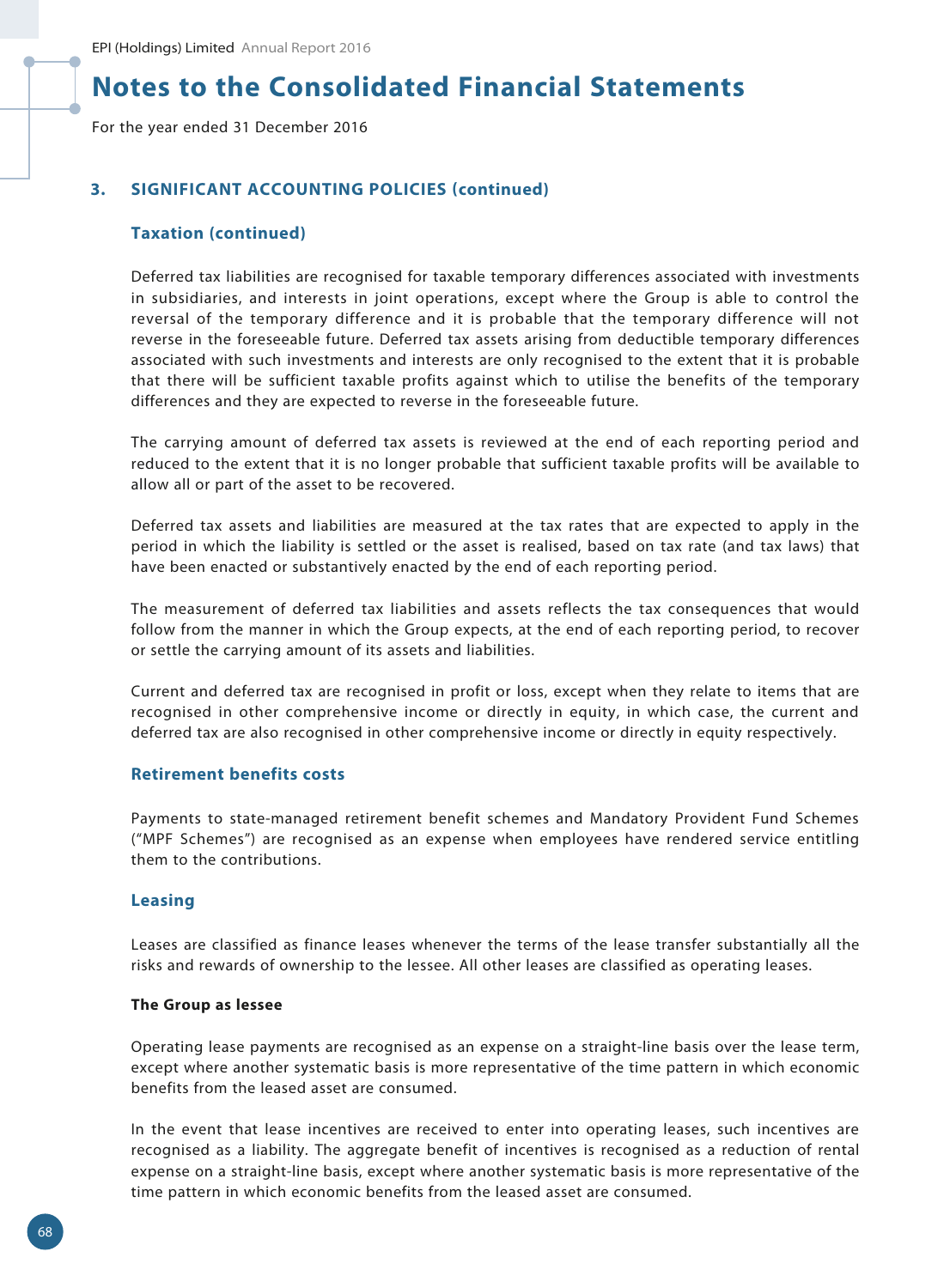For the year ended 31 December 2016

### **3. SIGNIFICANT ACCOUNTING POLICIES (continued)**

### **Taxation (continued)**

Deferred tax liabilities are recognised for taxable temporary differences associated with investments in subsidiaries, and interests in joint operations, except where the Group is able to control the reversal of the temporary difference and it is probable that the temporary difference will not reverse in the foreseeable future. Deferred tax assets arising from deductible temporary differences associated with such investments and interests are only recognised to the extent that it is probable that there will be sufficient taxable profits against which to utilise the benefits of the temporary differences and they are expected to reverse in the foreseeable future.

The carrying amount of deferred tax assets is reviewed at the end of each reporting period and reduced to the extent that it is no longer probable that sufficient taxable profits will be available to allow all or part of the asset to be recovered.

Deferred tax assets and liabilities are measured at the tax rates that are expected to apply in the period in which the liability is settled or the asset is realised, based on tax rate (and tax laws) that have been enacted or substantively enacted by the end of each reporting period.

The measurement of deferred tax liabilities and assets reflects the tax consequences that would follow from the manner in which the Group expects, at the end of each reporting period, to recover or settle the carrying amount of its assets and liabilities.

Current and deferred tax are recognised in profit or loss, except when they relate to items that are recognised in other comprehensive income or directly in equity, in which case, the current and deferred tax are also recognised in other comprehensive income or directly in equity respectively.

#### **Retirement benefits costs**

Payments to state-managed retirement benefit schemes and Mandatory Provident Fund Schemes ("MPF Schemes") are recognised as an expense when employees have rendered service entitling them to the contributions.

#### **Leasing**

Leases are classified as finance leases whenever the terms of the lease transfer substantially all the risks and rewards of ownership to the lessee. All other leases are classified as operating leases.

#### **The Group as lessee**

Operating lease payments are recognised as an expense on a straight-line basis over the lease term, except where another systematic basis is more representative of the time pattern in which economic benefits from the leased asset are consumed.

In the event that lease incentives are received to enter into operating leases, such incentives are recognised as a liability. The aggregate benefit of incentives is recognised as a reduction of rental expense on a straight-line basis, except where another systematic basis is more representative of the time pattern in which economic benefits from the leased asset are consumed.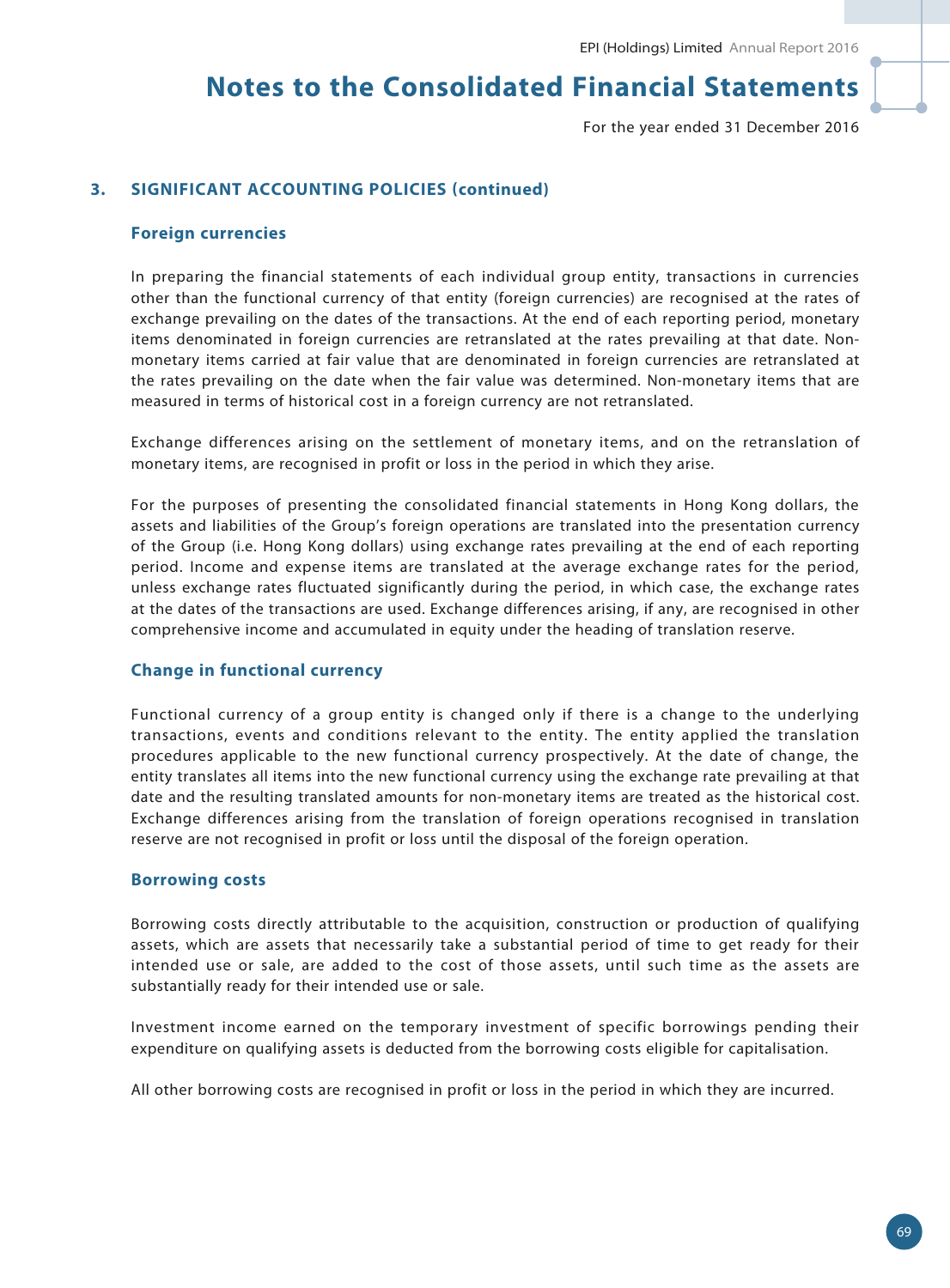For the year ended 31 December 2016

### **3. SIGNIFICANT ACCOUNTING POLICIES (continued)**

#### **Foreign currencies**

In preparing the financial statements of each individual group entity, transactions in currencies other than the functional currency of that entity (foreign currencies) are recognised at the rates of exchange prevailing on the dates of the transactions. At the end of each reporting period, monetary items denominated in foreign currencies are retranslated at the rates prevailing at that date. Nonmonetary items carried at fair value that are denominated in foreign currencies are retranslated at the rates prevailing on the date when the fair value was determined. Non-monetary items that are measured in terms of historical cost in a foreign currency are not retranslated.

Exchange differences arising on the settlement of monetary items, and on the retranslation of monetary items, are recognised in profit or loss in the period in which they arise.

For the purposes of presenting the consolidated financial statements in Hong Kong dollars, the assets and liabilities of the Group's foreign operations are translated into the presentation currency of the Group (i.e. Hong Kong dollars) using exchange rates prevailing at the end of each reporting period. Income and expense items are translated at the average exchange rates for the period, unless exchange rates fluctuated significantly during the period, in which case, the exchange rates at the dates of the transactions are used. Exchange differences arising, if any, are recognised in other comprehensive income and accumulated in equity under the heading of translation reserve.

#### **Change in functional currency**

Functional currency of a group entity is changed only if there is a change to the underlying transactions, events and conditions relevant to the entity. The entity applied the translation procedures applicable to the new functional currency prospectively. At the date of change, the entity translates all items into the new functional currency using the exchange rate prevailing at that date and the resulting translated amounts for non-monetary items are treated as the historical cost. Exchange differences arising from the translation of foreign operations recognised in translation reserve are not recognised in profit or loss until the disposal of the foreign operation.

#### **Borrowing costs**

Borrowing costs directly attributable to the acquisition, construction or production of qualifying assets, which are assets that necessarily take a substantial period of time to get ready for their intended use or sale, are added to the cost of those assets, until such time as the assets are substantially ready for their intended use or sale.

Investment income earned on the temporary investment of specific borrowings pending their expenditure on qualifying assets is deducted from the borrowing costs eligible for capitalisation.

All other borrowing costs are recognised in profit or loss in the period in which they are incurred.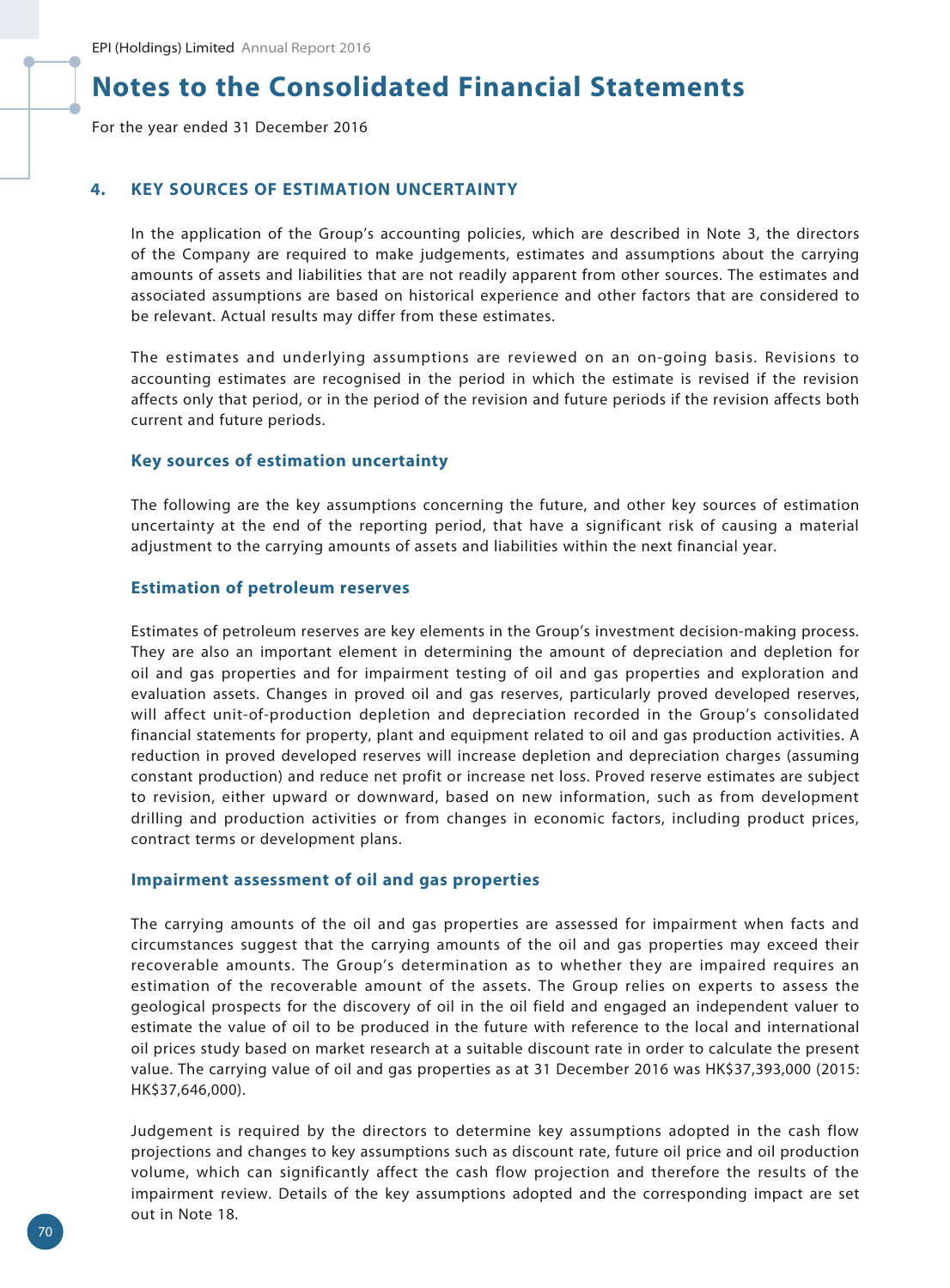For the year ended 31 December 2016

### **4. KEY SOURCES OF ESTIMATION UNCERTAINTY**

In the application of the Group's accounting policies, which are described in Note 3, the directors of the Company are required to make judgements, estimates and assumptions about the carrying amounts of assets and liabilities that are not readily apparent from other sources. The estimates and associated assumptions are based on historical experience and other factors that are considered to be relevant. Actual results may differ from these estimates.

The estimates and underlying assumptions are reviewed on an on-going basis. Revisions to accounting estimates are recognised in the period in which the estimate is revised if the revision affects only that period, or in the period of the revision and future periods if the revision affects both current and future periods.

#### **Key sources of estimation uncertainty**

The following are the key assumptions concerning the future, and other key sources of estimation uncertainty at the end of the reporting period, that have a significant risk of causing a material adjustment to the carrying amounts of assets and liabilities within the next financial year.

#### **Estimation of petroleum reserves**

Estimates of petroleum reserves are key elements in the Group's investment decision-making process. They are also an important element in determining the amount of depreciation and depletion for oil and gas properties and for impairment testing of oil and gas properties and exploration and evaluation assets. Changes in proved oil and gas reserves, particularly proved developed reserves, will affect unit-of-production depletion and depreciation recorded in the Group's consolidated financial statements for property, plant and equipment related to oil and gas production activities. A reduction in proved developed reserves will increase depletion and depreciation charges (assuming constant production) and reduce net profit or increase net loss. Proved reserve estimates are subject to revision, either upward or downward, based on new information, such as from development drilling and production activities or from changes in economic factors, including product prices, contract terms or development plans.

#### **Impairment assessment of oil and gas properties**

The carrying amounts of the oil and gas properties are assessed for impairment when facts and circumstances suggest that the carrying amounts of the oil and gas properties may exceed their recoverable amounts. The Group's determination as to whether they are impaired requires an estimation of the recoverable amount of the assets. The Group relies on experts to assess the geological prospects for the discovery of oil in the oil field and engaged an independent valuer to estimate the value of oil to be produced in the future with reference to the local and international oil prices study based on market research at a suitable discount rate in order to calculate the present value. The carrying value of oil and gas properties as at 31 December 2016 was HK\$37,393,000 (2015: HK\$37,646,000).

Judgement is required by the directors to determine key assumptions adopted in the cash flow projections and changes to key assumptions such as discount rate, future oil price and oil production volume, which can significantly affect the cash flow projection and therefore the results of the impairment review. Details of the key assumptions adopted and the corresponding impact are set out in Note 18.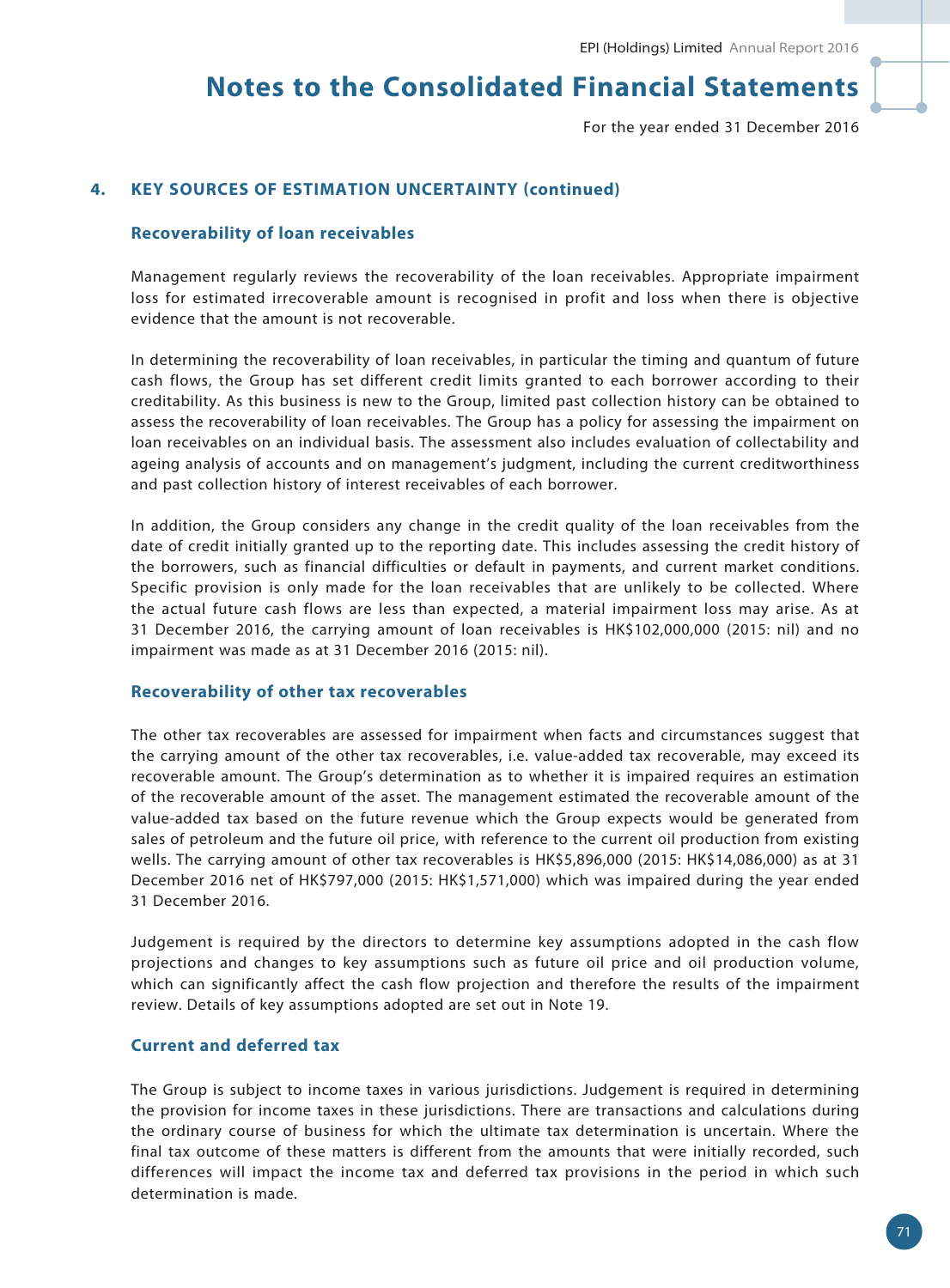For the year ended 31 December 2016

### **4. KEY SOURCES OF ESTIMATION UNCERTAINTY (continued)**

#### **Recoverability of loan receivables**

Management regularly reviews the recoverability of the loan receivables. Appropriate impairment loss for estimated irrecoverable amount is recognised in profit and loss when there is objective evidence that the amount is not recoverable.

In determining the recoverability of loan receivables, in particular the timing and quantum of future cash flows, the Group has set different credit limits granted to each borrower according to their creditability. As this business is new to the Group, limited past collection history can be obtained to assess the recoverability of loan receivables. The Group has a policy for assessing the impairment on loan receivables on an individual basis. The assessment also includes evaluation of collectability and ageing analysis of accounts and on management's judgment, including the current creditworthiness and past collection history of interest receivables of each borrower.

In addition, the Group considers any change in the credit quality of the loan receivables from the date of credit initially granted up to the reporting date. This includes assessing the credit history of the borrowers, such as financial difficulties or default in payments, and current market conditions. Specific provision is only made for the loan receivables that are unlikely to be collected. Where the actual future cash flows are less than expected, a material impairment loss may arise. As at 31 December 2016, the carrying amount of loan receivables is HK\$102,000,000 (2015: nil) and no impairment was made as at 31 December 2016 (2015: nil).

#### **Recoverability of other tax recoverables**

The other tax recoverables are assessed for impairment when facts and circumstances suggest that the carrying amount of the other tax recoverables, i.e. value-added tax recoverable, may exceed its recoverable amount. The Group's determination as to whether it is impaired requires an estimation of the recoverable amount of the asset. The management estimated the recoverable amount of the value-added tax based on the future revenue which the Group expects would be generated from sales of petroleum and the future oil price, with reference to the current oil production from existing wells. The carrying amount of other tax recoverables is HK\$5,896,000 (2015: HK\$14,086,000) as at 31 December 2016 net of HK\$797,000 (2015: HK\$1,571,000) which was impaired during the year ended 31 December 2016.

Judgement is required by the directors to determine key assumptions adopted in the cash flow projections and changes to key assumptions such as future oil price and oil production volume, which can significantly affect the cash flow projection and therefore the results of the impairment review. Details of key assumptions adopted are set out in Note 19.

### **Current and deferred tax**

The Group is subject to income taxes in various jurisdictions. Judgement is required in determining the provision for income taxes in these jurisdictions. There are transactions and calculations during the ordinary course of business for which the ultimate tax determination is uncertain. Where the final tax outcome of these matters is different from the amounts that were initially recorded, such differences will impact the income tax and deferred tax provisions in the period in which such determination is made.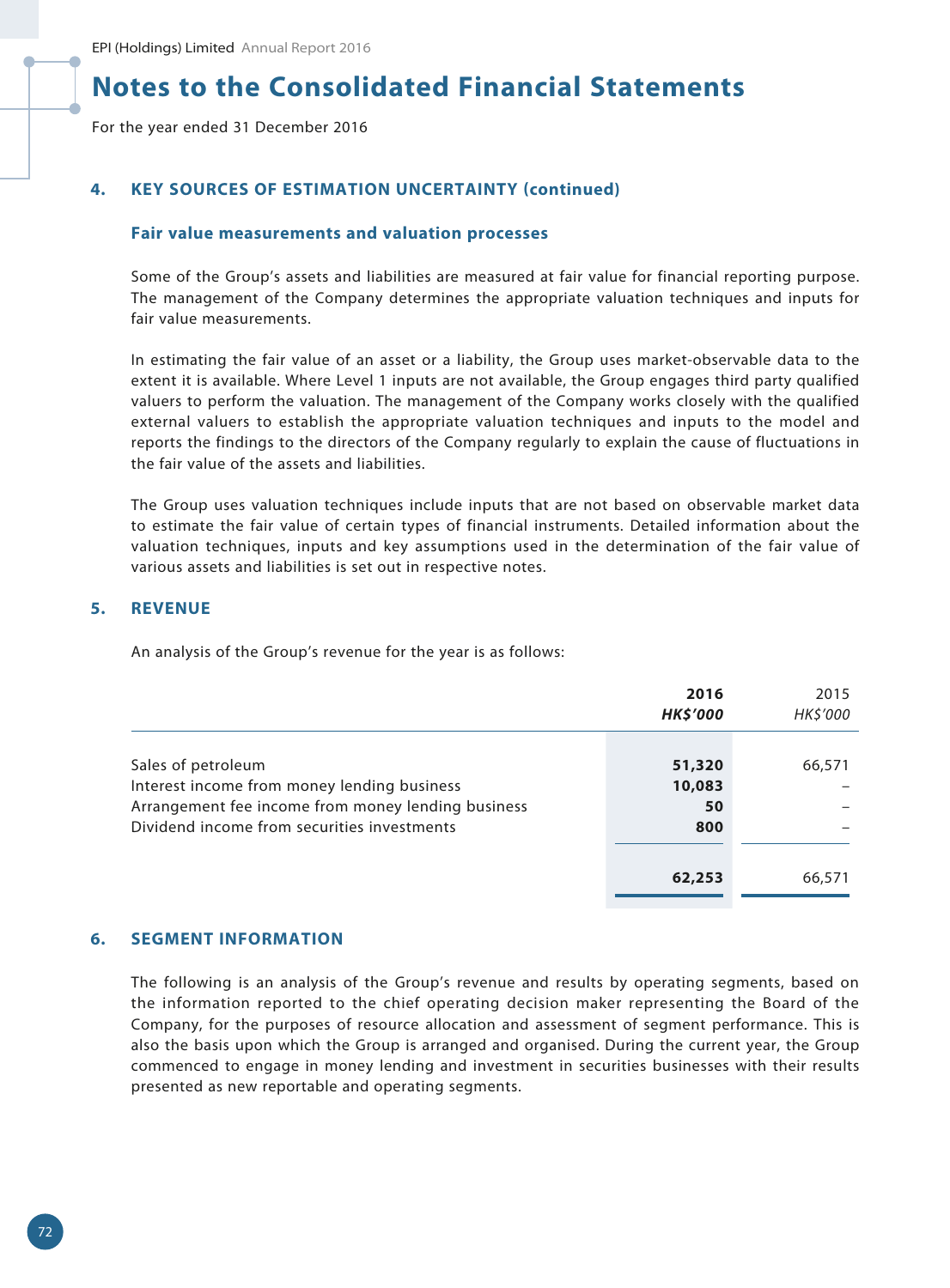For the year ended 31 December 2016

### **4. KEY SOURCES OF ESTIMATION UNCERTAINTY (continued)**

#### **Fair value measurements and valuation processes**

Some of the Group's assets and liabilities are measured at fair value for financial reporting purpose. The management of the Company determines the appropriate valuation techniques and inputs for fair value measurements.

In estimating the fair value of an asset or a liability, the Group uses market-observable data to the extent it is available. Where Level 1 inputs are not available, the Group engages third party qualified valuers to perform the valuation. The management of the Company works closely with the qualified external valuers to establish the appropriate valuation techniques and inputs to the model and reports the findings to the directors of the Company regularly to explain the cause of fluctuations in the fair value of the assets and liabilities.

The Group uses valuation techniques include inputs that are not based on observable market data to estimate the fair value of certain types of financial instruments. Detailed information about the valuation techniques, inputs and key assumptions used in the determination of the fair value of various assets and liabilities is set out in respective notes.

#### **5. REVENUE**

An analysis of the Group's revenue for the year is as follows:

|                                                                                                                                                                        | 2016<br><b>HK\$'000</b>       | 2015<br>HK\$'000 |
|------------------------------------------------------------------------------------------------------------------------------------------------------------------------|-------------------------------|------------------|
| Sales of petroleum<br>Interest income from money lending business<br>Arrangement fee income from money lending business<br>Dividend income from securities investments | 51,320<br>10,083<br>50<br>800 | 66,571           |
|                                                                                                                                                                        | 62,253                        | 66,571           |

#### **6. SEGMENT INFORMATION**

The following is an analysis of the Group's revenue and results by operating segments, based on the information reported to the chief operating decision maker representing the Board of the Company, for the purposes of resource allocation and assessment of segment performance. This is also the basis upon which the Group is arranged and organised. During the current year, the Group commenced to engage in money lending and investment in securities businesses with their results presented as new reportable and operating segments.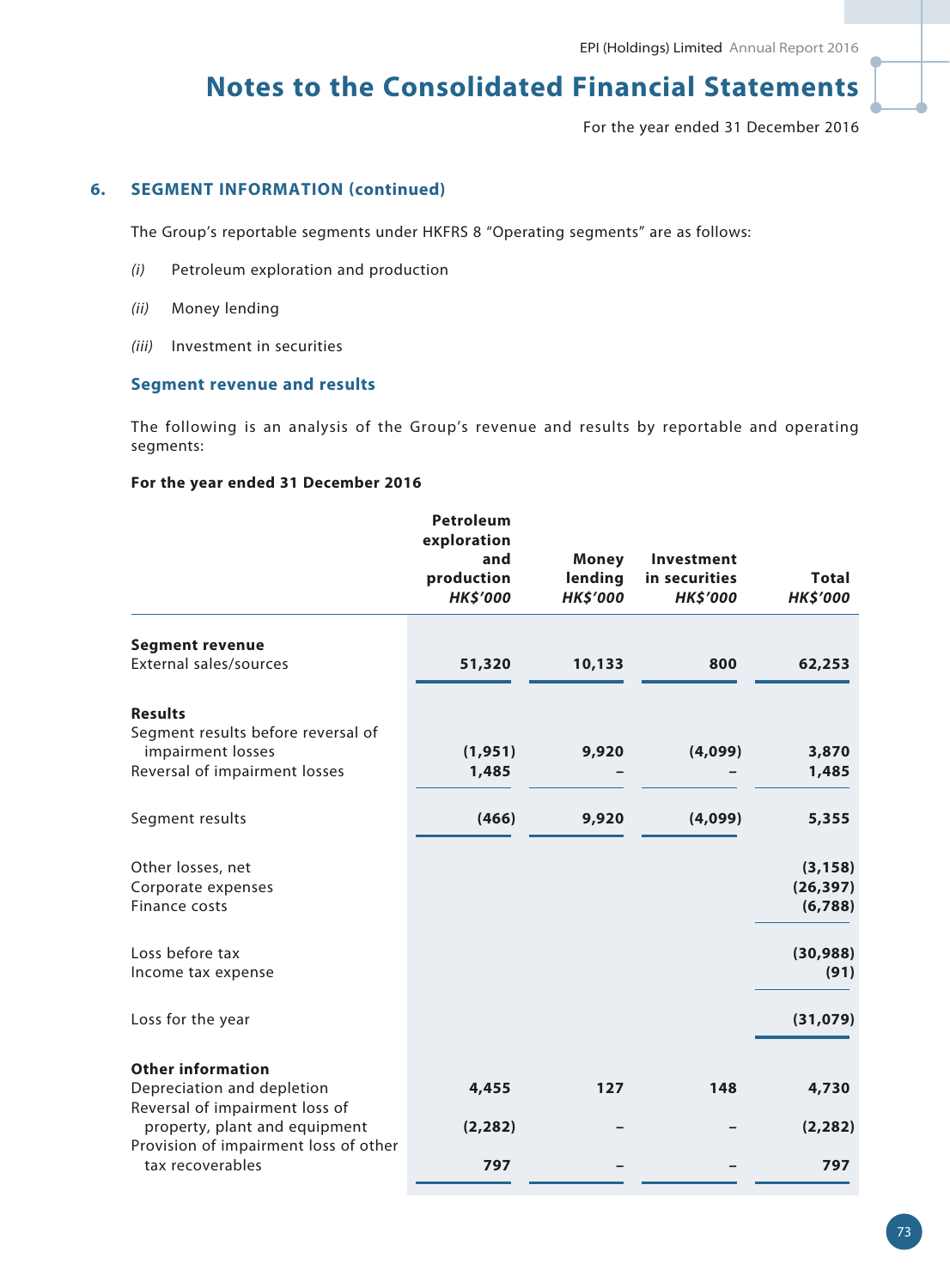For the year ended 31 December 2016

## **6. SEGMENT INFORMATION (continued)**

The Group's reportable segments under HKFRS 8 "Operating segments" are as follows:

- *(i)* Petroleum exploration and production
- *(ii)* Money lending
- *(iii)* Investment in securities

#### **Segment revenue and results**

The following is an analysis of the Group's revenue and results by reportable and operating segments:

## **For the year ended 31 December 2016**

| <b>Segment revenue</b><br>External sales/sources<br>51,320<br>10,133<br>800<br><b>Results</b><br>Segment results before reversal of<br>impairment losses<br>9,920<br>(4,099)<br>(1, 951)<br>Reversal of impairment losses<br>1,485<br>(4,099)<br>Segment results<br>(466)<br>9,920<br>Other losses, net<br>Corporate expenses<br>Finance costs<br>Loss before tax<br>Income tax expense<br>Loss for the year<br><b>Other information</b><br>Depreciation and depletion<br>127<br>148<br>4,455<br>Reversal of impairment loss of<br>property, plant and equipment<br>(2, 282)<br>Provision of impairment loss of other<br>tax recoverables<br>797 | <b>Petroleum</b><br>exploration<br>and<br>production<br><b>HK\$'000</b> | <b>Money</b><br>lending<br><b>HK\$'000</b> | Investment<br>in securities<br><b>HK\$'000</b> | <b>Total</b><br><b>HK\$'000</b>  |
|--------------------------------------------------------------------------------------------------------------------------------------------------------------------------------------------------------------------------------------------------------------------------------------------------------------------------------------------------------------------------------------------------------------------------------------------------------------------------------------------------------------------------------------------------------------------------------------------------------------------------------------------------|-------------------------------------------------------------------------|--------------------------------------------|------------------------------------------------|----------------------------------|
|                                                                                                                                                                                                                                                                                                                                                                                                                                                                                                                                                                                                                                                  |                                                                         |                                            |                                                |                                  |
|                                                                                                                                                                                                                                                                                                                                                                                                                                                                                                                                                                                                                                                  |                                                                         |                                            |                                                | 62,253                           |
|                                                                                                                                                                                                                                                                                                                                                                                                                                                                                                                                                                                                                                                  |                                                                         |                                            |                                                |                                  |
|                                                                                                                                                                                                                                                                                                                                                                                                                                                                                                                                                                                                                                                  |                                                                         |                                            |                                                | 3,870<br>1,485                   |
|                                                                                                                                                                                                                                                                                                                                                                                                                                                                                                                                                                                                                                                  |                                                                         |                                            |                                                | 5,355                            |
|                                                                                                                                                                                                                                                                                                                                                                                                                                                                                                                                                                                                                                                  |                                                                         |                                            |                                                | (3, 158)<br>(26, 397)<br>(6,788) |
|                                                                                                                                                                                                                                                                                                                                                                                                                                                                                                                                                                                                                                                  |                                                                         |                                            |                                                | (30, 988)<br>(91)                |
|                                                                                                                                                                                                                                                                                                                                                                                                                                                                                                                                                                                                                                                  |                                                                         |                                            |                                                | (31,079)                         |
|                                                                                                                                                                                                                                                                                                                                                                                                                                                                                                                                                                                                                                                  |                                                                         |                                            |                                                | 4,730                            |
|                                                                                                                                                                                                                                                                                                                                                                                                                                                                                                                                                                                                                                                  |                                                                         |                                            |                                                | (2, 282)                         |
|                                                                                                                                                                                                                                                                                                                                                                                                                                                                                                                                                                                                                                                  |                                                                         |                                            |                                                | 797                              |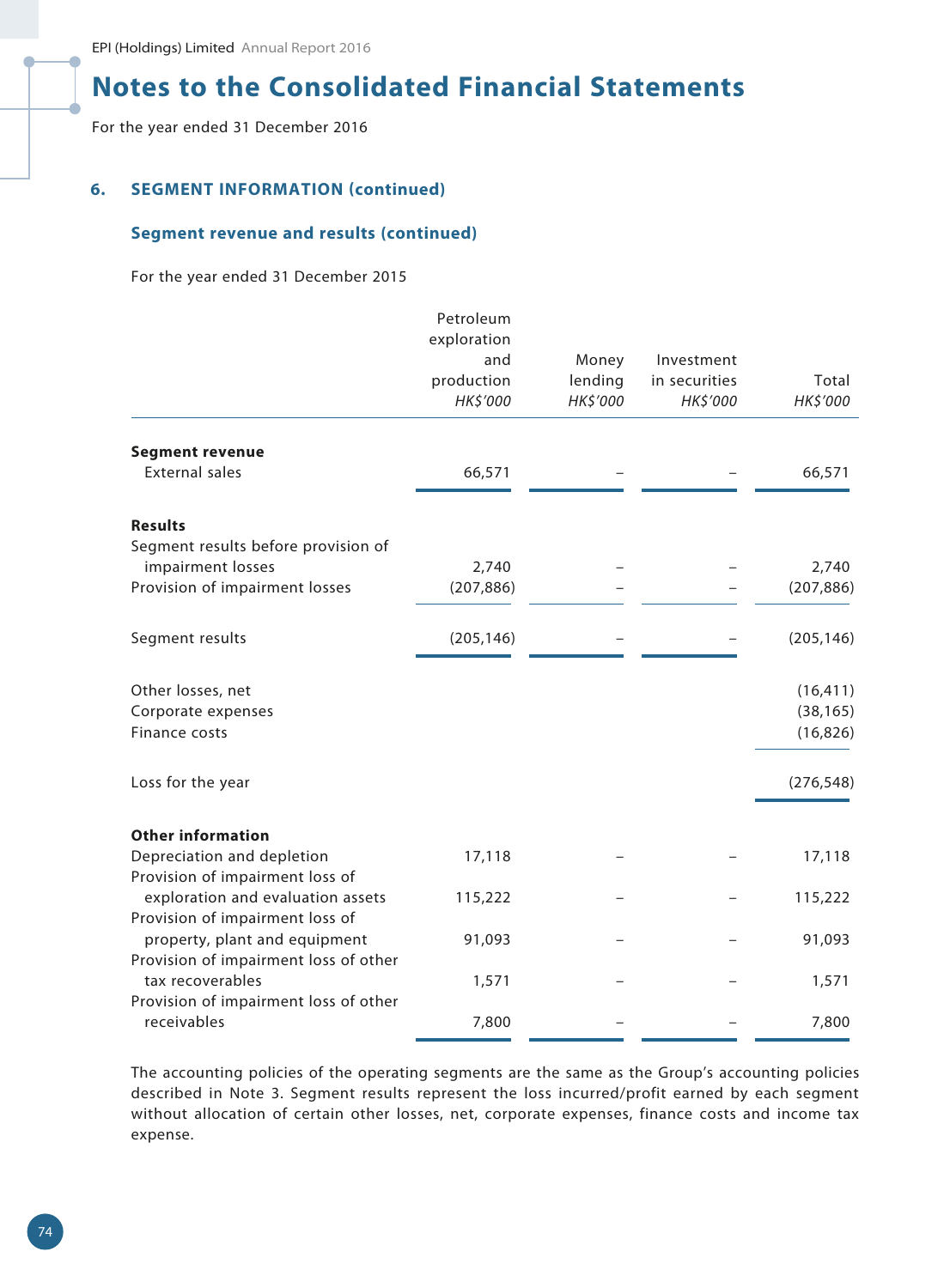For the year ended 31 December 2016

## **6. SEGMENT INFORMATION (continued)**

### **Segment revenue and results (continued)**

For the year ended 31 December 2015

|                                                      | Petroleum<br>exploration<br>and<br>production<br>HK\$'000 | Money<br>lending<br>HK\$'000 | Investment<br>in securities<br>HK\$'000 | Total<br>HK\$'000 |
|------------------------------------------------------|-----------------------------------------------------------|------------------------------|-----------------------------------------|-------------------|
|                                                      |                                                           |                              |                                         |                   |
| <b>Segment revenue</b>                               |                                                           |                              |                                         |                   |
| <b>External sales</b>                                | 66,571                                                    |                              |                                         | 66,571            |
| <b>Results</b>                                       |                                                           |                              |                                         |                   |
| Segment results before provision of                  |                                                           |                              |                                         |                   |
| impairment losses                                    | 2,740                                                     |                              |                                         | 2,740             |
| Provision of impairment losses                       | (207, 886)                                                |                              |                                         | (207, 886)        |
| Segment results                                      | (205, 146)                                                |                              |                                         | (205, 146)        |
| Other losses, net                                    |                                                           |                              |                                         | (16, 411)         |
| Corporate expenses                                   |                                                           |                              |                                         | (38, 165)         |
| Finance costs                                        |                                                           |                              |                                         | (16, 826)         |
| Loss for the year                                    |                                                           |                              |                                         | (276, 548)        |
| <b>Other information</b>                             |                                                           |                              |                                         |                   |
| Depreciation and depletion                           | 17,118                                                    |                              |                                         | 17,118            |
| Provision of impairment loss of                      |                                                           |                              |                                         |                   |
| exploration and evaluation assets                    | 115,222                                                   |                              |                                         | 115,222           |
| Provision of impairment loss of                      |                                                           |                              |                                         |                   |
| property, plant and equipment                        | 91,093                                                    |                              |                                         | 91,093            |
| Provision of impairment loss of other                |                                                           |                              |                                         |                   |
| tax recoverables                                     | 1,571                                                     |                              |                                         | 1,571             |
| Provision of impairment loss of other<br>receivables | 7,800                                                     |                              |                                         | 7,800             |
|                                                      |                                                           |                              |                                         |                   |

The accounting policies of the operating segments are the same as the Group's accounting policies described in Note 3. Segment results represent the loss incurred/profit earned by each segment without allocation of certain other losses, net, corporate expenses, finance costs and income tax expense.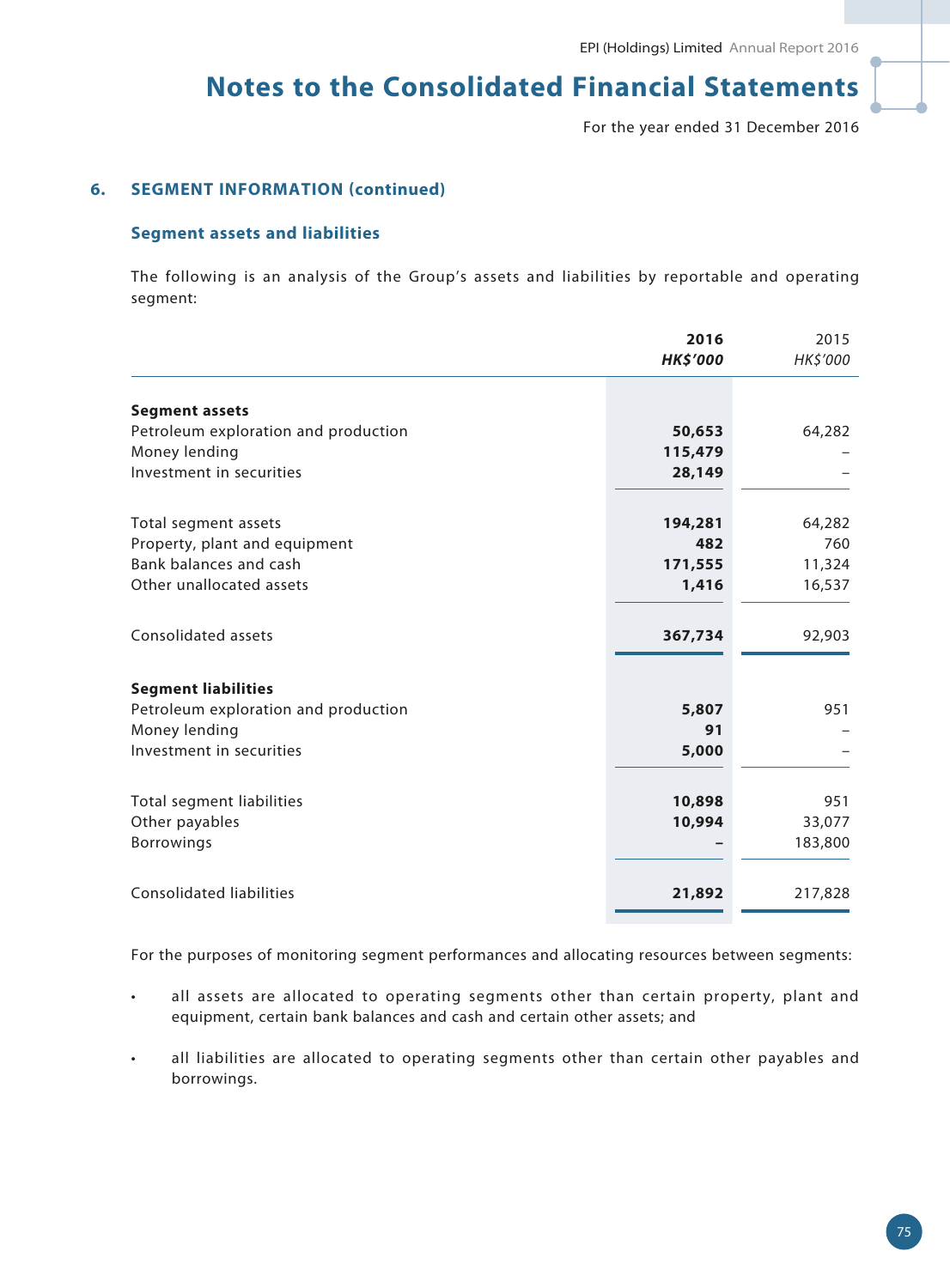For the year ended 31 December 2016

## **6. SEGMENT INFORMATION (continued)**

#### **Segment assets and liabilities**

The following is an analysis of the Group's assets and liabilities by reportable and operating segment:

|                                      | 2016            | 2015     |
|--------------------------------------|-----------------|----------|
|                                      | <b>HK\$'000</b> | HK\$'000 |
|                                      |                 |          |
| <b>Segment assets</b>                |                 |          |
| Petroleum exploration and production | 50,653          | 64,282   |
| Money lending                        | 115,479         |          |
| Investment in securities             | 28,149          |          |
| Total segment assets                 | 194,281         | 64,282   |
| Property, plant and equipment        | 482             | 760      |
| Bank balances and cash               |                 |          |
|                                      | 171,555         | 11,324   |
| Other unallocated assets             | 1,416           | 16,537   |
| Consolidated assets                  | 367,734         | 92,903   |
| <b>Segment liabilities</b>           |                 |          |
| Petroleum exploration and production | 5,807           | 951      |
| Money lending                        | 91              |          |
| Investment in securities             | 5,000           |          |
|                                      |                 |          |
| Total segment liabilities            | 10,898          | 951      |
| Other payables                       | 10,994          | 33,077   |
| <b>Borrowings</b>                    |                 | 183,800  |
| <b>Consolidated liabilities</b>      | 21,892          | 217,828  |
|                                      |                 |          |

For the purposes of monitoring segment performances and allocating resources between segments:

- all assets are allocated to operating segments other than certain property, plant and equipment, certain bank balances and cash and certain other assets; and
- all liabilities are allocated to operating segments other than certain other payables and borrowings.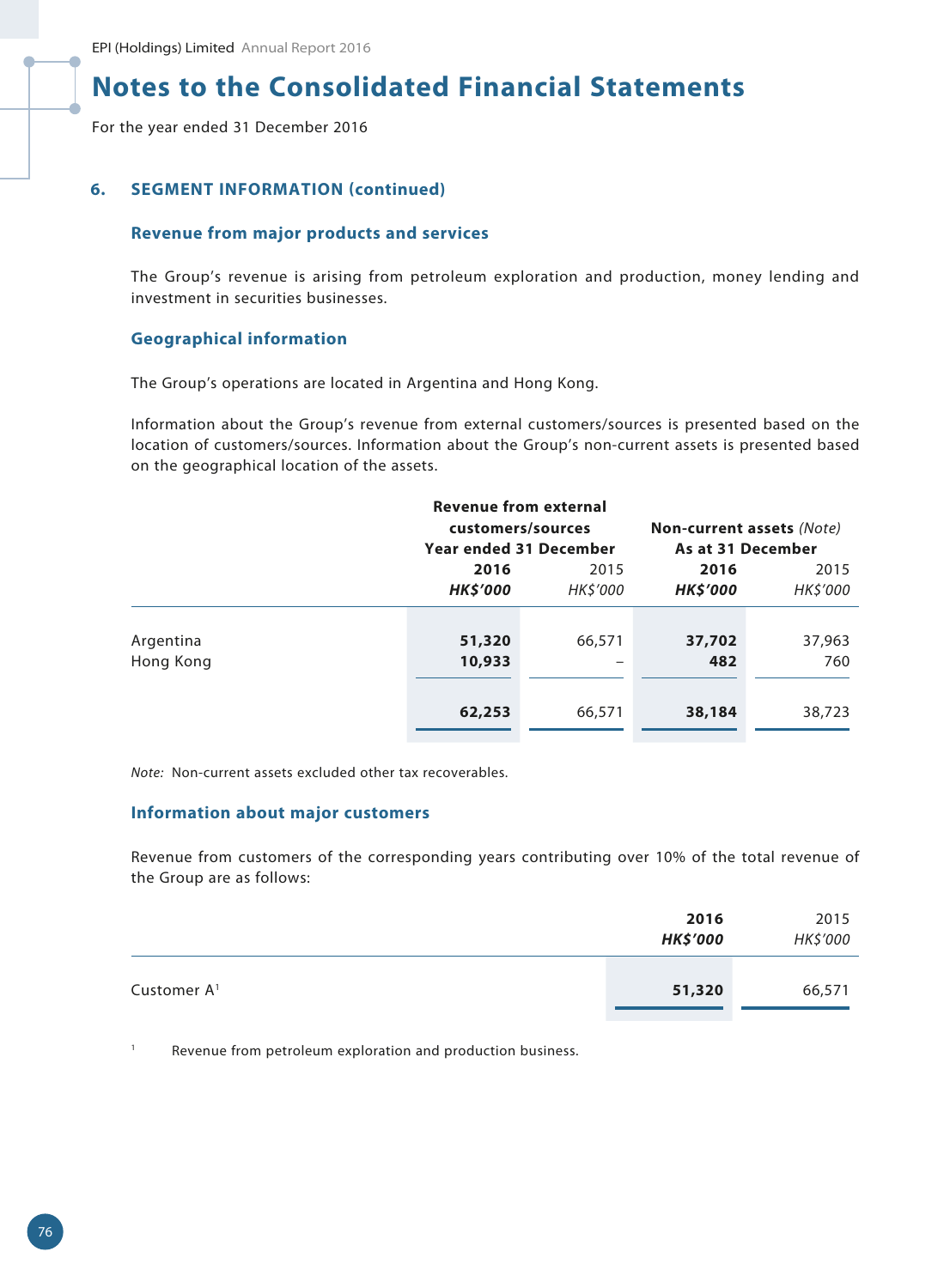For the year ended 31 December 2016

### **6. SEGMENT INFORMATION (continued)**

#### **Revenue from major products and services**

The Group's revenue is arising from petroleum exploration and production, money lending and investment in securities businesses.

### **Geographical information**

The Group's operations are located in Argentina and Hong Kong.

Information about the Group's revenue from external customers/sources is presented based on the location of customers/sources. Information about the Group's non-current assets is presented based on the geographical location of the assets.

| <b>Revenue from external</b> |                                             |          |                                  |          |
|------------------------------|---------------------------------------------|----------|----------------------------------|----------|
|                              | customers/sources                           |          | <b>Non-current assets (Note)</b> |          |
|                              | As at 31 December<br>Year ended 31 December |          |                                  |          |
|                              | 2016                                        | 2015     | 2016                             | 2015     |
|                              | <b>HK\$'000</b>                             | HK\$'000 | <b>HK\$'000</b>                  | HK\$'000 |
|                              |                                             |          |                                  |          |
| Argentina                    | 51,320                                      | 66,571   | 37,702                           | 37,963   |
| Hong Kong                    | 10,933                                      | -        | 482                              | 760      |
|                              |                                             |          |                                  |          |
|                              | 62,253                                      | 66,571   | 38,184                           | 38,723   |
|                              |                                             |          |                                  |          |

*Note:* Non-current assets excluded other tax recoverables.

### **Information about major customers**

Revenue from customers of the corresponding years contributing over 10% of the total revenue of the Group are as follows:

|                         | 2016<br><b>HK\$'000</b> | 2015<br>HK\$'000 |
|-------------------------|-------------------------|------------------|
| Customer A <sup>1</sup> | 51,320                  | 66,571           |

<sup>1</sup> Revenue from petroleum exploration and production business.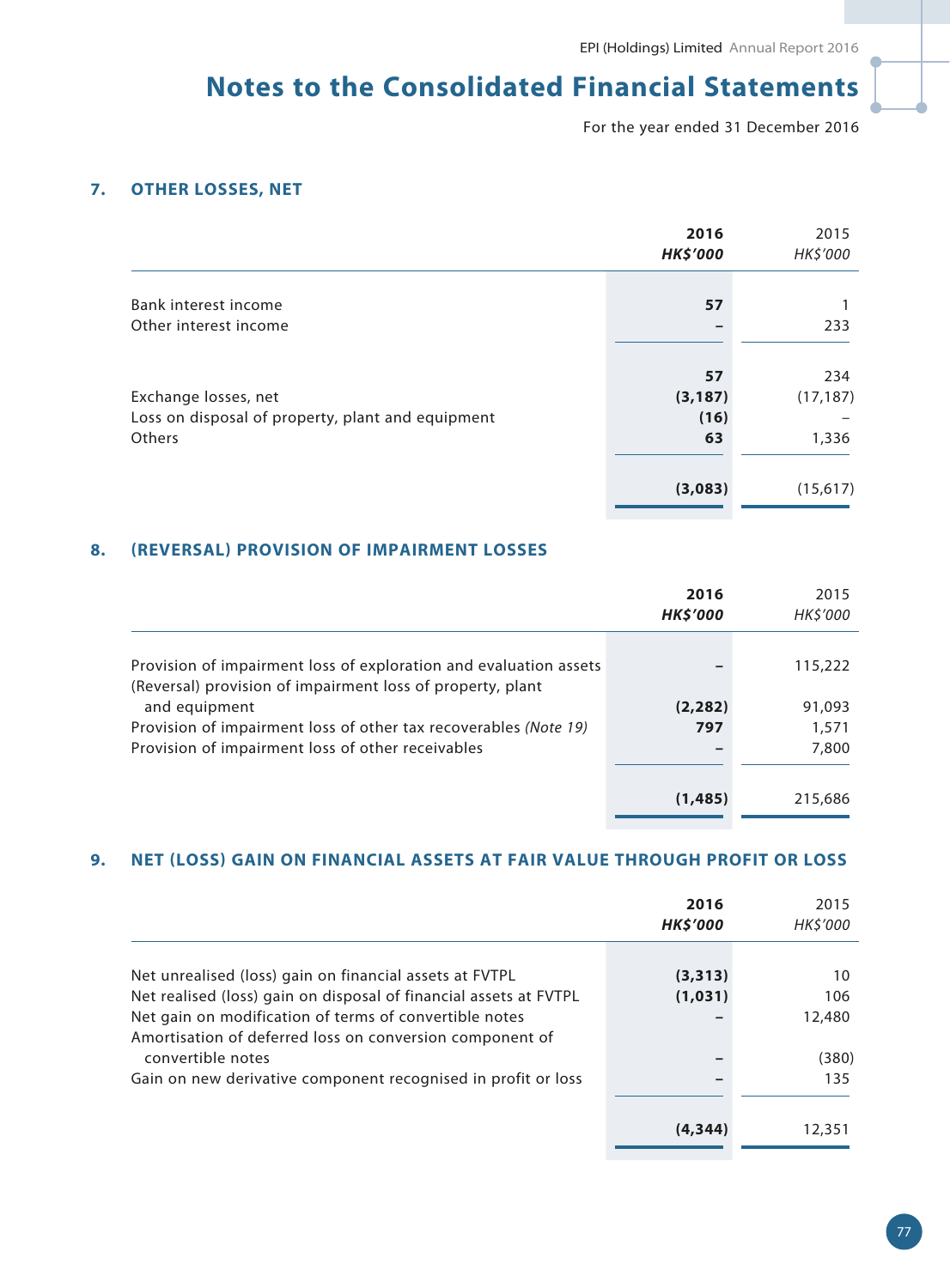For the year ended 31 December 2016

## **7. OTHER LOSSES, NET**

|                                                   | 2016<br><b>HK\$'000</b> | 2015<br>HK\$'000 |
|---------------------------------------------------|-------------------------|------------------|
|                                                   |                         |                  |
| Bank interest income                              | 57                      |                  |
| Other interest income                             |                         | 233              |
|                                                   |                         |                  |
|                                                   | 57                      | 234              |
| Exchange losses, net                              | (3, 187)                | (17, 187)        |
| Loss on disposal of property, plant and equipment | (16)                    |                  |
| Others                                            | 63                      | 1,336            |
|                                                   |                         |                  |
|                                                   | (3,083)                 | (15,617)         |

## **8. (REVERSAL) PROVISION OF IMPAIRMENT LOSSES**

|                                                                                                                                 | 2016<br><b>HK\$'000</b> | 2015<br><b>HK\$'000</b> |
|---------------------------------------------------------------------------------------------------------------------------------|-------------------------|-------------------------|
| Provision of impairment loss of exploration and evaluation assets<br>(Reversal) provision of impairment loss of property, plant |                         | 115,222                 |
| and equipment<br>Provision of impairment loss of other tax recoverables (Note 19)                                               | (2, 282)<br>797         | 91,093<br>1,571         |
| Provision of impairment loss of other receivables                                                                               |                         | 7,800                   |
|                                                                                                                                 | (1, 485)                | 215,686                 |

## **9. NET (LOSS) GAIN ON FINANCIAL ASSETS AT FAIR VALUE THROUGH PROFIT OR LOSS**

|                                                                   | 2016<br><b>HK\$'000</b> | 2015<br><b>HK\$'000</b> |
|-------------------------------------------------------------------|-------------------------|-------------------------|
|                                                                   |                         |                         |
| Net unrealised (loss) gain on financial assets at FVTPL           | (3,313)                 | 10                      |
| Net realised (loss) gain on disposal of financial assets at FVTPL | (1,031)                 | 106                     |
| Net gain on modification of terms of convertible notes            |                         | 12,480                  |
| Amortisation of deferred loss on conversion component of          |                         |                         |
| convertible notes                                                 |                         | (380)                   |
| Gain on new derivative component recognised in profit or loss     |                         | 135                     |
|                                                                   |                         |                         |
|                                                                   | (4, 344)                | 12,351                  |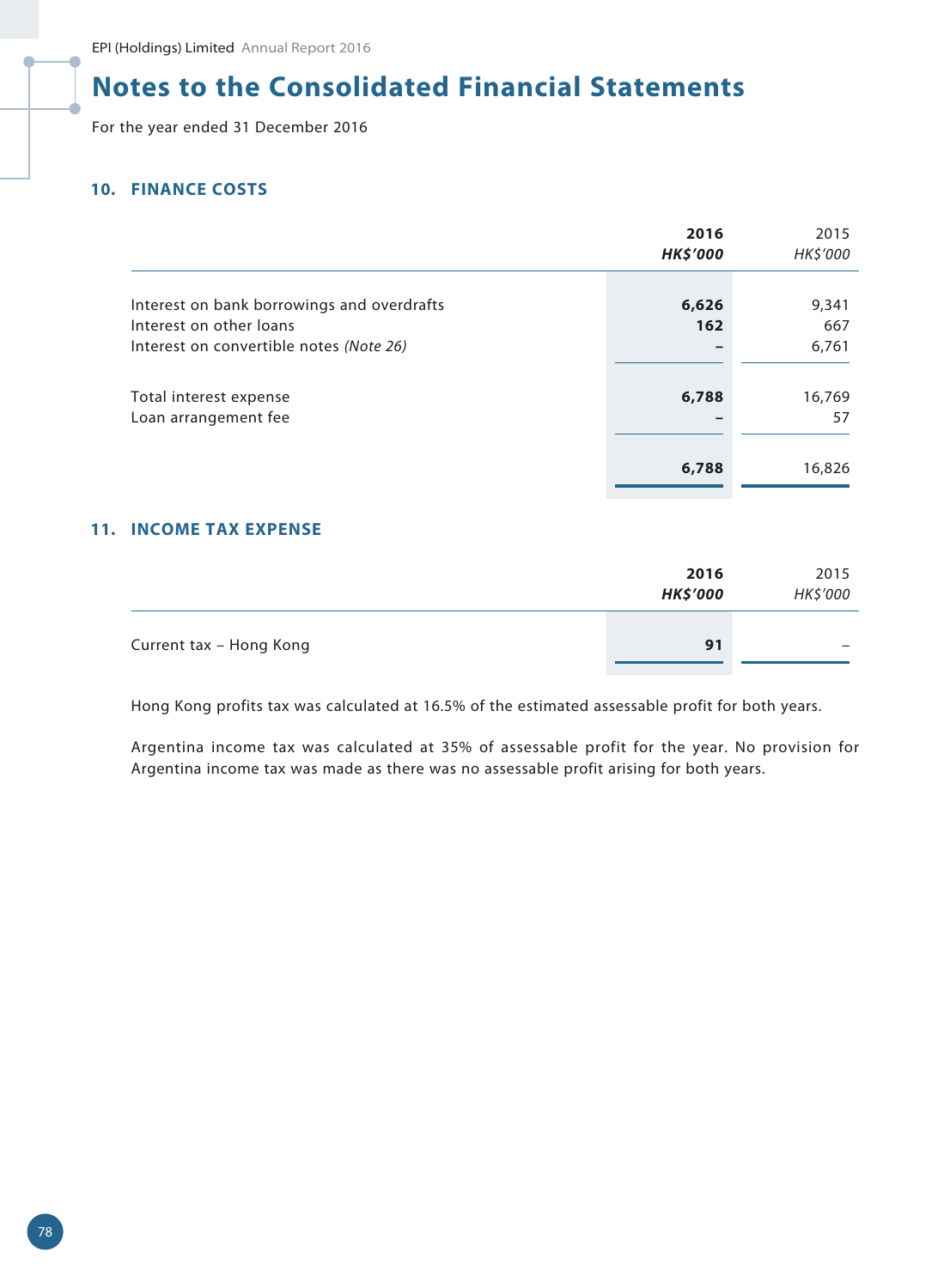For the year ended 31 December 2016

## **10. FINANCE COSTS**

|                                            | 2016<br><b>HK\$'000</b> | 2015<br>HK\$'000 |
|--------------------------------------------|-------------------------|------------------|
| Interest on bank borrowings and overdrafts | 6,626                   | 9,341            |
| Interest on other loans                    | 162                     | 667              |
| Interest on convertible notes (Note 26)    |                         | 6,761            |
|                                            |                         |                  |
| Total interest expense                     | 6,788                   | 16,769           |
| Loan arrangement fee                       |                         | 57               |
|                                            |                         |                  |
|                                            | 6,788                   | 16,826           |

## **11. INCOME TAX EXPENSE**

|                         | 2016<br><b>HK\$'000</b> | 2015<br>HK\$'000 |
|-------------------------|-------------------------|------------------|
| Current tax - Hong Kong | 91                      |                  |

Hong Kong profits tax was calculated at 16.5% of the estimated assessable profit for both years.

Argentina income tax was calculated at 35% of assessable profit for the year. No provision for Argentina income tax was made as there was no assessable profit arising for both years.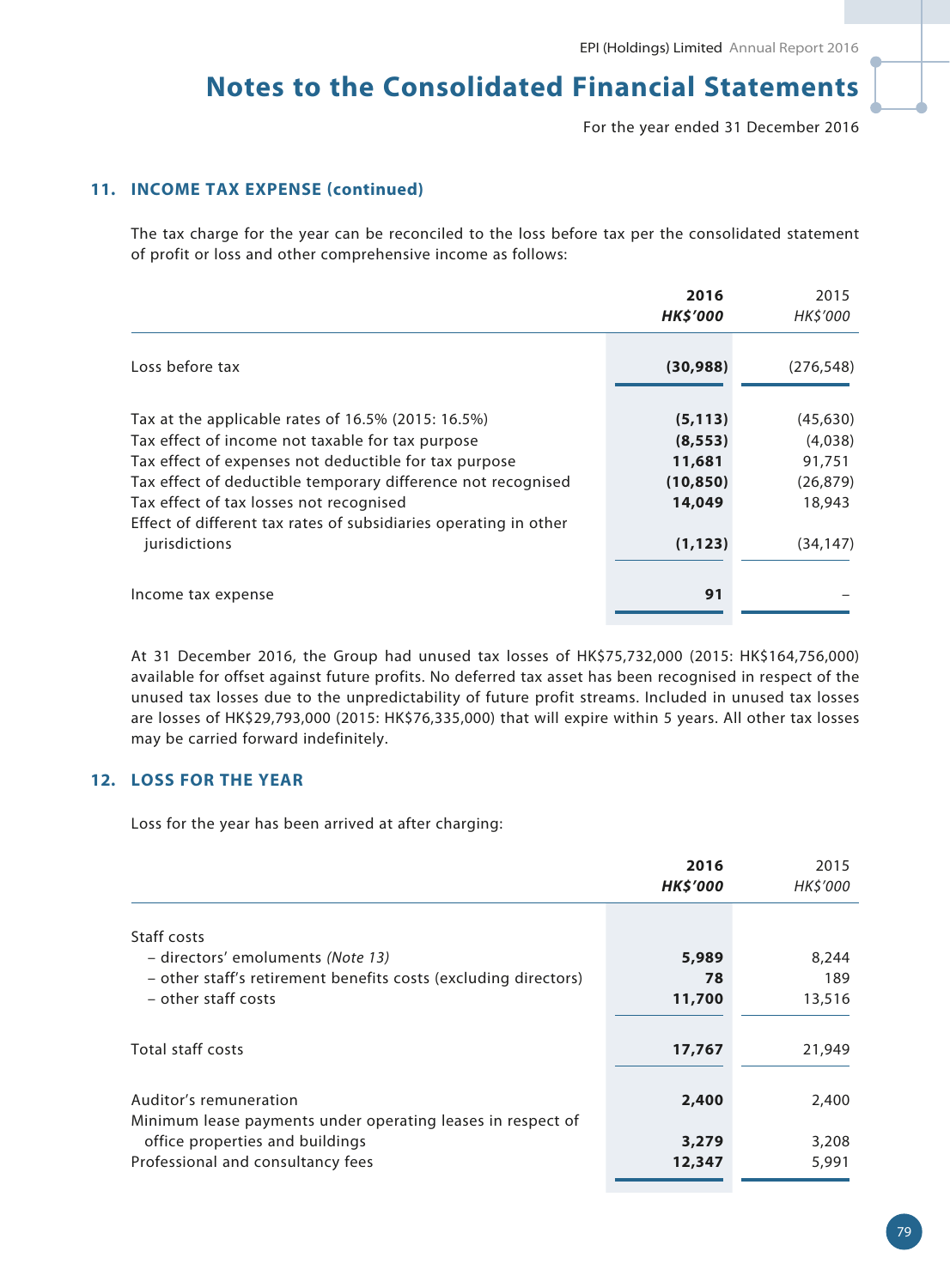For the year ended 31 December 2016

## **11. INCOME TAX EXPENSE (continued)**

The tax charge for the year can be reconciled to the loss before tax per the consolidated statement of profit or loss and other comprehensive income as follows:

|                                                                                                                                                                                                                                                                                                                                                                 | 2016<br><b>HK\$'000</b>                                           | 2015<br><b>HKS'000</b>                                             |
|-----------------------------------------------------------------------------------------------------------------------------------------------------------------------------------------------------------------------------------------------------------------------------------------------------------------------------------------------------------------|-------------------------------------------------------------------|--------------------------------------------------------------------|
| Loss before tax                                                                                                                                                                                                                                                                                                                                                 | (30, 988)                                                         | (276, 548)                                                         |
| Tax at the applicable rates of 16.5% (2015: 16.5%)<br>Tax effect of income not taxable for tax purpose<br>Tax effect of expenses not deductible for tax purpose<br>Tax effect of deductible temporary difference not recognised<br>Tax effect of tax losses not recognised<br>Effect of different tax rates of subsidiaries operating in other<br>jurisdictions | (5, 113)<br>(8, 553)<br>11,681<br>(10, 850)<br>14,049<br>(1, 123) | (45, 630)<br>(4,038)<br>91,751<br>(26, 879)<br>18,943<br>(34, 147) |
| Income tax expense                                                                                                                                                                                                                                                                                                                                              | 91                                                                |                                                                    |

At 31 December 2016, the Group had unused tax losses of HK\$75,732,000 (2015: HK\$164,756,000) available for offset against future profits. No deferred tax asset has been recognised in respect of the unused tax losses due to the unpredictability of future profit streams. Included in unused tax losses are losses of HK\$29,793,000 (2015: HK\$76,335,000) that will expire within 5 years. All other tax losses may be carried forward indefinitely.

## **12. LOSS FOR THE YEAR**

Loss for the year has been arrived at after charging:

|                                                                 | 2016<br><b>HK\$'000</b> | 2015<br>HK\$'000 |
|-----------------------------------------------------------------|-------------------------|------------------|
| Staff costs                                                     |                         |                  |
| - directors' emoluments (Note 13)                               | 5,989                   | 8,244            |
| - other staff's retirement benefits costs (excluding directors) | 78                      | 189              |
| - other staff costs                                             | 11,700                  | 13,516           |
|                                                                 |                         |                  |
| Total staff costs                                               | 17,767                  | 21,949           |
|                                                                 |                         |                  |
| Auditor's remuneration                                          | 2,400                   | 2,400            |
| Minimum lease payments under operating leases in respect of     |                         |                  |
| office properties and buildings                                 | 3,279                   | 3,208            |
| Professional and consultancy fees                               | 12,347                  | 5,991            |
|                                                                 |                         |                  |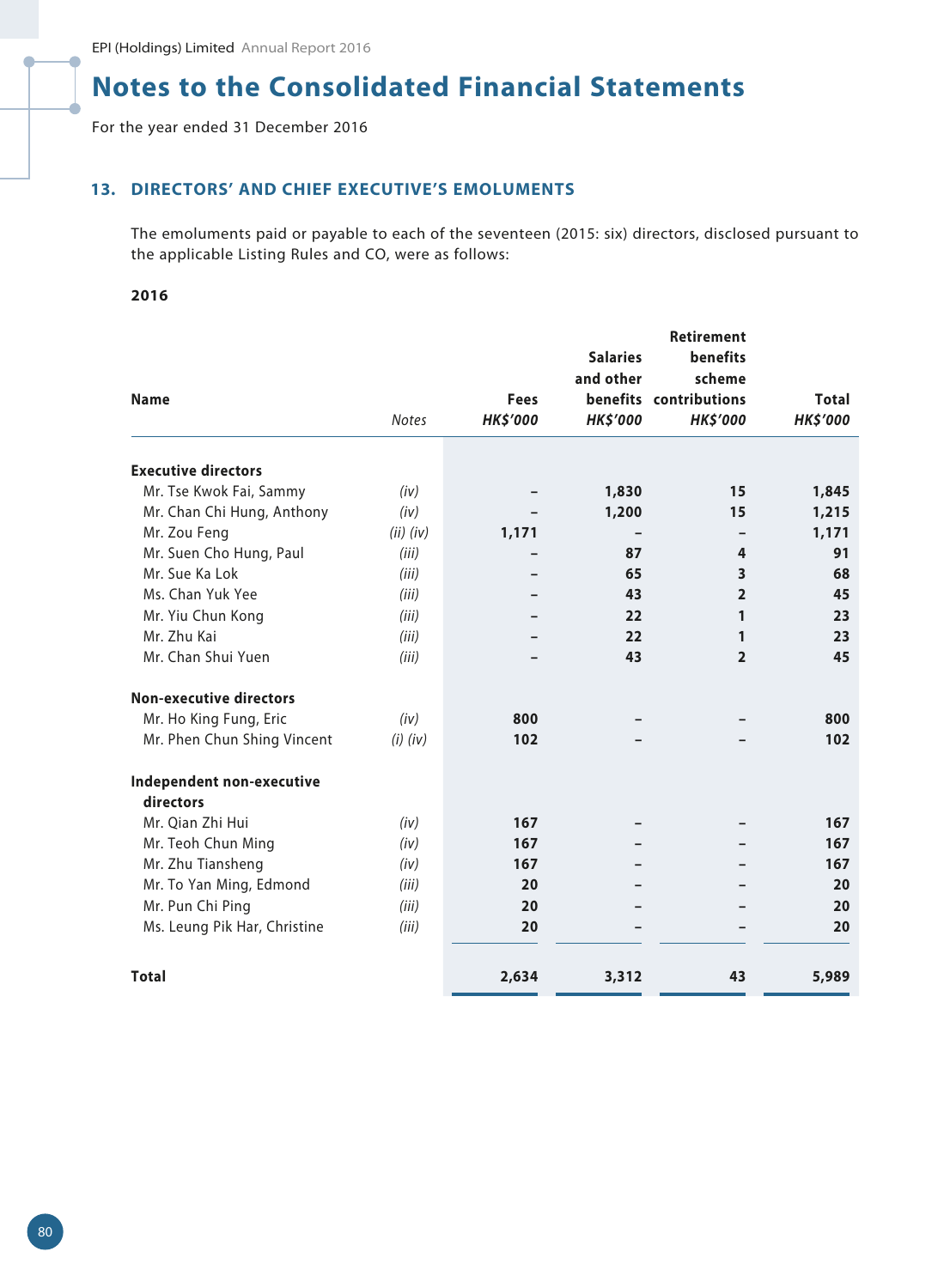For the year ended 31 December 2016

## **13. DIRECTORS' AND CHIEF EXECUTIVE'S EMOLUMENTS**

The emoluments paid or payable to each of the seventeen (2015: six) directors, disclosed pursuant to the applicable Listing Rules and CO, were as follows:

### **2016**

|                                |               |                 |                 | <b>Retirement</b>       |                 |
|--------------------------------|---------------|-----------------|-----------------|-------------------------|-----------------|
|                                |               |                 | <b>Salaries</b> | <b>benefits</b>         |                 |
|                                |               |                 | and other       | scheme                  |                 |
| <b>Name</b>                    |               | <b>Fees</b>     |                 | benefits contributions  | <b>Total</b>    |
|                                | <b>Notes</b>  | <b>HK\$'000</b> | <b>HK\$'000</b> | <b>HK\$'000</b>         | <b>HK\$'000</b> |
| <b>Executive directors</b>     |               |                 |                 |                         |                 |
| Mr. Tse Kwok Fai, Sammy        | (iv)          |                 | 1,830           | 15                      | 1,845           |
| Mr. Chan Chi Hung, Anthony     | (iv)          |                 | 1,200           | 15                      | 1,215           |
| Mr. Zou Feng                   | $(ii)$ $(iv)$ | 1,171           |                 |                         | 1,171           |
| Mr. Suen Cho Hung, Paul        | (iii)         |                 | 87              | 4                       | 91              |
| Mr. Sue Ka Lok                 | (iii)         |                 | 65              | $\overline{\mathbf{3}}$ | 68              |
| Ms. Chan Yuk Yee               | (iii)         |                 | 43              | $\overline{2}$          | 45              |
| Mr. Yiu Chun Kong              | (iii)         |                 | 22              | 1                       | 23              |
| Mr. Zhu Kai                    | (iii)         |                 | 22              | 1                       | 23              |
| Mr. Chan Shui Yuen             | (iii)         |                 | 43              | $\overline{2}$          | 45              |
| <b>Non-executive directors</b> |               |                 |                 |                         |                 |
| Mr. Ho King Fung, Eric         | (iv)          | 800             |                 |                         | 800             |
| Mr. Phen Chun Shing Vincent    | $(i)$ $(iv)$  | 102             |                 |                         | 102             |
| Independent non-executive      |               |                 |                 |                         |                 |
| directors                      |               |                 |                 |                         |                 |
| Mr. Qian Zhi Hui               | (iv)          | 167             |                 |                         | 167             |
| Mr. Teoh Chun Ming             | (iv)          | 167             |                 |                         | 167             |
| Mr. Zhu Tiansheng              | (iv)          | 167             |                 |                         | 167             |
| Mr. To Yan Ming, Edmond        | (iii)         | 20              |                 |                         | 20              |
| Mr. Pun Chi Ping               | (iii)         | 20              |                 |                         | 20              |
| Ms. Leung Pik Har, Christine   | (iii)         | 20              |                 |                         | 20              |
| <b>Total</b>                   |               | 2,634           | 3,312           | 43                      | 5,989           |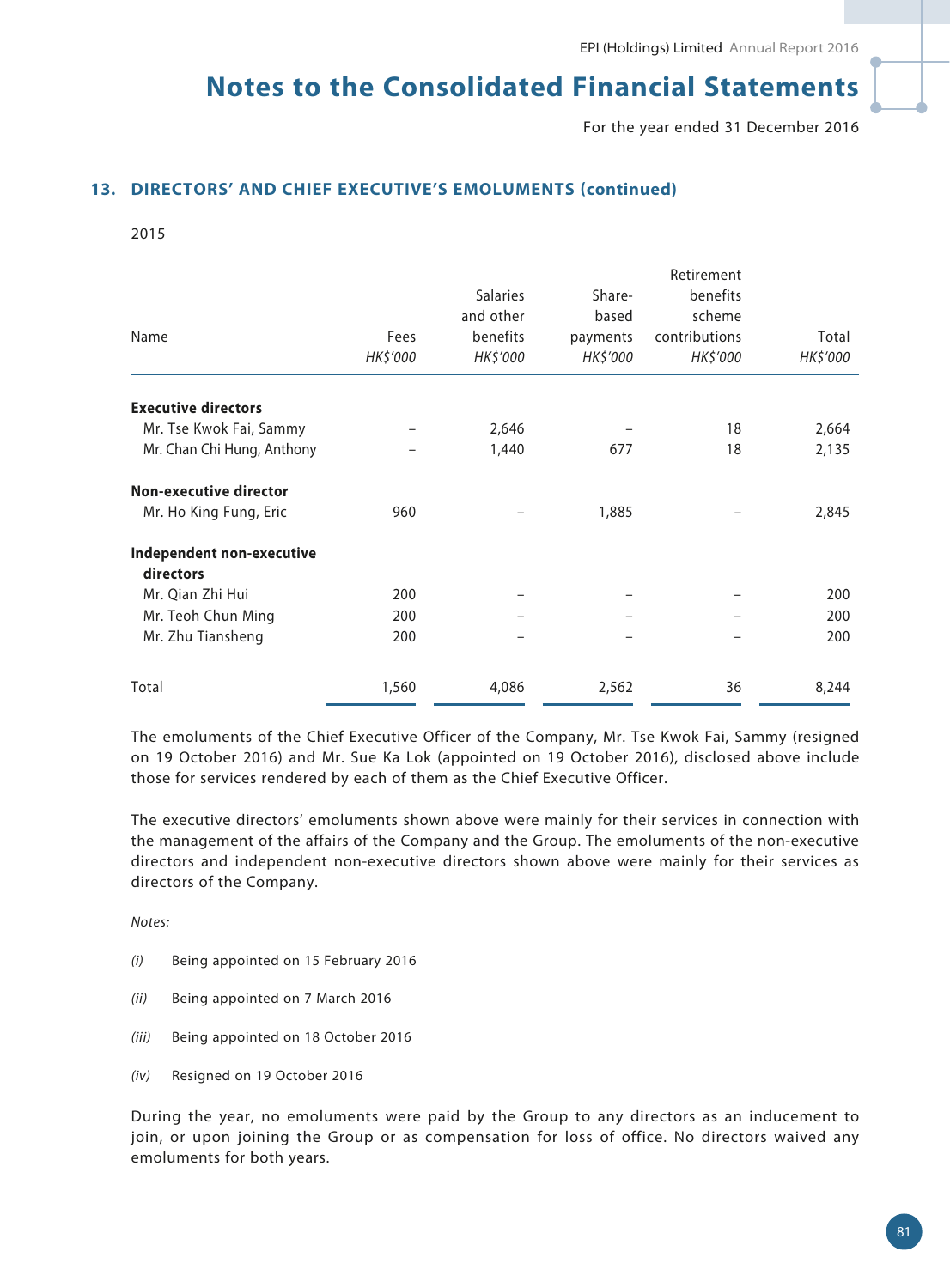For the year ended 31 December 2016

### **13. DIRECTORS' AND CHIEF EXECUTIVE'S EMOLUMENTS (continued)**

2015

|                            |          |                 |          | Retirement    |          |
|----------------------------|----------|-----------------|----------|---------------|----------|
|                            |          | <b>Salaries</b> | Share-   | benefits      |          |
|                            |          | and other       | based    | scheme        |          |
| Name                       | Fees     | benefits        | payments | contributions | Total    |
|                            | HK\$'000 | HK\$'000        | HK\$'000 | HK\$'000      | HK\$'000 |
| <b>Executive directors</b> |          |                 |          |               |          |
| Mr. Tse Kwok Fai, Sammy    |          | 2,646           |          | 18            | 2,664    |
| Mr. Chan Chi Hung, Anthony |          | 1,440           | 677      | 18            | 2,135    |
| Non-executive director     |          |                 |          |               |          |
| Mr. Ho King Fung, Eric     | 960      |                 | 1,885    |               | 2,845    |
| Independent non-executive  |          |                 |          |               |          |
| directors                  |          |                 |          |               |          |
| Mr. Qian Zhi Hui           | 200      |                 |          |               | 200      |
| Mr. Teoh Chun Ming         | 200      |                 |          |               | 200      |
| Mr. Zhu Tiansheng          | 200      |                 |          |               | 200      |
| Total                      | 1,560    | 4,086           | 2,562    | 36            | 8,244    |

The emoluments of the Chief Executive Officer of the Company, Mr. Tse Kwok Fai, Sammy (resigned on 19 October 2016) and Mr. Sue Ka Lok (appointed on 19 October 2016), disclosed above include those for services rendered by each of them as the Chief Executive Officer.

The executive directors' emoluments shown above were mainly for their services in connection with the management of the affairs of the Company and the Group. The emoluments of the non-executive directors and independent non-executive directors shown above were mainly for their services as directors of the Company.

*Notes:*

- *(i)* Being appointed on 15 February 2016
- *(ii)* Being appointed on 7 March 2016
- *(iii)* Being appointed on 18 October 2016
- *(iv)* Resigned on 19 October 2016

During the year, no emoluments were paid by the Group to any directors as an inducement to join, or upon joining the Group or as compensation for loss of office. No directors waived any emoluments for both years.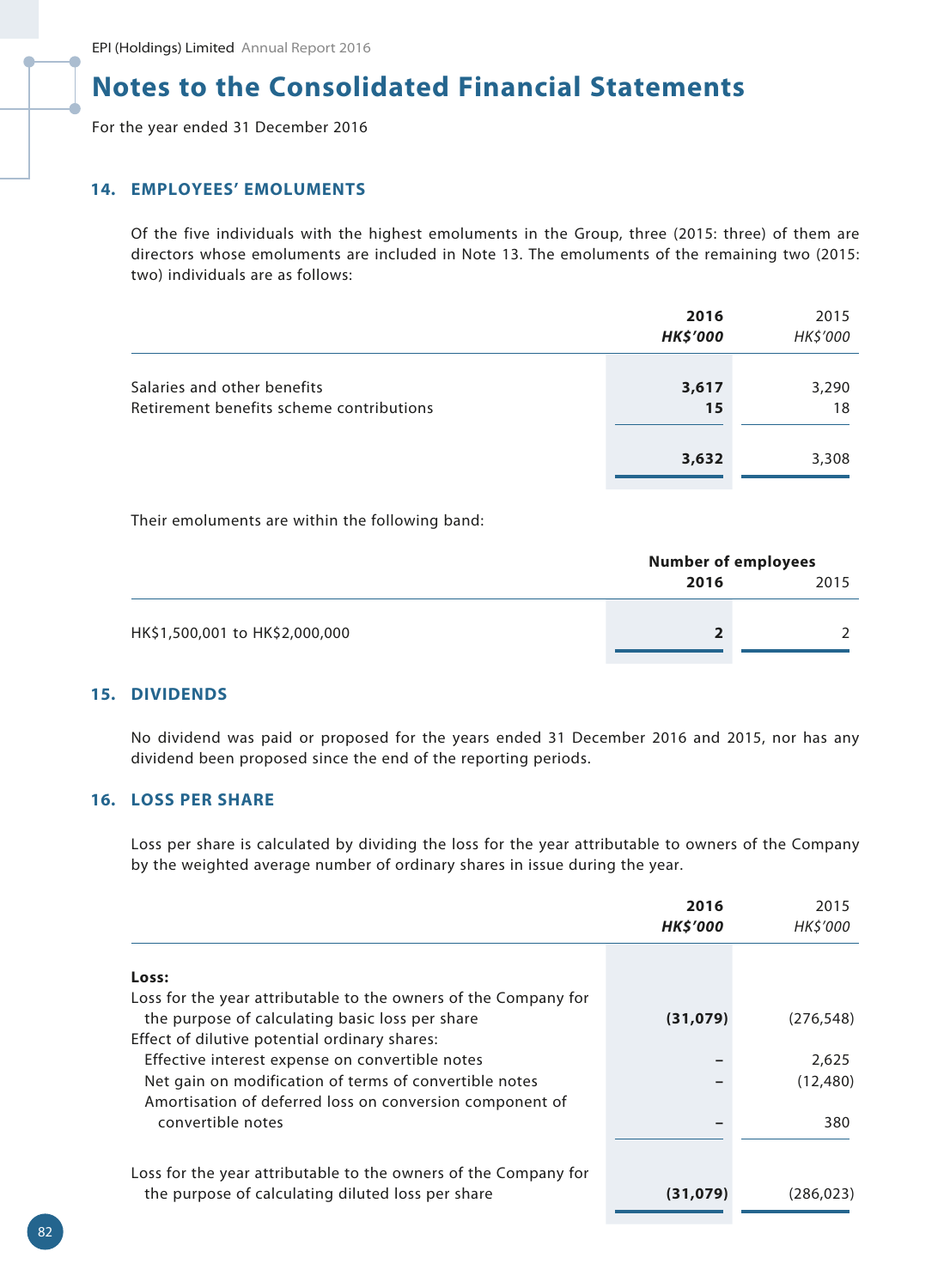For the year ended 31 December 2016

### **14. EMPLOYEES' EMOLUMENTS**

Of the five individuals with the highest emoluments in the Group, three (2015: three) of them are directors whose emoluments are included in Note 13. The emoluments of the remaining two (2015: two) individuals are as follows:

|                                                                         | 2016<br><b>HK\$'000</b> | 2015<br>HK\$'000 |
|-------------------------------------------------------------------------|-------------------------|------------------|
| Salaries and other benefits<br>Retirement benefits scheme contributions | 3,617<br>15             | 3,290<br>18      |
|                                                                         | 3,632                   | 3,308            |

Their emoluments are within the following band:

|                                | <b>Number of employees</b> |      |  |
|--------------------------------|----------------------------|------|--|
|                                | 2016                       | 2015 |  |
|                                |                            |      |  |
| HK\$1,500,001 to HK\$2,000,000 |                            |      |  |
|                                |                            |      |  |

## **15. DIVIDENDS**

No dividend was paid or proposed for the years ended 31 December 2016 and 2015, nor has any dividend been proposed since the end of the reporting periods.

## **16. LOSS PER SHARE**

Loss per share is calculated by dividing the loss for the year attributable to owners of the Company by the weighted average number of ordinary shares in issue during the year.

| 2016<br><b>HKS'000</b> | 2015<br><b>HK\$'000</b> |
|------------------------|-------------------------|
|                        |                         |
|                        |                         |
| (31,079)               | (276, 548)              |
|                        |                         |
|                        | 2,625                   |
|                        | (12, 480)               |
|                        |                         |
|                        | 380                     |
|                        |                         |
|                        |                         |
| (31,079)               | (286, 023)              |
|                        |                         |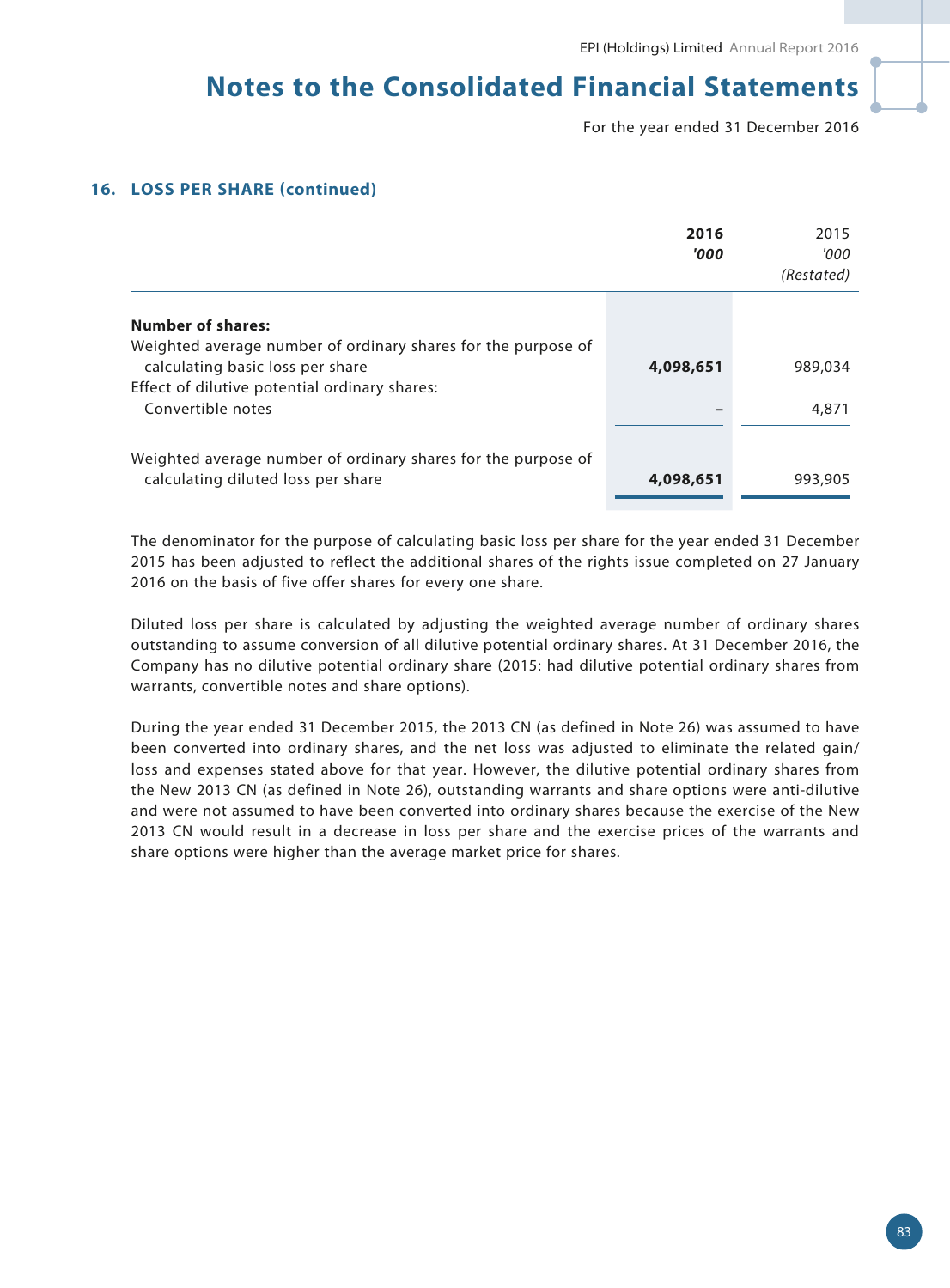For the year ended 31 December 2016

## **16. LOSS PER SHARE (continued)**

|                                                                                                                               | 2016<br>'000 | 2015<br>'000<br>(Restated) |
|-------------------------------------------------------------------------------------------------------------------------------|--------------|----------------------------|
| <b>Number of shares:</b><br>Weighted average number of ordinary shares for the purpose of<br>calculating basic loss per share | 4,098,651    | 989,034                    |
| Effect of dilutive potential ordinary shares:<br>Convertible notes                                                            |              | 4,871                      |
| Weighted average number of ordinary shares for the purpose of<br>calculating diluted loss per share                           | 4,098,651    | 993,905                    |

The denominator for the purpose of calculating basic loss per share for the year ended 31 December 2015 has been adjusted to reflect the additional shares of the rights issue completed on 27 January 2016 on the basis of five offer shares for every one share.

Diluted loss per share is calculated by adjusting the weighted average number of ordinary shares outstanding to assume conversion of all dilutive potential ordinary shares. At 31 December 2016, the Company has no dilutive potential ordinary share (2015: had dilutive potential ordinary shares from warrants, convertible notes and share options).

During the year ended 31 December 2015, the 2013 CN (as defined in Note 26) was assumed to have been converted into ordinary shares, and the net loss was adjusted to eliminate the related gain/ loss and expenses stated above for that year. However, the dilutive potential ordinary shares from the New 2013 CN (as defined in Note 26), outstanding warrants and share options were anti-dilutive and were not assumed to have been converted into ordinary shares because the exercise of the New 2013 CN would result in a decrease in loss per share and the exercise prices of the warrants and share options were higher than the average market price for shares.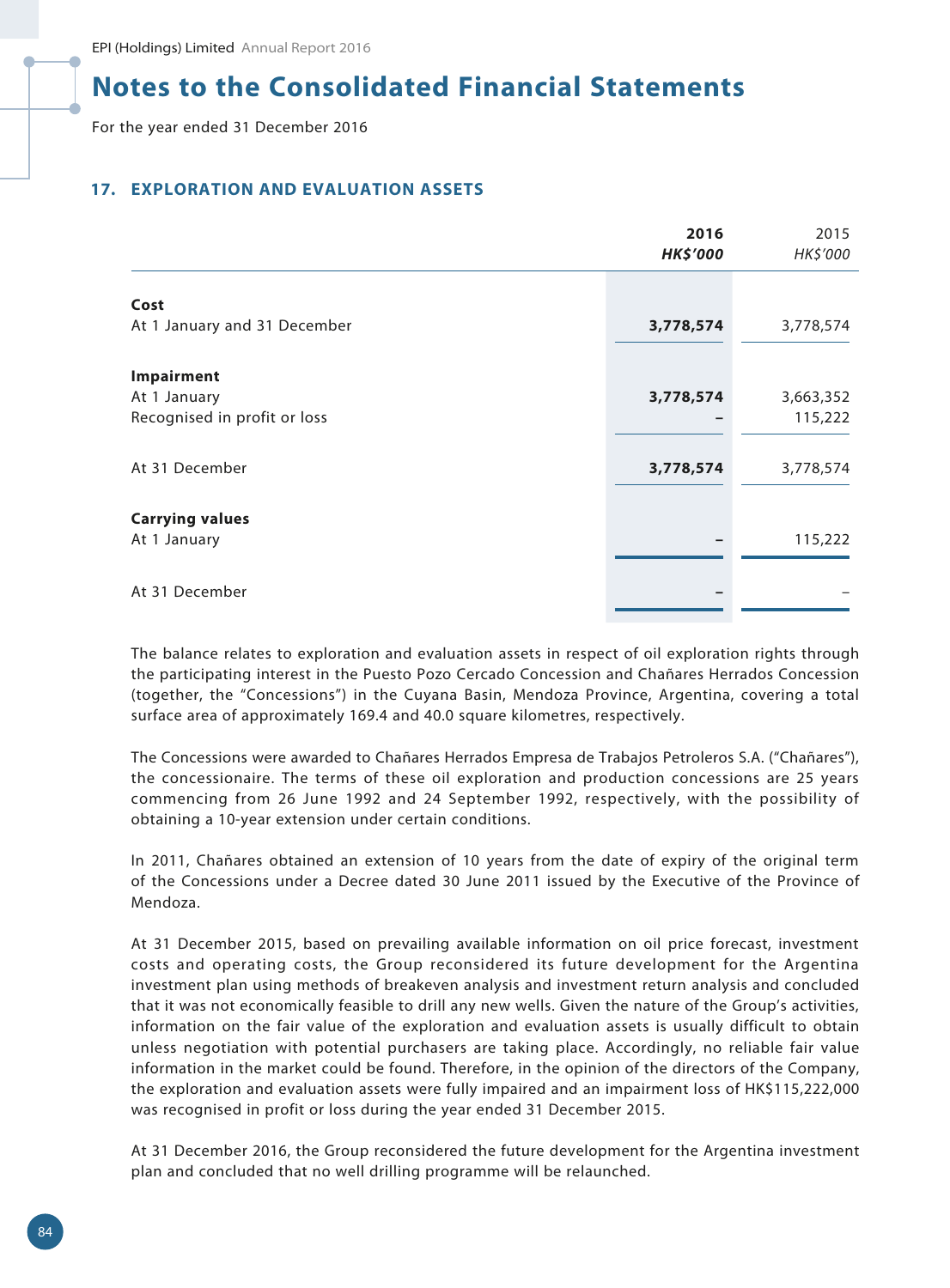For the year ended 31 December 2016

## **17. EXPLORATION AND EVALUATION ASSETS**

|                              | 2016<br><b>HK\$'000</b> | 2015<br>HK\$'000 |
|------------------------------|-------------------------|------------------|
| Cost                         |                         |                  |
| At 1 January and 31 December | 3,778,574               | 3,778,574        |
| Impairment                   |                         |                  |
| At 1 January                 | 3,778,574               | 3,663,352        |
| Recognised in profit or loss |                         | 115,222          |
|                              |                         |                  |
| At 31 December               | 3,778,574               | 3,778,574        |
|                              |                         |                  |
| <b>Carrying values</b>       |                         |                  |
| At 1 January                 |                         | 115,222          |
|                              |                         |                  |
| At 31 December               |                         |                  |

The balance relates to exploration and evaluation assets in respect of oil exploration rights through the participating interest in the Puesto Pozo Cercado Concession and Chañares Herrados Concession (together, the "Concessions") in the Cuyana Basin, Mendoza Province, Argentina, covering a total surface area of approximately 169.4 and 40.0 square kilometres, respectively.

The Concessions were awarded to Chañares Herrados Empresa de Trabajos Petroleros S.A. ("Chañares"), the concessionaire. The terms of these oil exploration and production concessions are 25 years commencing from 26 June 1992 and 24 September 1992, respectively, with the possibility of obtaining a 10-year extension under certain conditions.

In 2011, Chañares obtained an extension of 10 years from the date of expiry of the original term of the Concessions under a Decree dated 30 June 2011 issued by the Executive of the Province of Mendoza.

At 31 December 2015, based on prevailing available information on oil price forecast, investment costs and operating costs, the Group reconsidered its future development for the Argentina investment plan using methods of breakeven analysis and investment return analysis and concluded that it was not economically feasible to drill any new wells. Given the nature of the Group's activities, information on the fair value of the exploration and evaluation assets is usually difficult to obtain unless negotiation with potential purchasers are taking place. Accordingly, no reliable fair value information in the market could be found. Therefore, in the opinion of the directors of the Company, the exploration and evaluation assets were fully impaired and an impairment loss of HK\$115,222,000 was recognised in profit or loss during the year ended 31 December 2015.

At 31 December 2016, the Group reconsidered the future development for the Argentina investment plan and concluded that no well drilling programme will be relaunched.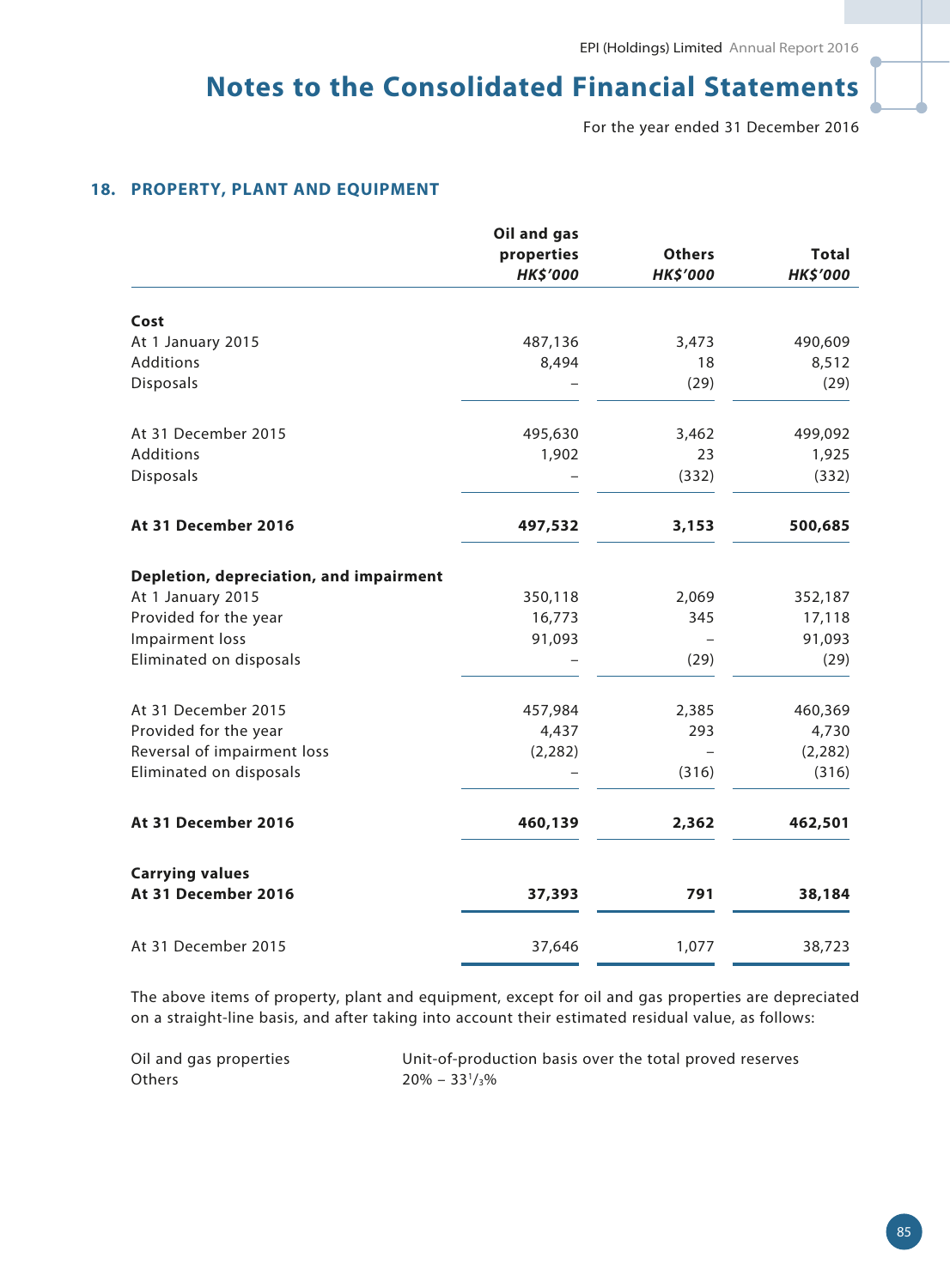For the year ended 31 December 2016

## **18. PROPERTY, PLANT AND EQUIPMENT**

|                                               | Oil and gas                   |                 |                                 |
|-----------------------------------------------|-------------------------------|-----------------|---------------------------------|
|                                               | properties<br><b>HK\$'000</b> | <b>Others</b>   | <b>Total</b><br><b>HK\$'000</b> |
|                                               |                               | <b>HK\$'000</b> |                                 |
| Cost                                          |                               |                 |                                 |
| At 1 January 2015                             | 487,136                       | 3,473           | 490,609                         |
| <b>Additions</b>                              | 8,494                         | 18              | 8,512                           |
| Disposals                                     |                               | (29)            | (29)                            |
| At 31 December 2015                           | 495,630                       | 3,462           | 499,092                         |
| <b>Additions</b>                              | 1,902                         | 23              | 1,925                           |
| Disposals                                     |                               | (332)           | (332)                           |
| At 31 December 2016                           | 497,532                       | 3,153           | 500,685                         |
| Depletion, depreciation, and impairment       |                               |                 |                                 |
| At 1 January 2015                             | 350,118                       | 2,069           | 352,187                         |
| Provided for the year                         | 16,773                        | 345             | 17,118                          |
| Impairment loss                               | 91,093                        |                 | 91,093                          |
| Eliminated on disposals                       |                               | (29)            | (29)                            |
| At 31 December 2015                           | 457,984                       | 2,385           | 460,369                         |
| Provided for the year                         | 4,437                         | 293             | 4,730                           |
| Reversal of impairment loss                   | (2, 282)                      |                 | (2, 282)                        |
| Eliminated on disposals                       |                               | (316)           | (316)                           |
| At 31 December 2016                           | 460,139                       | 2,362           | 462,501                         |
| <b>Carrying values</b><br>At 31 December 2016 | 37,393                        | 791             | 38,184                          |
| At 31 December 2015                           | 37,646                        | 1,077           | 38,723                          |
|                                               |                               |                 |                                 |

The above items of property, plant and equipment, except for oil and gas properties are depreciated on a straight-line basis, and after taking into account their estimated residual value, as follows:

| Oil and gas properties | Unit-of-production basis over the total proved reserves |
|------------------------|---------------------------------------------------------|
| Others                 | $20\% - 33\frac{1}{3}\%$                                |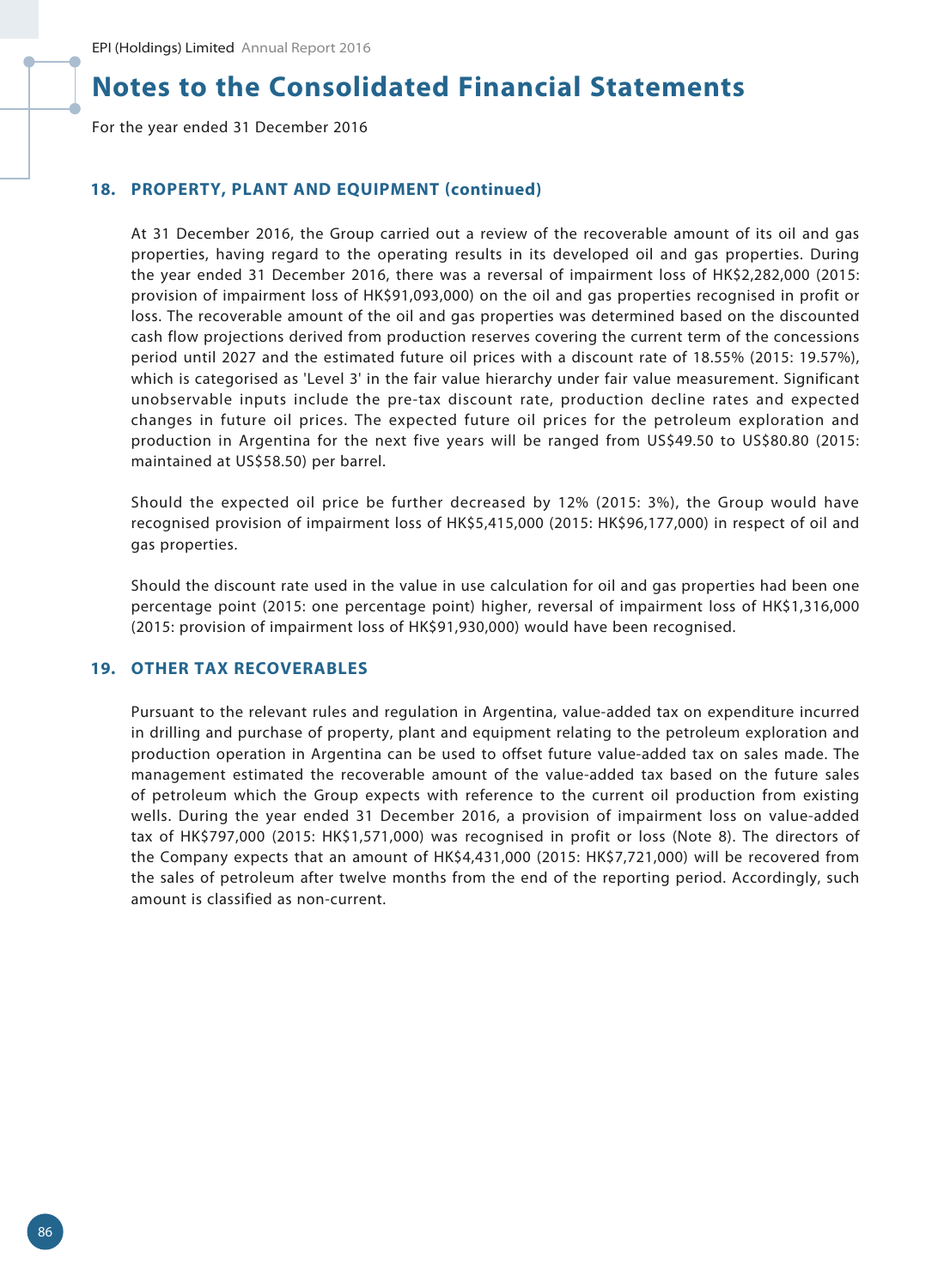For the year ended 31 December 2016

#### **18. PROPERTY, PLANT AND EQUIPMENT (continued)**

At 31 December 2016, the Group carried out a review of the recoverable amount of its oil and gas properties, having regard to the operating results in its developed oil and gas properties. During the year ended 31 December 2016, there was a reversal of impairment loss of HK\$2,282,000 (2015: provision of impairment loss of HK\$91,093,000) on the oil and gas properties recognised in profit or loss. The recoverable amount of the oil and gas properties was determined based on the discounted cash flow projections derived from production reserves covering the current term of the concessions period until 2027 and the estimated future oil prices with a discount rate of 18.55% (2015: 19.57%), which is categorised as 'Level 3' in the fair value hierarchy under fair value measurement. Significant unobservable inputs include the pre-tax discount rate, production decline rates and expected changes in future oil prices. The expected future oil prices for the petroleum exploration and production in Argentina for the next five years will be ranged from US\$49.50 to US\$80.80 (2015: maintained at US\$58.50) per barrel.

Should the expected oil price be further decreased by 12% (2015: 3%), the Group would have recognised provision of impairment loss of HK\$5,415,000 (2015: HK\$96,177,000) in respect of oil and gas properties.

Should the discount rate used in the value in use calculation for oil and gas properties had been one percentage point (2015: one percentage point) higher, reversal of impairment loss of HK\$1,316,000 (2015: provision of impairment loss of HK\$91,930,000) would have been recognised.

## **19. OTHER TAX RECOVERABLES**

Pursuant to the relevant rules and regulation in Argentina, value-added tax on expenditure incurred in drilling and purchase of property, plant and equipment relating to the petroleum exploration and production operation in Argentina can be used to offset future value-added tax on sales made. The management estimated the recoverable amount of the value-added tax based on the future sales of petroleum which the Group expects with reference to the current oil production from existing wells. During the year ended 31 December 2016, a provision of impairment loss on value-added tax of HK\$797,000 (2015: HK\$1,571,000) was recognised in profit or loss (Note 8). The directors of the Company expects that an amount of HK\$4,431,000 (2015: HK\$7,721,000) will be recovered from the sales of petroleum after twelve months from the end of the reporting period. Accordingly, such amount is classified as non-current.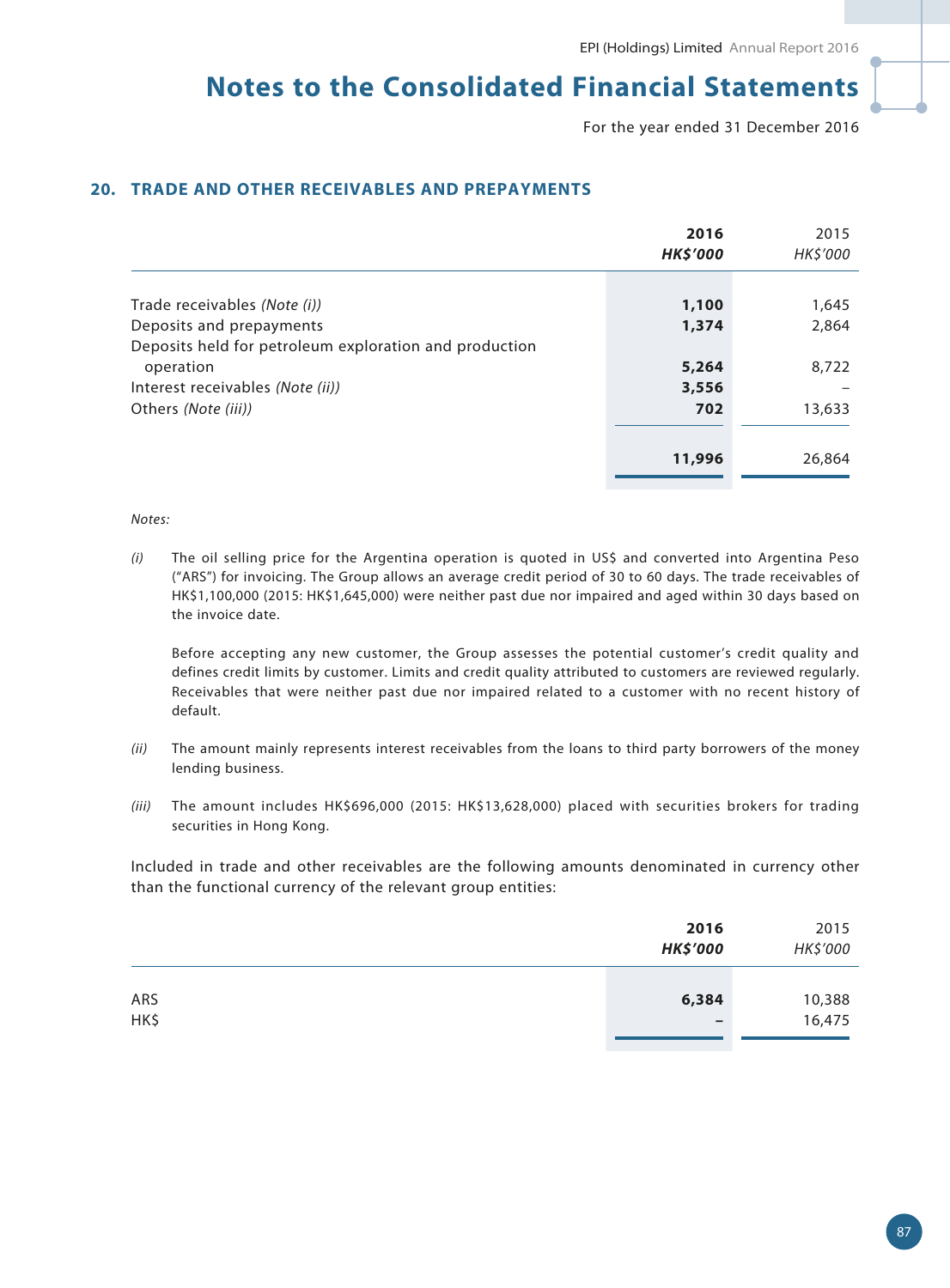For the year ended 31 December 2016

## **20. TRADE AND OTHER RECEIVABLES AND PREPAYMENTS**

|                                                        | 2016<br><b>HK\$'000</b> | 2015<br>HK\$'000 |
|--------------------------------------------------------|-------------------------|------------------|
|                                                        |                         |                  |
| Trade receivables (Note (i))                           | 1,100                   | 1,645            |
| Deposits and prepayments                               | 1,374                   | 2,864            |
| Deposits held for petroleum exploration and production |                         |                  |
| operation                                              | 5,264                   | 8,722            |
| Interest receivables (Note (ii))                       | 3,556                   |                  |
| Others (Note (iii))                                    | 702                     | 13,633           |
|                                                        |                         |                  |
|                                                        | 11,996                  | 26,864           |

#### *Notes:*

*(i)* The oil selling price for the Argentina operation is quoted in US\$ and converted into Argentina Peso ("ARS") for invoicing. The Group allows an average credit period of 30 to 60 days. The trade receivables of HK\$1,100,000 (2015: HK\$1,645,000) were neither past due nor impaired and aged within 30 days based on the invoice date.

Before accepting any new customer, the Group assesses the potential customer's credit quality and defines credit limits by customer. Limits and credit quality attributed to customers are reviewed regularly. Receivables that were neither past due nor impaired related to a customer with no recent history of default.

- *(ii)* The amount mainly represents interest receivables from the loans to third party borrowers of the money lending business.
- *(iii)* The amount includes HK\$696,000 (2015: HK\$13,628,000) placed with securities brokers for trading securities in Hong Kong.

Included in trade and other receivables are the following amounts denominated in currency other than the functional currency of the relevant group entities:

|             | 2016<br><b>HK\$'000</b>  | 2015<br>HK\$'000 |
|-------------|--------------------------|------------------|
| ARS<br>HK\$ | 6,384<br>$\qquad \qquad$ | 10,388<br>16,475 |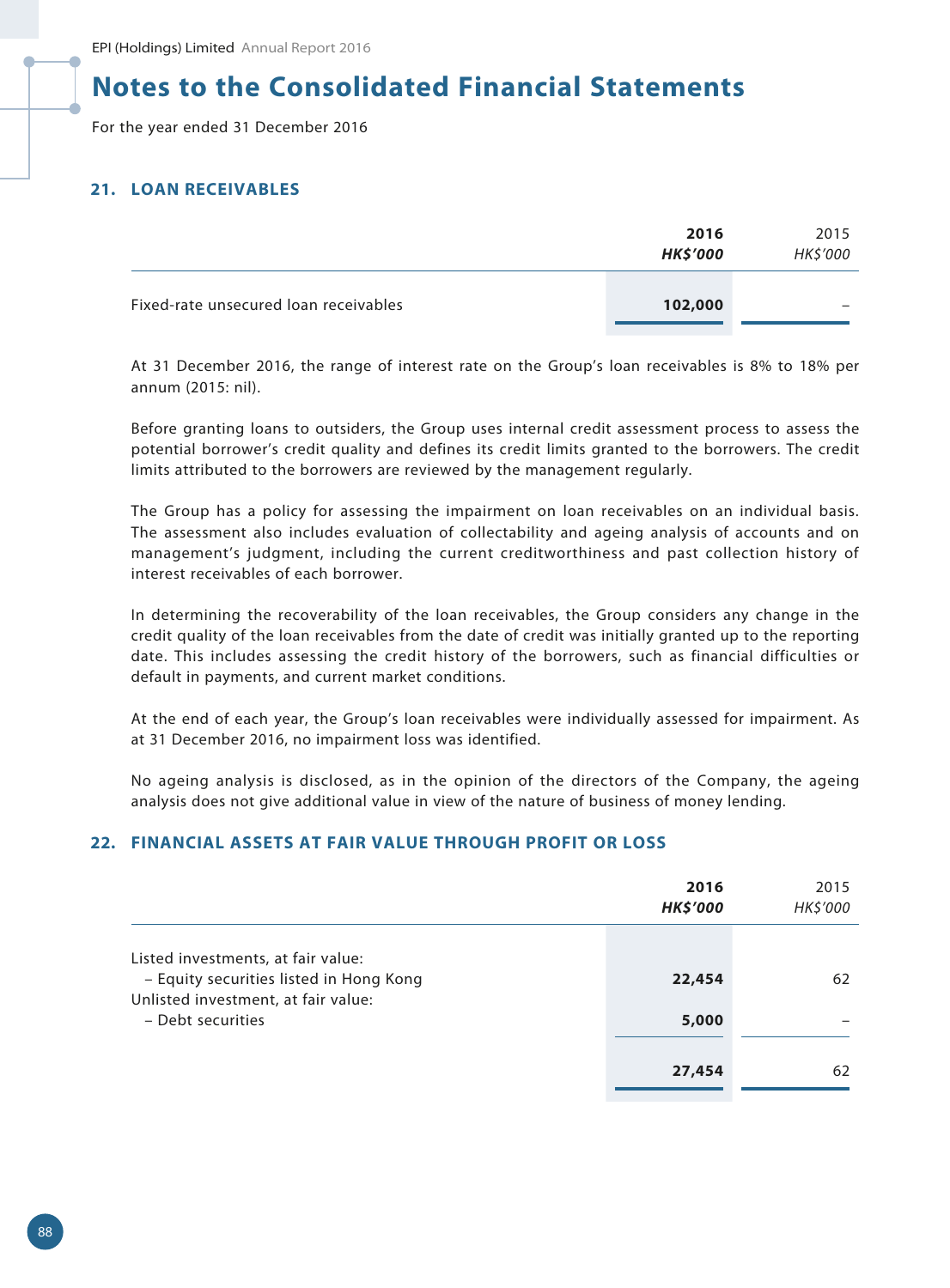For the year ended 31 December 2016

### **21. LOAN RECEIVABLES**

|                                       | 2016<br><b>HK\$'000</b> | 2015<br>HK\$'000 |
|---------------------------------------|-------------------------|------------------|
| Fixed-rate unsecured loan receivables | 102,000                 | -                |

At 31 December 2016, the range of interest rate on the Group's loan receivables is 8% to 18% per annum (2015: nil).

Before granting loans to outsiders, the Group uses internal credit assessment process to assess the potential borrower's credit quality and defines its credit limits granted to the borrowers. The credit limits attributed to the borrowers are reviewed by the management regularly.

The Group has a policy for assessing the impairment on loan receivables on an individual basis. The assessment also includes evaluation of collectability and ageing analysis of accounts and on management's judgment, including the current creditworthiness and past collection history of interest receivables of each borrower.

In determining the recoverability of the loan receivables, the Group considers any change in the credit quality of the loan receivables from the date of credit was initially granted up to the reporting date. This includes assessing the credit history of the borrowers, such as financial difficulties or default in payments, and current market conditions.

At the end of each year, the Group's loan receivables were individually assessed for impairment. As at 31 December 2016, no impairment loss was identified.

No ageing analysis is disclosed, as in the opinion of the directors of the Company, the ageing analysis does not give additional value in view of the nature of business of money lending.

### **22. FINANCIAL ASSETS AT FAIR VALUE THROUGH PROFIT OR LOSS**

|                                                                                                                                           | 2016<br><b>HK\$'000</b> | 2015<br>HK\$'000 |
|-------------------------------------------------------------------------------------------------------------------------------------------|-------------------------|------------------|
| Listed investments, at fair value:<br>- Equity securities listed in Hong Kong<br>Unlisted investment, at fair value:<br>- Debt securities | 22,454<br>5,000         | 62               |
|                                                                                                                                           | 27,454                  | 62               |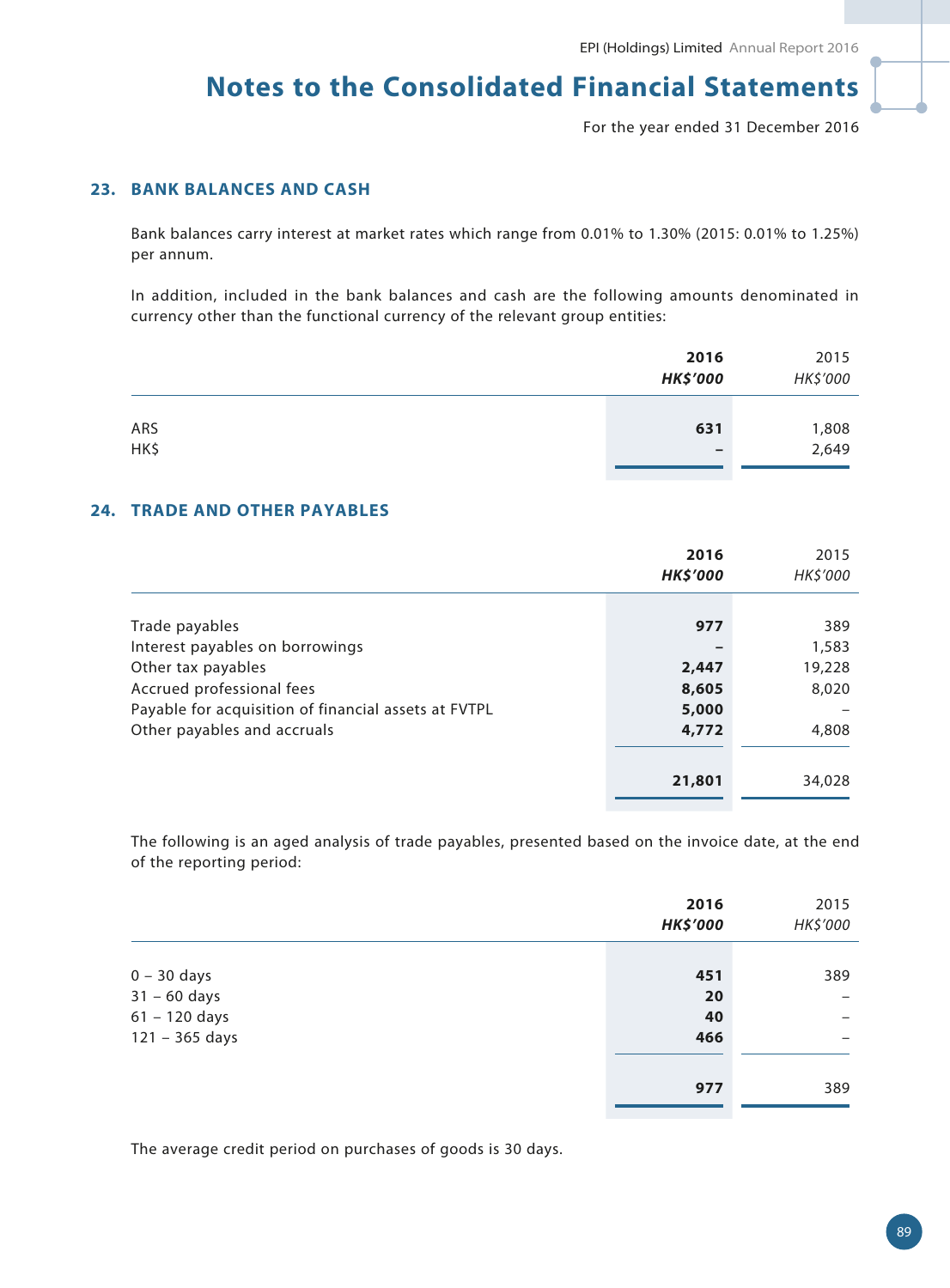For the year ended 31 December 2016

## **23. BANK BALANCES AND CASH**

Bank balances carry interest at market rates which range from 0.01% to 1.30% (2015: 0.01% to 1.25%) per annum.

In addition, included in the bank balances and cash are the following amounts denominated in currency other than the functional currency of the relevant group entities:

|             | 2016<br><b>HK\$'000</b> | 2015<br>HK\$'000 |
|-------------|-------------------------|------------------|
| ARS<br>HK\$ | 631<br>$\qquad \qquad$  | 1,808<br>2,649   |

#### **24. TRADE AND OTHER PAYABLES**

|                                                      | 2016<br><b>HK\$'000</b> | 2015<br>HK\$'000 |
|------------------------------------------------------|-------------------------|------------------|
|                                                      |                         |                  |
| Trade payables                                       | 977                     | 389              |
| Interest payables on borrowings                      |                         | 1,583            |
| Other tax payables                                   | 2,447                   | 19,228           |
| Accrued professional fees                            | 8,605                   | 8,020            |
| Payable for acquisition of financial assets at FVTPL | 5,000                   |                  |
| Other payables and accruals                          | 4,772                   | 4,808            |
|                                                      |                         |                  |
|                                                      | 21,801                  | 34,028           |

The following is an aged analysis of trade payables, presented based on the invoice date, at the end of the reporting period:

|                  | 2016<br><b>HK\$'000</b> | 2015<br>HK\$'000         |
|------------------|-------------------------|--------------------------|
|                  |                         |                          |
| $0 - 30$ days    | 451                     | 389                      |
| $31 - 60$ days   | 20                      |                          |
| $61 - 120$ days  | 40                      | $\qquad \qquad$          |
| $121 - 365$ days | 466                     | $\overline{\phantom{0}}$ |
|                  |                         |                          |
|                  | 977                     | 389                      |
|                  |                         |                          |

The average credit period on purchases of goods is 30 days.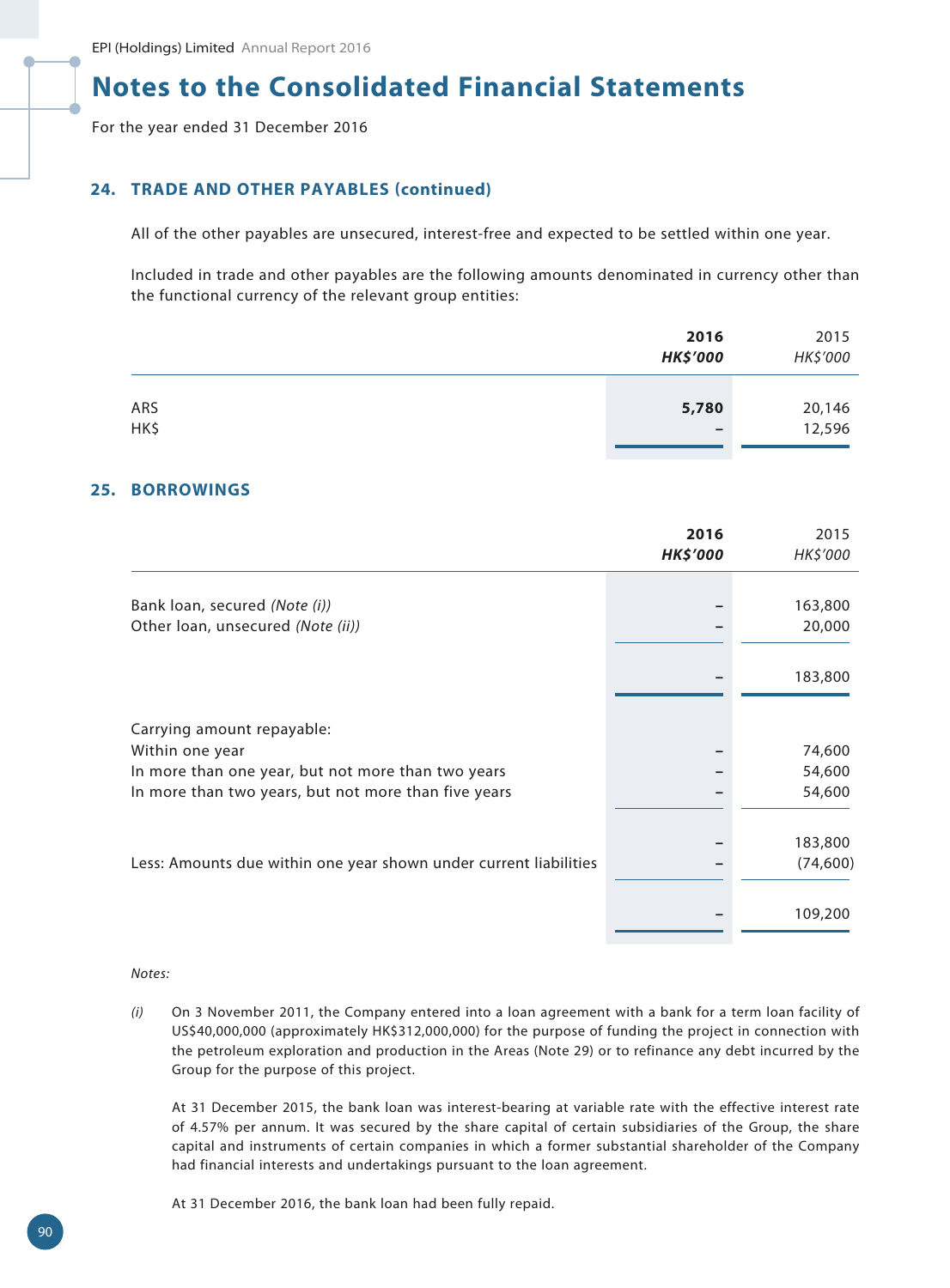For the year ended 31 December 2016

## **24. TRADE AND OTHER PAYABLES (continued)**

All of the other payables are unsecured, interest-free and expected to be settled within one year.

Included in trade and other payables are the following amounts denominated in currency other than the functional currency of the relevant group entities:

|             | 2016<br><b>HK\$'000</b>           | 2015<br>HK\$'000 |
|-------------|-----------------------------------|------------------|
| ARS<br>HK\$ | 5,780<br>$\overline{\phantom{0}}$ | 20,146<br>12,596 |

#### **25. BORROWINGS**

|                                                                   | 2016<br><b>HK\$'000</b> | 2015<br>HK\$'000 |
|-------------------------------------------------------------------|-------------------------|------------------|
|                                                                   |                         |                  |
| Bank loan, secured (Note (i))                                     |                         | 163,800          |
| Other Ioan, unsecured (Note (ii))                                 |                         | 20,000           |
|                                                                   |                         | 183,800          |
| Carrying amount repayable:                                        |                         |                  |
| Within one year                                                   |                         | 74,600           |
| In more than one year, but not more than two years                |                         | 54,600           |
| In more than two years, but not more than five years              |                         | 54,600           |
|                                                                   |                         |                  |
|                                                                   |                         | 183,800          |
| Less: Amounts due within one year shown under current liabilities |                         | (74, 600)        |
|                                                                   |                         | 109,200          |

#### *Notes:*

*(i)* On 3 November 2011, the Company entered into a loan agreement with a bank for a term loan facility of US\$40,000,000 (approximately HK\$312,000,000) for the purpose of funding the project in connection with the petroleum exploration and production in the Areas (Note 29) or to refinance any debt incurred by the Group for the purpose of this project.

At 31 December 2015, the bank loan was interest-bearing at variable rate with the effective interest rate of 4.57% per annum. It was secured by the share capital of certain subsidiaries of the Group, the share capital and instruments of certain companies in which a former substantial shareholder of the Company had financial interests and undertakings pursuant to the loan agreement.

At 31 December 2016, the bank loan had been fully repaid.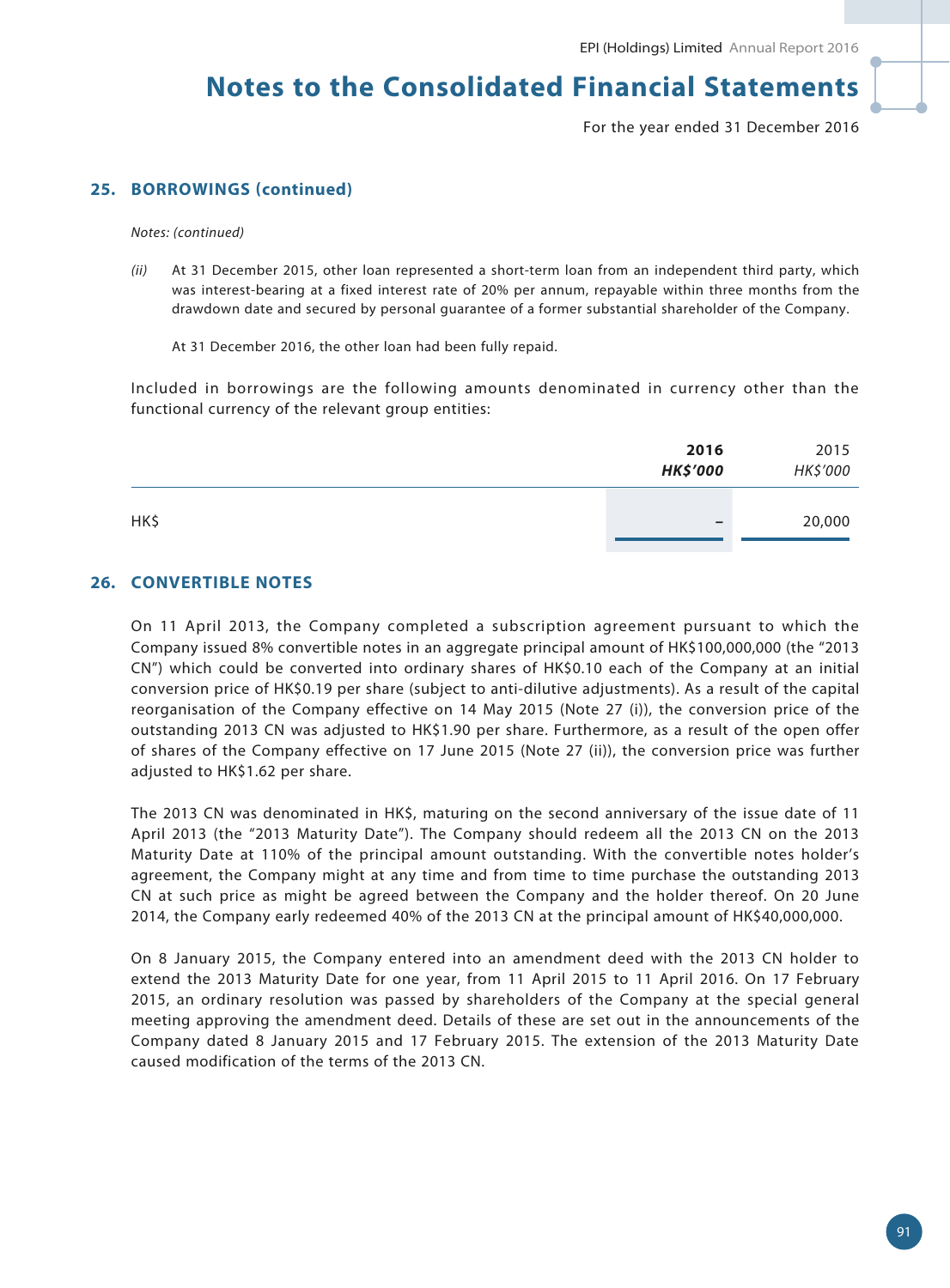For the year ended 31 December 2016

## **25. BORROWINGS (continued)**

*Notes: (continued)*

*(ii)* At 31 December 2015, other loan represented a short-term loan from an independent third party, which was interest-bearing at a fixed interest rate of 20% per annum, repayable within three months from the drawdown date and secured by personal guarantee of a former substantial shareholder of the Company.

At 31 December 2016, the other loan had been fully repaid.

Included in borrowings are the following amounts denominated in currency other than the functional currency of the relevant group entities:

|      | 2016<br><b>HK\$'000</b>  | 2015<br>HK\$'000 |
|------|--------------------------|------------------|
| HK\$ | $\overline{\phantom{0}}$ | 20,000           |

#### **26. CONVERTIBLE NOTES**

On 11 April 2013, the Company completed a subscription agreement pursuant to which the Company issued 8% convertible notes in an aggregate principal amount of HK\$100,000,000 (the "2013 CN") which could be converted into ordinary shares of HK\$0.10 each of the Company at an initial conversion price of HK\$0.19 per share (subject to anti-dilutive adjustments). As a result of the capital reorganisation of the Company effective on 14 May 2015 (Note 27 (i)), the conversion price of the outstanding 2013 CN was adjusted to HK\$1.90 per share. Furthermore, as a result of the open offer of shares of the Company effective on 17 June 2015 (Note 27 (ii)), the conversion price was further adjusted to HK\$1.62 per share.

The 2013 CN was denominated in HK\$, maturing on the second anniversary of the issue date of 11 April 2013 (the "2013 Maturity Date"). The Company should redeem all the 2013 CN on the 2013 Maturity Date at 110% of the principal amount outstanding. With the convertible notes holder's agreement, the Company might at any time and from time to time purchase the outstanding 2013 CN at such price as might be agreed between the Company and the holder thereof. On 20 June 2014, the Company early redeemed 40% of the 2013 CN at the principal amount of HK\$40,000,000.

On 8 January 2015, the Company entered into an amendment deed with the 2013 CN holder to extend the 2013 Maturity Date for one year, from 11 April 2015 to 11 April 2016. On 17 February 2015, an ordinary resolution was passed by shareholders of the Company at the special general meeting approving the amendment deed. Details of these are set out in the announcements of the Company dated 8 January 2015 and 17 February 2015. The extension of the 2013 Maturity Date caused modification of the terms of the 2013 CN.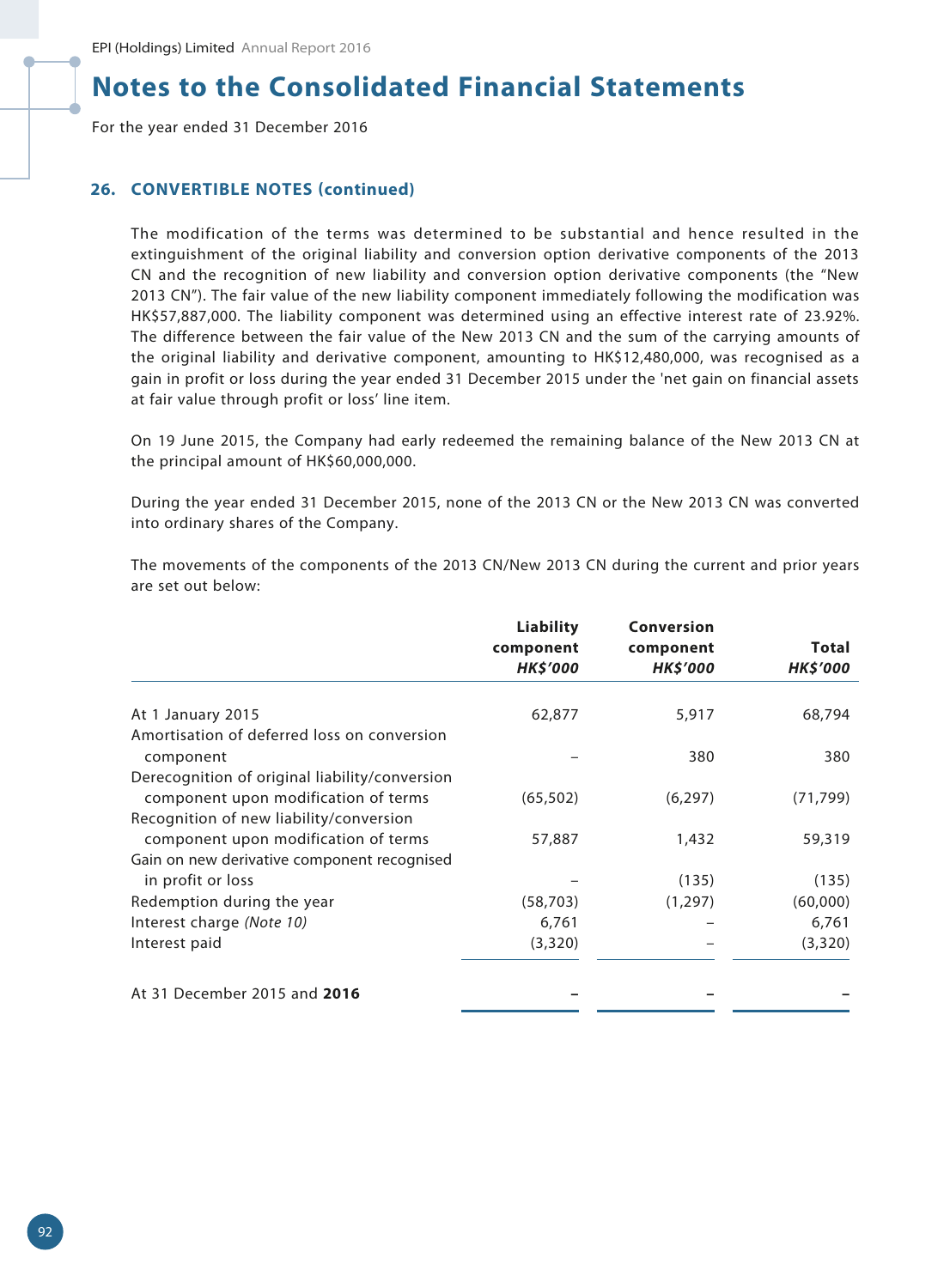For the year ended 31 December 2016

### **26. CONVERTIBLE NOTES (continued)**

The modification of the terms was determined to be substantial and hence resulted in the extinguishment of the original liability and conversion option derivative components of the 2013 CN and the recognition of new liability and conversion option derivative components (the "New 2013 CN"). The fair value of the new liability component immediately following the modification was HK\$57,887,000. The liability component was determined using an effective interest rate of 23.92%. The difference between the fair value of the New 2013 CN and the sum of the carrying amounts of the original liability and derivative component, amounting to HK\$12,480,000, was recognised as a gain in profit or loss during the year ended 31 December 2015 under the 'net gain on financial assets at fair value through profit or loss' line item.

On 19 June 2015, the Company had early redeemed the remaining balance of the New 2013 CN at the principal amount of HK\$60,000,000.

During the year ended 31 December 2015, none of the 2013 CN or the New 2013 CN was converted into ordinary shares of the Company.

The movements of the components of the 2013 CN/New 2013 CN during the current and prior years are set out below:

|                                                | <b>Liability</b><br>component<br><b>HK\$'000</b> | Conversion<br>component<br><b>HK\$'000</b> | Total<br><b>HK\$'000</b> |
|------------------------------------------------|--------------------------------------------------|--------------------------------------------|--------------------------|
|                                                |                                                  |                                            |                          |
| At 1 January 2015                              | 62,877                                           | 5,917                                      | 68,794                   |
| Amortisation of deferred loss on conversion    |                                                  |                                            |                          |
| component                                      |                                                  | 380                                        | 380                      |
| Derecognition of original liability/conversion |                                                  |                                            |                          |
| component upon modification of terms           | (65, 502)                                        | (6, 297)                                   | (71, 799)                |
| Recognition of new liability/conversion        |                                                  |                                            |                          |
| component upon modification of terms           | 57,887                                           | 1,432                                      | 59,319                   |
| Gain on new derivative component recognised    |                                                  |                                            |                          |
| in profit or loss                              |                                                  | (135)                                      | (135)                    |
| Redemption during the year                     | (58, 703)                                        | (1, 297)                                   | (60,000)                 |
| Interest charge (Note 10)                      | 6,761                                            |                                            | 6,761                    |
| Interest paid                                  | (3,320)                                          |                                            | (3,320)                  |
| At 31 December 2015 and 2016                   |                                                  |                                            |                          |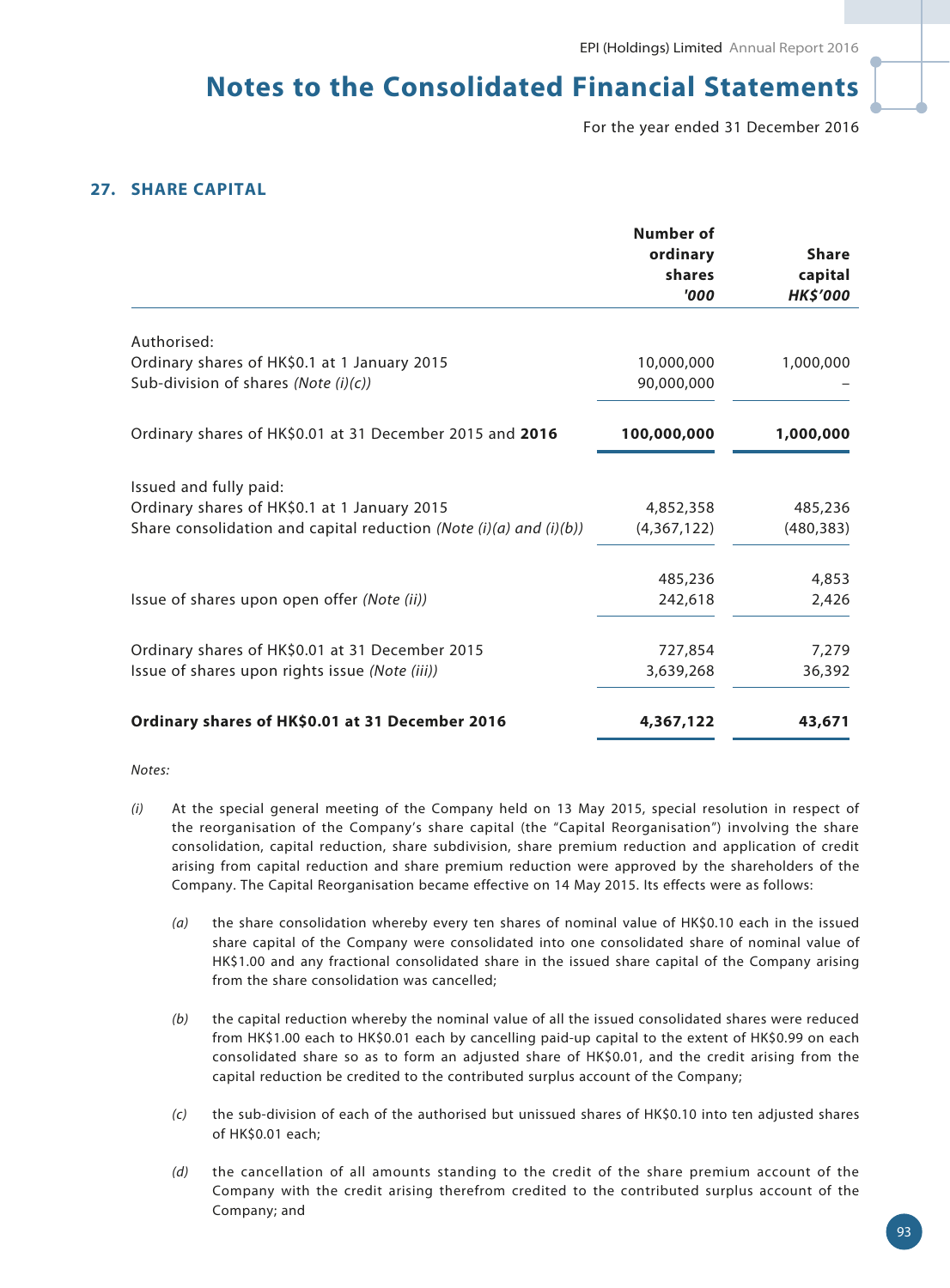For the year ended 31 December 2016

## **27. SHARE CAPITAL**

|                                                                    | Number of   |                |
|--------------------------------------------------------------------|-------------|----------------|
|                                                                    | ordinary    | <b>Share</b>   |
|                                                                    | shares      | capital        |
|                                                                    | '000        | <b>HKS'000</b> |
| Authorised:                                                        |             |                |
| Ordinary shares of HK\$0.1 at 1 January 2015                       | 10,000,000  | 1,000,000      |
| Sub-division of shares (Note $(i)(c)$ )                            | 90,000,000  |                |
| Ordinary shares of HK\$0.01 at 31 December 2015 and 2016           | 100,000,000 | 1,000,000      |
| Issued and fully paid:                                             |             |                |
| Ordinary shares of HK\$0.1 at 1 January 2015                       | 4,852,358   | 485,236        |
| Share consolidation and capital reduction (Note (i)(a) and (i)(b)) | (4,367,122) | (480, 383)     |
|                                                                    | 485,236     | 4,853          |
| Issue of shares upon open offer (Note (ii))                        | 242,618     | 2,426          |
| Ordinary shares of HK\$0.01 at 31 December 2015                    | 727,854     | 7,279          |
| Issue of shares upon rights issue (Note (iii))                     | 3,639,268   | 36,392         |
| Ordinary shares of HK\$0.01 at 31 December 2016                    | 4,367,122   | 43,671         |

#### *Notes:*

- *(i)* At the special general meeting of the Company held on 13 May 2015, special resolution in respect of the reorganisation of the Company's share capital (the "Capital Reorganisation") involving the share consolidation, capital reduction, share subdivision, share premium reduction and application of credit arising from capital reduction and share premium reduction were approved by the shareholders of the Company. The Capital Reorganisation became effective on 14 May 2015. Its effects were as follows:
	- *(a)* the share consolidation whereby every ten shares of nominal value of HK\$0.10 each in the issued share capital of the Company were consolidated into one consolidated share of nominal value of HK\$1.00 and any fractional consolidated share in the issued share capital of the Company arising from the share consolidation was cancelled;
	- *(b)* the capital reduction whereby the nominal value of all the issued consolidated shares were reduced from HK\$1.00 each to HK\$0.01 each by cancelling paid-up capital to the extent of HK\$0.99 on each consolidated share so as to form an adjusted share of HK\$0.01, and the credit arising from the capital reduction be credited to the contributed surplus account of the Company;
	- *(c)* the sub-division of each of the authorised but unissued shares of HK\$0.10 into ten adjusted shares of HK\$0.01 each;
	- *(d)* the cancellation of all amounts standing to the credit of the share premium account of the Company with the credit arising therefrom credited to the contributed surplus account of the Company; and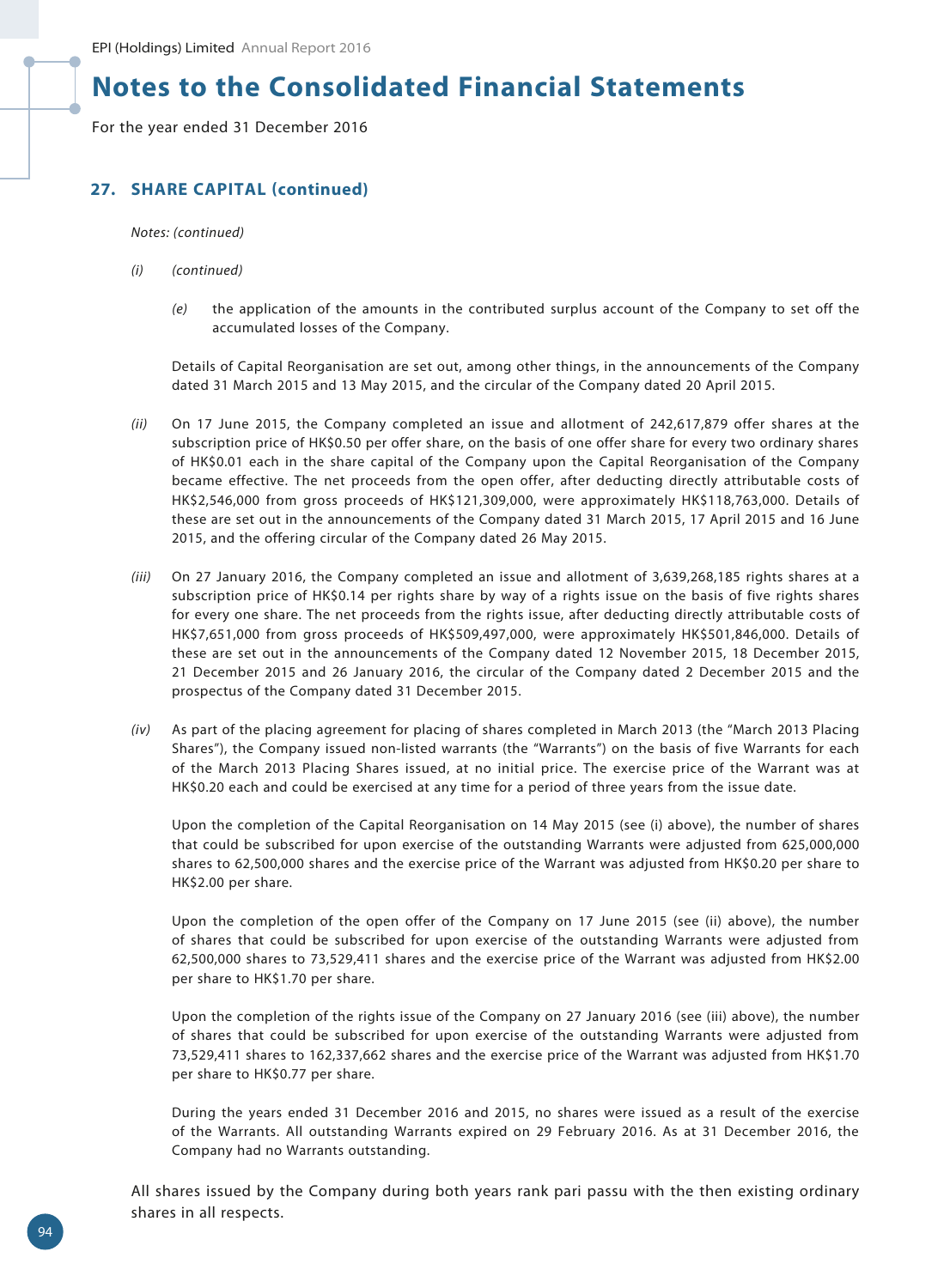For the year ended 31 December 2016

## **27. SHARE CAPITAL (continued)**

*Notes: (continued)*

- *(i) (continued)*
	- *(e)* the application of the amounts in the contributed surplus account of the Company to set off the accumulated losses of the Company.

Details of Capital Reorganisation are set out, among other things, in the announcements of the Company dated 31 March 2015 and 13 May 2015, and the circular of the Company dated 20 April 2015.

- *(ii)* On 17 June 2015, the Company completed an issue and allotment of 242,617,879 offer shares at the subscription price of HK\$0.50 per offer share, on the basis of one offer share for every two ordinary shares of HK\$0.01 each in the share capital of the Company upon the Capital Reorganisation of the Company became effective. The net proceeds from the open offer, after deducting directly attributable costs of HK\$2,546,000 from gross proceeds of HK\$121,309,000, were approximately HK\$118,763,000. Details of these are set out in the announcements of the Company dated 31 March 2015, 17 April 2015 and 16 June 2015, and the offering circular of the Company dated 26 May 2015.
- *(iii)* On 27 January 2016, the Company completed an issue and allotment of 3,639,268,185 rights shares at a subscription price of HK\$0.14 per rights share by way of a rights issue on the basis of five rights shares for every one share. The net proceeds from the rights issue, after deducting directly attributable costs of HK\$7,651,000 from gross proceeds of HK\$509,497,000, were approximately HK\$501,846,000. Details of these are set out in the announcements of the Company dated 12 November 2015, 18 December 2015, 21 December 2015 and 26 January 2016, the circular of the Company dated 2 December 2015 and the prospectus of the Company dated 31 December 2015.
- *(iv)* As part of the placing agreement for placing of shares completed in March 2013 (the "March 2013 Placing Shares"), the Company issued non-listed warrants (the "Warrants") on the basis of five Warrants for each of the March 2013 Placing Shares issued, at no initial price. The exercise price of the Warrant was at HK\$0.20 each and could be exercised at any time for a period of three years from the issue date.

Upon the completion of the Capital Reorganisation on 14 May 2015 (see (i) above), the number of shares that could be subscribed for upon exercise of the outstanding Warrants were adjusted from 625,000,000 shares to 62,500,000 shares and the exercise price of the Warrant was adjusted from HK\$0.20 per share to HK\$2.00 per share.

Upon the completion of the open offer of the Company on 17 June 2015 (see (ii) above), the number of shares that could be subscribed for upon exercise of the outstanding Warrants were adjusted from 62,500,000 shares to 73,529,411 shares and the exercise price of the Warrant was adjusted from HK\$2.00 per share to HK\$1.70 per share.

Upon the completion of the rights issue of the Company on 27 January 2016 (see (iii) above), the number of shares that could be subscribed for upon exercise of the outstanding Warrants were adjusted from 73,529,411 shares to 162,337,662 shares and the exercise price of the Warrant was adjusted from HK\$1.70 per share to HK\$0.77 per share.

During the years ended 31 December 2016 and 2015, no shares were issued as a result of the exercise of the Warrants. All outstanding Warrants expired on 29 February 2016. As at 31 December 2016, the Company had no Warrants outstanding.

All shares issued by the Company during both years rank pari passu with the then existing ordinary shares in all respects.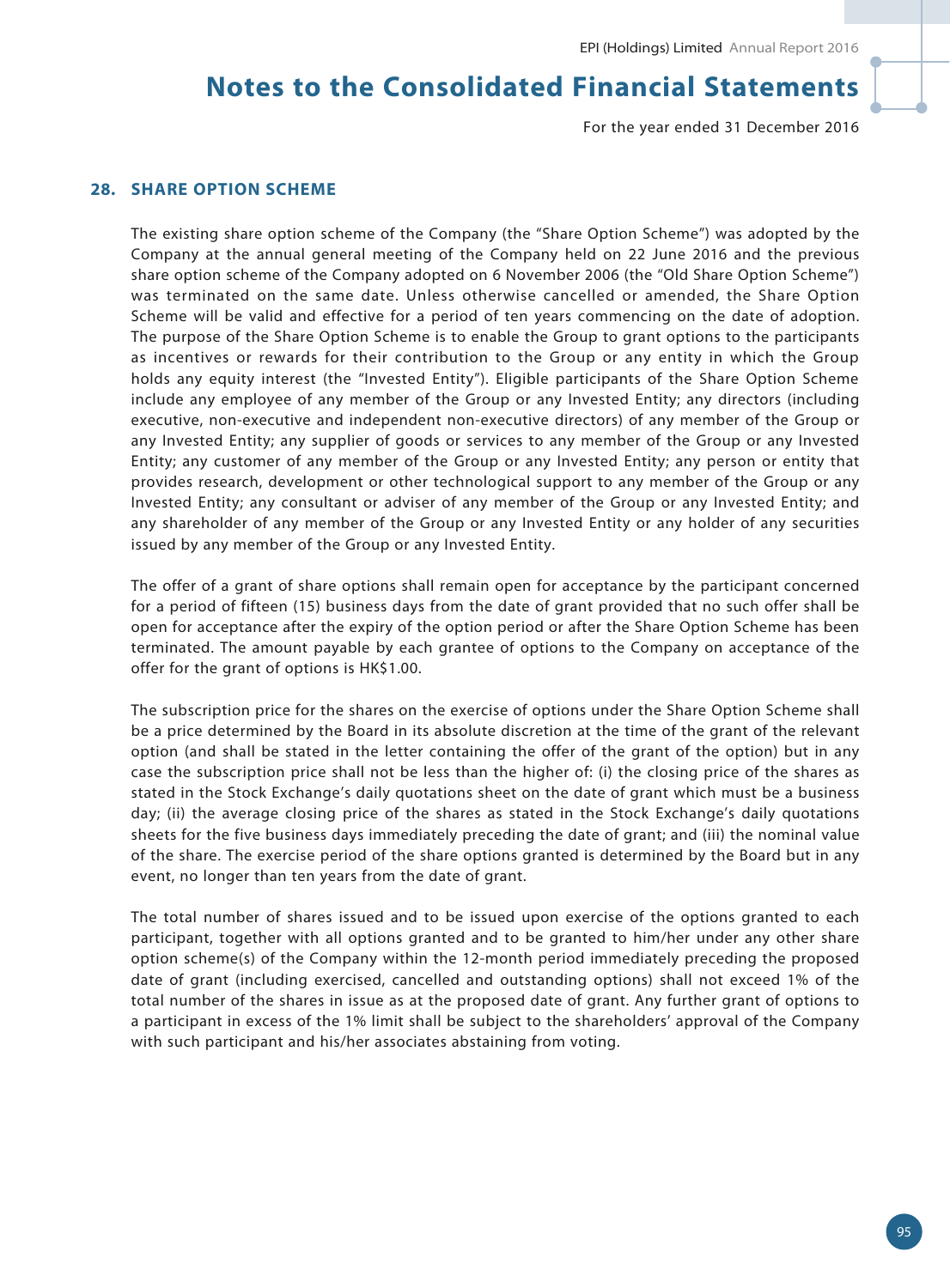For the year ended 31 December 2016

## **28. SHARE OPTION SCHEME**

The existing share option scheme of the Company (the "Share Option Scheme") was adopted by the Company at the annual general meeting of the Company held on 22 June 2016 and the previous share option scheme of the Company adopted on 6 November 2006 (the "Old Share Option Scheme") was terminated on the same date. Unless otherwise cancelled or amended, the Share Option Scheme will be valid and effective for a period of ten years commencing on the date of adoption. The purpose of the Share Option Scheme is to enable the Group to grant options to the participants as incentives or rewards for their contribution to the Group or any entity in which the Group holds any equity interest (the "Invested Entity"). Eligible participants of the Share Option Scheme include any employee of any member of the Group or any Invested Entity; any directors (including executive, non-executive and independent non-executive directors) of any member of the Group or any Invested Entity; any supplier of goods or services to any member of the Group or any Invested Entity; any customer of any member of the Group or any Invested Entity; any person or entity that provides research, development or other technological support to any member of the Group or any Invested Entity; any consultant or adviser of any member of the Group or any Invested Entity; and any shareholder of any member of the Group or any Invested Entity or any holder of any securities issued by any member of the Group or any Invested Entity.

The offer of a grant of share options shall remain open for acceptance by the participant concerned for a period of fifteen (15) business days from the date of grant provided that no such offer shall be open for acceptance after the expiry of the option period or after the Share Option Scheme has been terminated. The amount payable by each grantee of options to the Company on acceptance of the offer for the grant of options is HK\$1.00.

The subscription price for the shares on the exercise of options under the Share Option Scheme shall be a price determined by the Board in its absolute discretion at the time of the grant of the relevant option (and shall be stated in the letter containing the offer of the grant of the option) but in any case the subscription price shall not be less than the higher of: (i) the closing price of the shares as stated in the Stock Exchange's daily quotations sheet on the date of grant which must be a business day; (ii) the average closing price of the shares as stated in the Stock Exchange's daily quotations sheets for the five business days immediately preceding the date of grant; and (iii) the nominal value of the share. The exercise period of the share options granted is determined by the Board but in any event, no longer than ten years from the date of grant.

The total number of shares issued and to be issued upon exercise of the options granted to each participant, together with all options granted and to be granted to him/her under any other share option scheme(s) of the Company within the 12-month period immediately preceding the proposed date of grant (including exercised, cancelled and outstanding options) shall not exceed 1% of the total number of the shares in issue as at the proposed date of grant. Any further grant of options to a participant in excess of the 1% limit shall be subject to the shareholders' approval of the Company with such participant and his/her associates abstaining from voting.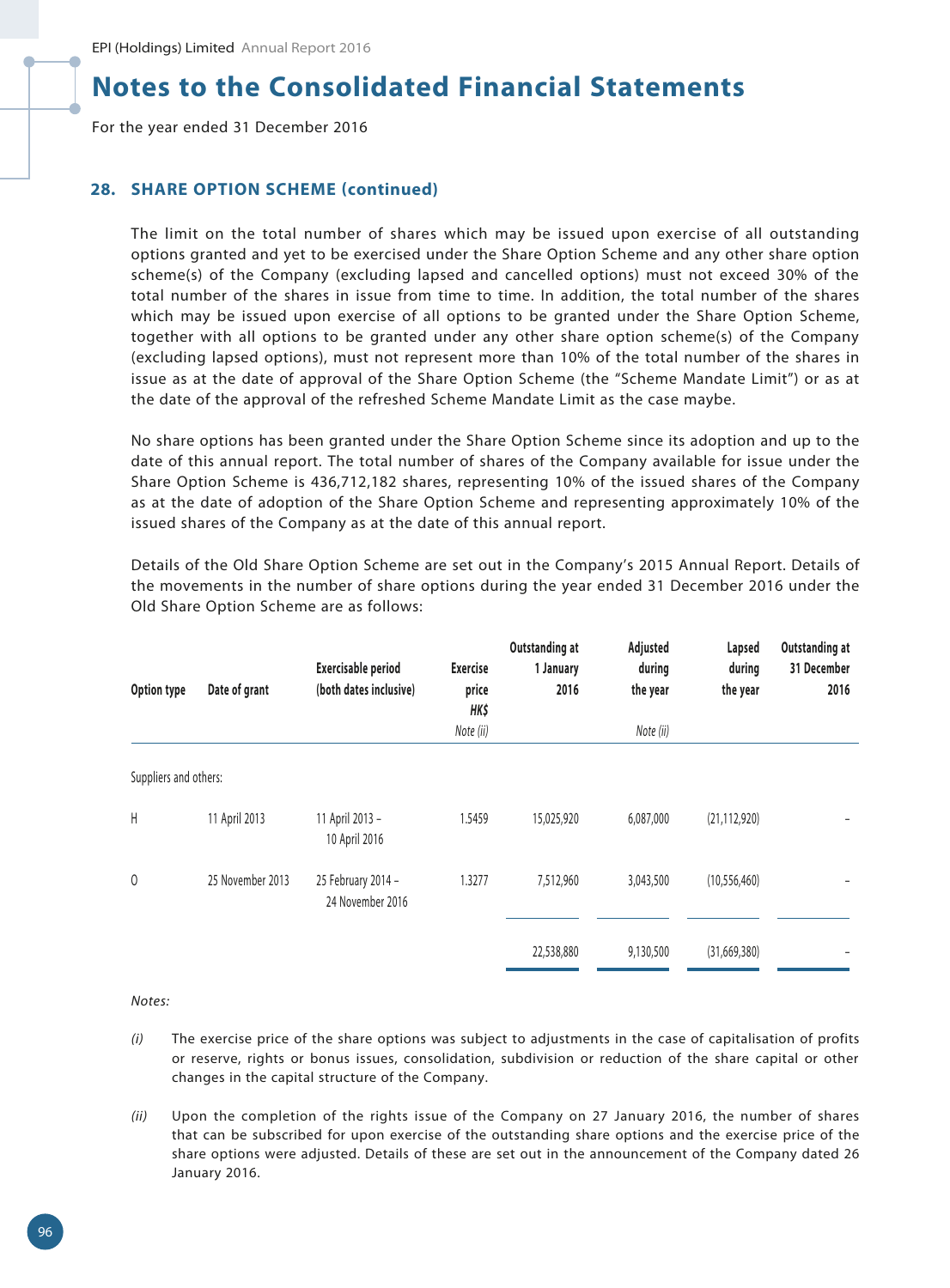For the year ended 31 December 2016

## **28. SHARE OPTION SCHEME (continued)**

The limit on the total number of shares which may be issued upon exercise of all outstanding options granted and yet to be exercised under the Share Option Scheme and any other share option scheme(s) of the Company (excluding lapsed and cancelled options) must not exceed 30% of the total number of the shares in issue from time to time. In addition, the total number of the shares which may be issued upon exercise of all options to be granted under the Share Option Scheme, together with all options to be granted under any other share option scheme(s) of the Company (excluding lapsed options), must not represent more than 10% of the total number of the shares in issue as at the date of approval of the Share Option Scheme (the "Scheme Mandate Limit") or as at the date of the approval of the refreshed Scheme Mandate Limit as the case maybe.

No share options has been granted under the Share Option Scheme since its adoption and up to the date of this annual report. The total number of shares of the Company available for issue under the Share Option Scheme is 436,712,182 shares, representing 10% of the issued shares of the Company as at the date of adoption of the Share Option Scheme and representing approximately 10% of the issued shares of the Company as at the date of this annual report.

| Option type           | Date of grant    | <b>Exercisable period</b><br>(both dates inclusive) | <b>Exercise</b><br>price<br>HK\$<br>Note (ii) | Outstanding at<br>1 January<br>2016 | Adjusted<br>during<br>the year<br>Note (ii) | Lapsed<br>during<br>the year | Outstanding at<br>31 December<br>2016 |
|-----------------------|------------------|-----------------------------------------------------|-----------------------------------------------|-------------------------------------|---------------------------------------------|------------------------------|---------------------------------------|
|                       |                  |                                                     |                                               |                                     |                                             |                              |                                       |
| Suppliers and others: |                  |                                                     |                                               |                                     |                                             |                              |                                       |
| Н                     | 11 April 2013    | 11 April 2013 -<br>10 April 2016                    | 1.5459                                        | 15,025,920                          | 6,087,000                                   | (21, 112, 920)               |                                       |
| 0                     | 25 November 2013 | 25 February 2014 -<br>24 November 2016              | 1.3277                                        | 7,512,960                           | 3,043,500                                   | (10, 556, 460)               |                                       |
|                       |                  |                                                     |                                               | 22,538,880                          | 9,130,500                                   | (31,669,380)                 |                                       |

Details of the Old Share Option Scheme are set out in the Company's 2015 Annual Report. Details of the movements in the number of share options during the year ended 31 December 2016 under the Old Share Option Scheme are as follows:

*Notes:*

- *(i)* The exercise price of the share options was subject to adjustments in the case of capitalisation of profits or reserve, rights or bonus issues, consolidation, subdivision or reduction of the share capital or other changes in the capital structure of the Company.
- *(ii)* Upon the completion of the rights issue of the Company on 27 January 2016, the number of shares that can be subscribed for upon exercise of the outstanding share options and the exercise price of the share options were adjusted. Details of these are set out in the announcement of the Company dated 26 January 2016.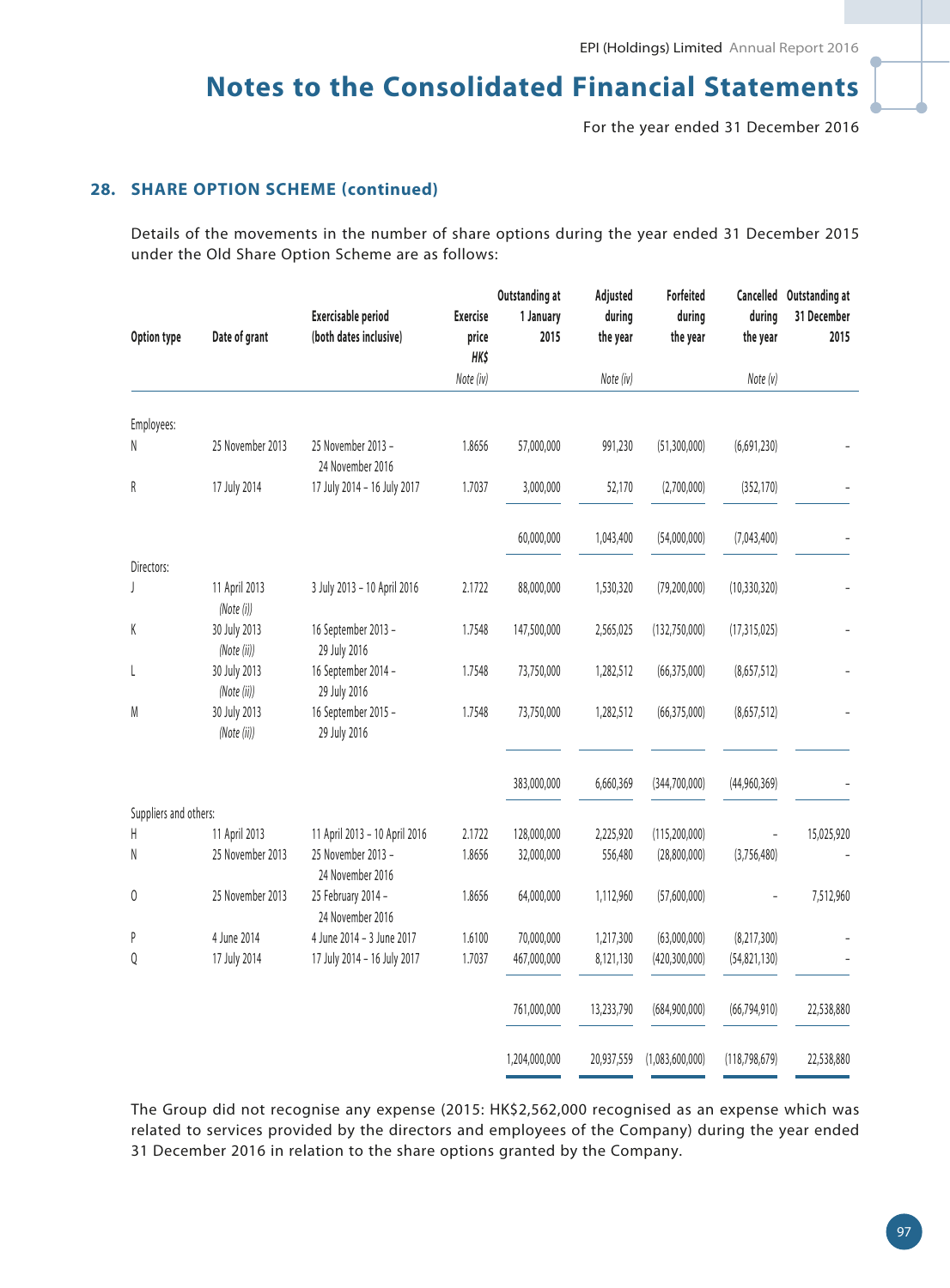For the year ended 31 December 2016

## **28. SHARE OPTION SCHEME (continued)**

Details of the movements in the number of share options during the year ended 31 December 2015 under the Old Share Option Scheme are as follows:

|                       |                             |                                                     | <b>Exercise</b>      | Outstanding at    | Adjusted<br>during | Forfeited          | during          | Cancelled Outstanding at<br>31 December |
|-----------------------|-----------------------------|-----------------------------------------------------|----------------------|-------------------|--------------------|--------------------|-----------------|-----------------------------------------|
| Option type           | Date of grant               | <b>Exercisable period</b><br>(both dates inclusive) | price<br><b>HK\$</b> | 1 January<br>2015 | the year           | during<br>the year | the year        | 2015                                    |
|                       |                             |                                                     | Note (iv)            |                   | Note (iv)          |                    | Note (v)        |                                         |
|                       |                             |                                                     |                      |                   |                    |                    |                 |                                         |
| Employees:            |                             |                                                     |                      |                   |                    |                    |                 |                                         |
| N                     | 25 November 2013            | 25 November 2013 -<br>24 November 2016              | 1.8656               | 57,000,000        | 991,230            | (51, 300, 000)     | (6,691,230)     |                                         |
| R                     | 17 July 2014                | 17 July 2014 - 16 July 2017                         | 1.7037               | 3,000,000         | 52,170             | (2,700,000)        | (352, 170)      |                                         |
|                       |                             |                                                     |                      | 60,000,000        | 1,043,400          | (54,000,000)       | (7,043,400)     |                                         |
| Directors:            |                             |                                                     |                      |                   |                    |                    |                 |                                         |
| J                     | 11 April 2013<br>(Note (i)) | 3 July 2013 - 10 April 2016                         | 2.1722               | 88,000,000        | 1,530,320          | (79, 200, 000)     | (10, 330, 320)  |                                         |
| K                     | 30 July 2013<br>(Note (ii)) | 16 September 2013 -<br>29 July 2016                 | 1.7548               | 147,500,000       | 2,565,025          | (132,750,000)      | (17, 315, 025)  |                                         |
| L                     | 30 July 2013<br>(Note (ii)) | 16 September 2014 -<br>29 July 2016                 | 1.7548               | 73,750,000        | 1,282,512          | (66, 375, 000)     | (8,657,512)     |                                         |
| M                     | 30 July 2013<br>(Note (ii)) | 16 September 2015 -<br>29 July 2016                 | 1.7548               | 73,750,000        | 1,282,512          | (66, 375, 000)     | (8,657,512)     |                                         |
|                       |                             |                                                     |                      | 383,000,000       | 6,660,369          | (344,700,000)      | (44,960,369)    |                                         |
| Suppliers and others: |                             |                                                     |                      |                   |                    |                    |                 |                                         |
| Н                     | 11 April 2013               | 11 April 2013 - 10 April 2016                       | 2.1722               | 128,000,000       | 2,225,920          | (115, 200, 000)    |                 | 15,025,920                              |
| N                     | 25 November 2013            | 25 November 2013 -<br>24 November 2016              | 1.8656               | 32,000,000        | 556,480            | (28,800,000)       | (3,756,480)     |                                         |
| 0                     | 25 November 2013            | 25 February 2014 -<br>24 November 2016              | 1.8656               | 64,000,000        | 1,112,960          | (57,600,000)       |                 | 7,512,960                               |
| P                     | 4 June 2014                 | 4 June 2014 - 3 June 2017                           | 1.6100               | 70,000,000        | 1,217,300          | (63,000,000)       | (8, 217, 300)   |                                         |
| Q                     | 17 July 2014                | 17 July 2014 - 16 July 2017                         | 1.7037               | 467,000,000       | 8,121,130          | (420, 300, 000)    | (54, 821, 130)  |                                         |
|                       |                             |                                                     |                      | 761,000,000       | 13,233,790         | (684,900,000)      | (66, 794, 910)  | 22,538,880                              |
|                       |                             |                                                     |                      | 1,204,000,000     | 20,937,559         | (1,083,600,000)    | (118, 798, 679) | 22,538,880                              |

The Group did not recognise any expense (2015: HK\$2,562,000 recognised as an expense which was related to services provided by the directors and employees of the Company) during the year ended 31 December 2016 in relation to the share options granted by the Company.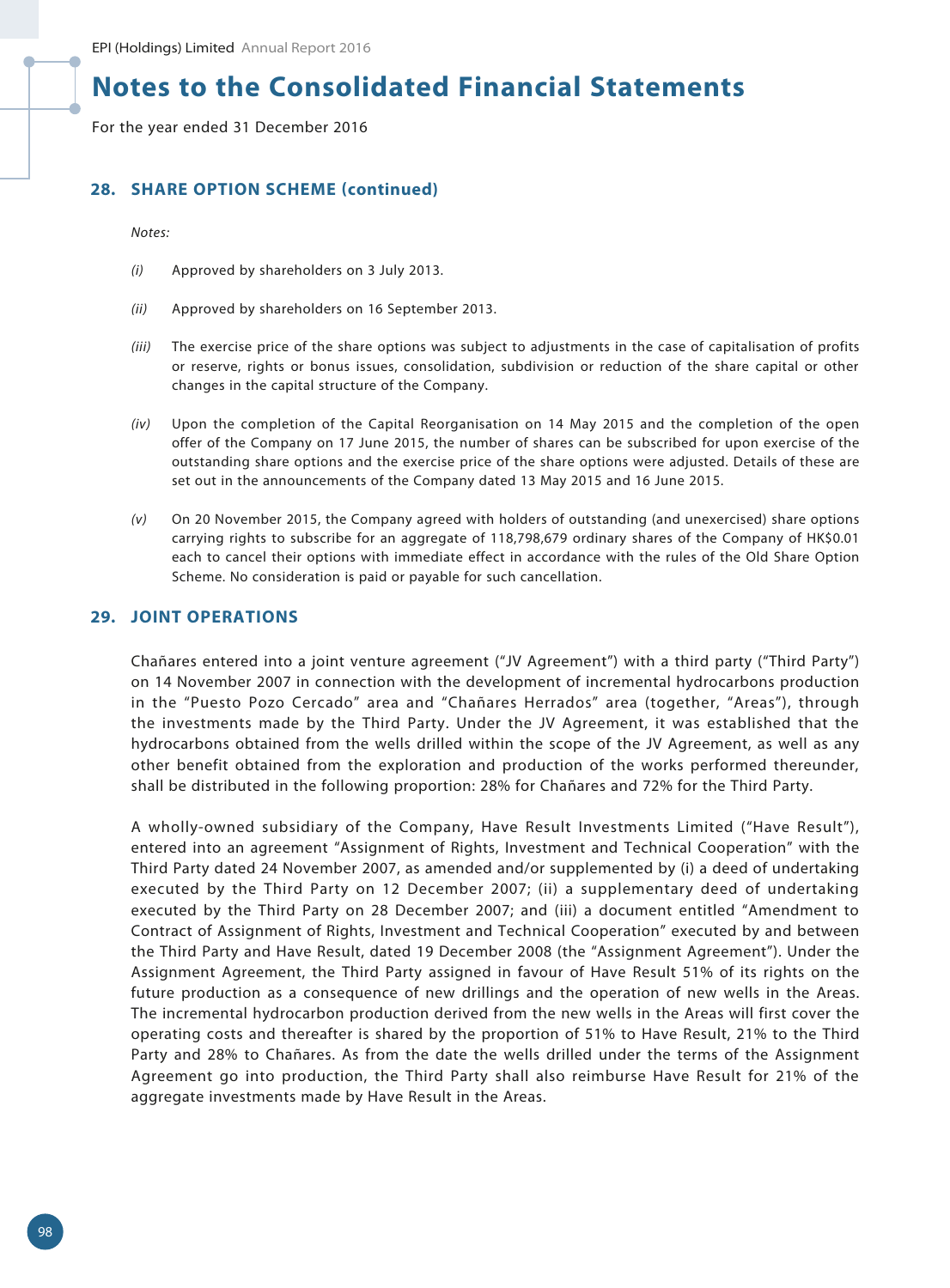For the year ended 31 December 2016

## **28. SHARE OPTION SCHEME (continued)**

*Notes:*

- *(i)* Approved by shareholders on 3 July 2013.
- *(ii)* Approved by shareholders on 16 September 2013.
- *(iii)* The exercise price of the share options was subject to adjustments in the case of capitalisation of profits or reserve, rights or bonus issues, consolidation, subdivision or reduction of the share capital or other changes in the capital structure of the Company.
- *(iv)* Upon the completion of the Capital Reorganisation on 14 May 2015 and the completion of the open offer of the Company on 17 June 2015, the number of shares can be subscribed for upon exercise of the outstanding share options and the exercise price of the share options were adjusted. Details of these are set out in the announcements of the Company dated 13 May 2015 and 16 June 2015.
- *(v)* On 20 November 2015, the Company agreed with holders of outstanding (and unexercised) share options carrying rights to subscribe for an aggregate of 118,798,679 ordinary shares of the Company of HK\$0.01 each to cancel their options with immediate effect in accordance with the rules of the Old Share Option Scheme. No consideration is paid or payable for such cancellation.

#### **29. JOINT OPERATIONS**

Chañares entered into a joint venture agreement ("JV Agreement") with a third party ("Third Party") on 14 November 2007 in connection with the development of incremental hydrocarbons production in the "Puesto Pozo Cercado" area and "Chañares Herrados" area (together, "Areas"), through the investments made by the Third Party. Under the JV Agreement, it was established that the hydrocarbons obtained from the wells drilled within the scope of the JV Agreement, as well as any other benefit obtained from the exploration and production of the works performed thereunder, shall be distributed in the following proportion: 28% for Chañares and 72% for the Third Party.

A wholly-owned subsidiary of the Company, Have Result Investments Limited ("Have Result"), entered into an agreement "Assignment of Rights, Investment and Technical Cooperation" with the Third Party dated 24 November 2007, as amended and/or supplemented by (i) a deed of undertaking executed by the Third Party on 12 December 2007; (ii) a supplementary deed of undertaking executed by the Third Party on 28 December 2007; and (iii) a document entitled "Amendment to Contract of Assignment of Rights, Investment and Technical Cooperation" executed by and between the Third Party and Have Result, dated 19 December 2008 (the "Assignment Agreement"). Under the Assignment Agreement, the Third Party assigned in favour of Have Result 51% of its rights on the future production as a consequence of new drillings and the operation of new wells in the Areas. The incremental hydrocarbon production derived from the new wells in the Areas will first cover the operating costs and thereafter is shared by the proportion of 51% to Have Result, 21% to the Third Party and 28% to Chañares. As from the date the wells drilled under the terms of the Assignment Agreement go into production, the Third Party shall also reimburse Have Result for 21% of the aggregate investments made by Have Result in the Areas.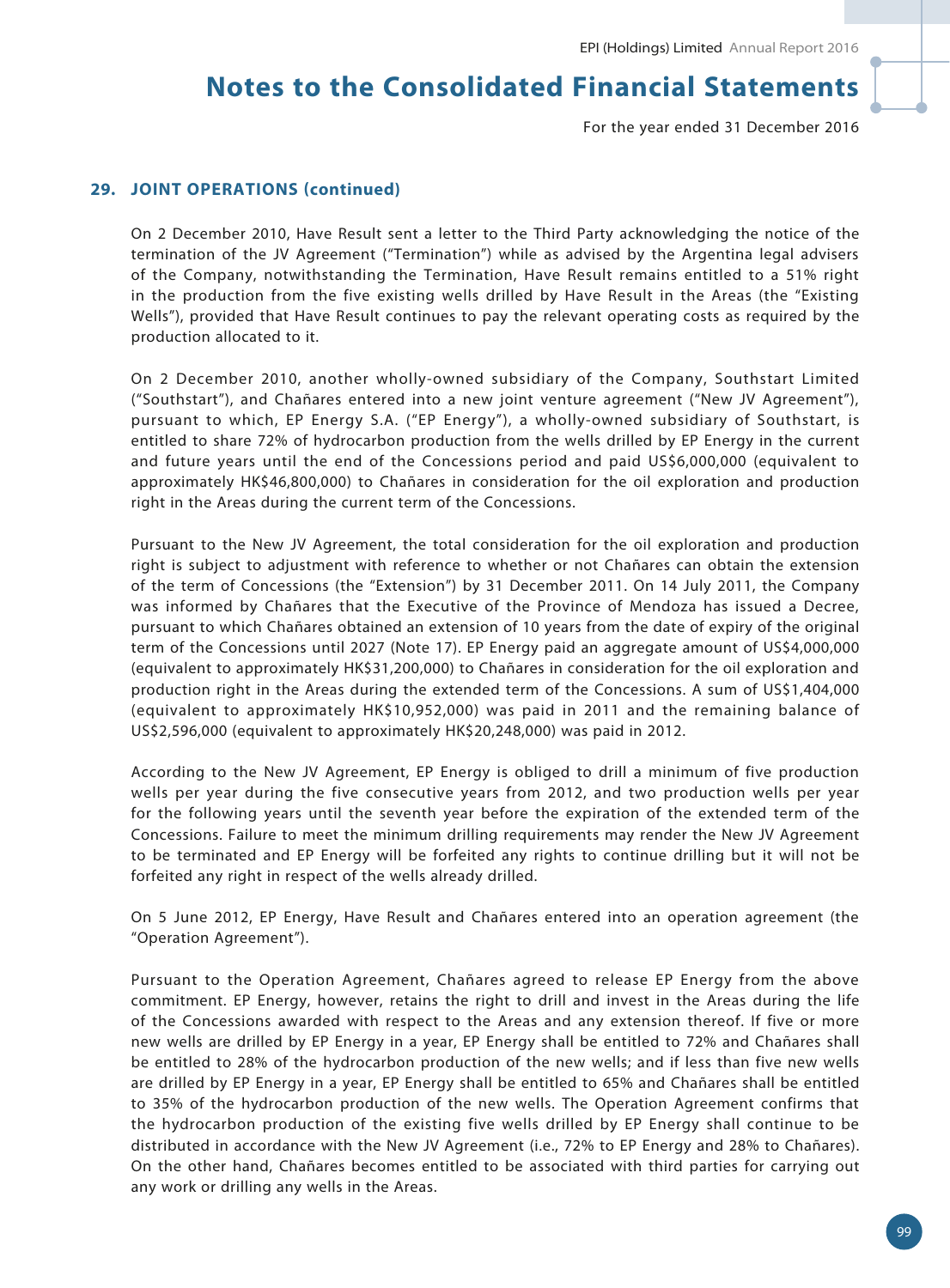For the year ended 31 December 2016

### **29. JOINT OPERATIONS (continued)**

On 2 December 2010, Have Result sent a letter to the Third Party acknowledging the notice of the termination of the JV Agreement ("Termination") while as advised by the Argentina legal advisers of the Company, notwithstanding the Termination, Have Result remains entitled to a 51% right in the production from the five existing wells drilled by Have Result in the Areas (the "Existing Wells"), provided that Have Result continues to pay the relevant operating costs as required by the production allocated to it.

On 2 December 2010, another wholly-owned subsidiary of the Company, Southstart Limited ("Southstart"), and Chañares entered into a new joint venture agreement ("New JV Agreement"), pursuant to which, EP Energy S.A. ("EP Energy"), a wholly-owned subsidiary of Southstart, is entitled to share 72% of hydrocarbon production from the wells drilled by EP Energy in the current and future years until the end of the Concessions period and paid US\$6,000,000 (equivalent to approximately HK\$46,800,000) to Chañares in consideration for the oil exploration and production right in the Areas during the current term of the Concessions.

Pursuant to the New JV Agreement, the total consideration for the oil exploration and production right is subject to adjustment with reference to whether or not Chañares can obtain the extension of the term of Concessions (the "Extension") by 31 December 2011. On 14 July 2011, the Company was informed by Chañares that the Executive of the Province of Mendoza has issued a Decree, pursuant to which Chañares obtained an extension of 10 years from the date of expiry of the original term of the Concessions until 2027 (Note 17). EP Energy paid an aggregate amount of US\$4,000,000 (equivalent to approximately HK\$31,200,000) to Chañares in consideration for the oil exploration and production right in the Areas during the extended term of the Concessions. A sum of US\$1,404,000 (equivalent to approximately HK\$10,952,000) was paid in 2011 and the remaining balance of US\$2,596,000 (equivalent to approximately HK\$20,248,000) was paid in 2012.

According to the New JV Agreement, EP Energy is obliged to drill a minimum of five production wells per year during the five consecutive years from 2012, and two production wells per year for the following years until the seventh year before the expiration of the extended term of the Concessions. Failure to meet the minimum drilling requirements may render the New JV Agreement to be terminated and EP Energy will be forfeited any rights to continue drilling but it will not be forfeited any right in respect of the wells already drilled.

On 5 June 2012, EP Energy, Have Result and Chañares entered into an operation agreement (the "Operation Agreement").

Pursuant to the Operation Agreement, Chañares agreed to release EP Energy from the above commitment. EP Energy, however, retains the right to drill and invest in the Areas during the life of the Concessions awarded with respect to the Areas and any extension thereof. If five or more new wells are drilled by EP Energy in a year, EP Energy shall be entitled to 72% and Chañares shall be entitled to 28% of the hydrocarbon production of the new wells; and if less than five new wells are drilled by EP Energy in a year, EP Energy shall be entitled to 65% and Chañares shall be entitled to 35% of the hydrocarbon production of the new wells. The Operation Agreement confirms that the hydrocarbon production of the existing five wells drilled by EP Energy shall continue to be distributed in accordance with the New JV Agreement (i.e., 72% to EP Energy and 28% to Chañares). On the other hand, Chañares becomes entitled to be associated with third parties for carrying out any work or drilling any wells in the Areas.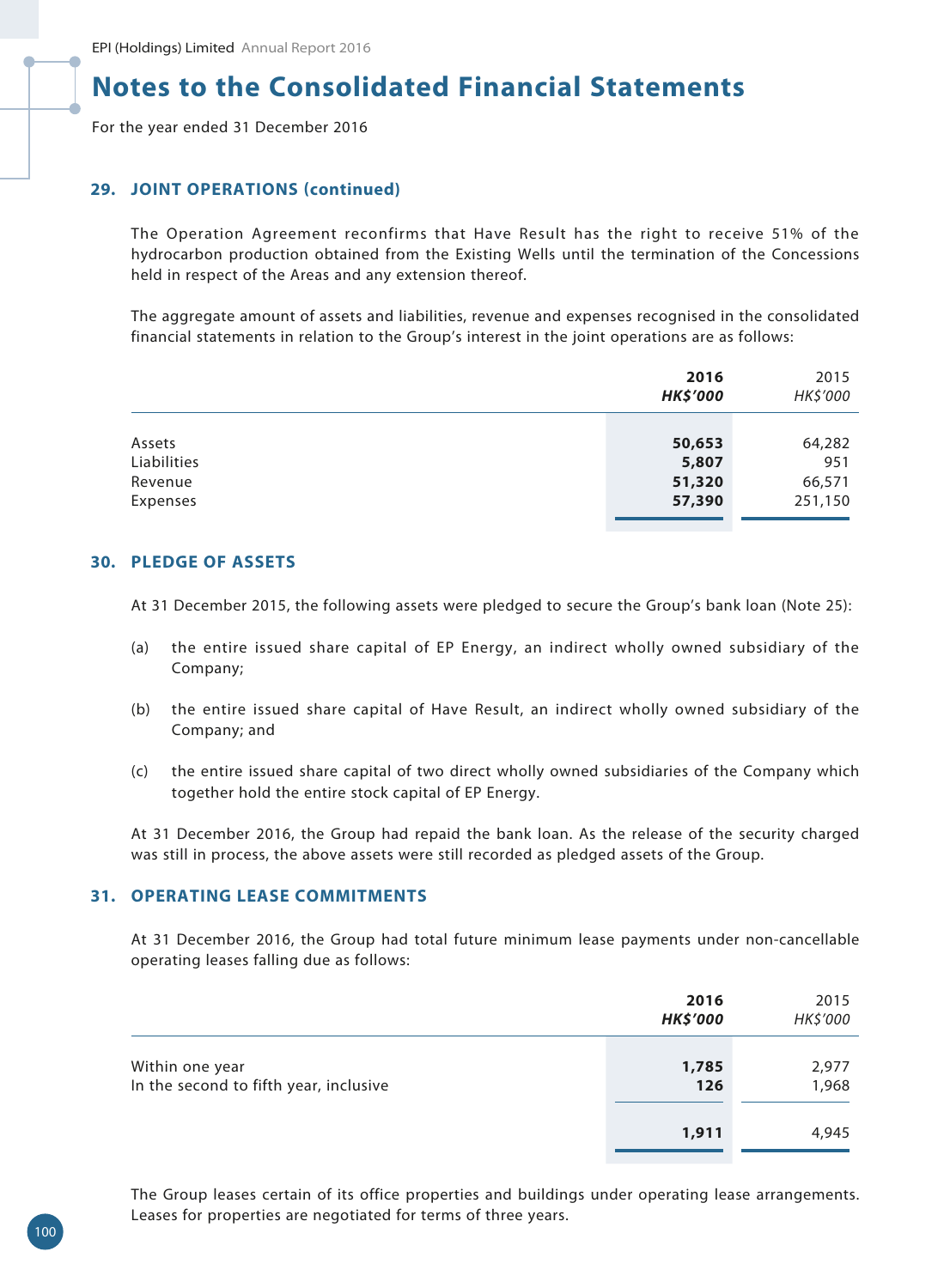For the year ended 31 December 2016

## **29. JOINT OPERATIONS (continued)**

The Operation Agreement reconfirms that Have Result has the right to receive 51% of the hydrocarbon production obtained from the Existing Wells until the termination of the Concessions held in respect of the Areas and any extension thereof.

The aggregate amount of assets and liabilities, revenue and expenses recognised in the consolidated financial statements in relation to the Group's interest in the joint operations are as follows:

|             | 2016<br><b>HK\$'000</b> | 2015<br>HK\$'000 |
|-------------|-------------------------|------------------|
|             |                         |                  |
| Assets      | 50,653                  | 64,282           |
| Liabilities | 5,807                   | 951              |
| Revenue     | 51,320                  | 66,571           |
| Expenses    | 57,390                  | 251,150          |
|             |                         |                  |

### **30. PLEDGE OF ASSETS**

At 31 December 2015, the following assets were pledged to secure the Group's bank loan (Note 25):

- (a) the entire issued share capital of EP Energy, an indirect wholly owned subsidiary of the Company;
- (b) the entire issued share capital of Have Result, an indirect wholly owned subsidiary of the Company; and
- (c) the entire issued share capital of two direct wholly owned subsidiaries of the Company which together hold the entire stock capital of EP Energy.

At 31 December 2016, the Group had repaid the bank loan. As the release of the security charged was still in process, the above assets were still recorded as pledged assets of the Group.

## **31. OPERATING LEASE COMMITMENTS**

At 31 December 2016, the Group had total future minimum lease payments under non-cancellable operating leases falling due as follows:

|                                                           | 2016<br><b>HK\$'000</b> | 2015<br>HK\$'000 |
|-----------------------------------------------------------|-------------------------|------------------|
| Within one year<br>In the second to fifth year, inclusive | 1,785<br>126            | 2,977<br>1,968   |
|                                                           | 1,911                   | 4,945            |

The Group leases certain of its office properties and buildings under operating lease arrangements. Leases for properties are negotiated for terms of three years.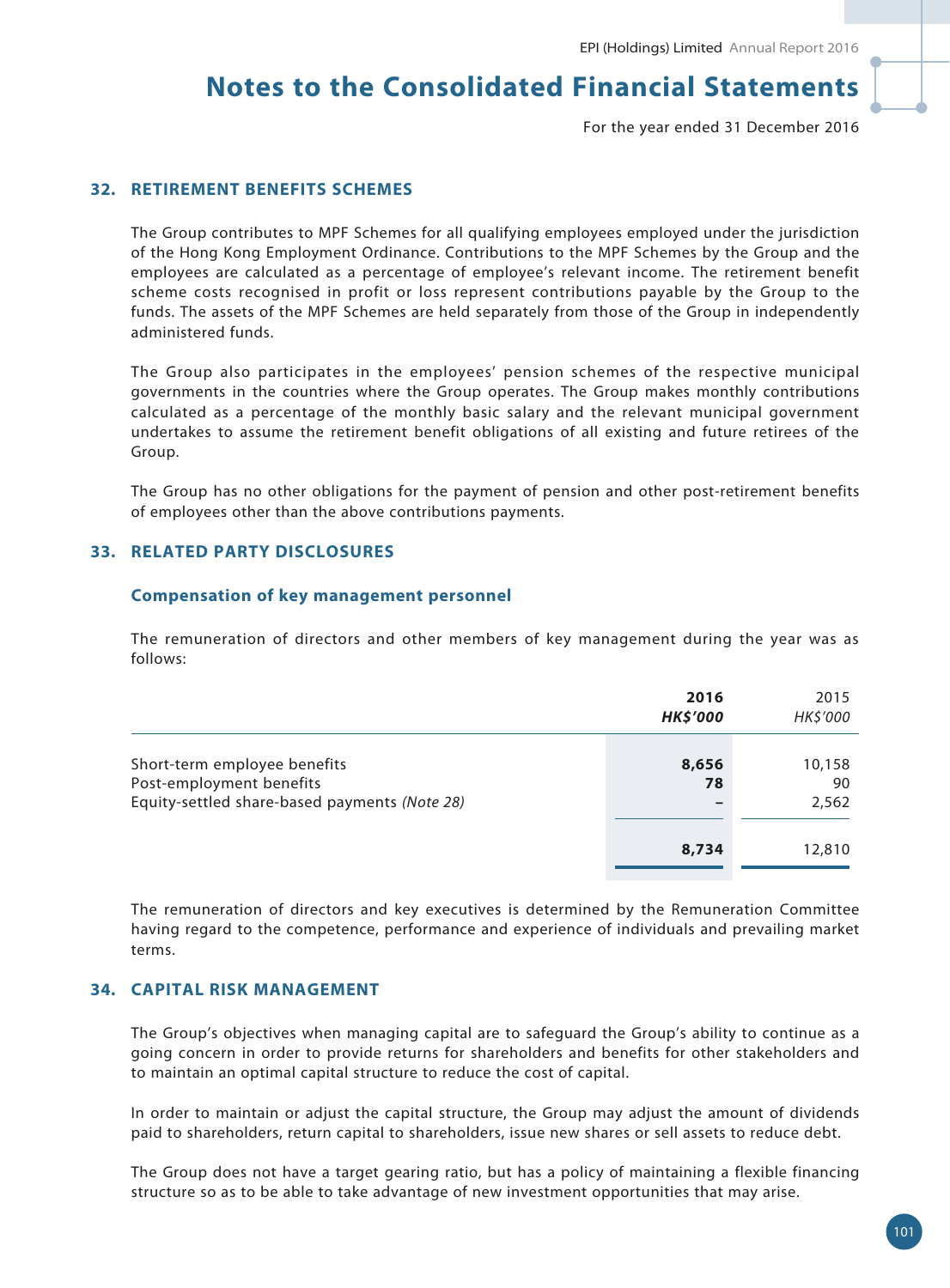For the year ended 31 December 2016

### **32. RETIREMENT BENEFITS SCHEMES**

The Group contributes to MPF Schemes for all qualifying employees employed under the jurisdiction of the Hong Kong Employment Ordinance. Contributions to the MPF Schemes by the Group and the employees are calculated as a percentage of employee's relevant income. The retirement benefit scheme costs recognised in profit or loss represent contributions payable by the Group to the funds. The assets of the MPF Schemes are held separately from those of the Group in independently administered funds.

The Group also participates in the employees' pension schemes of the respective municipal governments in the countries where the Group operates. The Group makes monthly contributions calculated as a percentage of the monthly basic salary and the relevant municipal government undertakes to assume the retirement benefit obligations of all existing and future retirees of the Group.

The Group has no other obligations for the payment of pension and other post-retirement benefits of employees other than the above contributions payments.

### **33. RELATED PARTY DISCLOSURES**

#### **Compensation of key management personnel**

The remuneration of directors and other members of key management during the year was as follows:

|                                                                                                           | 2016<br><b>HK\$'000</b> | 2015<br>HK\$'000      |
|-----------------------------------------------------------------------------------------------------------|-------------------------|-----------------------|
| Short-term employee benefits<br>Post-employment benefits<br>Equity-settled share-based payments (Note 28) | 8,656<br>78<br>-        | 10,158<br>90<br>2,562 |
|                                                                                                           | 8,734                   | 12,810                |

The remuneration of directors and key executives is determined by the Remuneration Committee having regard to the competence, performance and experience of individuals and prevailing market terms.

## **34. CAPITAL RISK MANAGEMENT**

The Group's objectives when managing capital are to safeguard the Group's ability to continue as a going concern in order to provide returns for shareholders and benefits for other stakeholders and to maintain an optimal capital structure to reduce the cost of capital.

In order to maintain or adjust the capital structure, the Group may adjust the amount of dividends paid to shareholders, return capital to shareholders, issue new shares or sell assets to reduce debt.

The Group does not have a target gearing ratio, but has a policy of maintaining a flexible financing structure so as to be able to take advantage of new investment opportunities that may arise.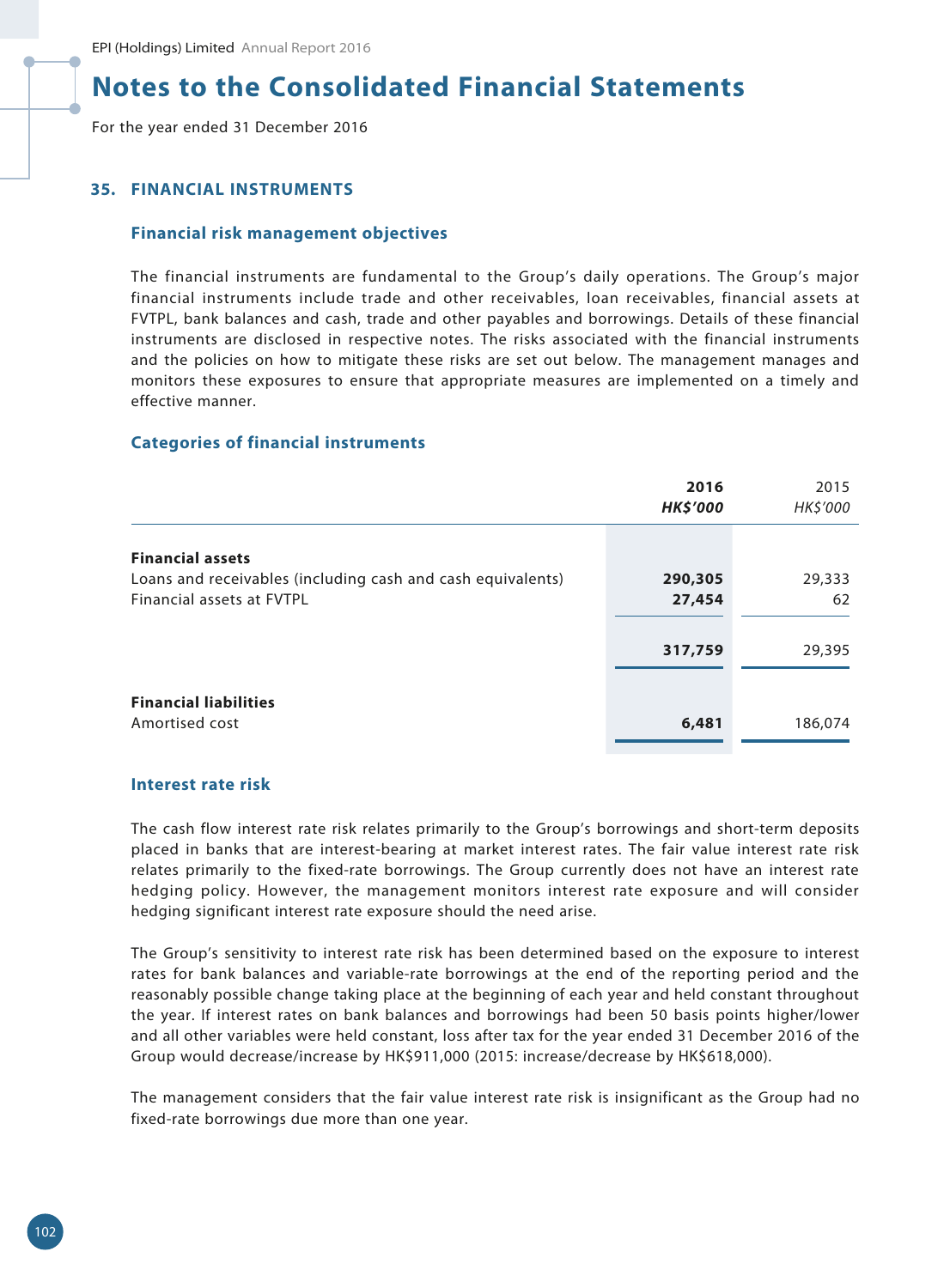For the year ended 31 December 2016

### **35. FINANCIAL INSTRUMENTS**

#### **Financial risk management objectives**

The financial instruments are fundamental to the Group's daily operations. The Group's major financial instruments include trade and other receivables, loan receivables, financial assets at FVTPL, bank balances and cash, trade and other payables and borrowings. Details of these financial instruments are disclosed in respective notes. The risks associated with the financial instruments and the policies on how to mitigate these risks are set out below. The management manages and monitors these exposures to ensure that appropriate measures are implemented on a timely and effective manner.

#### **Categories of financial instruments**

|                                                             | 2016<br><b>HK\$'000</b> | 2015<br>HK\$'000 |
|-------------------------------------------------------------|-------------------------|------------------|
| <b>Financial assets</b>                                     |                         |                  |
| Loans and receivables (including cash and cash equivalents) | 290,305                 | 29,333           |
| Financial assets at FVTPL                                   | 27,454                  | 62               |
|                                                             | 317,759                 | 29,395           |
|                                                             |                         |                  |
| <b>Financial liabilities</b>                                |                         |                  |
| Amortised cost                                              | 6,481                   | 186,074          |

#### **Interest rate risk**

The cash flow interest rate risk relates primarily to the Group's borrowings and short-term deposits placed in banks that are interest-bearing at market interest rates. The fair value interest rate risk relates primarily to the fixed-rate borrowings. The Group currently does not have an interest rate hedging policy. However, the management monitors interest rate exposure and will consider hedging significant interest rate exposure should the need arise.

The Group's sensitivity to interest rate risk has been determined based on the exposure to interest rates for bank balances and variable-rate borrowings at the end of the reporting period and the reasonably possible change taking place at the beginning of each year and held constant throughout the year. If interest rates on bank balances and borrowings had been 50 basis points higher/lower and all other variables were held constant, loss after tax for the year ended 31 December 2016 of the Group would decrease/increase by HK\$911,000 (2015: increase/decrease by HK\$618,000).

The management considers that the fair value interest rate risk is insignificant as the Group had no fixed-rate borrowings due more than one year.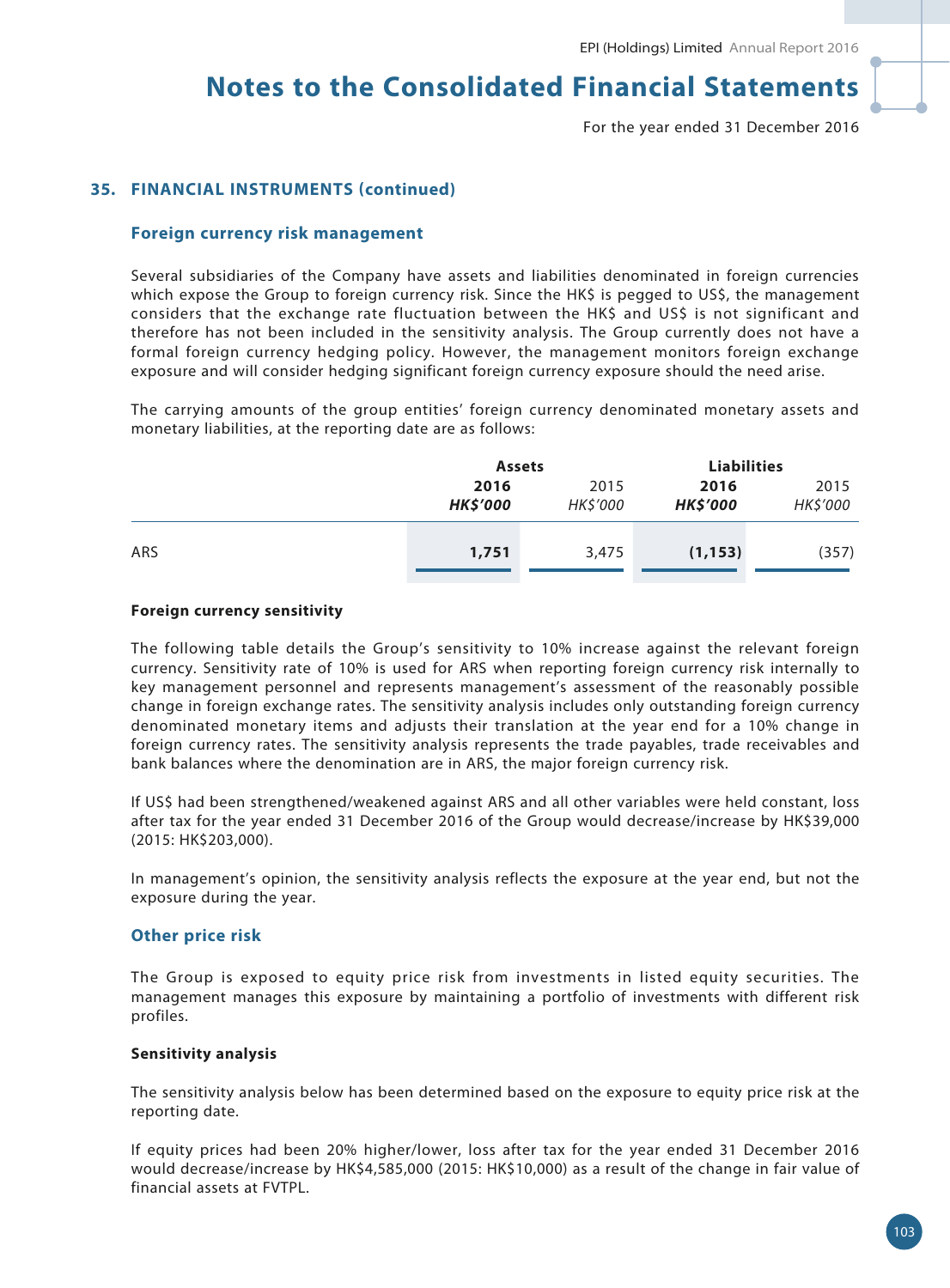For the year ended 31 December 2016

### **35. FINANCIAL INSTRUMENTS (continued)**

#### **Foreign currency risk management**

Several subsidiaries of the Company have assets and liabilities denominated in foreign currencies which expose the Group to foreign currency risk. Since the HK\$ is pegged to US\$, the management considers that the exchange rate fluctuation between the HK\$ and US\$ is not significant and therefore has not been included in the sensitivity analysis. The Group currently does not have a formal foreign currency hedging policy. However, the management monitors foreign exchange exposure and will consider hedging significant foreign currency exposure should the need arise.

The carrying amounts of the group entities' foreign currency denominated monetary assets and monetary liabilities, at the reporting date are as follows:

|     | <b>Assets</b>   |          | <b>Liabilities</b> |                 |  |
|-----|-----------------|----------|--------------------|-----------------|--|
|     | 2016<br>2015    |          | 2016               | 2015            |  |
|     | <b>HK\$'000</b> | HK\$'000 | <b>HK\$'000</b>    | <b>HK\$'000</b> |  |
|     |                 |          |                    |                 |  |
| ARS | 1,751           | 3,475    | (1, 153)           | (357)           |  |
|     |                 |          |                    |                 |  |

#### **Foreign currency sensitivity**

The following table details the Group's sensitivity to 10% increase against the relevant foreign currency. Sensitivity rate of 10% is used for ARS when reporting foreign currency risk internally to key management personnel and represents management's assessment of the reasonably possible change in foreign exchange rates. The sensitivity analysis includes only outstanding foreign currency denominated monetary items and adjusts their translation at the year end for a 10% change in foreign currency rates. The sensitivity analysis represents the trade payables, trade receivables and bank balances where the denomination are in ARS, the major foreign currency risk.

If US\$ had been strengthened/weakened against ARS and all other variables were held constant, loss after tax for the year ended 31 December 2016 of the Group would decrease/increase by HK\$39,000 (2015: HK\$203,000).

In management's opinion, the sensitivity analysis reflects the exposure at the year end, but not the exposure during the year.

#### **Other price risk**

The Group is exposed to equity price risk from investments in listed equity securities. The management manages this exposure by maintaining a portfolio of investments with different risk profiles.

#### **Sensitivity analysis**

The sensitivity analysis below has been determined based on the exposure to equity price risk at the reporting date.

If equity prices had been 20% higher/lower, loss after tax for the year ended 31 December 2016 would decrease/increase by HK\$4,585,000 (2015: HK\$10,000) as a result of the change in fair value of financial assets at FVTPL.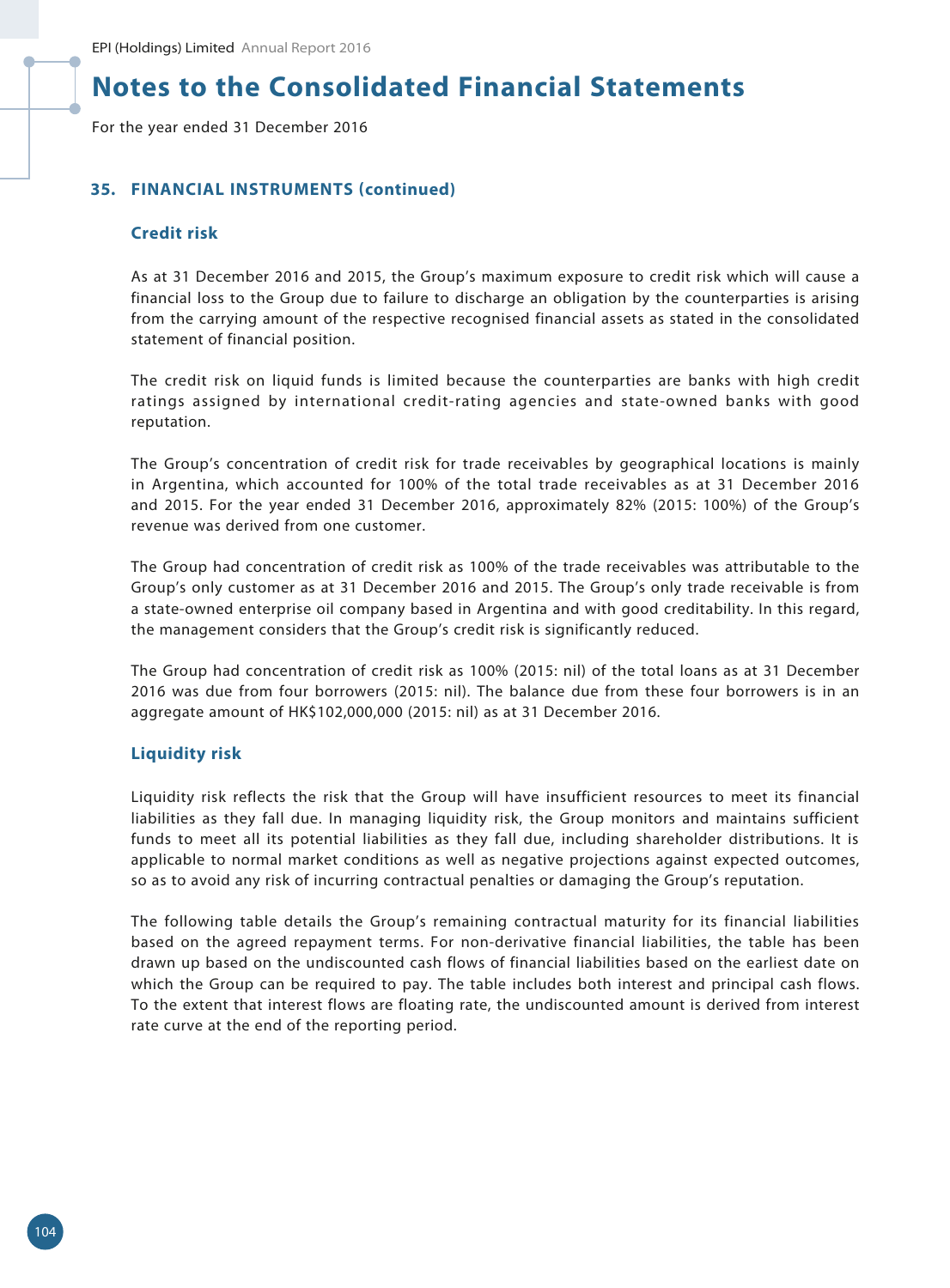For the year ended 31 December 2016

### **35. FINANCIAL INSTRUMENTS (continued)**

### **Credit risk**

As at 31 December 2016 and 2015, the Group's maximum exposure to credit risk which will cause a financial loss to the Group due to failure to discharge an obligation by the counterparties is arising from the carrying amount of the respective recognised financial assets as stated in the consolidated statement of financial position.

The credit risk on liquid funds is limited because the counterparties are banks with high credit ratings assigned by international credit-rating agencies and state-owned banks with good reputation.

The Group's concentration of credit risk for trade receivables by geographical locations is mainly in Argentina, which accounted for 100% of the total trade receivables as at 31 December 2016 and 2015. For the year ended 31 December 2016, approximately 82% (2015: 100%) of the Group's revenue was derived from one customer.

The Group had concentration of credit risk as 100% of the trade receivables was attributable to the Group's only customer as at 31 December 2016 and 2015. The Group's only trade receivable is from a state-owned enterprise oil company based in Argentina and with good creditability. In this regard, the management considers that the Group's credit risk is significantly reduced.

The Group had concentration of credit risk as 100% (2015: nil) of the total loans as at 31 December 2016 was due from four borrowers (2015: nil). The balance due from these four borrowers is in an aggregate amount of HK\$102,000,000 (2015: nil) as at 31 December 2016.

#### **Liquidity risk**

Liquidity risk reflects the risk that the Group will have insufficient resources to meet its financial liabilities as they fall due. In managing liquidity risk, the Group monitors and maintains sufficient funds to meet all its potential liabilities as they fall due, including shareholder distributions. It is applicable to normal market conditions as well as negative projections against expected outcomes, so as to avoid any risk of incurring contractual penalties or damaging the Group's reputation.

The following table details the Group's remaining contractual maturity for its financial liabilities based on the agreed repayment terms. For non-derivative financial liabilities, the table has been drawn up based on the undiscounted cash flows of financial liabilities based on the earliest date on which the Group can be required to pay. The table includes both interest and principal cash flows. To the extent that interest flows are floating rate, the undiscounted amount is derived from interest rate curve at the end of the reporting period.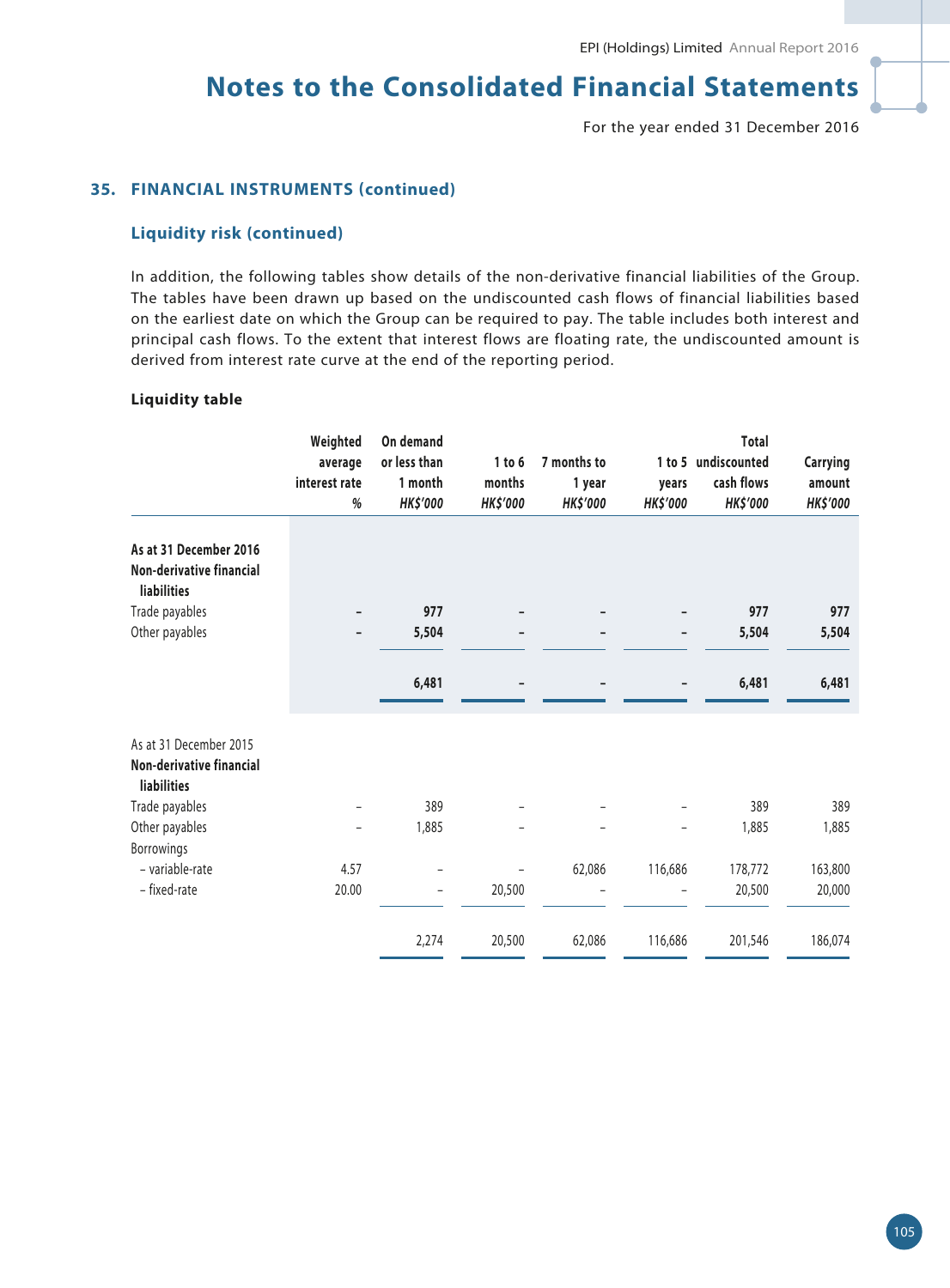For the year ended 31 December 2016

### **35. FINANCIAL INSTRUMENTS (continued)**

### **Liquidity risk (continued)**

In addition, the following tables show details of the non-derivative financial liabilities of the Group. The tables have been drawn up based on the undiscounted cash flows of financial liabilities based on the earliest date on which the Group can be required to pay. The table includes both interest and principal cash flows. To the extent that interest flows are floating rate, the undiscounted amount is derived from interest rate curve at the end of the reporting period.

#### **Liquidity table**

|                                                                                 | Weighted<br>average<br>interest rate<br>% | On demand<br>or less than<br>1 month<br><b>HK\$'000</b> | 1 to 6<br>months<br><b>HK\$'000</b> | 7 months to<br>1 year<br><b>HK\$'000</b> | years<br><b>HK\$'000</b> | <b>Total</b><br>1 to 5 undiscounted<br>cash flows<br><b>HK\$'000</b> | <b>Carrying</b><br>amount<br><b>HK\$'000</b> |
|---------------------------------------------------------------------------------|-------------------------------------------|---------------------------------------------------------|-------------------------------------|------------------------------------------|--------------------------|----------------------------------------------------------------------|----------------------------------------------|
| As at 31 December 2016<br>Non-derivative financial<br><b>liabilities</b>        |                                           |                                                         |                                     |                                          |                          |                                                                      |                                              |
| Trade payables                                                                  |                                           | 977                                                     |                                     |                                          |                          | 977                                                                  | 977                                          |
| Other payables                                                                  |                                           | 5,504                                                   | -                                   | $\qquad \qquad \blacksquare$             | -                        | 5,504                                                                | 5,504                                        |
|                                                                                 |                                           | 6,481                                                   |                                     |                                          |                          | 6,481                                                                | 6,481                                        |
| As at 31 December 2015<br><b>Non-derivative financial</b><br><b>liabilities</b> |                                           |                                                         |                                     |                                          |                          |                                                                      |                                              |
| Trade payables                                                                  |                                           | 389                                                     |                                     |                                          |                          | 389                                                                  | 389                                          |
| Other payables<br>Borrowings                                                    | $\overline{a}$                            | 1,885                                                   |                                     |                                          |                          | 1,885                                                                | 1,885                                        |
| - variable-rate                                                                 | 4.57                                      |                                                         |                                     | 62,086                                   | 116,686                  | 178,772                                                              | 163,800                                      |
| - fixed-rate                                                                    | 20.00                                     | -                                                       | 20,500                              |                                          |                          | 20,500                                                               | 20,000                                       |
|                                                                                 |                                           | 2,274                                                   | 20,500                              | 62,086                                   | 116,686                  | 201,546                                                              | 186,074                                      |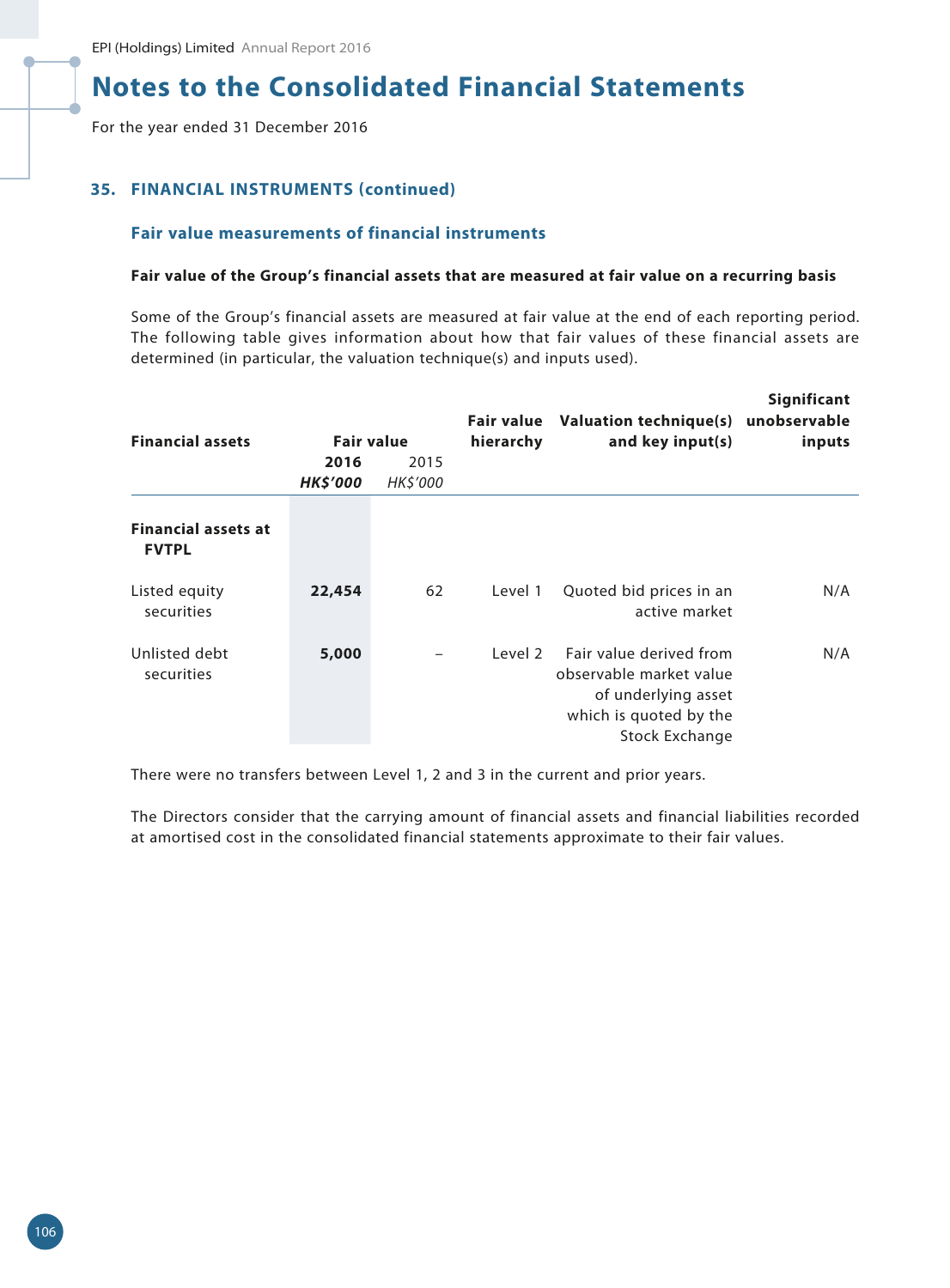For the year ended 31 December 2016

### **35. FINANCIAL INSTRUMENTS (continued)**

#### **Fair value measurements of financial instruments**

#### **Fair value of the Group's financial assets that are measured at fair value on a recurring basis**

Some of the Group's financial assets are measured at fair value at the end of each reporting period. The following table gives information about how that fair values of these financial assets are determined (in particular, the valuation technique(s) and inputs used).

| <b>Financial assets</b>                    | <b>Fair value</b>       |                  | Fair value<br>hierarchy | Valuation technique(s)<br>and key input(s)                                                                                   | Significant<br>unobservable<br>inputs |
|--------------------------------------------|-------------------------|------------------|-------------------------|------------------------------------------------------------------------------------------------------------------------------|---------------------------------------|
|                                            | 2016<br><b>HK\$'000</b> | 2015<br>HK\$'000 |                         |                                                                                                                              |                                       |
| <b>Financial assets at</b><br><b>FVTPL</b> |                         |                  |                         |                                                                                                                              |                                       |
| Listed equity<br>securities                | 22,454                  | 62               | Level 1                 | Quoted bid prices in an<br>active market                                                                                     | N/A                                   |
| Unlisted debt<br>securities                | 5,000                   |                  | Level 2                 | Fair value derived from<br>observable market value<br>of underlying asset<br>which is quoted by the<br><b>Stock Exchange</b> | N/A                                   |

There were no transfers between Level 1, 2 and 3 in the current and prior years.

The Directors consider that the carrying amount of financial assets and financial liabilities recorded at amortised cost in the consolidated financial statements approximate to their fair values.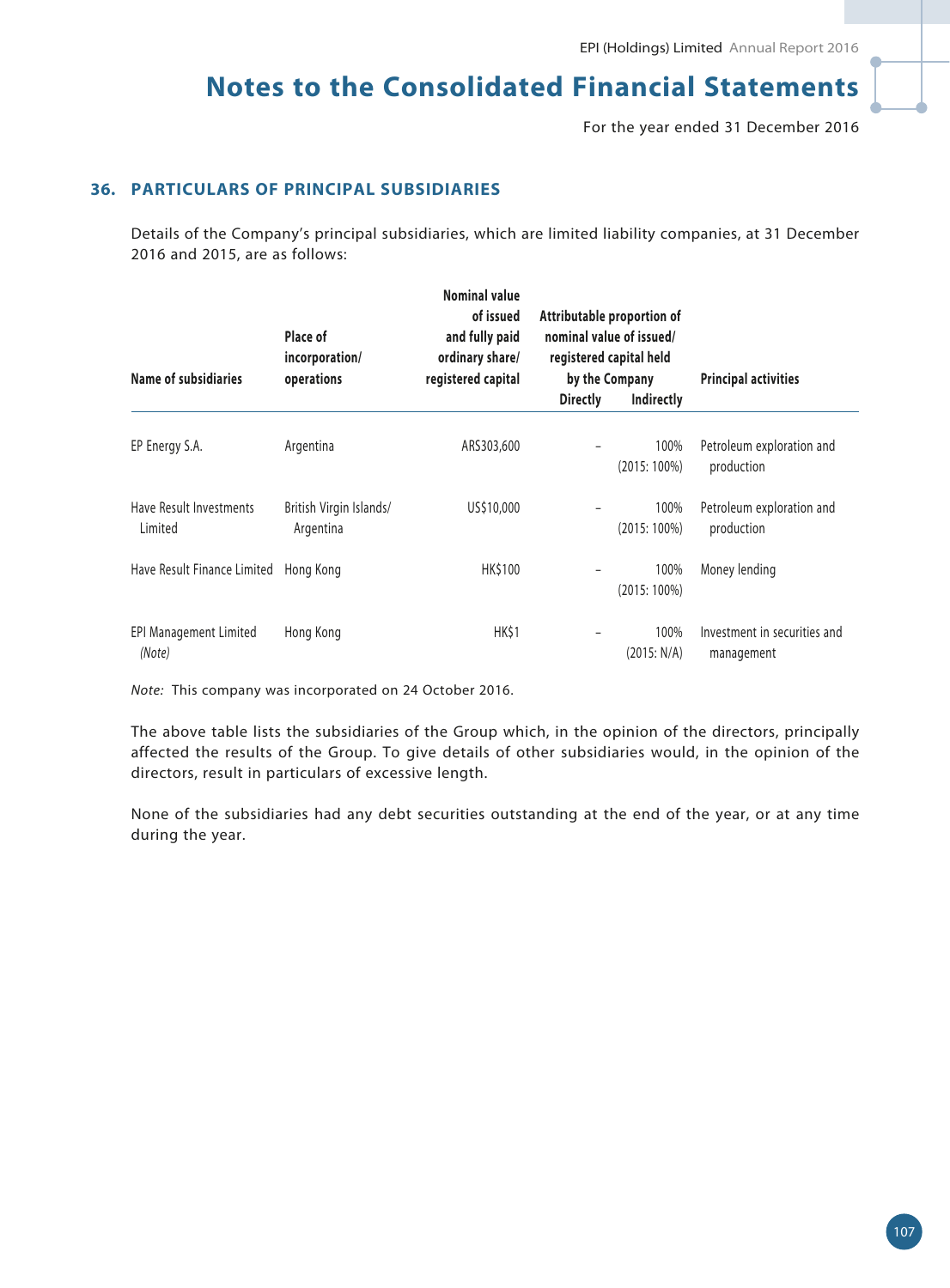For the year ended 31 December 2016

## **36. PARTICULARS OF PRINCIPAL SUBSIDIARIES**

Details of the Company's principal subsidiaries, which are limited liability companies, at 31 December 2016 and 2015, are as follows:

| Name of subsidiaries               | Place of<br>incorporation/<br>operations | <b>Nominal value</b><br>of issued<br>and fully paid<br>ordinary share/<br>registered capital | Attributable proportion of<br>nominal value of issued/<br>registered capital held<br>by the Company |                        | <b>Principal activities</b>                |  |
|------------------------------------|------------------------------------------|----------------------------------------------------------------------------------------------|-----------------------------------------------------------------------------------------------------|------------------------|--------------------------------------------|--|
|                                    |                                          |                                                                                              | <b>Directly</b>                                                                                     | Indirectly             |                                            |  |
| EP Energy S.A.                     | Argentina                                | ARS303,600                                                                                   |                                                                                                     | 100%<br>$(2015:100\%)$ | Petroleum exploration and<br>production    |  |
| Have Result Investments<br>Limited | British Virgin Islands/<br>Argentina     | US\$10,000                                                                                   |                                                                                                     | 100%<br>$(2015:100\%)$ | Petroleum exploration and<br>production    |  |
| Have Result Finance Limited        | Hong Kong                                | HK\$100                                                                                      |                                                                                                     | 100%<br>$(2015:100\%)$ | Money lending                              |  |
| EPI Management Limited<br>(Note)   | Hong Kong                                | HK\$1                                                                                        |                                                                                                     | 100%<br>(2015: N/A)    | Investment in securities and<br>management |  |

*Note:* This company was incorporated on 24 October 2016.

The above table lists the subsidiaries of the Group which, in the opinion of the directors, principally affected the results of the Group. To give details of other subsidiaries would, in the opinion of the directors, result in particulars of excessive length.

None of the subsidiaries had any debt securities outstanding at the end of the year, or at any time during the year.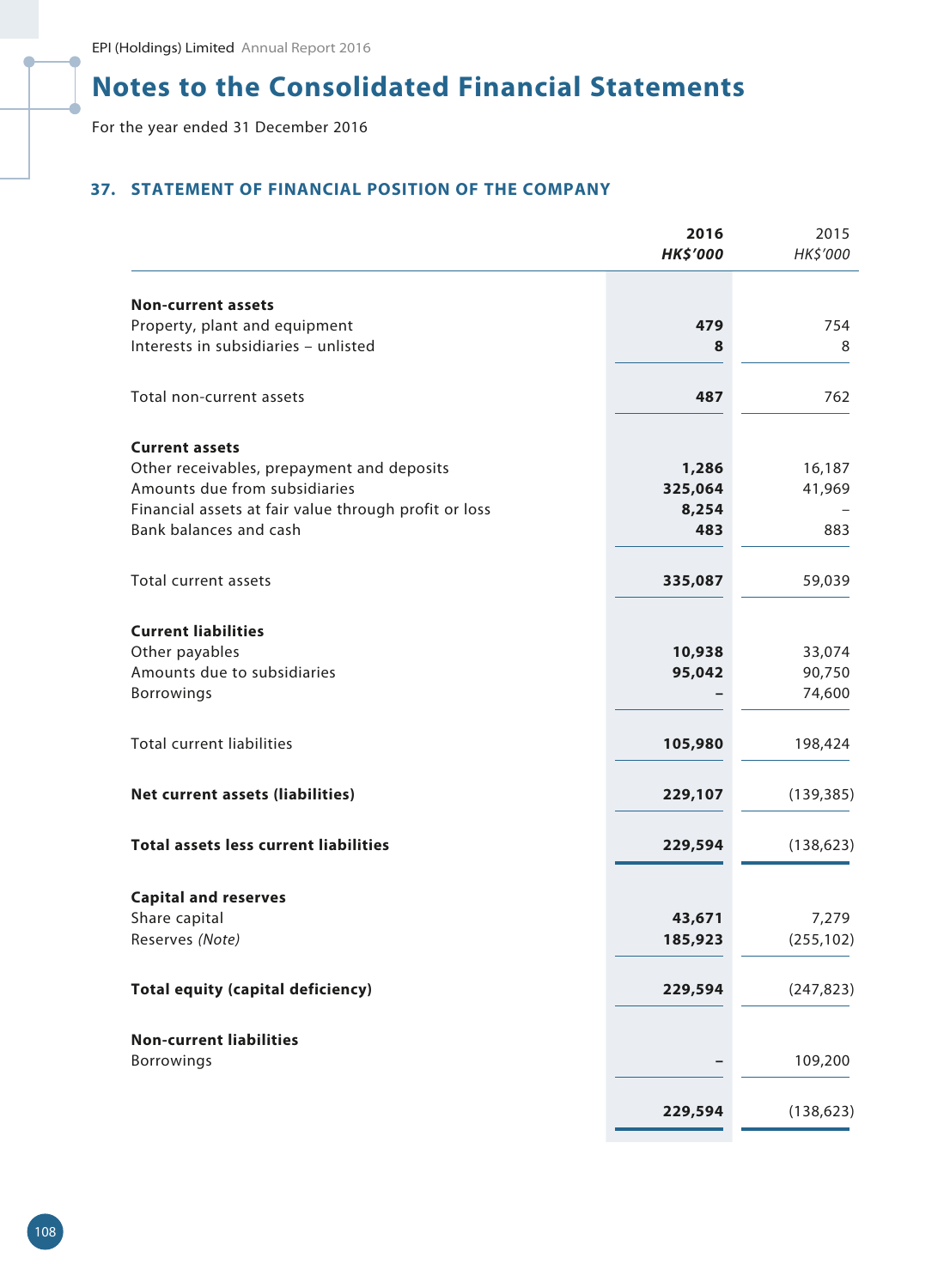# **Notes to the Consolidated Financial Statements**

For the year ended 31 December 2016

## **37. STATEMENT OF FINANCIAL POSITION OF THE COMPANY**

|                                                       | 2016<br><b>HK\$'000</b> | 2015<br>HK\$'000 |
|-------------------------------------------------------|-------------------------|------------------|
| <b>Non-current assets</b>                             |                         |                  |
| Property, plant and equipment                         | 479                     | 754              |
| Interests in subsidiaries - unlisted                  | 8                       | 8                |
| Total non-current assets                              | 487                     | 762              |
| <b>Current assets</b>                                 |                         |                  |
| Other receivables, prepayment and deposits            | 1,286                   | 16,187           |
| Amounts due from subsidiaries                         | 325,064                 | 41,969           |
| Financial assets at fair value through profit or loss | 8,254                   |                  |
| Bank balances and cash                                | 483                     | 883              |
| Total current assets                                  | 335,087                 | 59,039           |
| <b>Current liabilities</b>                            |                         |                  |
| Other payables                                        | 10,938                  | 33,074           |
| Amounts due to subsidiaries                           | 95,042                  | 90,750           |
| <b>Borrowings</b>                                     |                         | 74,600           |
| <b>Total current liabilities</b>                      | 105,980                 | 198,424          |
| Net current assets (liabilities)                      | 229,107                 | (139, 385)       |
| <b>Total assets less current liabilities</b>          | 229,594                 | (138, 623)       |
| <b>Capital and reserves</b>                           |                         |                  |
| Share capital                                         | 43,671                  | 7,279            |
| Reserves (Note)                                       | 185,923                 | (255, 102)       |
|                                                       |                         |                  |
| <b>Total equity (capital deficiency)</b>              | 229,594                 | (247, 823)       |
| <b>Non-current liabilities</b>                        |                         |                  |
| Borrowings                                            |                         | 109,200          |
|                                                       | 229,594                 | (138, 623)       |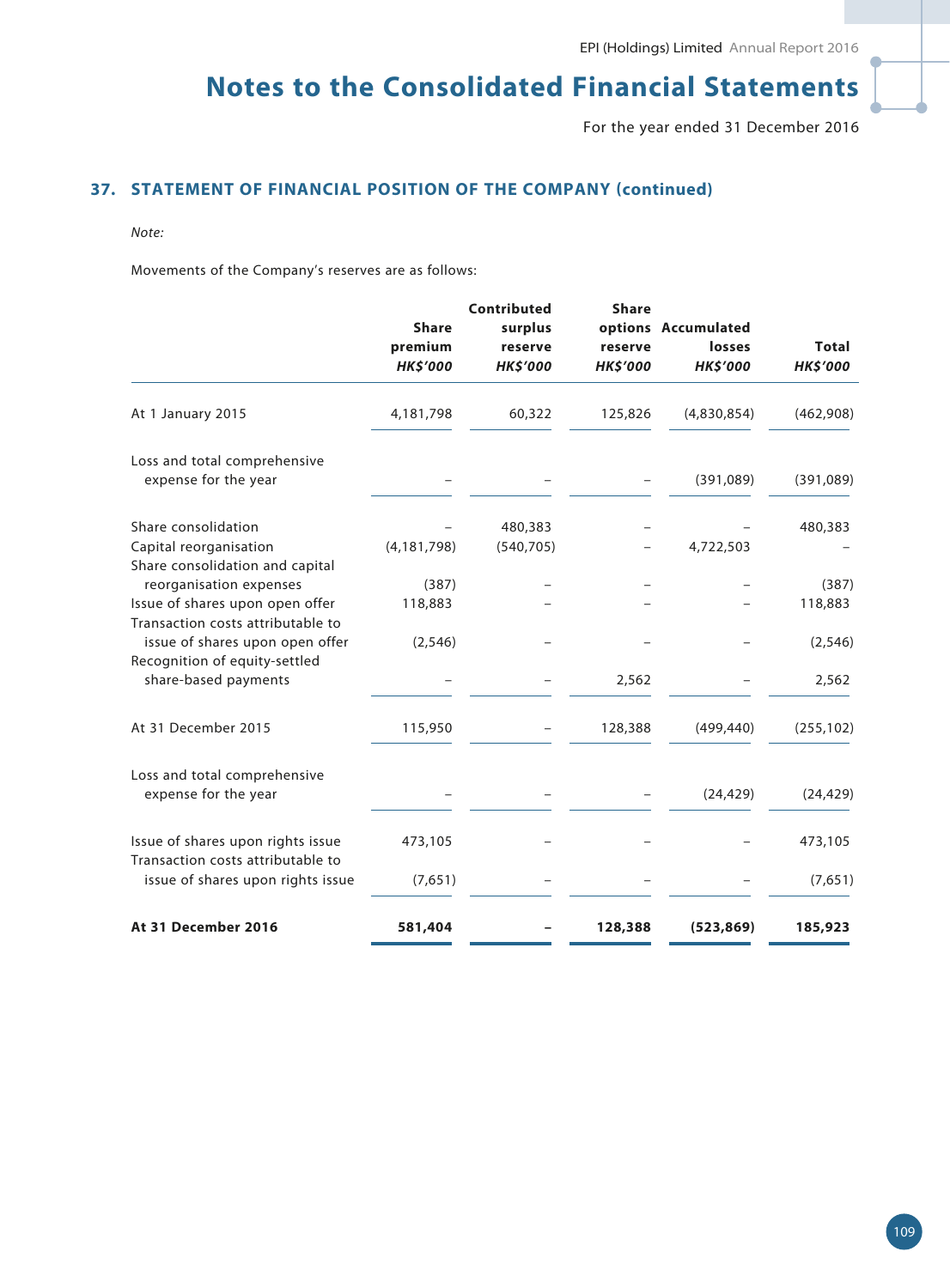# **Notes to the Consolidated Financial Statements**

For the year ended 31 December 2016

## **37. STATEMENT OF FINANCIAL POSITION OF THE COMPANY (continued)**

#### *Note:*

Movements of the Company's reserves are as follows:

|                                                                        | <b>Share</b>    | Contributed<br>surplus | <b>Share</b>    | options Accumulated |                 |
|------------------------------------------------------------------------|-----------------|------------------------|-----------------|---------------------|-----------------|
|                                                                        | premium         | reserve                | reserve         | losses              | <b>Total</b>    |
|                                                                        | <b>HK\$'000</b> | <b>HK\$'000</b>        | <b>HK\$'000</b> | <b>HK\$'000</b>     | <b>HK\$'000</b> |
| At 1 January 2015                                                      | 4,181,798       | 60,322                 | 125,826         | (4,830,854)         | (462,908)       |
| Loss and total comprehensive                                           |                 |                        |                 |                     |                 |
| expense for the year                                                   |                 |                        |                 | (391,089)           | (391,089)       |
| Share consolidation                                                    |                 | 480,383                |                 |                     | 480,383         |
| Capital reorganisation<br>Share consolidation and capital              | (4, 181, 798)   | (540, 705)             |                 | 4,722,503           |                 |
| reorganisation expenses                                                | (387)           |                        |                 |                     | (387)           |
| Issue of shares upon open offer                                        | 118,883         |                        |                 |                     | 118,883         |
| Transaction costs attributable to<br>issue of shares upon open offer   | (2, 546)        |                        |                 |                     | (2, 546)        |
| Recognition of equity-settled                                          |                 |                        |                 |                     |                 |
| share-based payments                                                   |                 |                        | 2,562           |                     | 2,562           |
| At 31 December 2015                                                    | 115,950         |                        | 128,388         | (499, 440)          | (255, 102)      |
| Loss and total comprehensive                                           |                 |                        |                 |                     |                 |
| expense for the year                                                   |                 |                        |                 | (24, 429)           | (24, 429)       |
| Issue of shares upon rights issue<br>Transaction costs attributable to | 473,105         |                        |                 |                     | 473,105         |
| issue of shares upon rights issue                                      | (7,651)         |                        |                 |                     | (7,651)         |
| At 31 December 2016                                                    | 581,404         |                        | 128,388         | (523, 869)          | 185,923         |